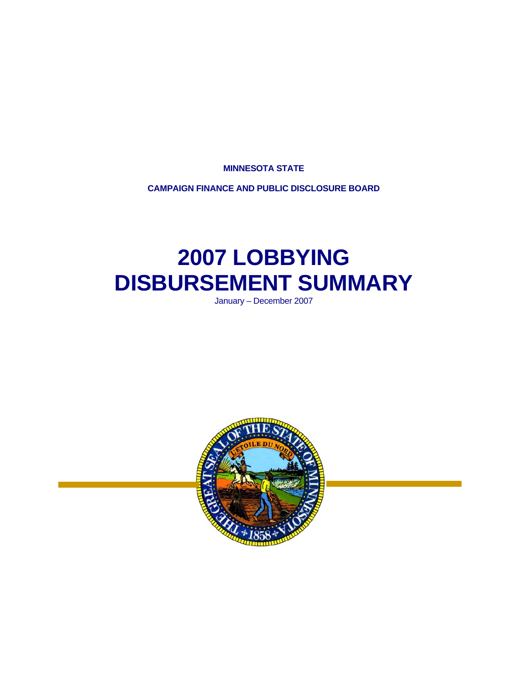**MINNESOTA STATE** 

**CAMPAIGN FINANCE AND PUBLIC DISCLOSURE BOARD** 

# **2007 LOBBYING DISBURSEMENT SUMMARY**

January – December 2007

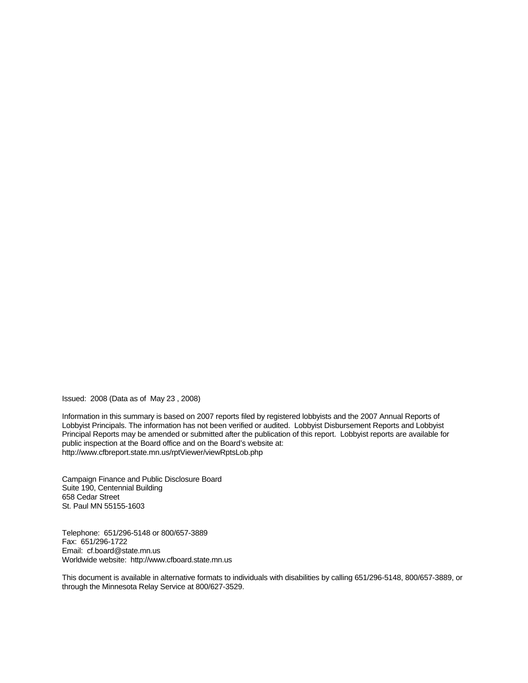Issued: 2008 (Data as of May 23 , 2008)

Information in this summary is based on 2007 reports filed by registered lobbyists and the 2007 Annual Reports of Lobbyist Principals. The information has not been verified or audited. Lobbyist Disbursement Reports and Lobbyist Principal Reports may be amended or submitted after the publication of this report. Lobbyist reports are available for public inspection at the Board office and on the Board's website at: http://www.cfbreport.state.mn.us/rptViewer/viewRptsLob.php

Campaign Finance and Public Disclosure Board Suite 190, Centennial Building 658 Cedar Street St. Paul MN 55155-1603

Telephone: 651/296-5148 or 800/657-3889 Fax: 651/296-1722 Email: cf.board@state.mn.us Worldwide website: http://www.cfboard.state.mn.us

This document is available in alternative formats to individuals with disabilities by calling 651/296-5148, 800/657-3889, or through the Minnesota Relay Service at 800/627-3529.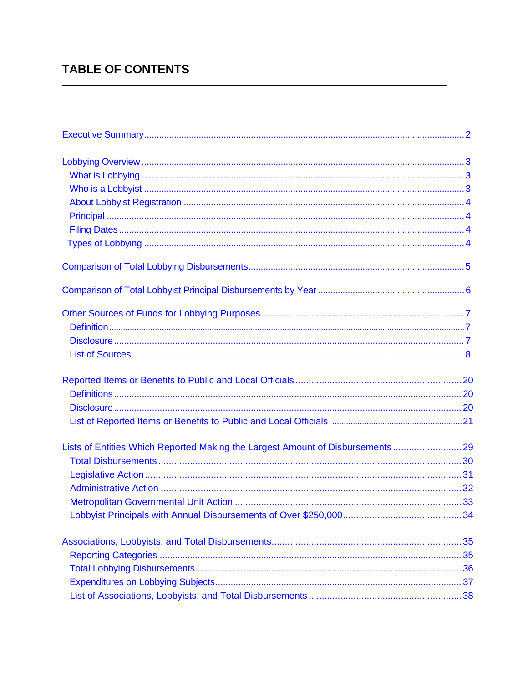# **TABLE OF CONTENTS**

| Lists of Entities Which Reported Making the Largest Amount of Disbursements 29 |  |
|--------------------------------------------------------------------------------|--|
|                                                                                |  |
|                                                                                |  |
|                                                                                |  |
|                                                                                |  |
|                                                                                |  |
|                                                                                |  |
|                                                                                |  |
|                                                                                |  |
|                                                                                |  |
|                                                                                |  |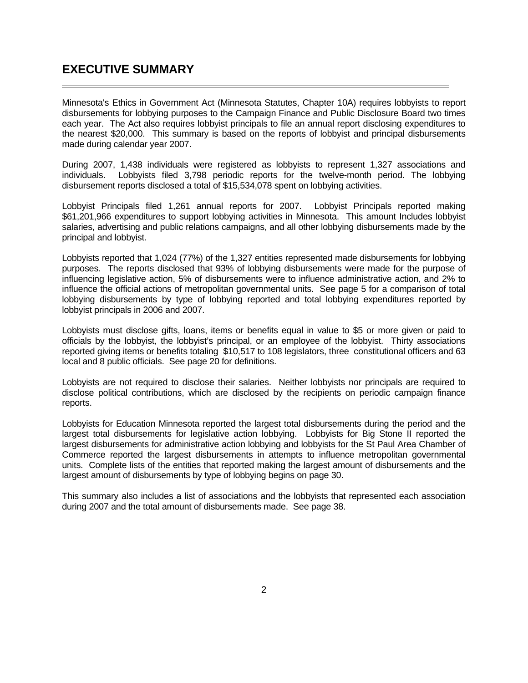### <span id="page-3-0"></span>**EXECUTIVE SUMMARY**

 $\overline{a}$ 

Minnesota's Ethics in Government Act (Minnesota Statutes, Chapter 10A) requires lobbyists to report disbursements for lobbying purposes to the Campaign Finance and Public Disclosure Board two times each year. The Act also requires lobbyist principals to file an annual report disclosing expenditures to the nearest \$20,000. This summary is based on the reports of lobbyist and principal disbursements made during calendar year 2007.

During 2007, 1,438 individuals were registered as lobbyists to represent 1,327 associations and individuals. Lobbyists filed 3,798 periodic reports for the twelve-month period. The lobbying disbursement reports disclosed a total of \$15,534,078 spent on lobbying activities.

Lobbyist Principals filed 1,261 annual reports for 2007. Lobbyist Principals reported making \$61,201,966 expenditures to support lobbying activities in Minnesota. This amount Includes lobbyist salaries, advertising and public relations campaigns, and all other lobbying disbursements made by the principal and lobbyist.

Lobbyists reported that 1,024 (77%) of the 1,327 entities represented made disbursements for lobbying purposes. The reports disclosed that 93% of lobbying disbursements were made for the purpose of influencing legislative action, 5% of disbursements were to influence administrative action, and 2% to influence the official actions of metropolitan governmental units. See page 5 for a comparison of total lobbying disbursements by type of lobbying reported and total lobbying expenditures reported by lobbyist principals in 2006 and 2007.

Lobbyists must disclose gifts, loans, items or benefits equal in value to \$5 or more given or paid to officials by the lobbyist, the lobbyist's principal, or an employee of the lobbyist. Thirty associations reported giving items or benefits totaling \$10,517 to 108 legislators, three constitutional officers and 63 local and 8 public officials. See page 20 for definitions.

Lobbyists are not required to disclose their salaries. Neither lobbyists nor principals are required to disclose political contributions, which are disclosed by the recipients on periodic campaign finance reports.

Lobbyists for Education Minnesota reported the largest total disbursements during the period and the largest total disbursements for legislative action lobbying. Lobbyists for Big Stone II reported the largest disbursements for administrative action lobbying and lobbyists for the St Paul Area Chamber of Commerce reported the largest disbursements in attempts to influence metropolitan governmental units. Complete lists of the entities that reported making the largest amount of disbursements and the largest amount of disbursements by type of lobbying begins on page 30.

This summary also includes a list of associations and the lobbyists that represented each association during 2007 and the total amount of disbursements made. See page 38.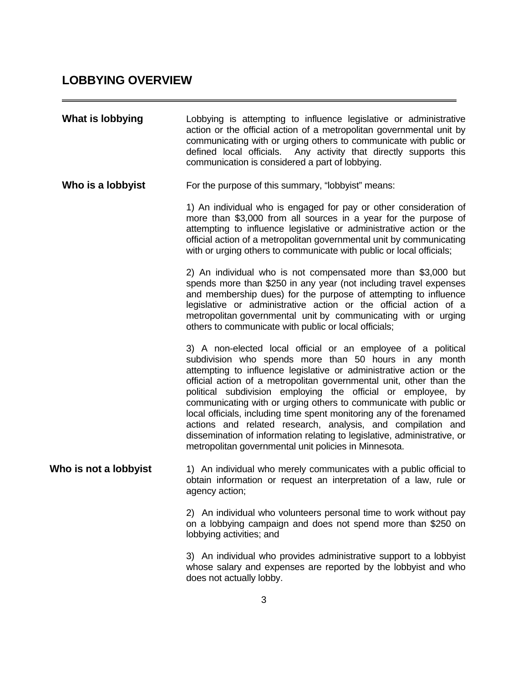## <span id="page-4-0"></span>**LOBBYING OVERVIEW**

| What is lobbying      | Lobbying is attempting to influence legislative or administrative<br>action or the official action of a metropolitan governmental unit by<br>communicating with or urging others to communicate with public or<br>defined local officials. Any activity that directly supports this<br>communication is considered a part of lobbying.                                                                                                                                                                                                                                                                                                                                                  |
|-----------------------|-----------------------------------------------------------------------------------------------------------------------------------------------------------------------------------------------------------------------------------------------------------------------------------------------------------------------------------------------------------------------------------------------------------------------------------------------------------------------------------------------------------------------------------------------------------------------------------------------------------------------------------------------------------------------------------------|
| Who is a lobbyist     | For the purpose of this summary, "lobbyist" means:                                                                                                                                                                                                                                                                                                                                                                                                                                                                                                                                                                                                                                      |
|                       | 1) An individual who is engaged for pay or other consideration of<br>more than \$3,000 from all sources in a year for the purpose of<br>attempting to influence legislative or administrative action or the<br>official action of a metropolitan governmental unit by communicating<br>with or urging others to communicate with public or local officials;                                                                                                                                                                                                                                                                                                                             |
|                       | 2) An individual who is not compensated more than \$3,000 but<br>spends more than \$250 in any year (not including travel expenses<br>and membership dues) for the purpose of attempting to influence<br>legislative or administrative action or the official action of a<br>metropolitan governmental unit by communicating with or urging<br>others to communicate with public or local officials;                                                                                                                                                                                                                                                                                    |
|                       | 3) A non-elected local official or an employee of a political<br>subdivision who spends more than 50 hours in any month<br>attempting to influence legislative or administrative action or the<br>official action of a metropolitan governmental unit, other than the<br>political subdivision employing the official or employee, by<br>communicating with or urging others to communicate with public or<br>local officials, including time spent monitoring any of the forenamed<br>actions and related research, analysis, and compilation and<br>dissemination of information relating to legislative, administrative, or<br>metropolitan governmental unit policies in Minnesota. |
| Who is not a lobbyist | 1) An individual who merely communicates with a public official to<br>obtain information or request an interpretation of a law, rule or<br>agency action;                                                                                                                                                                                                                                                                                                                                                                                                                                                                                                                               |
|                       | 2) An individual who volunteers personal time to work without pay<br>on a lobbying campaign and does not spend more than \$250 on<br>lobbying activities; and                                                                                                                                                                                                                                                                                                                                                                                                                                                                                                                           |
|                       | 3) An individual who provides administrative support to a lobbyist<br>whose salary and expenses are reported by the lobbyist and who                                                                                                                                                                                                                                                                                                                                                                                                                                                                                                                                                    |

does not actually lobby.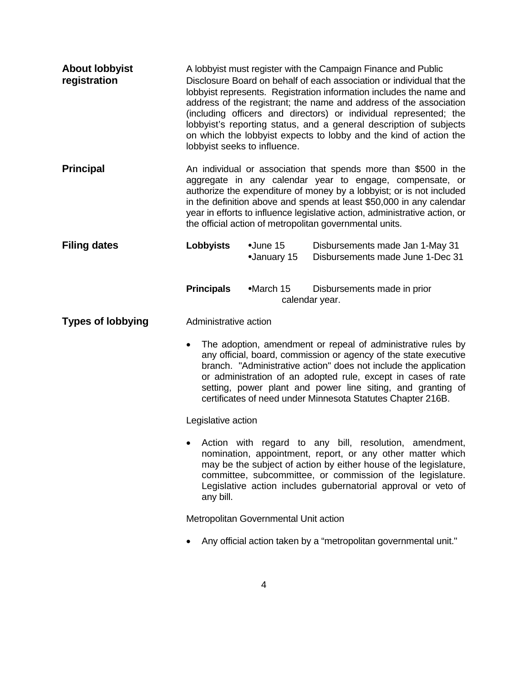<span id="page-5-0"></span>

| <b>About lobbyist</b><br>registration | A lobbyist must register with the Campaign Finance and Public<br>Disclosure Board on behalf of each association or individual that the<br>lobbyist represents. Registration information includes the name and<br>address of the registrant; the name and address of the association<br>(including officers and directors) or individual represented; the<br>lobbyist's reporting status, and a general description of subjects<br>on which the lobbyist expects to lobby and the kind of action the<br>lobbyist seeks to influence. |                                  |                                                                                                                                                                                                                                                                                                                                                                                                     |
|---------------------------------------|-------------------------------------------------------------------------------------------------------------------------------------------------------------------------------------------------------------------------------------------------------------------------------------------------------------------------------------------------------------------------------------------------------------------------------------------------------------------------------------------------------------------------------------|----------------------------------|-----------------------------------------------------------------------------------------------------------------------------------------------------------------------------------------------------------------------------------------------------------------------------------------------------------------------------------------------------------------------------------------------------|
| <b>Principal</b>                      | An individual or association that spends more than \$500 in the<br>aggregate in any calendar year to engage, compensate, or<br>authorize the expenditure of money by a lobbyist; or is not included<br>in the definition above and spends at least \$50,000 in any calendar<br>year in efforts to influence legislative action, administrative action, or<br>the official action of metropolitan governmental units.                                                                                                                |                                  |                                                                                                                                                                                                                                                                                                                                                                                                     |
| <b>Filing dates</b>                   | <b>Lobbyists</b>                                                                                                                                                                                                                                                                                                                                                                                                                                                                                                                    | $\bullet$ June 15<br>•January 15 | Disbursements made Jan 1-May 31<br>Disbursements made June 1-Dec 31                                                                                                                                                                                                                                                                                                                                 |
|                                       | <b>Principals</b>                                                                                                                                                                                                                                                                                                                                                                                                                                                                                                                   | $•$ March 15                     | Disbursements made in prior<br>calendar year.                                                                                                                                                                                                                                                                                                                                                       |
| <b>Types of lobbying</b>              | Administrative action                                                                                                                                                                                                                                                                                                                                                                                                                                                                                                               |                                  |                                                                                                                                                                                                                                                                                                                                                                                                     |
|                                       |                                                                                                                                                                                                                                                                                                                                                                                                                                                                                                                                     |                                  | The adoption, amendment or repeal of administrative rules by<br>any official, board, commission or agency of the state executive<br>branch. "Administrative action" does not include the application<br>or administration of an adopted rule, except in cases of rate<br>setting, power plant and power line siting, and granting of<br>certificates of need under Minnesota Statutes Chapter 216B. |
|                                       | Legislative action                                                                                                                                                                                                                                                                                                                                                                                                                                                                                                                  |                                  |                                                                                                                                                                                                                                                                                                                                                                                                     |
|                                       | any bill.                                                                                                                                                                                                                                                                                                                                                                                                                                                                                                                           |                                  | Action with regard to any bill, resolution,<br>amendment,<br>nomination, appointment, report, or any other matter which<br>may be the subject of action by either house of the legislature,<br>committee, subcommittee, or commission of the legislature.<br>Legislative action includes gubernatorial approval or veto of                                                                          |
|                                       | Metropolitan Governmental Unit action                                                                                                                                                                                                                                                                                                                                                                                                                                                                                               |                                  |                                                                                                                                                                                                                                                                                                                                                                                                     |
|                                       |                                                                                                                                                                                                                                                                                                                                                                                                                                                                                                                                     |                                  | Any official action taken by a "metropolitan governmental unit."                                                                                                                                                                                                                                                                                                                                    |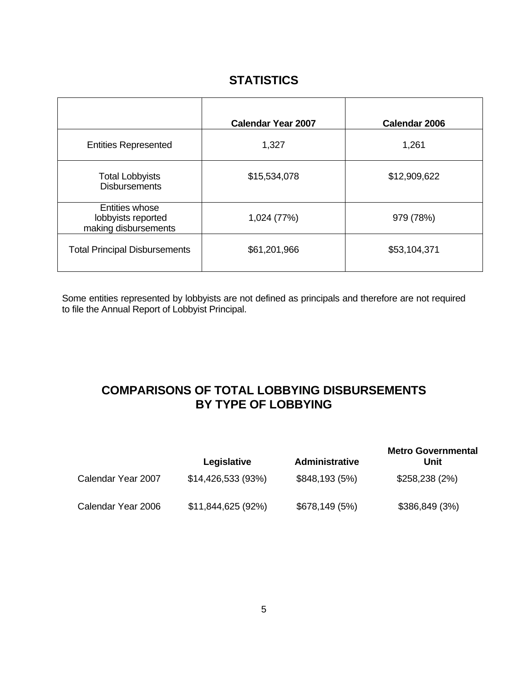## **STATISTICS**

<span id="page-6-0"></span>

|                                                              | <b>Calendar Year 2007</b> | <b>Calendar 2006</b> |
|--------------------------------------------------------------|---------------------------|----------------------|
| <b>Entities Represented</b>                                  | 1,327                     | 1,261                |
| <b>Total Lobbyists</b><br><b>Disbursements</b>               | \$15,534,078              | \$12,909,622         |
| Entities whose<br>lobbyists reported<br>making disbursements | 1,024 (77%)               | 979 (78%)            |
| <b>Total Principal Disbursements</b>                         | \$61,201,966              | \$53,104,371         |

Some entities represented by lobbyists are not defined as principals and therefore are not required to file the Annual Report of Lobbyist Principal.

## **COMPARISONS OF TOTAL LOBBYING DISBURSEMENTS BY TYPE OF LOBBYING**

|                    | Legislative        | Administrative | <b>Metro Governmental</b><br>Unit |
|--------------------|--------------------|----------------|-----------------------------------|
| Calendar Year 2007 | \$14,426,533 (93%) | \$848,193(5%)  | \$258,238(2%)                     |
| Calendar Year 2006 | \$11,844,625 (92%) | \$678,149(5%)  | \$386,849(3%)                     |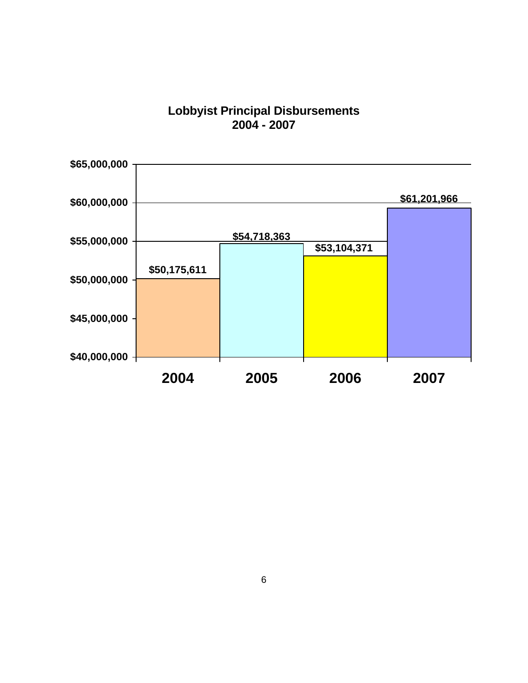### **Lobbyist Principal Disbursements 2004 - 2007**

<span id="page-7-0"></span>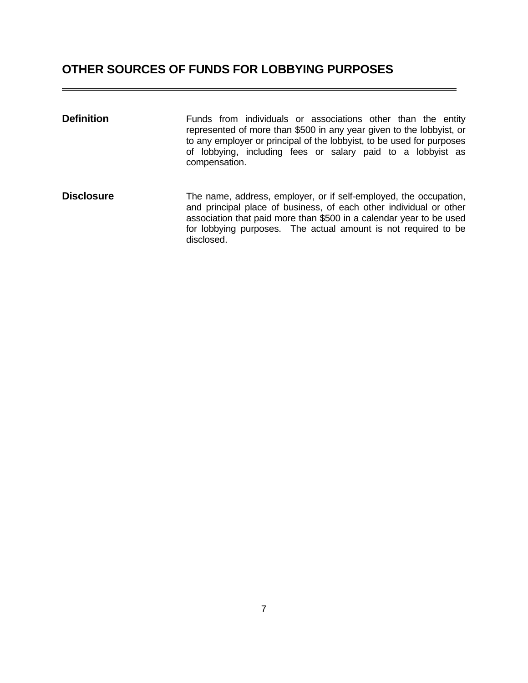# <span id="page-8-0"></span>**OTHER SOURCES OF FUNDS FOR LOBBYING PURPOSES**

| <b>Definition</b> | Funds from individuals or associations other than the entity<br>represented of more than \$500 in any year given to the lobbyist, or<br>to any employer or principal of the lobbyist, to be used for purposes<br>of lobbying, including fees or salary paid to a lobbyist as<br>compensation.  |
|-------------------|------------------------------------------------------------------------------------------------------------------------------------------------------------------------------------------------------------------------------------------------------------------------------------------------|
| <b>Disclosure</b> | The name, address, employer, or if self-employed, the occupation,<br>and principal place of business, of each other individual or other<br>association that paid more than \$500 in a calendar year to be used<br>for lobbying purposes. The actual amount is not required to be<br>disclosed. |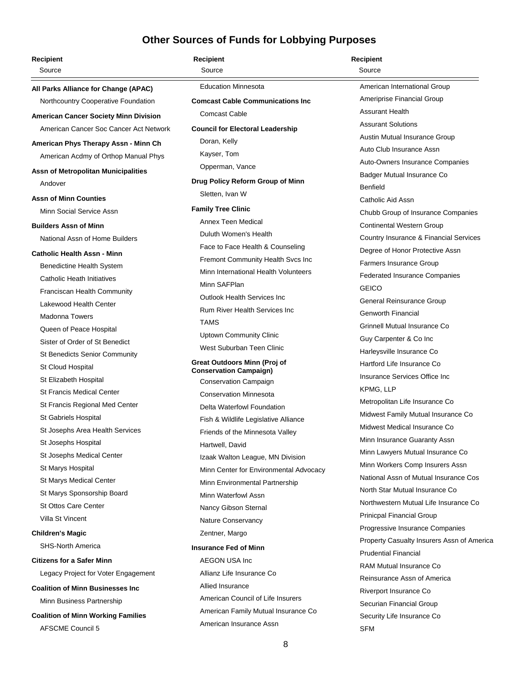<span id="page-9-0"></span>

| Recipient                                 | <b>Recipient</b>                                    | <b>Recipient</b>                           |
|-------------------------------------------|-----------------------------------------------------|--------------------------------------------|
| Source                                    | Source                                              | Source                                     |
| All Parks Alliance for Change (APAC)      | <b>Education Minnesota</b>                          | American International Group               |
| Northcountry Cooperative Foundation       | <b>Comcast Cable Communications Inc.</b>            | Ameriprise Financial Group                 |
| American Cancer Society Minn Division     | <b>Comcast Cable</b>                                | <b>Assurant Health</b>                     |
| American Cancer Soc Cancer Act Network    | <b>Council for Electoral Leadership</b>             | <b>Assurant Solutions</b>                  |
| American Phys Therapy Assn - Minn Ch      | Doran, Kelly                                        | Austin Mutual Insurance Group              |
| American Acdmy of Orthop Manual Phys      | Kayser, Tom                                         | Auto Club Insurance Assn                   |
|                                           | Opperman, Vance                                     | Auto-Owners Insurance Companies            |
| Assn of Metropolitan Municipalities       |                                                     | Badger Mutual Insurance Co                 |
| Andover                                   | Drug Policy Reform Group of Minn<br>Sletten, Ivan W | <b>Benfield</b>                            |
| <b>Assn of Minn Counties</b>              |                                                     | Catholic Aid Assn                          |
| Minn Social Service Assn                  | <b>Family Tree Clinic</b>                           | Chubb Group of Insurance Companies         |
| <b>Builders Assn of Minn</b>              | Annex Teen Medical                                  | <b>Continental Western Group</b>           |
| National Assn of Home Builders            | Duluth Women's Health                               | Country Insurance & Financial Services     |
| Catholic Health Assn - Minn               | Face to Face Health & Counseling                    | Degree of Honor Protective Assn            |
| Benedictine Health System                 | Fremont Community Health Svcs Inc                   | Farmers Insurance Group                    |
| Catholic Heath Initiatives                | Minn International Health Volunteers                | <b>Federated Insurance Companies</b>       |
| <b>Franciscan Health Community</b>        | Minn SAFPlan                                        | <b>GEICO</b>                               |
| Lakewood Health Center                    | <b>Outlook Health Services Inc</b>                  | General Reinsurance Group                  |
| <b>Madonna Towers</b>                     | <b>Rum River Health Services Inc.</b>               | <b>Genworth Financial</b>                  |
| Queen of Peace Hospital                   | <b>TAMS</b>                                         | Grinnell Mutual Insurance Co               |
| Sister of Order of St Benedict            | <b>Uptown Community Clinic</b>                      | Guy Carpenter & Co Inc                     |
| <b>St Benedicts Senior Community</b>      | West Suburban Teen Clinic                           | Harleysville Insurance Co                  |
| St Cloud Hospital                         | <b>Great Outdoors Minn (Proj of</b>                 | Hartford Life Insurance Co                 |
| St Elizabeth Hospital                     | <b>Conservation Campaign)</b>                       | Insurance Services Office Inc              |
| <b>St Francis Medical Center</b>          | Conservation Campaign                               | KPMG, LLP                                  |
| St Francis Regional Med Center            | <b>Conservation Minnesota</b>                       | Metropolitan Life Insurance Co             |
|                                           | Delta Waterfowl Foundation                          | Midwest Family Mutual Insurance Co         |
| St Gabriels Hospital                      | Fish & Wildlife Legislative Alliance                | Midwest Medical Insurance Co               |
| St Josephs Area Health Services           | Friends of the Minnesota Valley                     | Minn Insurance Guaranty Assn               |
| St Josephs Hospital                       | Hartwell, David                                     | Minn Lawyers Mutual Insurance Co           |
| <b>St Josephs Medical Center</b>          | Izaak Walton League, MN Division                    | Minn Workers Comp Insurers Assn            |
| St Marys Hospital                         | Minn Center for Environmental Advocacy              | National Assn of Mutual Insurance Cos      |
| St Marys Medical Center                   | Minn Environmental Partnership                      | North Star Mutual Insurance Co             |
| St Marys Sponsorship Board                | Minn Waterfowl Assn                                 | Northwestern Mutual Life Insurance Co      |
| <b>St Ottos Care Center</b>               | Nancy Gibson Sternal                                | Prinicpal Financial Group                  |
| Villa St Vincent                          | Nature Conservancy                                  | Progressive Insurance Companies            |
| <b>Children's Magic</b>                   | Zentner, Margo                                      | Property Casualty Insurers Assn of America |
| <b>SHS-North America</b>                  | <b>Insurance Fed of Minn</b>                        | <b>Prudential Financial</b>                |
| Citizens for a Safer Minn                 | AEGON USA Inc                                       | <b>RAM Mutual Insurance Co</b>             |
| Legacy Project for Voter Engagement       | Allianz Life Insurance Co                           | Reinsurance Assn of America                |
| <b>Coalition of Minn Businesses Inc</b>   | Allied Insurance                                    | Riverport Insurance Co                     |
| Minn Business Partnership                 | American Council of Life Insurers                   | Securian Financial Group                   |
| <b>Coalition of Minn Working Families</b> | American Family Mutual Insurance Co                 | Security Life Insurance Co                 |
| <b>AFSCME Council 5</b>                   | American Insurance Assn                             | <b>SFM</b>                                 |
|                                           | $\circ$                                             |                                            |
|                                           |                                                     |                                            |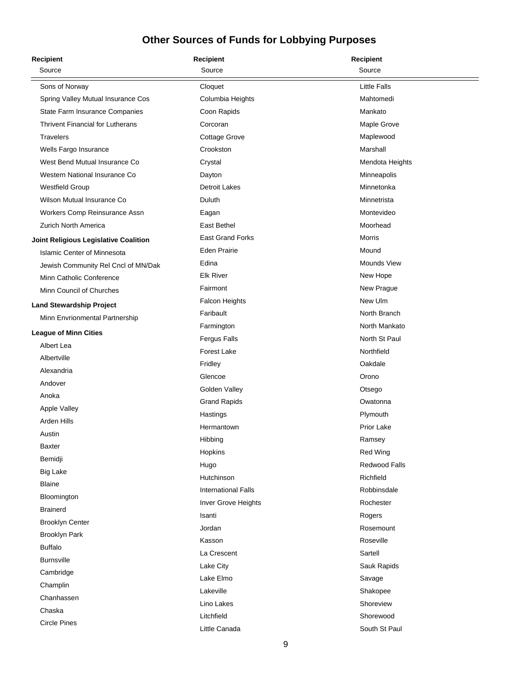| <b>Recipient</b>                        | <b>Recipient</b>           | <b>Recipient</b>   |
|-----------------------------------------|----------------------------|--------------------|
| Source                                  | Source                     | Source             |
| Sons of Norway                          | Cloquet                    | Little Falls       |
| Spring Valley Mutual Insurance Cos      | Columbia Heights           | Mahtomedi          |
| State Farm Insurance Companies          | Coon Rapids                | Mankato            |
| <b>Thrivent Financial for Lutherans</b> | Corcoran                   | Maple Grove        |
| <b>Travelers</b>                        | Cottage Grove              | Maplewood          |
| Wells Fargo Insurance                   | Crookston                  | Marshall           |
| West Bend Mutual Insurance Co           | Crystal                    | Mendota Heights    |
| Western National Insurance Co           | Dayton                     | Minneapolis        |
| Westfield Group                         | <b>Detroit Lakes</b>       | Minnetonka         |
| Wilson Mutual Insurance Co              | Duluth                     | Minnetrista        |
| Workers Comp Reinsurance Assn           | Eagan                      | Montevideo         |
| Zurich North America                    | East Bethel                | Moorhead           |
| Joint Religious Legislative Coalition   | <b>East Grand Forks</b>    | <b>Morris</b>      |
| <b>Islamic Center of Minnesota</b>      | <b>Eden Prairie</b>        | Mound              |
| Jewish Community Rel Cncl of MN/Dak     | Edina                      | <b>Mounds View</b> |
| Minn Catholic Conference                | <b>Elk River</b>           | New Hope           |
| Minn Council of Churches                | Fairmont                   | New Prague         |
| <b>Land Stewardship Project</b>         | Falcon Heights             | New Ulm            |
| Minn Envrionmental Partnership          | Faribault                  | North Branch       |
|                                         | Farmington                 | North Mankato      |
| <b>League of Minn Cities</b>            | Fergus Falls               | North St Paul      |
| Albert Lea                              | Forest Lake                | Northfield         |
| Albertville                             | Fridley                    | Oakdale            |
| Alexandria                              | Glencoe                    | Orono              |
| Andover                                 | Golden Valley              | Otsego             |
| Anoka                                   | <b>Grand Rapids</b>        | Owatonna           |
| Apple Valley                            | Hastings                   | Plymouth           |
| Arden Hills                             | Hermantown                 | Prior Lake         |
| Austin                                  | Hibbing                    | Ramsey             |
| <b>Baxter</b>                           | Hopkins                    | Red Wing           |
| Bemidji                                 | Hugo                       | Redwood Falls      |
| <b>Big Lake</b>                         | Hutchinson                 | Richfield          |
| <b>Blaine</b>                           | <b>International Falls</b> | Robbinsdale        |
| Bloomington                             | Inver Grove Heights        | Rochester          |
| <b>Brainerd</b>                         | Isanti                     | Rogers             |
| <b>Brooklyn Center</b>                  | Jordan                     | Rosemount          |
| Brooklyn Park                           | Kasson                     | Roseville          |
| <b>Buffalo</b>                          | La Crescent                | Sartell            |
| <b>Burnsville</b>                       | Lake City                  | Sauk Rapids        |
| Cambridge                               | Lake Elmo                  | Savage             |
| Champlin                                | Lakeville                  | Shakopee           |
| Chanhassen                              | Lino Lakes                 | Shoreview          |
| Chaska                                  | Litchfield                 | Shorewood          |
| <b>Circle Pines</b>                     | Little Canada              | South St Paul      |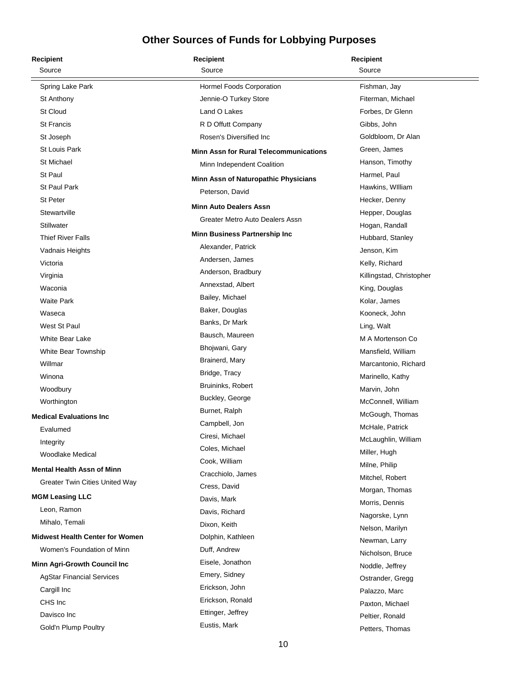| Recipient                              | <b>Recipient</b>                              | <b>Recipient</b>         |
|----------------------------------------|-----------------------------------------------|--------------------------|
| Source                                 | Source                                        | Source                   |
| Spring Lake Park                       | Hormel Foods Corporation                      | Fishman, Jay             |
| St Anthony                             | Jennie-O Turkey Store                         | Fiterman, Michael        |
| St Cloud                               | Land O Lakes                                  | Forbes, Dr Glenn         |
| <b>St Francis</b>                      | R D Offutt Company                            | Gibbs, John              |
| St Joseph                              | Rosen's Diversified Inc.                      | Goldbloom, Dr Alan       |
| St Louis Park                          | <b>Minn Assn for Rural Telecommunications</b> | Green, James             |
| St Michael                             | Minn Independent Coalition                    | Hanson, Timothy          |
| St Paul                                | Minn Assn of Naturopathic Physicians          | Harmel, Paul             |
| <b>St Paul Park</b>                    | Peterson, David                               | Hawkins, William         |
| <b>St Peter</b>                        |                                               | Hecker, Denny            |
| Stewartville                           | <b>Minn Auto Dealers Assn</b>                 | Hepper, Douglas          |
| Stillwater                             | Greater Metro Auto Dealers Assn               | Hogan, Randall           |
| <b>Thief River Falls</b>               | Minn Business Partnership Inc                 | Hubbard, Stanley         |
| Vadnais Heights                        | Alexander, Patrick                            | Jenson, Kim              |
| Victoria                               | Andersen, James                               | Kelly, Richard           |
| Virginia                               | Anderson, Bradbury                            | Killingstad, Christopher |
| Waconia                                | Annexstad, Albert                             | King, Douglas            |
| <b>Waite Park</b>                      | Bailey, Michael                               | Kolar, James             |
| Waseca                                 | Baker, Douglas                                | Kooneck, John            |
| West St Paul                           | Banks, Dr Mark                                | Ling, Walt               |
| <b>White Bear Lake</b>                 | Bausch, Maureen                               | M A Mortenson Co         |
| White Bear Township                    | Bhojwani, Gary                                | Mansfield, William       |
| Willmar                                | Brainerd, Mary                                | Marcantonio, Richard     |
| Winona                                 | Bridge, Tracy                                 | Marinello, Kathy         |
| Woodbury                               | Bruininks, Robert                             | Marvin, John             |
| Worthington                            | Buckley, George                               | McConnell, William       |
| <b>Medical Evaluations Inc</b>         | Burnet, Ralph                                 | McGough, Thomas          |
| Evalumed                               | Campbell, Jon                                 | McHale, Patrick          |
| Integrity                              | Ciresi, Michael                               | McLaughlin, William      |
| Woodlake Medical                       | Coles, Michael                                | Miller, Hugh             |
| <b>Mental Health Assn of Minn</b>      | Cook, William                                 | Milne, Philip            |
| <b>Greater Twin Cities United Way</b>  | Cracchiolo, James                             | Mitchel, Robert          |
|                                        | Cress, David                                  | Morgan, Thomas           |
| <b>MGM Leasing LLC</b><br>Leon, Ramon  | Davis, Mark                                   | Morris, Dennis           |
|                                        | Davis, Richard                                | Nagorske, Lynn           |
| Mihalo, Temali                         | Dixon, Keith                                  | Nelson, Marilyn          |
| <b>Midwest Health Center for Women</b> | Dolphin, Kathleen                             | Newman, Larry            |
| Women's Foundation of Minn             | Duff, Andrew                                  | Nicholson, Bruce         |
| Minn Agri-Growth Council Inc           | Eisele, Jonathon                              | Noddle, Jeffrey          |
| <b>AgStar Financial Services</b>       | Emery, Sidney                                 | Ostrander, Gregg         |
| Cargill Inc                            | Erickson, John                                | Palazzo, Marc            |
| CHS Inc                                | Erickson, Ronald                              | Paxton, Michael          |
| Davisco Inc                            | Ettinger, Jeffrey                             | Peltier, Ronald          |
| Gold'n Plump Poultry                   | Eustis, Mark                                  | Petters, Thomas          |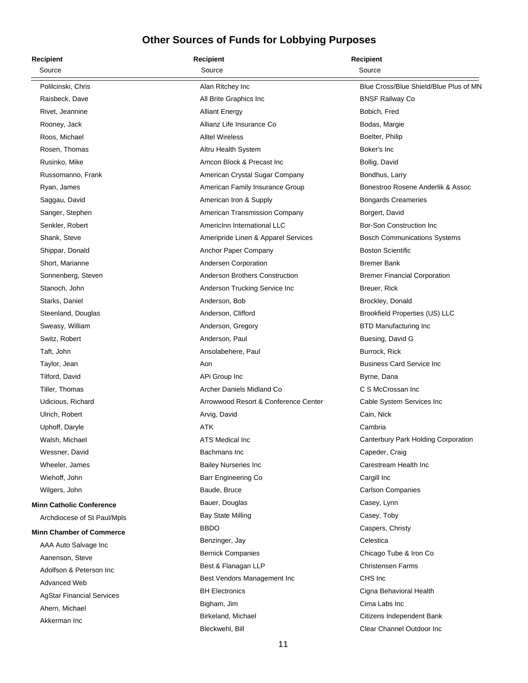| <b>Recipient</b>                 | <b>Recipient</b>                      | <b>Recipient</b>                       |
|----------------------------------|---------------------------------------|----------------------------------------|
| Source                           | Source                                | Source                                 |
| Polilcinski, Chris               | Alan Ritchey Inc                      | Blue Cross/Blue Shield/Blue Plus of MN |
| Raisbeck, Dave                   | All Brite Graphics Inc.               | <b>BNSF Railway Co</b>                 |
| Rivet, Jeannine                  | <b>Alliant Energy</b>                 | Bobich, Fred                           |
| Rooney, Jack                     | Allianz Life Insurance Co             | Bodas, Margie                          |
| Roos, Michael                    | <b>Alltel Wireless</b>                | Boelter, Philip                        |
| Rosen, Thomas                    | Altru Health System                   | Boker's Inc                            |
| Rusinko, Mike                    | Amcon Block & Precast Inc             | Bollig, David                          |
| Russomanno, Frank                | American Crystal Sugar Company        | Bondhus, Larry                         |
| Ryan, James                      | American Family Insurance Group       | Bonestroo Rosene Anderlik & Assoc      |
| Saggau, David                    | American Iron & Supply                | <b>Bongards Creameries</b>             |
| Sanger, Stephen                  | American Transmission Company         | Borgert, David                         |
| Senkler, Robert                  | Americinn International LLC           | Bor-Son Construction Inc               |
| Shank, Steve                     | Ameripride Linen & Apparel Services   | <b>Bosch Communications Systems</b>    |
| Shippar, Donald                  | Anchor Paper Company                  | <b>Boston Scientific</b>               |
| Short, Marianne                  | Andersen Corporation                  | <b>Bremer Bank</b>                     |
| Sonnenberg, Steven               | <b>Anderson Brothers Construction</b> | <b>Bremer Financial Corporation</b>    |
| Stanoch, John                    | Anderson Trucking Service Inc         | Breuer, Rick                           |
| Starks, Daniel                   | Anderson, Bob                         | Brockley, Donald                       |
| Steenland, Douglas               | Anderson, Clifford                    | Brookfield Properties (US) LLC         |
| Sweasy, William                  | Anderson, Gregory                     | <b>BTD Manufacturing Inc</b>           |
| Switz, Robert                    | Anderson, Paul                        | Buesing, David G                       |
| Taft, John                       | Ansolabehere, Paul                    | Burrock, Rick                          |
| Taylor, Jean                     | Aon                                   | <b>Business Card Service Inc.</b>      |
| Tilford, David                   | APi Group Inc                         | Byrne, Dana                            |
| Tiller, Thomas                   | Archer Daniels Midland Co             | C S McCrossan Inc                      |
| Udicious, Richard                | Arrowwood Resort & Conference Center  | Cable System Services Inc              |
| Ulrich, Robert                   | Arvig, David                          | Cain, Nick                             |
| Uphoff, Daryle                   | ATK                                   | Cambria                                |
| Walsh, Michael                   | ATS Medical Inc                       | Canterbury Park Holding Corporation    |
| Wessner, David                   | Bachmans Inc                          | Capeder, Craig                         |
| Wheeler, James                   | <b>Bailey Nurseries Inc</b>           | Carestream Health Inc                  |
| Wiehoff, John                    | Barr Engineering Co                   | Cargill Inc                            |
| Wilgers, John                    | Baude, Bruce                          | <b>Carlson Companies</b>               |
| <b>Minn Catholic Conference</b>  | Bauer, Douglas                        | Casey, Lynn                            |
| Archdiocese of St Paul/Mpls      | <b>Bay State Milling</b>              | Casey, Toby                            |
| <b>Minn Chamber of Commerce</b>  | <b>BBDO</b>                           | Caspers, Christy                       |
| AAA Auto Salvage Inc             | Benzinger, Jay                        | Celestica                              |
| Aanenson, Steve                  | <b>Bernick Companies</b>              | Chicago Tube & Iron Co                 |
| Adolfson & Peterson Inc          | Best & Flanagan LLP                   | <b>Christensen Farms</b>               |
| Advanced Web                     | Best Vendors Management Inc           | CHS Inc                                |
| <b>AgStar Financial Services</b> | <b>BH Electronics</b>                 | Cigna Behavioral Health                |
| Ahern, Michael                   | Bigham, Jim                           | Cima Labs Inc                          |
| Akkerman Inc                     | Birkeland, Michael                    | Citizens Independent Bank              |
|                                  | Bleckwehl, Bill                       | Clear Channel Outdoor Inc              |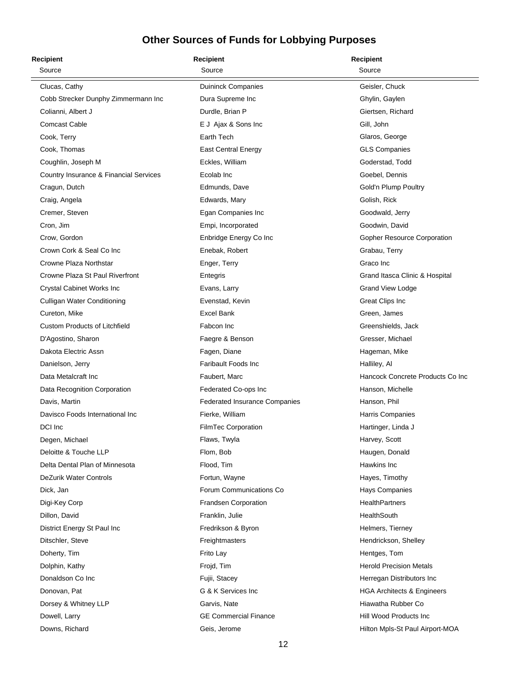| <b>Recipient</b>                       | <b>Recipient</b>                     | <b>Recipient</b>                      |
|----------------------------------------|--------------------------------------|---------------------------------------|
| Source                                 | Source                               | Source                                |
| Clucas, Cathy                          | <b>Duininck Companies</b>            | Geisler, Chuck                        |
| Cobb Strecker Dunphy Zimmermann Inc    | Dura Supreme Inc                     | Ghylin, Gaylen                        |
| Colianni, Albert J                     | Durdle, Brian P                      | Giertsen, Richard                     |
| <b>Comcast Cable</b>                   | E J Ajax & Sons Inc                  | Gill, John                            |
| Cook, Terry                            | Earth Tech                           | Glaros, George                        |
| Cook, Thomas                           | <b>East Central Energy</b>           | <b>GLS Companies</b>                  |
| Coughlin, Joseph M                     | Eckles, William                      | Goderstad, Todd                       |
| Country Insurance & Financial Services | Ecolab Inc                           | Goebel, Dennis                        |
| Cragun, Dutch                          | Edmunds, Dave                        | Gold'n Plump Poultry                  |
| Craig, Angela                          | Edwards, Mary                        | Golish, Rick                          |
| Cremer, Steven                         | Egan Companies Inc                   | Goodwald, Jerry                       |
| Cron, Jim                              | Empi, Incorporated                   | Goodwin, David                        |
| Crow, Gordon                           | Enbridge Energy Co Inc               | Gopher Resource Corporation           |
| Crown Cork & Seal Co Inc               | Enebak, Robert                       | Grabau, Terry                         |
| Crowne Plaza Northstar                 | Enger, Terry                         | Graco Inc                             |
| Crowne Plaza St Paul Riverfront        | Entegris                             | Grand Itasca Clinic & Hospital        |
| Crystal Cabinet Works Inc              | Evans, Larry                         | <b>Grand View Lodge</b>               |
| <b>Culligan Water Conditioning</b>     | Evenstad, Kevin                      | <b>Great Clips Inc</b>                |
| Cureton, Mike                          | <b>Excel Bank</b>                    | Green, James                          |
| <b>Custom Products of Litchfield</b>   | Fabcon Inc                           | Greenshields, Jack                    |
| D'Agostino, Sharon                     | Faegre & Benson                      | Gresser, Michael                      |
| Dakota Electric Assn                   | Fagen, Diane                         | Hageman, Mike                         |
| Danielson, Jerry                       | <b>Faribault Foods Inc</b>           | Halliley, Al                          |
| Data Metalcraft Inc                    | Faubert, Marc                        | Hancock Concrete Products Co Inc      |
| Data Recognition Corporation           | Federated Co-ops Inc                 | Hanson, Michelle                      |
| Davis, Martin                          | <b>Federated Insurance Companies</b> | Hanson, Phil                          |
| Davisco Foods International Inc        | Fierke, William                      | Harris Companies                      |
| DCI Inc                                | FilmTec Corporation                  | Hartinger, Linda J                    |
| Degen, Michael                         | Flaws, Twyla                         | Harvey, Scott                         |
| Deloitte & Touche LLP                  | Flom, Bob                            | Haugen, Donald                        |
| Delta Dental Plan of Minnesota         | Flood, Tim                           | Hawkins Inc.                          |
| DeZurik Water Controls                 | Fortun, Wayne                        | Hayes, Timothy                        |
| Dick, Jan                              | Forum Communications Co              | <b>Hays Companies</b>                 |
| Digi-Key Corp                          | <b>Frandsen Corporation</b>          | <b>HealthPartners</b>                 |
| Dillon, David                          | Franklin, Julie                      | HealthSouth                           |
| District Energy St Paul Inc            | Fredrikson & Byron                   | Helmers, Tierney                      |
| Ditschler, Steve                       | Freightmasters                       | Hendrickson, Shelley                  |
| Doherty, Tim                           | Frito Lay                            | Hentges, Tom                          |
| Dolphin, Kathy                         | Frojd, Tim                           | <b>Herold Precision Metals</b>        |
| Donaldson Co Inc                       | Fujii, Stacey                        | Herregan Distributors Inc             |
| Donovan, Pat                           | G & K Services Inc                   | <b>HGA Architects &amp; Engineers</b> |
| Dorsey & Whitney LLP                   | Garvis, Nate                         | Hiawatha Rubber Co                    |
| Dowell, Larry                          | <b>GE Commercial Finance</b>         | Hill Wood Products Inc                |
| Downs, Richard                         | Geis, Jerome                         | Hilton Mpls-St Paul Airport-MOA       |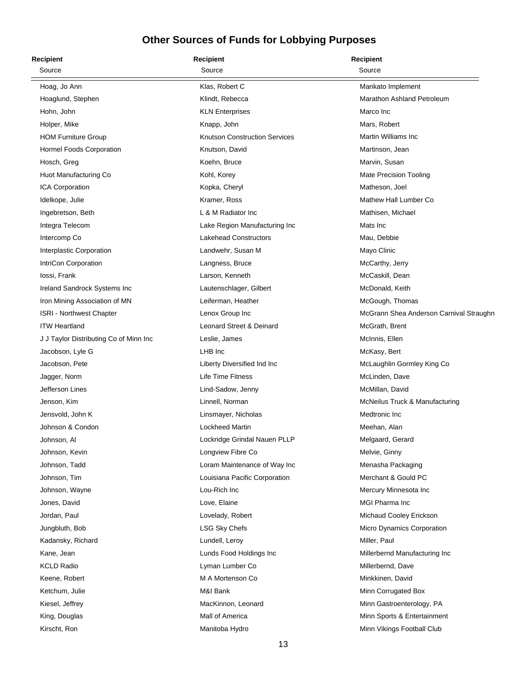| Recipient                              | <b>Recipient</b>                     | <b>Recipient</b>                        |
|----------------------------------------|--------------------------------------|-----------------------------------------|
| Source                                 | Source                               | Source                                  |
| Hoag, Jo Ann                           | Klas, Robert C                       | Mankato Implement                       |
| Hoaglund, Stephen                      | Klindt, Rebecca                      | Marathon Ashland Petroleum              |
| Hohn, John                             | <b>KLN Enterprises</b>               | Marco Inc                               |
| Holper, Mike                           | Knapp, John                          | Mars, Robert                            |
| <b>HOM Furniture Group</b>             | <b>Knutson Construction Services</b> | Martin Williams Inc                     |
| Hormel Foods Corporation               | Knutson, David                       | Martinson, Jean                         |
| Hosch, Greg                            | Koehn, Bruce                         | Marvin, Susan                           |
| Huot Manufacturing Co                  | Kohl, Korey                          | <b>Mate Precision Tooling</b>           |
| ICA Corporation                        | Kopka, Cheryl                        | Matheson, Joel                          |
| Idelkope, Julie                        | Kramer, Ross                         | Mathew Hall Lumber Co                   |
| Ingebretson, Beth                      | L & M Radiator Inc                   | Mathisen, Michael                       |
| Integra Telecom                        | Lake Region Manufacturing Inc        | Mats Inc                                |
| Intercomp Co                           | <b>Lakehead Constructors</b>         | Mau, Debbie                             |
| Interplastic Corporation               | Landwehr, Susan M                    | Mayo Clinic                             |
| IntriCon Corporation                   | Langness, Bruce                      | McCarthy, Jerry                         |
| lossi, Frank                           | Larson, Kenneth                      | McCaskill, Dean                         |
| Ireland Sandrock Systems Inc           | Lautenschlager, Gilbert              | McDonald, Keith                         |
| Iron Mining Association of MN          | Leiferman, Heather                   | McGough, Thomas                         |
| <b>ISRI - Northwest Chapter</b>        | Lenox Group Inc                      | McGrann Shea Anderson Carnival Straughn |
| <b>ITW Heartland</b>                   | Leonard Street & Deinard             | McGrath, Brent                          |
| J J Taylor Distributing Co of Minn Inc | Leslie, James                        | McInnis, Ellen                          |
| Jacobson, Lyle G                       | LHB Inc                              | McKasy, Bert                            |
| Jacobson, Pete                         | Liberty Diversified Ind Inc          | McLaughlin Gormley King Co              |
| Jagger, Norm                           | <b>Life Time Fitness</b>             | McLinden, Dave                          |
| Jefferson Lines                        | Lind-Sadow, Jenny                    | McMillan, David                         |
| Jenson, Kim                            | Linnell, Norman                      | McNeilus Truck & Manufacturing          |
| Jensvold, John K                       | Linsmayer, Nicholas                  | Medtronic Inc                           |
| Johnson & Condon                       | <b>Lockheed Martin</b>               | Meehan, Alan                            |
| Johnson, Al                            | Lockridge Grindal Nauen PLLP         | Melgaard, Gerard                        |
| Johnson, Kevin                         | Longview Fibre Co                    | Melvie, Ginny                           |
| Johnson, Tadd                          | Loram Maintenance of Way Inc         | Menasha Packaging                       |
| Johnson, Tim                           | Louisiana Pacific Corporation        | Merchant & Gould PC                     |
| Johnson, Wayne                         | Lou-Rich Inc                         | Mercury Minnesota Inc                   |
| Jones, David                           | Love, Elaine                         | MGI Pharma Inc                          |
| Jordan, Paul                           | Lovelady, Robert                     | Michaud Cooley Erickson                 |
| Jungbluth, Bob                         | <b>LSG Sky Chefs</b>                 | Micro Dynamics Corporation              |
| Kadansky, Richard                      | Lundell, Leroy                       | Miller, Paul                            |
| Kane, Jean                             | Lunds Food Holdings Inc              | Millerbernd Manufacturing Inc           |
| <b>KCLD Radio</b>                      | Lyman Lumber Co                      | Millerbernd, Dave                       |
| Keene, Robert                          | M A Mortenson Co                     | Minkkinen, David                        |
| Ketchum, Julie                         | M&I Bank                             | Minn Corrugated Box                     |
| Kiesel, Jeffrey                        | MacKinnon, Leonard                   | Minn Gastroenterology, PA               |
| King, Douglas                          | Mall of America                      | Minn Sports & Entertainment             |
| Kirscht, Ron                           | Manitoba Hydro                       | Minn Vikings Football Club              |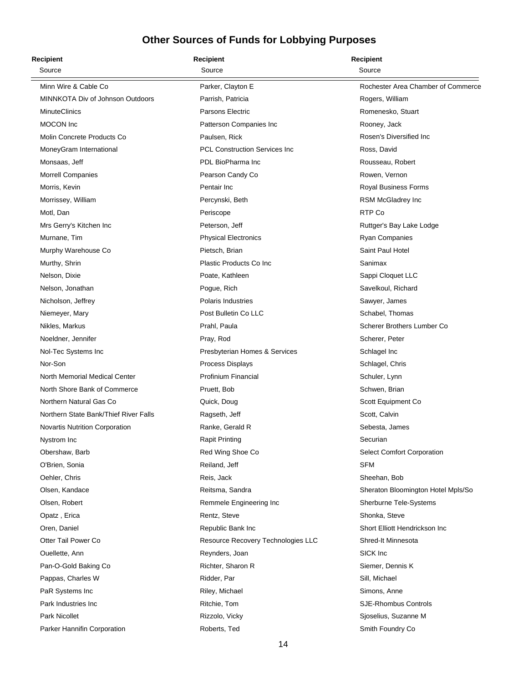| Recipient                             | <b>Recipient</b>                     | <b>Recipient</b>                   |
|---------------------------------------|--------------------------------------|------------------------------------|
| Source                                | Source                               | Source                             |
| Minn Wire & Cable Co                  | Parker, Clayton E                    | Rochester Area Chamber of Commerce |
| MINNKOTA Div of Johnson Outdoors      | Parrish, Patricia                    | Rogers, William                    |
| <b>MinuteClinics</b>                  | <b>Parsons Electric</b>              | Romenesko, Stuart                  |
| MOCON Inc                             | Patterson Companies Inc              | Rooney, Jack                       |
| Molin Concrete Products Co            | Paulsen, Rick                        | Rosen's Diversified Inc.           |
| MoneyGram International               | <b>PCL Construction Services Inc</b> | Ross, David                        |
| Monsaas, Jeff                         | PDL BioPharma Inc                    | Rousseau, Robert                   |
| <b>Morrell Companies</b>              | Pearson Candy Co                     | Rowen, Vernon                      |
| Morris, Kevin                         | Pentair Inc                          | Royal Business Forms               |
| Morrissey, William                    | Percynski, Beth                      | RSM McGladrey Inc                  |
| Motl, Dan                             | Periscope                            | RTP Co                             |
| Mrs Gerry's Kitchen Inc               | Peterson, Jeff                       | Ruttger's Bay Lake Lodge           |
| Murnane, Tim                          | <b>Physical Electronics</b>          | Ryan Companies                     |
| Murphy Warehouse Co                   | Pietsch, Brian                       | Saint Paul Hotel                   |
| Murthy, Shrin                         | Plastic Products Co Inc              | Sanimax                            |
| Nelson, Dixie                         | Poate, Kathleen                      | Sappi Cloquet LLC                  |
| Nelson, Jonathan                      | Pogue, Rich                          | Savelkoul, Richard                 |
| Nicholson, Jeffrey                    | <b>Polaris Industries</b>            | Sawyer, James                      |
| Niemeyer, Mary                        | Post Bulletin Co LLC                 | Schabel, Thomas                    |
| Nikles, Markus                        | Prahl, Paula                         | Scherer Brothers Lumber Co         |
| Noeldner, Jennifer                    | Pray, Rod                            | Scherer, Peter                     |
| Nol-Tec Systems Inc                   | Presbyterian Homes & Services        | Schlagel Inc                       |
| Nor-Son                               | <b>Process Displays</b>              | Schlagel, Chris                    |
| North Memorial Medical Center         | Profinium Financial                  | Schuler, Lynn                      |
| North Shore Bank of Commerce          | Pruett, Bob                          | Schwen, Brian                      |
| Northern Natural Gas Co               | Quick, Doug                          | Scott Equipment Co                 |
| Northern State Bank/Thief River Falls | Ragseth, Jeff                        | Scott, Calvin                      |
| Novartis Nutrition Corporation        | Ranke, Gerald R                      | Sebesta, James                     |
| Nystrom Inc                           | <b>Rapit Printing</b>                | Securian                           |
| Obershaw, Barb                        | Red Wing Shoe Co                     | <b>Select Comfort Corporation</b>  |
| O'Brien, Sonia                        | Reiland, Jeff                        | SFM                                |
| Oehler, Chris                         | Reis, Jack                           | Sheehan, Bob                       |
| Olsen, Kandace                        | Reitsma, Sandra                      | Sheraton Bloomington Hotel Mpls/So |
| Olsen, Robert                         | Remmele Engineering Inc              | Sherburne Tele-Systems             |
| Opatz, Erica                          | Rentz, Steve                         | Shonka, Steve                      |
| Oren, Daniel                          | Republic Bank Inc                    | Short Elliott Hendrickson Inc      |
| Otter Tail Power Co                   | Resource Recovery Technologies LLC   | Shred-It Minnesota                 |
| Ouellette, Ann                        | Reynders, Joan                       | SICK Inc                           |
| Pan-O-Gold Baking Co                  | Richter, Sharon R                    | Siemer, Dennis K                   |
| Pappas, Charles W                     | Ridder, Par                          | Sill, Michael                      |
| PaR Systems Inc                       | Riley, Michael                       | Simons, Anne                       |
| Park Industries Inc                   | Ritchie, Tom                         | <b>SJE-Rhombus Controls</b>        |
| Park Nicollet                         | Rizzolo, Vicky                       | Sjoselius, Suzanne M               |
| Parker Hannifin Corporation           | Roberts, Ted                         | Smith Foundry Co                   |
|                                       |                                      |                                    |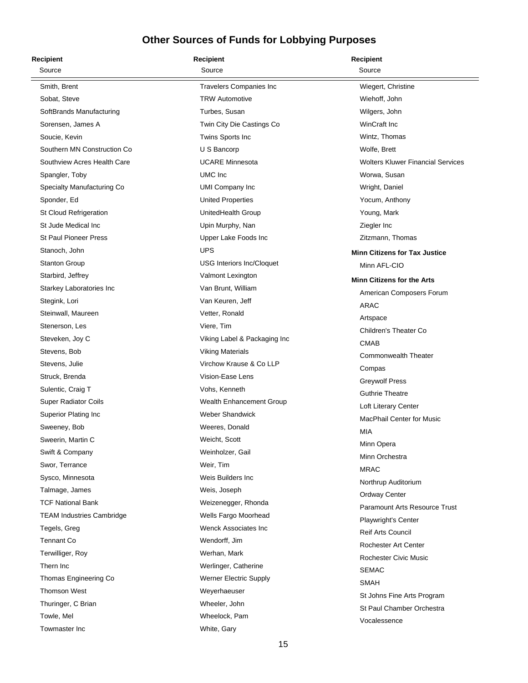| <b>Recipient</b>                 | <b>Recipient</b>               | <b>Recipient</b>                         |
|----------------------------------|--------------------------------|------------------------------------------|
| Source                           | Source                         | Source                                   |
| Smith, Brent                     | <b>Travelers Companies Inc</b> | Wiegert, Christine                       |
| Sobat, Steve                     | <b>TRW Automotive</b>          | Wiehoff, John                            |
| SoftBrands Manufacturing         | Turbes, Susan                  | Wilgers, John                            |
| Sorensen, James A                | Twin City Die Castings Co      | WinCraft Inc                             |
| Soucie, Kevin                    | Twins Sports Inc               | Wintz, Thomas                            |
| Southern MN Construction Co      | U S Bancorp                    | Wolfe, Brett                             |
| Southview Acres Health Care      | <b>UCARE Minnesota</b>         | <b>Wolters Kluwer Financial Services</b> |
| Spangler, Toby                   | UMC Inc.                       | Worwa, Susan                             |
| Specialty Manufacturing Co       | <b>UMI Company Inc</b>         | Wright, Daniel                           |
| Sponder, Ed                      | <b>United Properties</b>       | Yocum, Anthony                           |
| St Cloud Refrigeration           | UnitedHealth Group             | Young, Mark                              |
| St Jude Medical Inc              | Upin Murphy, Nan               | Ziegler Inc                              |
| St Paul Pioneer Press            | Upper Lake Foods Inc           | Zitzmann, Thomas                         |
| Stanoch, John                    | <b>UPS</b>                     | <b>Minn Citizens for Tax Justice</b>     |
| Stanton Group                    | USG Interiors Inc/Cloquet      | Minn AFL-CIO                             |
| Starbird, Jeffrey                | Valmont Lexington              | <b>Minn Citizens for the Arts</b>        |
| Starkey Laboratories Inc         | Van Brunt, William             | American Composers Forum                 |
| Stegink, Lori                    | Van Keuren, Jeff               | ARAC                                     |
| Steinwall, Maureen               | Vetter, Ronald                 |                                          |
| Stenerson, Les                   | Viere, Tim                     | Artspace<br>Children's Theater Co        |
| Steveken, Joy C                  | Viking Label & Packaging Inc   | <b>CMAB</b>                              |
| Stevens, Bob                     | <b>Viking Materials</b>        | <b>Commonwealth Theater</b>              |
| Stevens, Julie                   | Virchow Krause & Co LLP        | Compas                                   |
| Struck, Brenda                   | Vision-Ease Lens               | <b>Greywolf Press</b>                    |
| Sulentic, Craig T                | Vohs, Kenneth                  | <b>Guthrie Theatre</b>                   |
| Super Radiator Coils             | Wealth Enhancement Group       | Loft Literary Center                     |
| Superior Plating Inc             | <b>Weber Shandwick</b>         | <b>MacPhail Center for Music</b>         |
| Sweeney, Bob                     | Weeres, Donald                 | <b>MIA</b>                               |
| Sweerin, Martin C                | Weicht, Scott                  | Minn Opera                               |
| Swift & Company                  | Weinholzer, Gail               | Minn Orchestra                           |
| Swor, Terrance                   | Weir, Tim                      | <b>MRAC</b>                              |
| Sysco, Minnesota                 | Weis Builders Inc.             | Northrup Auditorium                      |
| Talmage, James                   | Weis, Joseph                   | Ordway Center                            |
| <b>TCF National Bank</b>         | Weizenegger, Rhonda            | <b>Paramount Arts Resource Trust</b>     |
| <b>TEAM Industries Cambridge</b> | Wells Fargo Moorhead           | <b>Playwright's Center</b>               |
| Tegels, Greg                     | Wenck Associates Inc           | <b>Reif Arts Council</b>                 |
| <b>Tennant Co</b>                | Wendorff, Jim                  | <b>Rochester Art Center</b>              |
| Terwilliger, Roy                 | Werhan, Mark                   | Rochester Civic Music                    |
| Thern Inc                        | Werlinger, Catherine           |                                          |
| Thomas Engineering Co            | <b>Werner Electric Supply</b>  | <b>SEMAC</b>                             |
| <b>Thomson West</b>              | Weyerhaeuser                   | <b>SMAH</b>                              |
| Thuringer, C Brian               | Wheeler, John                  | St Johns Fine Arts Program               |
| Towle, Mel                       | Wheelock, Pam                  | St Paul Chamber Orchestra                |
| Towmaster Inc                    | White, Gary                    | Vocalessence                             |
|                                  |                                |                                          |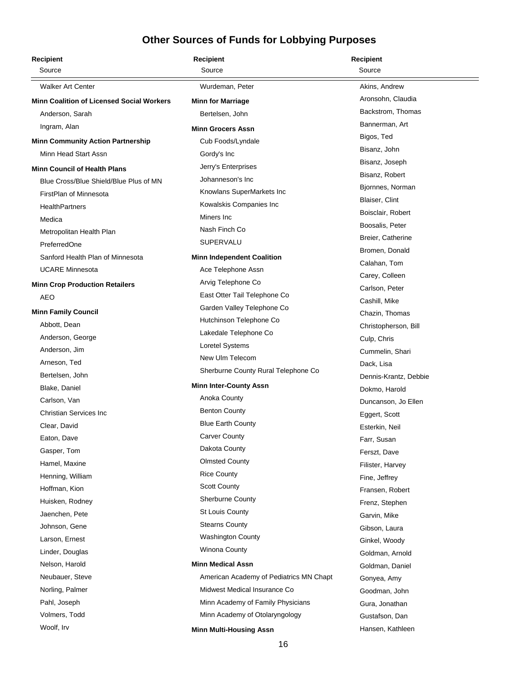| <b>Recipient</b>                                 | <b>Recipient</b>                        | <b>Recipient</b>                    |
|--------------------------------------------------|-----------------------------------------|-------------------------------------|
| Source                                           | Source                                  | Source                              |
| <b>Walker Art Center</b>                         | Wurdeman, Peter                         | Akins, Andrew                       |
| <b>Minn Coalition of Licensed Social Workers</b> | <b>Minn for Marriage</b>                | Aronsohn, Claudia                   |
| Anderson, Sarah                                  | Bertelsen, John                         | Backstrom, Thomas                   |
| Ingram, Alan                                     | <b>Minn Grocers Assn</b>                | Bannerman, Art                      |
| <b>Minn Community Action Partnership</b>         | Cub Foods/Lyndale                       | Bigos, Ted                          |
| Minn Head Start Assn                             | Gordy's Inc                             | Bisanz, John                        |
| <b>Minn Council of Health Plans</b>              | Jerry's Enterprises                     | Bisanz, Joseph                      |
| Blue Cross/Blue Shield/Blue Plus of MN           | Johanneson's Inc                        | Bisanz, Robert                      |
| FirstPlan of Minnesota                           | Knowlans SuperMarkets Inc               | Bjornnes, Norman                    |
| <b>HealthPartners</b>                            | Kowalskis Companies Inc                 | Blaiser, Clint                      |
| Medica                                           | Miners Inc                              | Boisclair, Robert                   |
| Metropolitan Health Plan                         | Nash Finch Co                           | Boosalis, Peter                     |
| PreferredOne                                     | SUPERVALU                               | Breier, Catherine                   |
| Sanford Health Plan of Minnesota                 | <b>Minn Independent Coalition</b>       | Bromen, Donald                      |
| <b>UCARE Minnesota</b>                           | Ace Telephone Assn                      | Calahan, Tom                        |
| <b>Minn Crop Production Retailers</b>            | Arvig Telephone Co                      | Carey, Colleen                      |
| AEO                                              | East Otter Tail Telephone Co            | Carlson, Peter                      |
| <b>Minn Family Council</b>                       | Garden Valley Telephone Co              | Cashill, Mike                       |
| Abbott, Dean                                     | Hutchinson Telephone Co                 | Chazin, Thomas                      |
| Anderson, George                                 | Lakedale Telephone Co                   | Christopherson, Bill                |
| Anderson, Jim                                    | Loretel Systems                         | Culp, Chris                         |
| Arneson, Ted                                     | New Ulm Telecom                         | Cummelin, Shari                     |
| Bertelsen, John                                  | Sherburne County Rural Telephone Co     | Dack, Lisa<br>Dennis-Krantz, Debbie |
| Blake, Daniel                                    | <b>Minn Inter-County Assn</b>           | Dokmo, Harold                       |
| Carlson, Van                                     | Anoka County                            | Duncanson, Jo Ellen                 |
| <b>Christian Services Inc</b>                    | <b>Benton County</b>                    | Eggert, Scott                       |
| Clear, David                                     | <b>Blue Earth County</b>                | Esterkin, Neil                      |
| Eaton, Dave                                      | <b>Carver County</b>                    | Farr, Susan                         |
| Gasper, Tom                                      | Dakota County                           | Ferszt, Dave                        |
| Hamel, Maxine                                    | <b>Olmsted County</b>                   | Filister, Harvey                    |
| Henning, William                                 | <b>Rice County</b>                      | Fine, Jeffrey                       |
| Hoffman, Kion                                    | <b>Scott County</b>                     | Fransen, Robert                     |
| Huisken, Rodney                                  | <b>Sherburne County</b>                 | Frenz, Stephen                      |
| Jaenchen, Pete                                   | St Louis County                         | Garvin, Mike                        |
| Johnson, Gene                                    | <b>Stearns County</b>                   | Gibson, Laura                       |
| Larson, Ernest                                   | <b>Washington County</b>                | Ginkel, Woody                       |
| Linder, Douglas                                  | Winona County                           | Goldman, Arnold                     |
| Nelson, Harold                                   | <b>Minn Medical Assn</b>                | Goldman, Daniel                     |
| Neubauer, Steve                                  | American Academy of Pediatrics MN Chapt | Gonyea, Amy                         |
| Norling, Palmer                                  | Midwest Medical Insurance Co            | Goodman, John                       |
| Pahl, Joseph                                     | Minn Academy of Family Physicians       | Gura, Jonathan                      |
| Volmers, Todd                                    | Minn Academy of Otolaryngology          | Gustafson, Dan                      |
| Woolf, Irv                                       | <b>Minn Multi-Housing Assn</b>          | Hansen, Kathleen                    |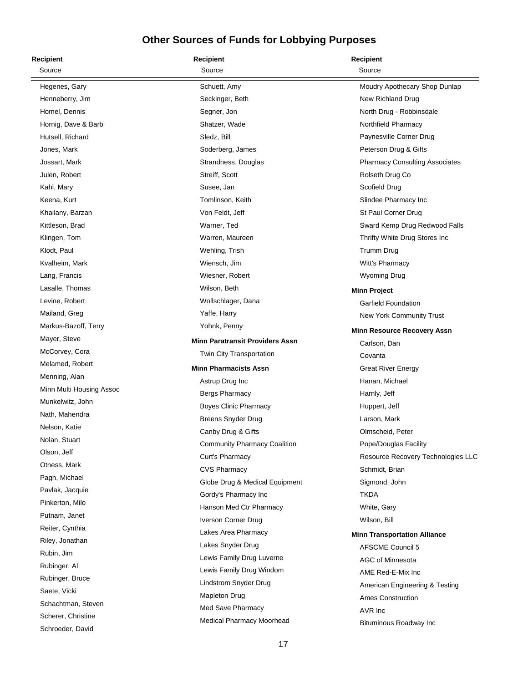| <b>Recipient</b>         | <b>Recipient</b>                       | Recipient                             |
|--------------------------|----------------------------------------|---------------------------------------|
| Source                   | Source                                 | Source                                |
| Hegenes, Gary            | Schuett, Amy                           | Moudry Apothecary Shop Dunlap         |
| Henneberry, Jim          | Seckinger, Beth                        | New Richland Drug                     |
| Homel, Dennis            | Segner, Jon                            | North Drug - Robbinsdale              |
| Hornig, Dave & Barb      | Shatzer, Wade                          | Northfield Pharmacy                   |
| Hutsell, Richard         | Sledz, Bill                            | Paynesville Corner Drug               |
| Jones, Mark              | Soderberg, James                       | Peterson Drug & Gifts                 |
| Jossart, Mark            | Strandness, Douglas                    | <b>Pharmacy Consulting Associates</b> |
| Julen, Robert            | Streiff, Scott                         | Rolseth Drug Co                       |
| Kahl, Mary               | Susee, Jan                             | Scofield Drug                         |
| Keena, Kurt              | Tomlinson, Keith                       | Slindee Pharmacy Inc                  |
| Khailany, Barzan         | Von Feldt, Jeff                        | St Paul Corner Drug                   |
| Kittleson, Brad          | Warner, Ted                            | Sward Kemp Drug Redwood Falls         |
| Klingen, Tom             | Warren, Maureen                        | Thrifty White Drug Stores Inc         |
| Klodt, Paul              | Wehling, Trish                         | <b>Trumm Drug</b>                     |
| Kvalheim, Mark           | Wiensch, Jim                           | Witt's Pharmacy                       |
| Lang, Francis            | Wiesner, Robert                        | Wyoming Drug                          |
| Lasalle, Thomas          | Wilson, Beth                           | <b>Minn Project</b>                   |
| Levine, Robert           | Wollschlager, Dana                     | Garfield Foundation                   |
| Mailand, Greg            | Yaffe, Harry                           | New York Community Trust              |
| Markus-Bazoff, Terry     | Yohnk, Penny                           | <b>Minn Resource Recovery Assn</b>    |
| Mayer, Steve             | <b>Minn Paratransit Providers Assn</b> | Carlson, Dan                          |
| McCorvey, Cora           | Twin City Transportation               | Covanta                               |
| Melamed, Robert          | <b>Minn Pharmacists Assn</b>           | <b>Great River Energy</b>             |
| Menning, Alan            | Astrup Drug Inc                        | Hanan, Michael                        |
| Minn Multi Housing Assoc | <b>Bergs Pharmacy</b>                  | Harnly, Jeff                          |
| Munkelwitz, John         | <b>Boyes Clinic Pharmacy</b>           | Huppert, Jeff                         |
| Nath, Mahendra           | <b>Breens Snyder Drug</b>              | Larson, Mark                          |
| Nelson, Katie            | Canby Drug & Gifts                     | Olmscheid, Peter                      |
| Nolan, Stuart            | <b>Community Pharmacy Coalition</b>    | Pope/Douglas Facility                 |
| Olson, Jeff              | Curt's Pharmacy                        | Resource Recovery Technologies LLC    |
| Otness, Mark             | <b>CVS Pharmacy</b>                    | Schmidt, Brian                        |
| Pagh, Michael            | Globe Drug & Medical Equipment         | Sigmond, John                         |
| Pavlak, Jacquie          | Gordy's Pharmacy Inc                   | <b>TKDA</b>                           |
| Pinkerton, Milo          | Hanson Med Ctr Pharmacy                | White, Gary                           |
| Putnam, Janet            | Iverson Corner Drug                    | Wilson, Bill                          |
| Reiter, Cynthia          | Lakes Area Pharmacy                    | <b>Minn Transportation Alliance</b>   |
| Riley, Jonathan          | Lakes Snyder Drug                      | <b>AFSCME Council 5</b>               |
| Rubin, Jim               | Lewis Family Drug Luverne              | AGC of Minnesota                      |
| Rubinger, Al             | Lewis Family Drug Windom               | AME Red-E-Mix Inc                     |
| Rubinger, Bruce          | Lindstrom Snyder Drug                  | American Engineering & Testing        |
| Saete, Vicki             | Mapleton Drug                          | <b>Ames Construction</b>              |
| Schachtman, Steven       | Med Save Pharmacy                      | AVR Inc                               |
| Scherer, Christine       | Medical Pharmacy Moorhead              | Bituminous Roadway Inc                |
| Schroeder, David         |                                        |                                       |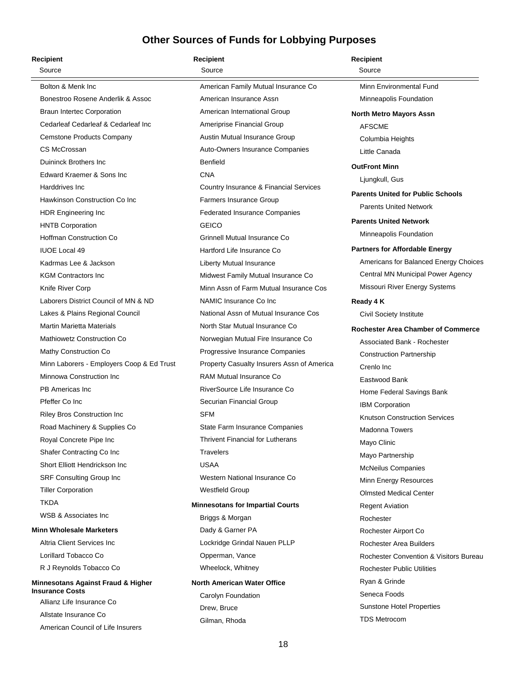| <b>Recipient</b>                                    | <b>Recipient</b>                           | Recipient                                         |
|-----------------------------------------------------|--------------------------------------------|---------------------------------------------------|
| Source                                              | Source                                     | Source                                            |
| Bolton & Menk Inc                                   | American Family Mutual Insurance Co        | Minn Environmental Fund                           |
| Bonestroo Rosene Anderlik & Assoc                   | American Insurance Assn                    | Minneapolis Foundation                            |
| <b>Braun Intertec Corporation</b>                   | American International Group               | <b>North Metro Mayors Assn</b>                    |
| Cedarleaf Cedarleaf & Cedarleaf Inc                 | Ameriprise Financial Group                 | <b>AFSCME</b>                                     |
| Cemstone Products Company                           | Austin Mutual Insurance Group              | Columbia Heights                                  |
| CS McCrossan                                        | Auto-Owners Insurance Companies            | Little Canada                                     |
| Duininck Brothers Inc                               | <b>Benfield</b>                            | <b>OutFront Minn</b>                              |
| Edward Kraemer & Sons Inc                           | <b>CNA</b>                                 | Ljungkull, Gus                                    |
| Harddrives Inc.                                     | Country Insurance & Financial Services     | <b>Parents United for Public Schools</b>          |
| Hawkinson Construction Co Inc                       | <b>Farmers Insurance Group</b>             | <b>Parents United Network</b>                     |
| HDR Engineering Inc                                 | <b>Federated Insurance Companies</b>       |                                                   |
| <b>HNTB Corporation</b>                             | <b>GEICO</b>                               | <b>Parents United Network</b>                     |
| <b>Hoffman Construction Co</b>                      | Grinnell Mutual Insurance Co               | Minneapolis Foundation                            |
| <b>IUOE Local 49</b>                                | Hartford Life Insurance Co                 | <b>Partners for Affordable Energy</b>             |
| Kadrmas Lee & Jackson                               | Liberty Mutual Insurance                   | Americans for Balanced Energy Choices             |
| <b>KGM Contractors Inc.</b>                         | Midwest Family Mutual Insurance Co         | Central MN Municipal Power Agency                 |
| Knife River Corp                                    | Minn Assn of Farm Mutual Insurance Cos     | Missouri River Energy Systems                     |
| Laborers District Council of MN & ND                | NAMIC Insurance Co Inc                     | Ready 4 K                                         |
| Lakes & Plains Regional Council                     | National Assn of Mutual Insurance Cos      | Civil Society Institute                           |
| <b>Martin Marietta Materials</b>                    | North Star Mutual Insurance Co             | <b>Rochester Area Chamber of Commerce</b>         |
| <b>Mathiowetz Construction Co</b>                   | Norwegian Mutual Fire Insurance Co         | <b>Associated Bank - Rochester</b>                |
| Mathy Construction Co                               | Progressive Insurance Companies            | <b>Construction Partnership</b>                   |
| Minn Laborers - Employers Coop & Ed Trust           | Property Casualty Insurers Assn of America | Crenlo Inc                                        |
| Minnowa Construction Inc                            | <b>RAM Mutual Insurance Co</b>             | Eastwood Bank                                     |
| PB Americas Inc                                     | RiverSource Life Insurance Co              | Home Federal Savings Bank                         |
| Pfeffer Co Inc                                      | Securian Financial Group                   | IBM Corporation                                   |
| Riley Bros Construction Inc                         | <b>SFM</b>                                 | <b>Knutson Construction Services</b>              |
| Road Machinery & Supplies Co                        | State Farm Insurance Companies             | <b>Madonna Towers</b>                             |
| Royal Concrete Pipe Inc                             | <b>Thrivent Financial for Lutherans</b>    | Mayo Clinic                                       |
| Shafer Contracting Co Inc                           | <b>Travelers</b>                           | Mayo Partnership                                  |
| Short Elliott Hendrickson Inc.                      | <b>USAA</b>                                | <b>McNeilus Companies</b>                         |
| SRF Consulting Group Inc                            | Western National Insurance Co.             | Minn Energy Resources                             |
| <b>Tiller Corporation</b>                           | <b>Westfield Group</b>                     | <b>Olmsted Medical Center</b>                     |
| <b>TKDA</b>                                         | <b>Minnesotans for Impartial Courts</b>    | <b>Regent Aviation</b>                            |
| WSB & Associates Inc.                               | Briggs & Morgan                            | Rochester                                         |
| <b>Minn Wholesale Marketers</b>                     | Dady & Garner PA                           | Rochester Airport Co                              |
| Altria Client Services Inc.                         | Lockridge Grindal Nauen PLLP               | Rochester Area Builders                           |
| Lorillard Tobacco Co                                | Opperman, Vance                            | <b>Rochester Convention &amp; Visitors Bureau</b> |
| R J Reynolds Tobacco Co                             | Wheelock, Whitney                          | <b>Rochester Public Utilities</b>                 |
| <b>Minnesotans Against Fraud &amp; Higher</b>       | <b>North American Water Office</b>         | Ryan & Grinde                                     |
| <b>Insurance Costs</b><br>Allianz Life Insurance Co | Carolyn Foundation                         | Seneca Foods                                      |
| Allstate Insurance Co                               | Drew, Bruce                                | <b>Sunstone Hotel Properties</b>                  |
| American Council of Life Insurers                   | Gilman, Rhoda                              | <b>TDS Metrocom</b>                               |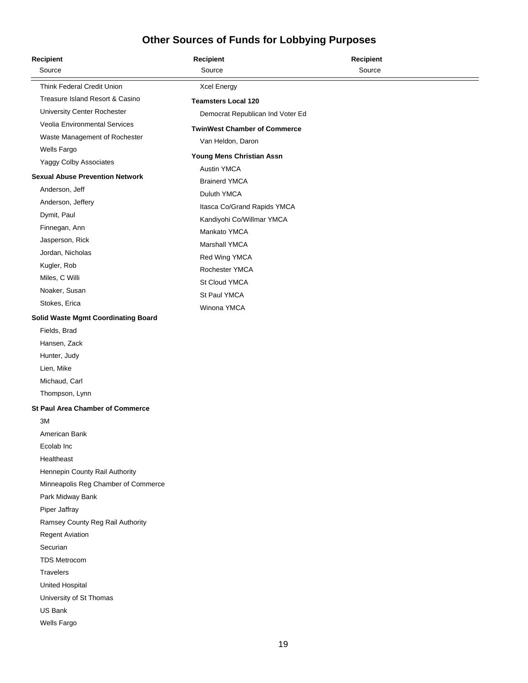| <b>Recipient</b>                           | <b>Recipient</b>                                         | <b>Recipient</b> |  |
|--------------------------------------------|----------------------------------------------------------|------------------|--|
| Source                                     | Source                                                   | Source           |  |
| Think Federal Credit Union                 | <b>Xcel Energy</b>                                       |                  |  |
| Treasure Island Resort & Casino            | <b>Teamsters Local 120</b>                               |                  |  |
| University Center Rochester                | Democrat Republican Ind Voter Ed                         |                  |  |
| Veolia Environmental Services              | <b>TwinWest Chamber of Commerce</b>                      |                  |  |
| Waste Management of Rochester              | Van Heldon, Daron                                        |                  |  |
| Wells Fargo                                |                                                          |                  |  |
| Yaggy Colby Associates                     | Young Mens Christian Assn                                |                  |  |
| <b>Sexual Abuse Prevention Network</b>     | <b>Austin YMCA</b>                                       |                  |  |
| Anderson, Jeff                             | <b>Brainerd YMCA</b><br>Duluth YMCA                      |                  |  |
| Anderson, Jeffery                          |                                                          |                  |  |
| Dymit, Paul                                | Itasca Co/Grand Rapids YMCA<br>Kandiyohi Co/Willmar YMCA |                  |  |
| Finnegan, Ann                              | Mankato YMCA                                             |                  |  |
| Jasperson, Rick                            | <b>Marshall YMCA</b>                                     |                  |  |
| Jordan, Nicholas                           | Red Wing YMCA                                            |                  |  |
| Kugler, Rob                                | Rochester YMCA                                           |                  |  |
| Miles, C Willi                             | St Cloud YMCA                                            |                  |  |
| Noaker, Susan                              | St Paul YMCA                                             |                  |  |
| Stokes, Erica                              | Winona YMCA                                              |                  |  |
| <b>Solid Waste Mgmt Coordinating Board</b> |                                                          |                  |  |
| Fields, Brad                               |                                                          |                  |  |
| Hansen, Zack                               |                                                          |                  |  |
| Hunter, Judy                               |                                                          |                  |  |
| Lien, Mike                                 |                                                          |                  |  |
| Michaud, Carl                              |                                                          |                  |  |
| Thompson, Lynn                             |                                                          |                  |  |
| <b>St Paul Area Chamber of Commerce</b>    |                                                          |                  |  |
| 3M                                         |                                                          |                  |  |
| American Bank                              |                                                          |                  |  |
| Ecolab Inc                                 |                                                          |                  |  |
| Healtheast                                 |                                                          |                  |  |
| Hennepin County Rail Authority             |                                                          |                  |  |
| Minneapolis Reg Chamber of Commerce        |                                                          |                  |  |
| Park Midway Bank                           |                                                          |                  |  |
| Piper Jaffray                              |                                                          |                  |  |
| Ramsey County Reg Rail Authority           |                                                          |                  |  |
| <b>Regent Aviation</b>                     |                                                          |                  |  |
| Securian                                   |                                                          |                  |  |
| <b>TDS Metrocom</b>                        |                                                          |                  |  |
| Travelers                                  |                                                          |                  |  |
| <b>United Hospital</b>                     |                                                          |                  |  |
| University of St Thomas                    |                                                          |                  |  |
| <b>US Bank</b>                             |                                                          |                  |  |
| Wells Fargo                                |                                                          |                  |  |
|                                            |                                                          |                  |  |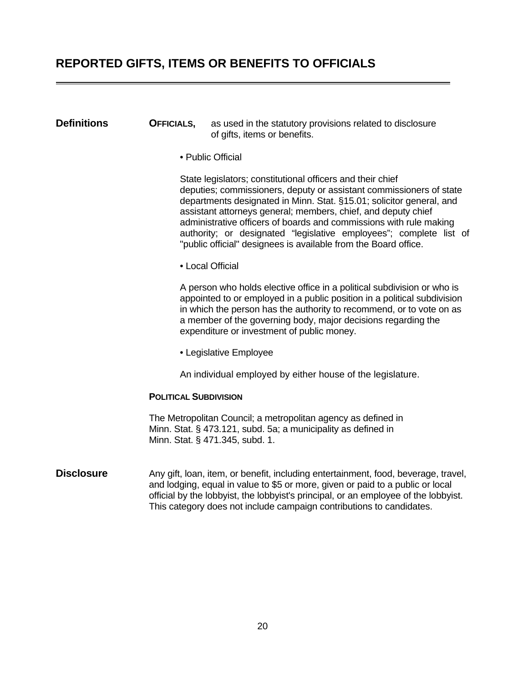### <span id="page-21-0"></span>**REPORTED GIFTS, ITEMS OR BENEFITS TO OFFICIALS**

#### **Definitions CFFICIALS,** as used in the statutory provisions related to disclosure of gifts, items or benefits.

• Public Official

 State legislators; constitutional officers and their chief deputies; commissioners, deputy or assistant commissioners of state departments designated in Minn. Stat. §15.01; solicitor general, and assistant attorneys general; members, chief, and deputy chief administrative officers of boards and commissions with rule making authority; or designated "legislative employees"; complete list of "public official" designees is available from the Board office.

• Local Official

 A person who holds elective office in a political subdivision or who is appointed to or employed in a public position in a political subdivision in which the person has the authority to recommend, or to vote on as a member of the governing body, major decisions regarding the expenditure or investment of public money.

• Legislative Employee

An individual employed by either house of the legislature.

#### **POLITICAL SUBDIVISION**

 The Metropolitan Council; a metropolitan agency as defined in Minn. Stat. § 473.121, subd. 5a; a municipality as defined in Minn. Stat. § 471.345, subd. 1.

#### **Disclosure** Any gift, loan, item, or benefit, including entertainment, food, beverage, travel, and lodging, equal in value to \$5 or more, given or paid to a public or local official by the lobbyist, the lobbyist's principal, or an employee of the lobbyist. This category does not include campaign contributions to candidates.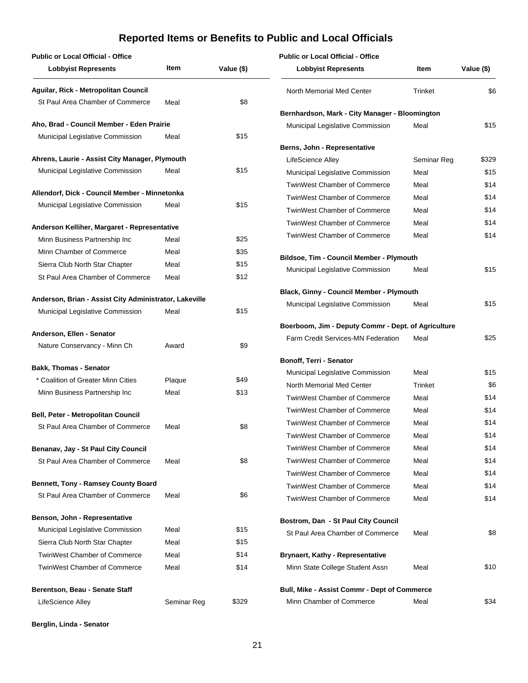<span id="page-22-0"></span>

| <b>Public or Local Official - Office</b>                  |        |            | <b>Public or Local Official - Office</b>                                |             |            |
|-----------------------------------------------------------|--------|------------|-------------------------------------------------------------------------|-------------|------------|
| <b>Lobbyist Represents</b>                                | Item   | Value (\$) | <b>Lobbyist Represents</b>                                              | Item        | Value (\$) |
| Aguilar, Rick - Metropolitan Council                      |        |            | North Memorial Med Center                                               | Trinket     | \$6        |
| St Paul Area Chamber of Commerce                          | Meal   | \$8        |                                                                         |             |            |
|                                                           |        |            | Bernhardson, Mark - City Manager - Bloomington                          |             |            |
| Aho, Brad - Council Member - Eden Prairie                 |        |            | Municipal Legislative Commission                                        | Meal        | \$15       |
| Municipal Legislative Commission                          | Meal   | \$15       |                                                                         |             |            |
| Ahrens, Laurie - Assist City Manager, Plymouth            |        |            | Berns, John - Representative                                            |             |            |
| Municipal Legislative Commission                          | Meal   | \$15       | LifeScience Alley                                                       | Seminar Reg | \$329      |
|                                                           |        |            | Municipal Legislative Commission                                        | Meal        | \$15       |
| Allendorf, Dick - Council Member - Minnetonka             |        |            | <b>TwinWest Chamber of Commerce</b>                                     | Meal        | \$14       |
| Municipal Legislative Commission                          | Meal   | \$15       | <b>TwinWest Chamber of Commerce</b>                                     | Meal        | \$14       |
|                                                           |        |            | <b>TwinWest Chamber of Commerce</b>                                     | Meal        | \$14       |
| Anderson Kelliher, Margaret - Representative              |        |            | <b>TwinWest Chamber of Commerce</b>                                     | Meal        | \$14       |
| Minn Business Partnership Inc                             | Meal   | \$25       | <b>TwinWest Chamber of Commerce</b>                                     | Meal        | \$14       |
| Minn Chamber of Commerce                                  | Meal   | \$35       | Bildsoe, Tim - Council Member - Plymouth                                |             |            |
| Sierra Club North Star Chapter                            | Meal   | \$15       | Municipal Legislative Commission                                        | Meal        | \$15       |
| St Paul Area Chamber of Commerce                          | Meal   | \$12       |                                                                         |             |            |
|                                                           |        |            | <b>Black, Ginny - Council Member - Plymouth</b>                         |             |            |
| Anderson, Brian - Assist City Administrator, Lakeville    |        |            | Municipal Legislative Commission                                        | Meal        | \$15       |
| Municipal Legislative Commission                          | Meal   | \$15       |                                                                         |             |            |
|                                                           |        |            | Boerboom, Jim - Deputy Commr - Dept. of Agriculture                     |             |            |
| Anderson, Ellen - Senator<br>Nature Conservancy - Minn Ch | Award  | \$9        | <b>Farm Credit Services-MN Federation</b>                               | Meal        | \$25       |
|                                                           |        |            |                                                                         |             |            |
| <b>Bakk, Thomas - Senator</b>                             |        |            | Bonoff, Terri - Senator                                                 |             |            |
| * Coalition of Greater Minn Cities                        | Plaque | \$49       | Municipal Legislative Commission                                        | Meal        | \$15       |
| Minn Business Partnership Inc                             | Meal   | \$13       | North Memorial Med Center                                               | Trinket     | \$6        |
|                                                           |        |            | <b>TwinWest Chamber of Commerce</b>                                     | Meal        | \$14       |
| Bell, Peter - Metropolitan Council                        |        |            | <b>TwinWest Chamber of Commerce</b>                                     | Meal        | \$14       |
| St Paul Area Chamber of Commerce                          | Meal   | \$8        | <b>TwinWest Chamber of Commerce</b>                                     | Meal        | \$14       |
|                                                           |        |            | <b>TwinWest Chamber of Commerce</b>                                     | Meal        | \$14       |
| Benanav, Jay - St Paul City Council                       |        |            | <b>TwinWest Chamber of Commerce</b>                                     | Meal        | \$14       |
| St Paul Area Chamber of Commerce                          | Meal   | \$8        | <b>TwinWest Chamber of Commerce</b>                                     | Meal        | \$14       |
| Bennett, Tony - Ramsey County Board                       |        |            | <b>TwinWest Chamber of Commerce</b>                                     | Meal        | \$14       |
| St Paul Area Chamber of Commerce                          | Meal   | \$6        | <b>TwinWest Chamber of Commerce</b>                                     | Meal        | \$14       |
|                                                           |        |            | <b>TwinWest Chamber of Commerce</b>                                     | Meal        | \$14       |
| Benson, John - Representative                             |        |            |                                                                         |             |            |
| Municipal Legislative Commission                          | Meal   | \$15       | Bostrom, Dan - St Paul City Council<br>St Paul Area Chamber of Commerce | Meal        | \$8        |
| Sierra Club North Star Chapter                            | Meal   | \$15       |                                                                         |             |            |
| <b>TwinWest Chamber of Commerce</b>                       | Meal   | \$14       | <b>Brynaert, Kathy - Representative</b>                                 |             |            |
| TwinWest Chamber of Commerce                              | Meal   | \$14       | Minn State College Student Assn                                         | Meal        | \$10       |
|                                                           |        |            |                                                                         |             |            |
| Berentson, Beau - Senate Staff                            |        |            | Bull, Mike - Assist Commr - Dept of Commerce                            |             |            |
|                                                           |        |            |                                                                         |             |            |

**Berglin, Linda - Senator**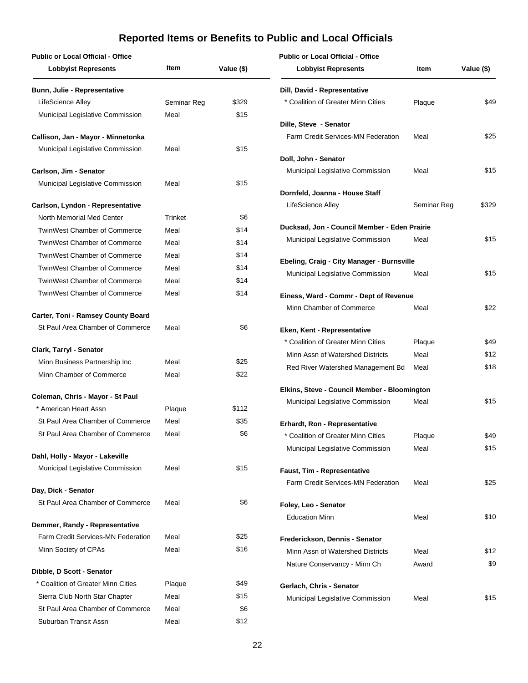| <b>Public or Local Official - Office</b>                               |             |            | <b>Public or Local Official - Office</b>                          |             |              |
|------------------------------------------------------------------------|-------------|------------|-------------------------------------------------------------------|-------------|--------------|
| <b>Lobbyist Represents</b>                                             | Item        | Value (\$) | <b>Lobbyist Represents</b>                                        | Item        | Value (\$)   |
| <b>Bunn, Julie - Representative</b>                                    |             |            | Dill, David - Representative                                      |             |              |
| LifeScience Alley                                                      | Seminar Reg | \$329      | * Coalition of Greater Minn Cities                                | Plaque      | \$49         |
| Municipal Legislative Commission                                       | Meal        | \$15       |                                                                   |             |              |
|                                                                        |             |            | Dille, Steve - Senator<br>Farm Credit Services-MN Federation      | Meal        | \$25         |
| Callison, Jan - Mayor - Minnetonka<br>Municipal Legislative Commission | Meal        | \$15       |                                                                   |             |              |
|                                                                        |             |            | Doll, John - Senator                                              |             |              |
| Carlson, Jim - Senator                                                 |             |            | Municipal Legislative Commission                                  | Meal        | \$15         |
| Municipal Legislative Commission                                       | Meal        | \$15       |                                                                   |             |              |
|                                                                        |             |            | Dornfeld, Joanna - House Staff                                    |             |              |
| Carlson, Lyndon - Representative                                       |             |            | LifeScience Alley                                                 | Seminar Reg | \$329        |
| North Memorial Med Center                                              | Trinket     | \$6        |                                                                   |             |              |
| <b>TwinWest Chamber of Commerce</b>                                    | Meal        | \$14       | Ducksad, Jon - Council Member - Eden Prairie                      | Meal        | \$15         |
| <b>TwinWest Chamber of Commerce</b>                                    | Meal        | \$14       | Municipal Legislative Commission                                  |             |              |
| <b>TwinWest Chamber of Commerce</b>                                    | Meal        | \$14       | Ebeling, Craig - City Manager - Burnsville                        |             |              |
| <b>TwinWest Chamber of Commerce</b>                                    | Meal        | \$14       | Municipal Legislative Commission                                  | Meal        | \$15         |
| <b>TwinWest Chamber of Commerce</b>                                    | Meal        | \$14       |                                                                   |             |              |
| <b>TwinWest Chamber of Commerce</b>                                    | Meal        | \$14       | Einess, Ward - Commr - Dept of Revenue                            |             |              |
| Carter, Toni - Ramsey County Board                                     |             |            | Minn Chamber of Commerce                                          | Meal        | \$22         |
| St Paul Area Chamber of Commerce                                       | Meal        | \$6        |                                                                   |             |              |
|                                                                        |             |            | Eken, Kent - Representative                                       |             | \$49         |
| Clark, Tarryl - Senator                                                |             |            | * Coalition of Greater Minn Cities                                | Plaque      |              |
| Minn Business Partnership Inc                                          | Meal        | \$25       | Minn Assn of Watershed Districts                                  | Meal        | \$12<br>\$18 |
| Minn Chamber of Commerce                                               | Meal        | \$22       | Red River Watershed Management Bd                                 | Meal        |              |
|                                                                        |             |            | Elkins, Steve - Council Member - Bloomington                      |             |              |
| Coleman, Chris - Mayor - St Paul                                       |             |            | Municipal Legislative Commission                                  | Meal        | \$15         |
| * American Heart Assn                                                  | Plaque      | \$112      |                                                                   |             |              |
| St Paul Area Chamber of Commerce                                       | Meal        | \$35       | Erhardt, Ron - Representative                                     |             |              |
| St Paul Area Chamber of Commerce                                       | Meal        | \$6        | * Coalition of Greater Minn Cities                                | Plaque      | \$49         |
| Dahl, Holly - Mayor - Lakeville                                        |             |            | Municipal Legislative Commission                                  | Meal        | \$15         |
| Municipal Legislative Commission                                       | Meal        | \$15       |                                                                   |             |              |
|                                                                        |             |            | Faust, Tim - Representative<br>Farm Credit Services-MN Federation | Meal        | \$25         |
| Day, Dick - Senator                                                    |             |            |                                                                   |             |              |
| St Paul Area Chamber of Commerce                                       | Meal        | \$6        | Foley, Leo - Senator                                              |             |              |
|                                                                        |             |            | <b>Education Minn</b>                                             | Meal        | \$10         |
| Demmer, Randy - Representative                                         |             |            |                                                                   |             |              |
| Farm Credit Services-MN Federation                                     | Meal        | \$25       | Frederickson, Dennis - Senator                                    |             |              |
| Minn Society of CPAs                                                   | Meal        | \$16       | Minn Assn of Watershed Districts                                  | Meal        | \$12         |
| Dibble, D Scott - Senator                                              |             |            | Nature Conservancy - Minn Ch                                      | Award       | \$9          |
| * Coalition of Greater Minn Cities                                     | Plaque      | \$49       |                                                                   |             |              |
| Sierra Club North Star Chapter                                         | Meal        | \$15       | Gerlach, Chris - Senator                                          |             |              |
| St Paul Area Chamber of Commerce                                       | Meal        | \$6        | Municipal Legislative Commission                                  | Meal        | \$15         |
| Suburban Transit Assn                                                  | Meal        | \$12       |                                                                   |             |              |
|                                                                        |             |            |                                                                   |             |              |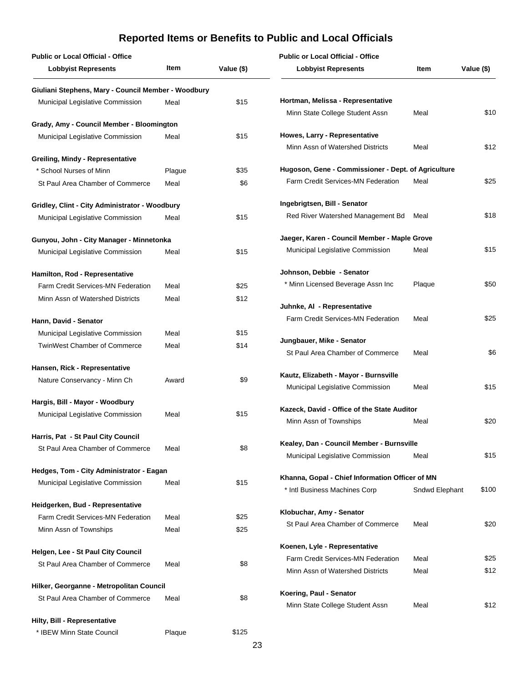| <b>Public or Local Official - Office</b>            |        |            | <b>Public or Local Official - Office</b>            |                |            |
|-----------------------------------------------------|--------|------------|-----------------------------------------------------|----------------|------------|
| <b>Lobbyist Represents</b>                          | Item   | Value (\$) | <b>Lobbyist Represents</b>                          | Item           | Value (\$) |
| Giuliani Stephens, Mary - Council Member - Woodbury |        |            |                                                     |                |            |
| Municipal Legislative Commission                    | Meal   | \$15       | Hortman, Melissa - Representative                   |                |            |
| Grady, Amy - Council Member - Bloomington           |        |            | Minn State College Student Assn                     | Meal           | \$10       |
| Municipal Legislative Commission                    | Meal   | \$15       | Howes, Larry - Representative                       |                |            |
|                                                     |        |            | Minn Assn of Watershed Districts                    | Meal           | \$12       |
| <b>Greiling, Mindy - Representative</b>             |        |            |                                                     |                |            |
| * School Nurses of Minn                             | Plague | \$35       | Hugoson, Gene - Commissioner - Dept. of Agriculture |                |            |
| St Paul Area Chamber of Commerce                    | Meal   | \$6        | Farm Credit Services-MN Federation                  | Meal           | \$25       |
| Gridley, Clint - City Administrator - Woodbury      |        |            | Ingebrigtsen, Bill - Senator                        |                |            |
| Municipal Legislative Commission                    | Meal   | \$15       | Red River Watershed Management Bd                   | Meal           | \$18       |
| Gunyou, John - City Manager - Minnetonka            |        |            | Jaeger, Karen - Council Member - Maple Grove        |                |            |
| Municipal Legislative Commission                    | Meal   | \$15       | Municipal Legislative Commission                    | Meal           | \$15       |
| Hamilton, Rod - Representative                      |        |            | Johnson, Debbie - Senator                           |                |            |
| Farm Credit Services-MN Federation                  | Meal   | \$25       | * Minn Licensed Beverage Assn Inc                   | Plaque         | \$50       |
| Minn Assn of Watershed Districts                    | Meal   | \$12       |                                                     |                |            |
|                                                     |        |            | Juhnke, AI - Representative                         |                |            |
| Hann, David - Senator                               |        |            | Farm Credit Services-MN Federation                  | Meal           | \$25       |
| Municipal Legislative Commission                    | Meal   | \$15       |                                                     |                |            |
| <b>TwinWest Chamber of Commerce</b>                 | Meal   | \$14       | Jungbauer, Mike - Senator                           |                |            |
|                                                     |        |            | St Paul Area Chamber of Commerce                    | Meal           | \$6        |
| Hansen, Rick - Representative                       |        |            | Kautz, Elizabeth - Mayor - Burnsville               |                |            |
| Nature Conservancy - Minn Ch                        | Award  | \$9        | Municipal Legislative Commission                    | Meal           | \$15       |
| Hargis, Bill - Mayor - Woodbury                     |        |            |                                                     |                |            |
| Municipal Legislative Commission                    | Meal   | \$15       | Kazeck, David - Office of the State Auditor         |                |            |
|                                                     |        |            | Minn Assn of Townships                              | Meal           | \$20       |
| Harris, Pat - St Paul City Council                  |        |            | Kealey, Dan - Council Member - Burnsville           |                |            |
| St Paul Area Chamber of Commerce                    | Meal   | \$8        | Municipal Legislative Commission                    | Meal           | \$15       |
| Hedges, Tom - City Administrator - Eagan            |        |            |                                                     |                |            |
| Municipal Legislative Commission                    | Meal   | \$15       | Khanna, Gopal - Chief Information Officer of MN     |                |            |
|                                                     |        |            | * Intl Business Machines Corp                       | Sndwd Elephant | \$100      |
| Heidgerken, Bud - Representative                    |        |            | Klobuchar, Amy - Senator                            |                |            |
| Farm Credit Services-MN Federation                  | Meal   | \$25       | St Paul Area Chamber of Commerce                    | Meal           | \$20       |
| Minn Assn of Townships                              | Meal   | \$25       |                                                     |                |            |
| Helgen, Lee - St Paul City Council                  |        |            | Koenen, Lyle - Representative                       |                |            |
| St Paul Area Chamber of Commerce                    | Meal   | \$8        | Farm Credit Services-MN Federation                  | Meal           | \$25       |
|                                                     |        |            | Minn Assn of Watershed Districts                    | Meal           | \$12       |
| Hilker, Georganne - Metropolitan Council            |        |            | Koering, Paul - Senator                             |                |            |
| St Paul Area Chamber of Commerce                    | Meal   | \$8        | Minn State College Student Assn                     | Meal           | \$12       |
| Hilty, Bill - Representative                        |        |            |                                                     |                |            |
| * IBEW Minn State Council                           | Plaque | \$125      |                                                     |                |            |
|                                                     |        |            |                                                     |                |            |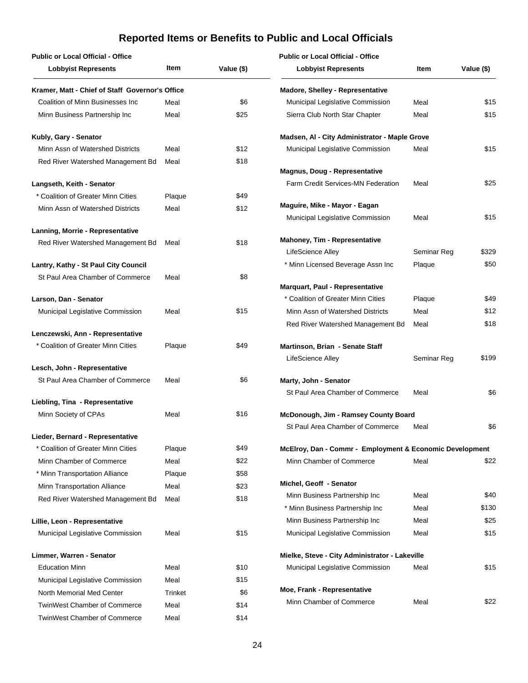| <b>Public or Local Official - Office</b>        |         |            | <b>Public or Local Official - Office</b>                                   |             |            |
|-------------------------------------------------|---------|------------|----------------------------------------------------------------------------|-------------|------------|
| <b>Lobbyist Represents</b>                      | Item    | Value (\$) | <b>Lobbyist Represents</b>                                                 | Item        | Value (\$) |
| Kramer, Matt - Chief of Staff Governor's Office |         |            | <b>Madore, Shelley - Representative</b>                                    |             |            |
| Coalition of Minn Businesses Inc                | Meal    | \$6        | Municipal Legislative Commission                                           | Meal        | \$15       |
| Minn Business Partnership Inc                   | Meal    | \$25       | Sierra Club North Star Chapter                                             | Meal        | \$15       |
| Kubly, Gary - Senator                           |         |            | Madsen, AI - City Administrator - Maple Grove                              |             |            |
| Minn Assn of Watershed Districts                | Meal    | \$12       | Municipal Legislative Commission                                           | Meal        | \$15       |
| Red River Watershed Management Bd               | Meal    | \$18       |                                                                            |             |            |
| Langseth, Keith - Senator                       |         |            | <b>Magnus, Doug - Representative</b><br>Farm Credit Services-MN Federation | Meal        | \$25       |
| * Coalition of Greater Minn Cities              | Plaque  | \$49       |                                                                            |             |            |
| Minn Assn of Watershed Districts                | Meal    | \$12       | Maguire, Mike - Mayor - Eagan                                              |             |            |
|                                                 |         |            | Municipal Legislative Commission                                           | Meal        | \$15       |
| Lanning, Morrie - Representative                |         | \$18       | Mahoney, Tim - Representative                                              |             |            |
| Red River Watershed Management Bd               | Meal    |            | LifeScience Alley                                                          | Seminar Reg | \$329      |
| Lantry, Kathy - St Paul City Council            |         |            | * Minn Licensed Beverage Assn Inc                                          | Plaque      | \$50       |
| St Paul Area Chamber of Commerce                | Meal    | \$8        |                                                                            |             |            |
|                                                 |         |            | <b>Marquart, Paul - Representative</b>                                     |             |            |
| Larson, Dan - Senator                           |         |            | * Coalition of Greater Minn Cities                                         | Plaque      | \$49       |
| Municipal Legislative Commission                | Meal    | \$15       | Minn Assn of Watershed Districts                                           | Meal        | \$12       |
|                                                 |         |            | Red River Watershed Management Bd                                          | Meal        | \$18       |
| Lenczewski, Ann - Representative                |         |            |                                                                            |             |            |
| * Coalition of Greater Minn Cities              | Plaque  | \$49       | Martinson, Brian - Senate Staff                                            |             |            |
| Lesch, John - Representative                    |         |            | LifeScience Alley                                                          | Seminar Reg | \$199      |
| St Paul Area Chamber of Commerce                | Meal    | \$6        | Marty, John - Senator                                                      |             |            |
|                                                 |         |            | St Paul Area Chamber of Commerce                                           | Meal        | \$6        |
| Liebling, Tina - Representative                 |         |            |                                                                            |             |            |
| Minn Society of CPAs                            | Meal    | \$16       | McDonough, Jim - Ramsey County Board                                       |             |            |
|                                                 |         |            | St Paul Area Chamber of Commerce                                           | Meal        | \$6        |
| Lieder, Bernard - Representative                |         |            |                                                                            |             |            |
| * Coalition of Greater Minn Cities              | Plaque  | \$49       | McElroy, Dan - Commr - Employment & Economic Development                   |             |            |
| Minn Chamber of Commerce                        | Meal    | \$22       | Minn Chamber of Commerce                                                   | Meal        | \$22       |
| * Minn Transportation Alliance                  | Plaque  | \$58       |                                                                            |             |            |
| Minn Transportation Alliance                    | Meal    | \$23       | Michel, Geoff - Senator                                                    |             |            |
| Red River Watershed Management Bd               | Meal    | \$18       | Minn Business Partnership Inc                                              | Meal        | \$40       |
|                                                 |         |            | * Minn Business Partnership Inc                                            | Meal        | \$130      |
| Lillie, Leon - Representative                   |         |            | Minn Business Partnership Inc                                              | Meal        | \$25       |
| Municipal Legislative Commission                | Meal    | \$15       | Municipal Legislative Commission                                           | Meal        | \$15       |
| Limmer, Warren - Senator                        |         |            | Mielke, Steve - City Administrator - Lakeville                             |             |            |
| <b>Education Minn</b>                           | Meal    | \$10       | Municipal Legislative Commission                                           | Meal        | \$15       |
| Municipal Legislative Commission                | Meal    | \$15       |                                                                            |             |            |
| North Memorial Med Center                       | Trinket | \$6        | Moe, Frank - Representative                                                |             |            |
| <b>TwinWest Chamber of Commerce</b>             | Meal    | \$14       | Minn Chamber of Commerce                                                   | Meal        | \$22       |
| <b>TwinWest Chamber of Commerce</b>             | Meal    | \$14       |                                                                            |             |            |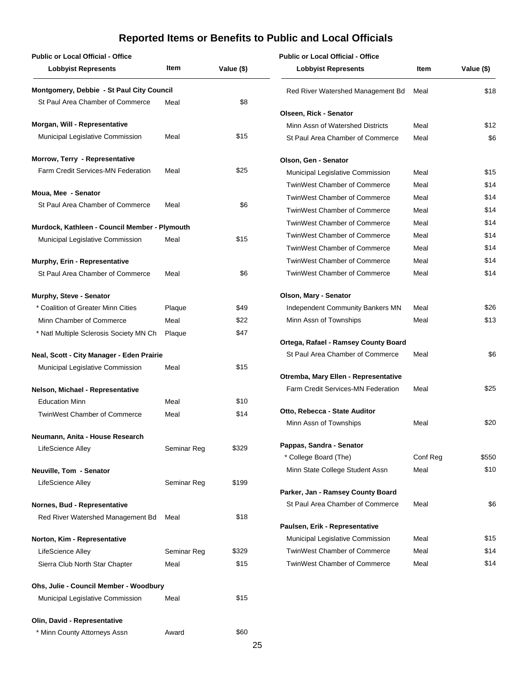| <b>Public or Local Official - Office</b>             |             |            | <b>Public or Local Official - Office</b>  |          |            |
|------------------------------------------------------|-------------|------------|-------------------------------------------|----------|------------|
| <b>Lobbyist Represents</b>                           | Item        | Value (\$) | <b>Lobbyist Represents</b>                | Item     | Value (\$) |
| Montgomery, Debbie - St Paul City Council            |             |            | Red River Watershed Management Bd         | Meal     | \$18       |
| St Paul Area Chamber of Commerce                     | Meal        | \$8        |                                           |          |            |
|                                                      |             |            | Olseen, Rick - Senator                    |          |            |
| Morgan, Will - Representative                        |             |            | Minn Assn of Watershed Districts          | Meal     | \$12       |
| Municipal Legislative Commission                     | Meal        | \$15       | St Paul Area Chamber of Commerce          | Meal     | \$6        |
| Morrow, Terry - Representative                       |             |            | Olson, Gen - Senator                      |          |            |
| Farm Credit Services-MN Federation                   | Meal        | \$25       | Municipal Legislative Commission          | Meal     | \$15       |
|                                                      |             |            | <b>TwinWest Chamber of Commerce</b>       | Meal     | \$14       |
| Moua, Mee - Senator                                  |             |            | <b>TwinWest Chamber of Commerce</b>       | Meal     | \$14       |
| St Paul Area Chamber of Commerce                     | Meal        | \$6        | <b>TwinWest Chamber of Commerce</b>       | Meal     | \$14       |
|                                                      |             |            | <b>TwinWest Chamber of Commerce</b>       | Meal     | \$14       |
| Murdock, Kathleen - Council Member - Plymouth        |             |            | <b>TwinWest Chamber of Commerce</b>       | Meal     | \$14       |
| Municipal Legislative Commission                     | Meal        | \$15       | <b>TwinWest Chamber of Commerce</b>       | Meal     | \$14       |
| Murphy, Erin - Representative                        |             |            | <b>TwinWest Chamber of Commerce</b>       | Meal     | \$14       |
| St Paul Area Chamber of Commerce                     | Meal        | \$6        | <b>TwinWest Chamber of Commerce</b>       | Meal     | \$14       |
|                                                      |             |            |                                           |          |            |
| Murphy, Steve - Senator                              |             |            | Olson, Mary - Senator                     |          |            |
| * Coalition of Greater Minn Cities                   | Plaque      | \$49       | Independent Community Bankers MN          | Meal     | \$26       |
| Minn Chamber of Commerce                             | Meal        | \$22       | Minn Assn of Townships                    | Meal     | \$13       |
| * Natl Multiple Sclerosis Society MN Ch              | Plaque      | \$47       |                                           |          |            |
|                                                      |             |            | Ortega, Rafael - Ramsey County Board      |          |            |
| Neal, Scott - City Manager - Eden Prairie            |             |            | St Paul Area Chamber of Commerce          | Meal     | \$6        |
| Municipal Legislative Commission                     | Meal        | \$15       |                                           |          |            |
|                                                      |             |            | Otremba, Mary Ellen - Representative      |          |            |
| Nelson, Michael - Representative                     |             |            | <b>Farm Credit Services-MN Federation</b> | Meal     | \$25       |
| <b>Education Minn</b>                                | Meal        | \$10       | Otto, Rebecca - State Auditor             |          |            |
| <b>TwinWest Chamber of Commerce</b>                  | Meal        | \$14       | Minn Assn of Townships                    | Meal     | \$20       |
|                                                      |             |            |                                           |          |            |
| Neumann, Anita - House Research<br>LifeScience Alley |             | \$329      | Pappas, Sandra - Senator                  |          |            |
|                                                      | Seminar Reg |            | * College Board (The)                     | Conf Reg | \$550      |
| Neuville, Tom - Senator                              |             |            | Minn State College Student Assn           | Meal     | \$10       |
| LifeScience Alley                                    | Seminar Reg | \$199      |                                           |          |            |
|                                                      |             |            | Parker, Jan - Ramsey County Board         |          |            |
| Nornes, Bud - Representative                         |             |            | St Paul Area Chamber of Commerce          | Meal     | \$6        |
| Red River Watershed Management Bd                    | Meal        | \$18       |                                           |          |            |
|                                                      |             |            | Paulsen, Erik - Representative            |          |            |
| Norton, Kim - Representative                         |             |            | Municipal Legislative Commission          | Meal     | \$15       |
| LifeScience Alley                                    | Seminar Reg | \$329      | <b>TwinWest Chamber of Commerce</b>       | Meal     | \$14       |
| Sierra Club North Star Chapter                       | Meal        | \$15       | <b>TwinWest Chamber of Commerce</b>       | Meal     | \$14       |
| Ohs, Julie - Council Member - Woodbury               |             |            |                                           |          |            |
| Municipal Legislative Commission                     | Meal        | \$15       |                                           |          |            |
|                                                      |             |            |                                           |          |            |
| Olin, David - Representative                         |             | \$60       |                                           |          |            |
| * Minn County Attorneys Assn                         | Award       |            |                                           |          |            |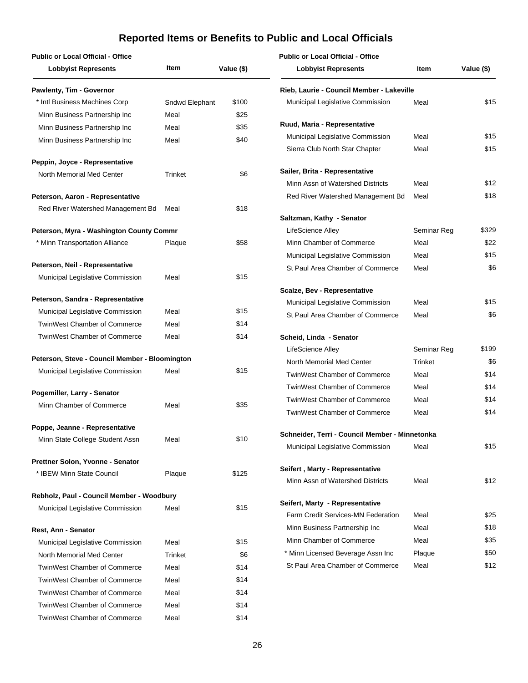#### **Public or Local Official - Office**

### **Public or Local Official - Office**

| Item           | Value (\$)                                                                                                                              |
|----------------|-----------------------------------------------------------------------------------------------------------------------------------------|
|                |                                                                                                                                         |
| Sndwd Elephant | \$100                                                                                                                                   |
| Meal           | \$25                                                                                                                                    |
| Meal           | \$35                                                                                                                                    |
| Meal           | \$40                                                                                                                                    |
|                |                                                                                                                                         |
| Trinket        | \$6                                                                                                                                     |
|                |                                                                                                                                         |
| Meal           | \$18                                                                                                                                    |
|                |                                                                                                                                         |
| Plaque         | \$58                                                                                                                                    |
|                |                                                                                                                                         |
| Meal           | \$15                                                                                                                                    |
|                |                                                                                                                                         |
| Meal           | \$15                                                                                                                                    |
| Meal           | \$14                                                                                                                                    |
| Meal           | \$14                                                                                                                                    |
|                |                                                                                                                                         |
| Meal           | \$15                                                                                                                                    |
|                |                                                                                                                                         |
| Meal           | \$35                                                                                                                                    |
|                |                                                                                                                                         |
| Meal           | \$10                                                                                                                                    |
|                |                                                                                                                                         |
| Plaque         | \$125                                                                                                                                   |
|                |                                                                                                                                         |
| Meal           | \$15                                                                                                                                    |
|                |                                                                                                                                         |
| Meal           | \$15                                                                                                                                    |
| Trinket        | \$6                                                                                                                                     |
| Meal           | \$14                                                                                                                                    |
| Meal           | \$14                                                                                                                                    |
| Meal           | \$14                                                                                                                                    |
| Meal           | \$14                                                                                                                                    |
| Meal           | \$14                                                                                                                                    |
|                | Peterson, Myra - Washington County Commr<br>Peterson, Steve - Council Member - Bloomington<br>Rebholz, Paul - Council Member - Woodbury |

| <b>Lobbyist Represents</b>                     | <b>Item</b> | Value (\$) |
|------------------------------------------------|-------------|------------|
| Rieb, Laurie - Council Member - Lakeville      |             |            |
| Municipal Legislative Commission               | Meal        | \$15       |
| Ruud, Maria - Representative                   |             |            |
| Municipal Legislative Commission               | Meal        | \$15       |
| Sierra Club North Star Chapter                 | Meal        | \$15       |
| Sailer, Brita - Representative                 |             |            |
| Minn Assn of Watershed Districts               | Meal        | \$12       |
| Red River Watershed Management Bd              | Meal        | \$18       |
| Saltzman, Kathy - Senator                      |             |            |
| LifeScience Alley                              | Seminar Reg | \$329      |
| Minn Chamber of Commerce                       | Meal        | \$22       |
| Municipal Legislative Commission               | Meal        | \$15       |
| St Paul Area Chamber of Commerce               | Meal        | \$6        |
| <b>Scalze, Bev - Representative</b>            |             |            |
| Municipal Legislative Commission               | Meal        | \$15       |
| St Paul Area Chamber of Commerce               | Meal        | \$6        |
| Scheid, Linda - Senator                        |             |            |
| LifeScience Alley                              | Seminar Reg | \$199      |
| North Memorial Med Center                      | Trinket     | \$6        |
| <b>TwinWest Chamber of Commerce</b>            | Meal        | \$14       |
| <b>TwinWest Chamber of Commerce</b>            | Meal        | \$14       |
| <b>TwinWest Chamber of Commerce</b>            | Meal        | \$14       |
| <b>TwinWest Chamber of Commerce</b>            | Meal        | \$14       |
| Schneider, Terri - Council Member - Minnetonka |             |            |
| Municipal Legislative Commission               | Meal        | \$15       |
| Seifert, Marty - Representative                |             |            |
| Minn Assn of Watershed Districts               | Meal        | \$12       |
| Seifert, Marty - Representative                |             |            |
| Farm Credit Services-MN Federation             | Meal        | \$25       |
| Minn Business Partnership Inc                  | Meal        | \$18       |
| Minn Chamber of Commerce                       | Meal        | \$35       |
| * Minn Licensed Beverage Assn Inc              | Plaque      | \$50       |
| St Paul Area Chamber of Commerce               | Meal        | \$12       |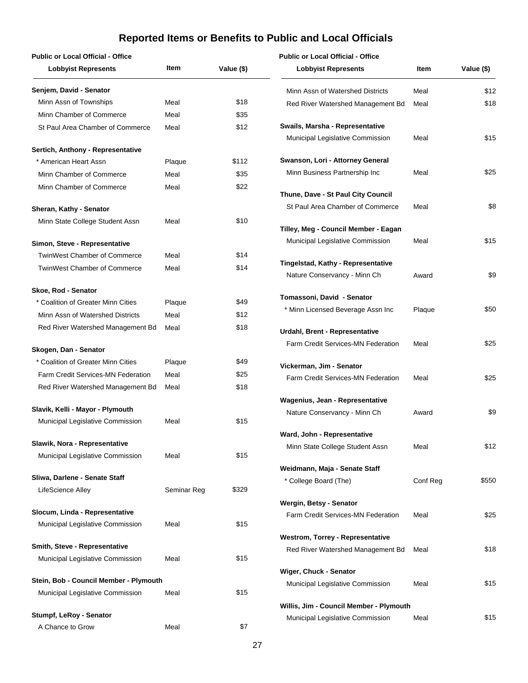| <b>Public or Local Official - Office</b>                             |             |            | <b>Public or Local Official - Office</b>  |          |            |
|----------------------------------------------------------------------|-------------|------------|-------------------------------------------|----------|------------|
| <b>Lobbyist Represents</b>                                           | Item        | Value (\$) | <b>Lobbyist Represents</b>                | Item     | Value (\$) |
| Senjem, David - Senator                                              |             |            | Minn Assn of Watershed Districts          | Meal     | \$12       |
| Minn Assn of Townships                                               | Meal        | \$18       | Red River Watershed Management Bd         | Meal     | \$18       |
| Minn Chamber of Commerce                                             | Meal        | \$35       |                                           |          |            |
| St Paul Area Chamber of Commerce                                     | Meal        | \$12       | Swails, Marsha - Representative           |          |            |
|                                                                      |             |            | Municipal Legislative Commission          | Meal     | \$15       |
| Sertich, Anthony - Representative                                    |             |            |                                           |          |            |
| * American Heart Assn                                                | Plaque      | \$112      | Swanson, Lori - Attorney General          |          |            |
| Minn Chamber of Commerce                                             | Meal        | \$35       | Minn Business Partnership Inc             | Meal     | \$25       |
| Minn Chamber of Commerce                                             | Meal        | \$22       |                                           |          |            |
|                                                                      |             |            | Thune, Dave - St Paul City Council        |          |            |
| Sheran, Kathy - Senator                                              |             |            | St Paul Area Chamber of Commerce          | Meal     | \$8        |
| Minn State College Student Assn                                      | Meal        | \$10       | Tilley, Meg - Council Member - Eagan      |          |            |
|                                                                      |             |            | Municipal Legislative Commission          | Meal     | \$15       |
| Simon, Steve - Representative<br><b>TwinWest Chamber of Commerce</b> |             | \$14       |                                           |          |            |
|                                                                      | Meal        |            | Tingelstad, Kathy - Representative        |          |            |
| <b>TwinWest Chamber of Commerce</b>                                  | Meal        | \$14       | Nature Conservancy - Minn Ch              | Award    | \$9        |
| Skoe, Rod - Senator                                                  |             |            |                                           |          |            |
| * Coalition of Greater Minn Cities                                   | Plaque      | \$49       | Tomassoni, David - Senator                |          |            |
| Minn Assn of Watershed Districts                                     | Meal        | \$12       | * Minn Licensed Beverage Assn Inc         | Plaque   | \$50       |
| Red River Watershed Management Bd                                    | Meal        | \$18       |                                           |          |            |
|                                                                      |             |            | Urdahl, Brent - Representative            |          |            |
| Skogen, Dan - Senator                                                |             |            | <b>Farm Credit Services-MN Federation</b> | Meal     | \$25       |
| * Coalition of Greater Minn Cities                                   | Plaque      | \$49       | Vickerman, Jim - Senator                  |          |            |
| <b>Farm Credit Services-MN Federation</b>                            | Meal        | \$25       | Farm Credit Services-MN Federation        | Meal     | \$25       |
| Red River Watershed Management Bd                                    | Meal        | \$18       |                                           |          |            |
|                                                                      |             |            | Wagenius, Jean - Representative           |          |            |
| Slavik, Kelli - Mayor - Plymouth                                     |             |            | Nature Conservancy - Minn Ch              | Award    | \$9        |
| Municipal Legislative Commission                                     | Meal        | \$15       |                                           |          |            |
|                                                                      |             |            | Ward, John - Representative               |          |            |
| Slawik, Nora - Representative                                        |             |            | Minn State College Student Assn           | Meal     | \$12       |
| Municipal Legislative Commission                                     | Meal        | \$15       |                                           |          |            |
| Sliwa, Darlene - Senate Staff                                        |             |            | Weidmann, Maja - Senate Staff             |          |            |
| LifeScience Alley                                                    | Seminar Reg | \$329      | * College Board (The)                     | Conf Reg | \$550      |
|                                                                      |             |            | Wergin, Betsy - Senator                   |          |            |
| Slocum, Linda - Representative                                       |             |            | Farm Credit Services-MN Federation        | Meal     | \$25       |
| Municipal Legislative Commission                                     | Meal        | \$15       |                                           |          |            |
|                                                                      |             |            | <b>Westrom, Torrey - Representative</b>   |          |            |
| Smith, Steve - Representative                                        |             |            | Red River Watershed Management Bd         | Meal     | \$18       |
| Municipal Legislative Commission                                     | Meal        | \$15       |                                           |          |            |
|                                                                      |             |            | Wiger, Chuck - Senator                    |          |            |
| Stein, Bob - Council Member - Plymouth                               |             |            | Municipal Legislative Commission          | Meal     | \$15       |
| Municipal Legislative Commission                                     | Meal        | \$15       |                                           |          |            |
| Stumpf, LeRoy - Senator                                              |             |            | Willis, Jim - Council Member - Plymouth   |          |            |
| A Chance to Grow                                                     | Meal        | \$7        | Municipal Legislative Commission          | Meal     | \$15       |
|                                                                      |             |            |                                           |          |            |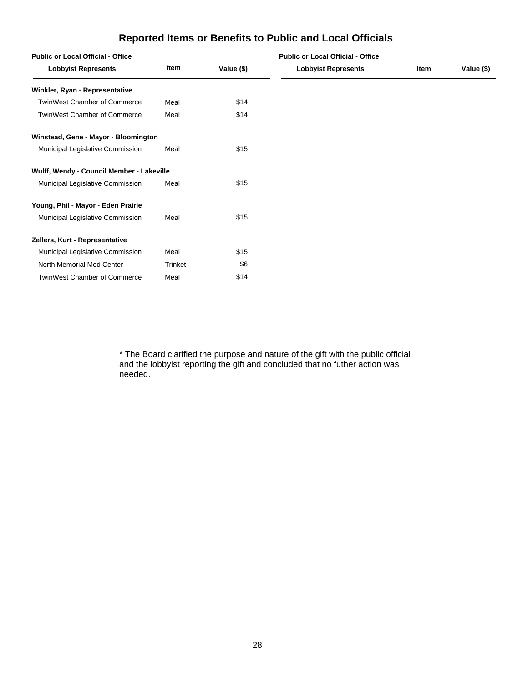| <b>Public or Local Official - Office</b>  |         | <b>Public or Local Official - Office</b> |                            |      |            |
|-------------------------------------------|---------|------------------------------------------|----------------------------|------|------------|
| <b>Lobbyist Represents</b>                | Item    | Value (\$)                               | <b>Lobbyist Represents</b> | Item | Value (\$) |
| Winkler, Ryan - Representative            |         |                                          |                            |      |            |
| <b>TwinWest Chamber of Commerce</b>       | Meal    | \$14                                     |                            |      |            |
| TwinWest Chamber of Commerce              | Meal    | \$14                                     |                            |      |            |
| Winstead, Gene - Mayor - Bloomington      |         |                                          |                            |      |            |
| Municipal Legislative Commission          | Meal    | \$15                                     |                            |      |            |
| Wulff, Wendy - Council Member - Lakeville |         |                                          |                            |      |            |
| Municipal Legislative Commission          | Meal    | \$15                                     |                            |      |            |
| Young, Phil - Mayor - Eden Prairie        |         |                                          |                            |      |            |
| Municipal Legislative Commission          | Meal    | \$15                                     |                            |      |            |
| Zellers, Kurt - Representative            |         |                                          |                            |      |            |
| Municipal Legislative Commission          | Meal    | \$15                                     |                            |      |            |
| North Memorial Med Center                 | Trinket | \$6                                      |                            |      |            |
| TwinWest Chamber of Commerce              | Meal    | \$14                                     |                            |      |            |

\* The Board clarified the purpose and nature of the gift with the public official<br>and the lobbyist reporting the gift and concluded that no futher action was<br>needed. \* The Board clarified the purpose and nature of the gift with the public official and the lobbyist reporting the gift and concluded that no futher action was needed.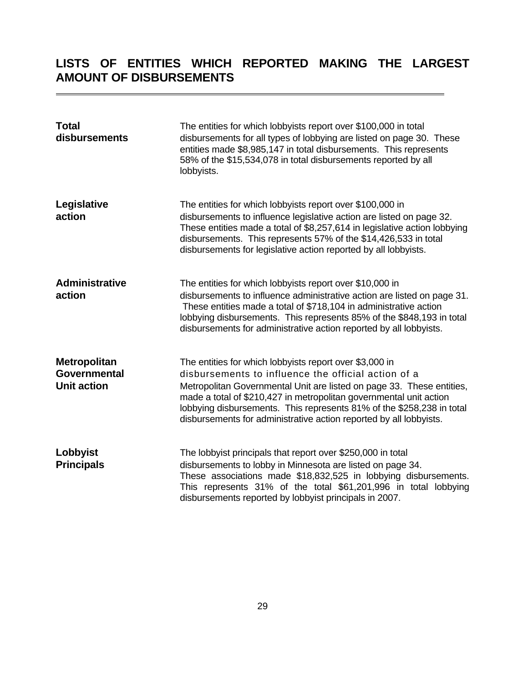# <span id="page-30-0"></span>**LISTS OF ENTITIES WHICH REPORTED MAKING THE LARGEST AMOUNT OF DISBURSEMENTS**

| <b>Total</b><br>disbursements                             | The entities for which lobbyists report over \$100,000 in total<br>disbursements for all types of lobbying are listed on page 30. These<br>entities made \$8,985,147 in total disbursements. This represents<br>58% of the \$15,534,078 in total disbursements reported by all<br>lobbyists.                                                                                                                 |
|-----------------------------------------------------------|--------------------------------------------------------------------------------------------------------------------------------------------------------------------------------------------------------------------------------------------------------------------------------------------------------------------------------------------------------------------------------------------------------------|
| Legislative<br>action                                     | The entities for which lobbyists report over \$100,000 in<br>disbursements to influence legislative action are listed on page 32.<br>These entities made a total of \$8,257,614 in legislative action lobbying<br>disbursements. This represents 57% of the \$14,426,533 in total<br>disbursements for legislative action reported by all lobbyists.                                                         |
| <b>Administrative</b><br>action                           | The entities for which lobbyists report over \$10,000 in<br>disbursements to influence administrative action are listed on page 31.<br>These entities made a total of \$718,104 in administrative action<br>lobbying disbursements. This represents 85% of the \$848,193 in total<br>disbursements for administrative action reported by all lobbyists.                                                      |
| <b>Metropolitan</b><br>Governmental<br><b>Unit action</b> | The entities for which lobbyists report over \$3,000 in<br>disbursements to influence the official action of a<br>Metropolitan Governmental Unit are listed on page 33. These entities,<br>made a total of \$210,427 in metropolitan governmental unit action<br>lobbying disbursements. This represents 81% of the \$258,238 in total<br>disbursements for administrative action reported by all lobbyists. |
| Lobbyist<br><b>Principals</b>                             | The lobbyist principals that report over \$250,000 in total<br>disbursements to lobby in Minnesota are listed on page 34.<br>These associations made \$18,832,525 in lobbying disbursements.<br>This represents 31% of the total \$61,201,996 in total lobbying<br>disbursements reported by lobbyist principals in 2007.                                                                                    |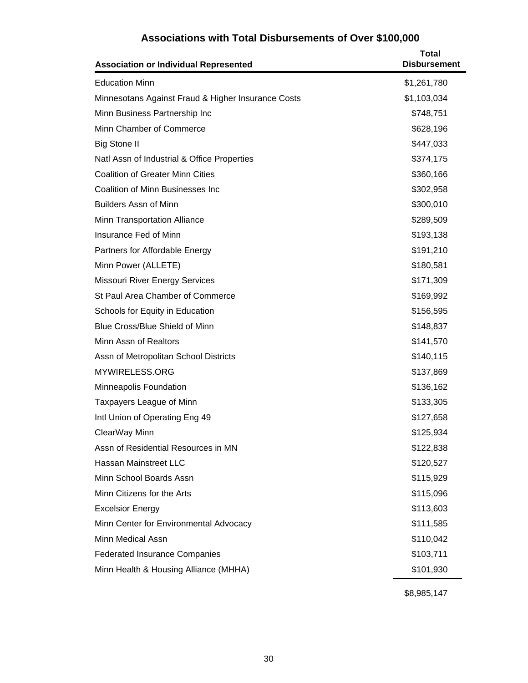### **Associations with Total Disbursements of Over \$100,000**

<span id="page-31-0"></span>

| <b>Association or Individual Represented</b>       | <b>Total</b><br><b>Disbursement</b> |
|----------------------------------------------------|-------------------------------------|
| <b>Education Minn</b>                              | \$1,261,780                         |
| Minnesotans Against Fraud & Higher Insurance Costs | \$1,103,034                         |
| Minn Business Partnership Inc                      | \$748,751                           |
| Minn Chamber of Commerce                           | \$628,196                           |
| <b>Big Stone II</b>                                | \$447,033                           |
| Natl Assn of Industrial & Office Properties        | \$374,175                           |
| <b>Coalition of Greater Minn Cities</b>            | \$360,166                           |
| <b>Coalition of Minn Businesses Inc</b>            | \$302,958                           |
| <b>Builders Assn of Minn</b>                       | \$300,010                           |
| Minn Transportation Alliance                       | \$289,509                           |
| Insurance Fed of Minn                              | \$193,138                           |
| Partners for Affordable Energy                     | \$191,210                           |
| Minn Power (ALLETE)                                | \$180,581                           |
| <b>Missouri River Energy Services</b>              | \$171,309                           |
| St Paul Area Chamber of Commerce                   | \$169,992                           |
| Schools for Equity in Education                    | \$156,595                           |
| Blue Cross/Blue Shield of Minn                     | \$148,837                           |
| Minn Assn of Realtors                              | \$141,570                           |
| Assn of Metropolitan School Districts              | \$140,115                           |
| MYWIRELESS.ORG                                     | \$137,869                           |
| Minneapolis Foundation                             | \$136,162                           |
| Taxpayers League of Minn                           | \$133,305                           |
| Intl Union of Operating Eng 49                     | \$127,658                           |
| ClearWay Minn                                      | \$125,934                           |
| Assn of Residential Resources in MN                | \$122,838                           |
| Hassan Mainstreet LLC                              | \$120,527                           |
| Minn School Boards Assn                            | \$115,929                           |
| Minn Citizens for the Arts                         | \$115,096                           |
| <b>Excelsior Energy</b>                            | \$113,603                           |
| Minn Center for Environmental Advocacy             | \$111,585                           |
| <b>Minn Medical Assn</b>                           | \$110,042                           |
| <b>Federated Insurance Companies</b>               | \$103,711                           |
| Minn Health & Housing Alliance (MHHA)              | \$101,930                           |

\$8,985,147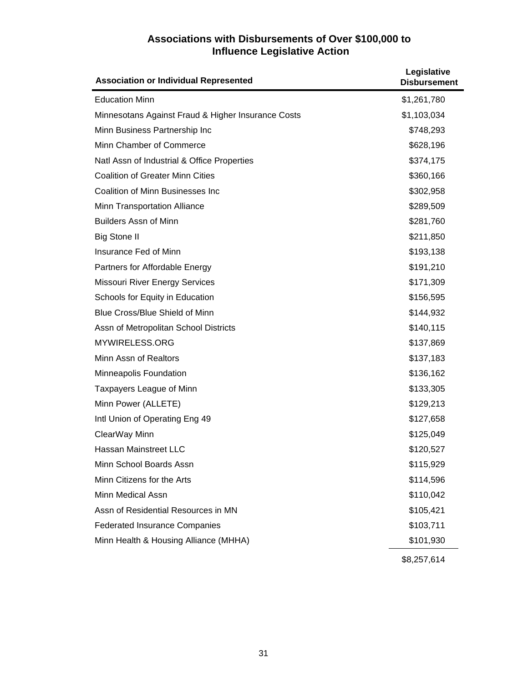#### **Associations with Disbursements of Over \$100,000 to Influence Legislative Action**

<span id="page-32-0"></span>

| <b>Association or Individual Represented</b>       | Legislative<br><b>Disbursement</b> |
|----------------------------------------------------|------------------------------------|
| <b>Education Minn</b>                              | \$1,261,780                        |
| Minnesotans Against Fraud & Higher Insurance Costs | \$1,103,034                        |
| Minn Business Partnership Inc                      | \$748,293                          |
| Minn Chamber of Commerce                           | \$628,196                          |
| Natl Assn of Industrial & Office Properties        | \$374,175                          |
| <b>Coalition of Greater Minn Cities</b>            | \$360,166                          |
| <b>Coalition of Minn Businesses Inc</b>            | \$302,958                          |
| Minn Transportation Alliance                       | \$289,509                          |
| <b>Builders Assn of Minn</b>                       | \$281,760                          |
| <b>Big Stone II</b>                                | \$211,850                          |
| Insurance Fed of Minn                              | \$193,138                          |
| Partners for Affordable Energy                     | \$191,210                          |
| <b>Missouri River Energy Services</b>              | \$171,309                          |
| Schools for Equity in Education                    | \$156,595                          |
| Blue Cross/Blue Shield of Minn                     | \$144,932                          |
| Assn of Metropolitan School Districts              | \$140,115                          |
| MYWIRELESS.ORG                                     | \$137,869                          |
| Minn Assn of Realtors                              | \$137,183                          |
| Minneapolis Foundation                             | \$136,162                          |
| Taxpayers League of Minn                           | \$133,305                          |
| Minn Power (ALLETE)                                | \$129,213                          |
| Intl Union of Operating Eng 49                     | \$127,658                          |
| ClearWay Minn                                      | \$125,049                          |
| <b>Hassan Mainstreet LLC</b>                       | \$120,527                          |
| Minn School Boards Assn                            | \$115,929                          |
| Minn Citizens for the Arts                         | \$114,596                          |
| Minn Medical Assn                                  | \$110,042                          |
| Assn of Residential Resources in MN                | \$105,421                          |
| <b>Federated Insurance Companies</b>               | \$103,711                          |
| Minn Health & Housing Alliance (MHHA)              | \$101,930                          |
|                                                    | \$8,257,614                        |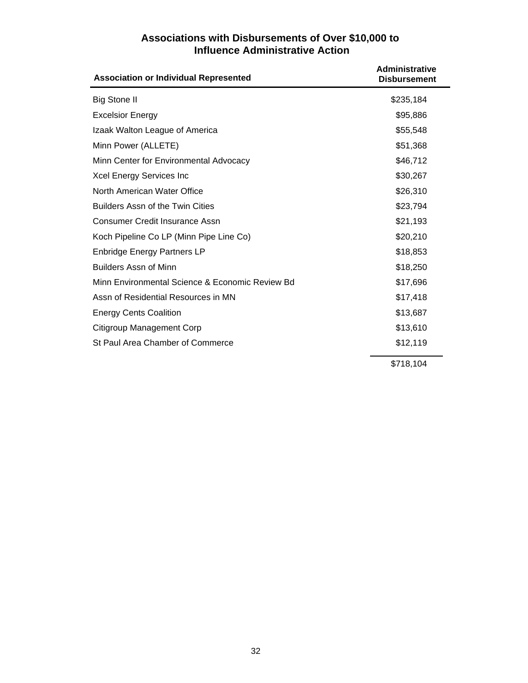#### **Associations with Disbursements of Over \$10,000 to Influence Administrative Action**

<span id="page-33-0"></span>

| <b>Association or Individual Represented</b>    | <b>Administrative</b><br><b>Disbursement</b> |
|-------------------------------------------------|----------------------------------------------|
| <b>Big Stone II</b>                             | \$235,184                                    |
| <b>Excelsior Energy</b>                         | \$95,886                                     |
| Izaak Walton League of America                  | \$55,548                                     |
| Minn Power (ALLETE)                             | \$51,368                                     |
| Minn Center for Environmental Advocacy          | \$46,712                                     |
| Xcel Energy Services Inc                        | \$30,267                                     |
| North American Water Office                     | \$26,310                                     |
| <b>Builders Assn of the Twin Cities</b>         | \$23,794                                     |
| <b>Consumer Credit Insurance Assn</b>           | \$21,193                                     |
| Koch Pipeline Co LP (Minn Pipe Line Co)         | \$20,210                                     |
| <b>Enbridge Energy Partners LP</b>              | \$18,853                                     |
| <b>Builders Assn of Minn</b>                    | \$18,250                                     |
| Minn Environmental Science & Economic Review Bd | \$17,696                                     |
| Assn of Residential Resources in MN             | \$17,418                                     |
| <b>Energy Cents Coalition</b>                   | \$13,687                                     |
| Citigroup Management Corp                       | \$13,610                                     |
| St Paul Area Chamber of Commerce                | \$12,119                                     |
|                                                 | \$718,104                                    |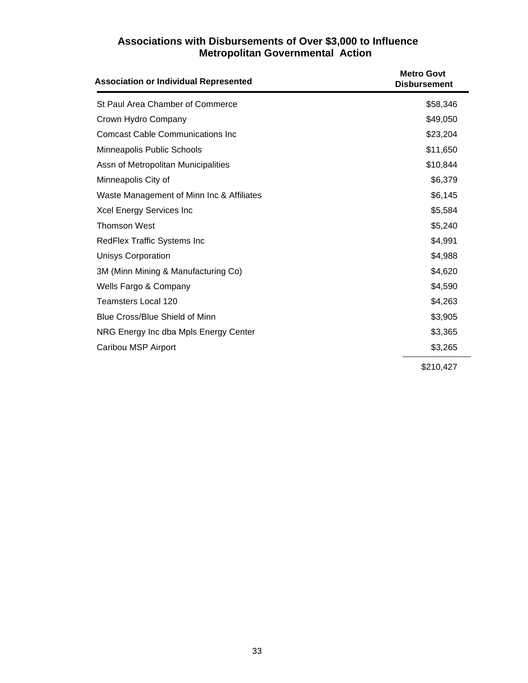#### **Associations with Disbursements of Over \$3,000 to Influence Metropolitan Governmental Action**

<span id="page-34-0"></span>

| <b>Association or Individual Represented</b> | <b>Metro Govt</b><br><b>Disbursement</b> |
|----------------------------------------------|------------------------------------------|
| St Paul Area Chamber of Commerce             | \$58,346                                 |
| Crown Hydro Company                          | \$49,050                                 |
| <b>Comcast Cable Communications Inc</b>      | \$23,204                                 |
| Minneapolis Public Schools                   | \$11,650                                 |
| Assn of Metropolitan Municipalities          | \$10,844                                 |
| Minneapolis City of                          | \$6,379                                  |
| Waste Management of Minn Inc & Affiliates    | \$6,145                                  |
| Xcel Energy Services Inc                     | \$5,584                                  |
| <b>Thomson West</b>                          | \$5,240                                  |
| RedFlex Traffic Systems Inc                  | \$4,991                                  |
| <b>Unisys Corporation</b>                    | \$4,988                                  |
| 3M (Minn Mining & Manufacturing Co)          | \$4,620                                  |
| Wells Fargo & Company                        | \$4,590                                  |
| <b>Teamsters Local 120</b>                   | \$4,263                                  |
| Blue Cross/Blue Shield of Minn               | \$3,905                                  |
| NRG Energy Inc dba Mpls Energy Center        | \$3,365                                  |
| Caribou MSP Airport                          | \$3,265                                  |
|                                              | \$210,427                                |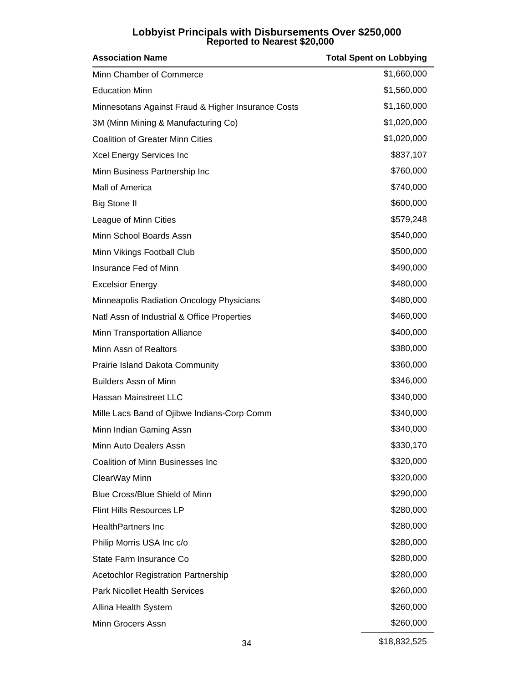# **Lobbyist Principals with Disbursements Over \$250,000 Reported to Nearest \$20,000**

<span id="page-35-0"></span>

| <b>Association Name</b>                            | <b>Total Spent on Lobbying</b> |
|----------------------------------------------------|--------------------------------|
| Minn Chamber of Commerce                           | \$1,660,000                    |
| <b>Education Minn</b>                              | \$1,560,000                    |
| Minnesotans Against Fraud & Higher Insurance Costs | \$1,160,000                    |
| 3M (Minn Mining & Manufacturing Co)                | \$1,020,000                    |
| <b>Coalition of Greater Minn Cities</b>            | \$1,020,000                    |
| Xcel Energy Services Inc                           | \$837,107                      |
| Minn Business Partnership Inc                      | \$760,000                      |
| Mall of America                                    | \$740,000                      |
| <b>Big Stone II</b>                                | \$600,000                      |
| League of Minn Cities                              | \$579,248                      |
| Minn School Boards Assn                            | \$540,000                      |
| Minn Vikings Football Club                         | \$500,000                      |
| Insurance Fed of Minn                              | \$490,000                      |
| <b>Excelsior Energy</b>                            | \$480,000                      |
| Minneapolis Radiation Oncology Physicians          | \$480,000                      |
| Natl Assn of Industrial & Office Properties        | \$460,000                      |
| <b>Minn Transportation Alliance</b>                | \$400,000                      |
| Minn Assn of Realtors                              | \$380,000                      |
| <b>Prairie Island Dakota Community</b>             | \$360,000                      |
| <b>Builders Assn of Minn</b>                       | \$346,000                      |
| Hassan Mainstreet LLC                              | \$340,000                      |
| Mille Lacs Band of Ojibwe Indians-Corp Comm        | \$340,000                      |
| Minn Indian Gaming Assn                            | \$340,000                      |
| Minn Auto Dealers Assn                             | \$330,170                      |
| Coalition of Minn Businesses Inc                   | \$320,000                      |
| ClearWay Minn                                      | \$320,000                      |
| Blue Cross/Blue Shield of Minn                     | \$290,000                      |
| <b>Flint Hills Resources LP</b>                    | \$280,000                      |
| <b>HealthPartners Inc</b>                          | \$280,000                      |
| Philip Morris USA Inc c/o                          | \$280,000                      |
| State Farm Insurance Co                            | \$280,000                      |
| <b>Acetochlor Registration Partnership</b>         | \$280,000                      |
| <b>Park Nicollet Health Services</b>               | \$260,000                      |
| Allina Health System                               | \$260,000                      |
| Minn Grocers Assn                                  | \$260,000                      |

34 \$18,832,525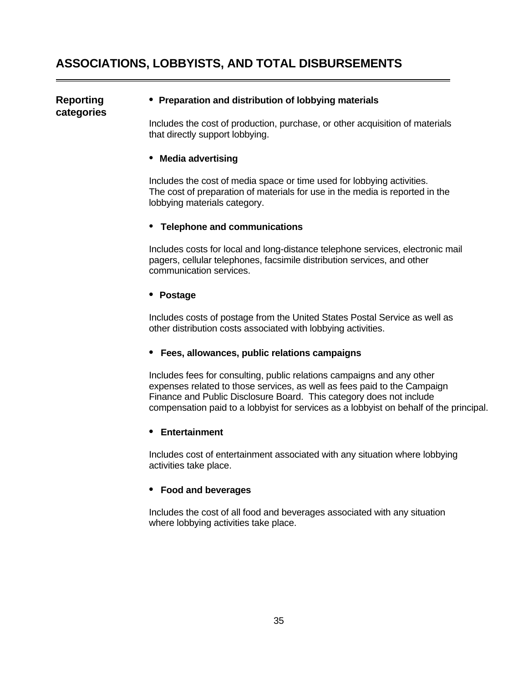## **ASSOCIATIONS, LOBBYISTS, AND TOTAL DISBURSEMENTS**

# **categories**

#### **Reporting • Preparation and distribution of lobbying materials**

 Includes the cost of production, purchase, or other acquisition of materials that directly support lobbying.

#### • **Media advertising**

 Includes the cost of media space or time used for lobbying activities. The cost of preparation of materials for use in the media is reported in the lobbying materials category.

#### • **Telephone and communications**

 Includes costs for local and long-distance telephone services, electronic mail pagers, cellular telephones, facsimile distribution services, and other communication services.

#### **• Postage**

 Includes costs of postage from the United States Postal Service as well as other distribution costs associated with lobbying activities.

#### **• Fees, allowances, public relations campaigns**

 Includes fees for consulting, public relations campaigns and any other expenses related to those services, as well as fees paid to the Campaign Finance and Public Disclosure Board. This category does not include compensation paid to a lobbyist for services as a lobbyist on behalf of the principal.

#### **• Entertainment**

 Includes cost of entertainment associated with any situation where lobbying activities take place.

#### **• Food and beverages**

 Includes the cost of all food and beverages associated with any situation where lobbying activities take place.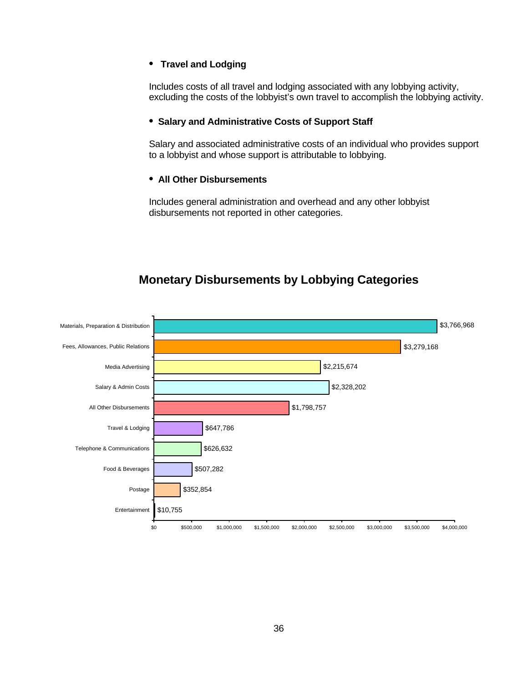#### **• Travel and Lodging**

 Includes costs of all travel and lodging associated with any lobbying activity, excluding the costs of the lobbyist's own travel to accomplish the lobbying activity.

#### **• Salary and Administrative Costs of Support Staff**

 Salary and associated administrative costs of an individual who provides support to a lobbyist and whose support is attributable to lobbying.

#### **• All Other Disbursements**

 Includes general administration and overhead and any other lobbyist disbursements not reported in other categories.

## **Monetary Disbursements by Lobbying Categories**

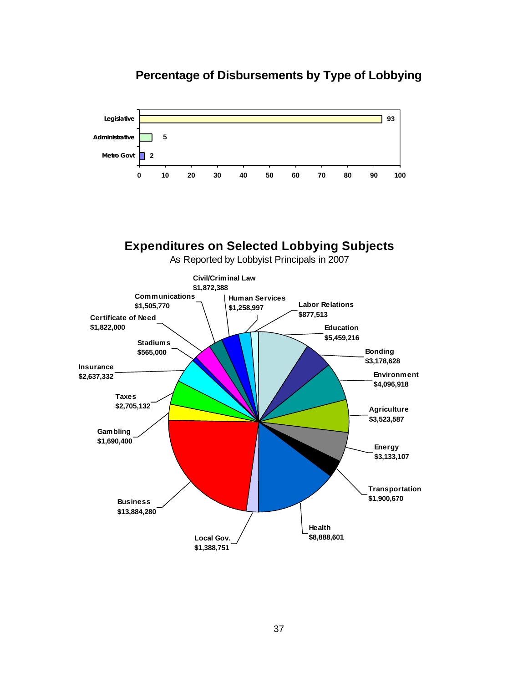

## **Percentage of Disbursements by Type of Lobbying**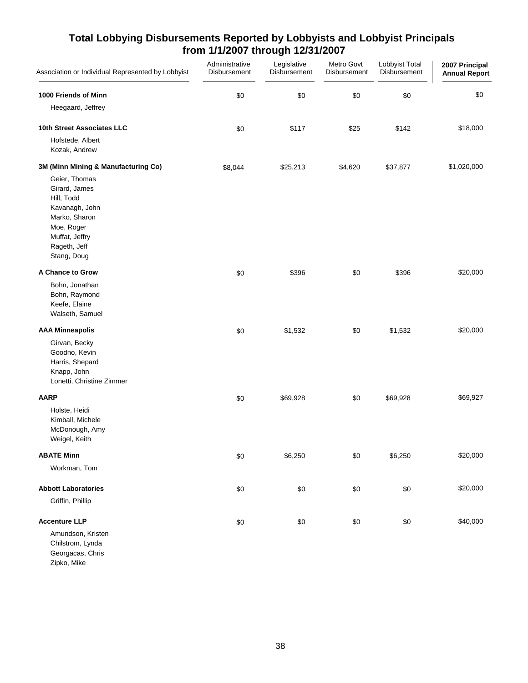| Association or Individual Represented by Lobbyist                                                                                              | Administrative<br>Disbursement | Legislative<br>Disbursement | Metro Govt<br>Disbursement | Lobbyist Total<br>Disbursement | 2007 Principal<br><b>Annual Report</b> |
|------------------------------------------------------------------------------------------------------------------------------------------------|--------------------------------|-----------------------------|----------------------------|--------------------------------|----------------------------------------|
| 1000 Friends of Minn<br>Heegaard, Jeffrey                                                                                                      | \$0                            | \$0                         | \$0                        | \$0                            | \$0                                    |
| 10th Street Associates LLC<br>Hofstede, Albert<br>Kozak, Andrew                                                                                | \$0                            | \$117                       | \$25                       | \$142                          | \$18,000                               |
| 3M (Minn Mining & Manufacturing Co)                                                                                                            | \$8,044                        | \$25,213                    | \$4,620                    | \$37,877                       | \$1,020,000                            |
| Geier, Thomas<br>Girard, James<br>Hill, Todd<br>Kavanagh, John<br>Marko, Sharon<br>Moe, Roger<br>Muffat, Jeffry<br>Rageth, Jeff<br>Stang, Doug |                                |                             |                            |                                |                                        |
| A Chance to Grow                                                                                                                               | \$0                            | \$396                       | \$0                        | \$396                          | \$20,000                               |
| Bohn, Jonathan<br>Bohn, Raymond<br>Keefe, Elaine<br>Walseth, Samuel                                                                            |                                |                             |                            |                                |                                        |
| <b>AAA Minneapolis</b>                                                                                                                         | \$0                            | \$1,532                     | \$0                        | \$1,532                        | \$20,000                               |
| Girvan, Becky<br>Goodno, Kevin<br>Harris, Shepard<br>Knapp, John<br>Lonetti, Christine Zimmer                                                  |                                |                             |                            |                                |                                        |
| <b>AARP</b>                                                                                                                                    | \$0                            | \$69,928                    | \$0                        | \$69,928                       | \$69,927                               |
| Holste, Heidi<br>Kimball, Michele<br>McDonough, Amy<br>Weigel, Keith                                                                           |                                |                             |                            |                                |                                        |
| <b>ABATE Minn</b>                                                                                                                              | \$0                            | \$6,250                     | \$0                        | \$6,250                        | \$20,000                               |
| Workman, Tom                                                                                                                                   |                                |                             |                            |                                |                                        |
| <b>Abbott Laboratories</b><br>Griffin, Phillip                                                                                                 | \$0                            | \$0                         | \$0                        | \$0                            | \$20,000                               |
| <b>Accenture LLP</b><br>Amundson, Kristen<br>Chilstrom, Lynda<br>Georgacas, Chris<br>Zipko, Mike                                               | \$0                            | \$0                         | \$0                        | \$0                            | \$40,000                               |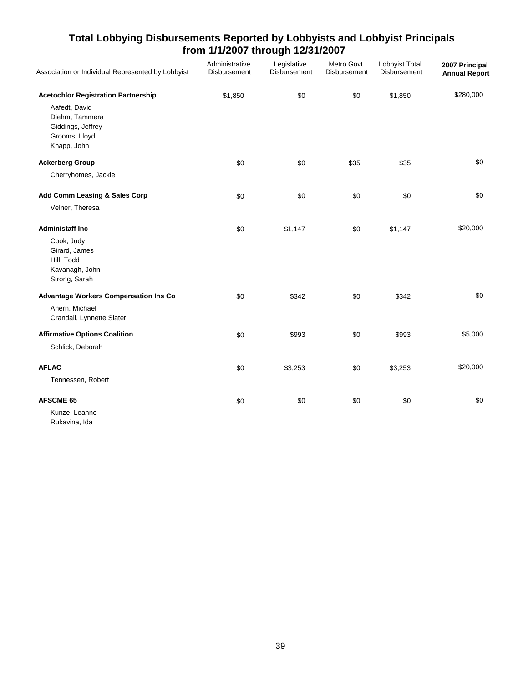| Association or Individual Represented by Lobbyist                                    | Administrative<br>Disbursement | Legislative<br>Disbursement | Metro Govt<br>Disbursement | Lobbyist Total<br>Disbursement | 2007 Principal<br><b>Annual Report</b> |
|--------------------------------------------------------------------------------------|--------------------------------|-----------------------------|----------------------------|--------------------------------|----------------------------------------|
| <b>Acetochlor Registration Partnership</b>                                           | \$1,850                        | \$0                         | \$0                        | \$1,850                        | \$280,000                              |
| Aafedt, David<br>Diehm, Tammera<br>Giddings, Jeffrey<br>Grooms, Lloyd<br>Knapp, John |                                |                             |                            |                                |                                        |
| <b>Ackerberg Group</b>                                                               | \$0                            | \$0                         | \$35                       | \$35                           | \$0                                    |
| Cherryhomes, Jackie                                                                  |                                |                             |                            |                                |                                        |
| Add Comm Leasing & Sales Corp                                                        | \$0                            | \$0                         | \$0                        | \$0                            | \$0                                    |
| Velner, Theresa                                                                      |                                |                             |                            |                                |                                        |
| <b>Administaff Inc.</b>                                                              | \$0                            | \$1,147                     | \$0                        | \$1,147                        | \$20,000                               |
| Cook, Judy<br>Girard, James<br>Hill, Todd<br>Kavanagh, John<br>Strong, Sarah         |                                |                             |                            |                                |                                        |
| <b>Advantage Workers Compensation Ins Co</b>                                         | \$0                            | \$342                       | \$0                        | \$342                          | \$0                                    |
| Ahern, Michael<br>Crandall, Lynnette Slater                                          |                                |                             |                            |                                |                                        |
| <b>Affirmative Options Coalition</b>                                                 | \$0                            | \$993                       | \$0                        | \$993                          | \$5,000                                |
| Schlick, Deborah                                                                     |                                |                             |                            |                                |                                        |
| <b>AFLAC</b>                                                                         | \$0                            | \$3,253                     | \$0                        | \$3,253                        | \$20,000                               |
| Tennessen, Robert                                                                    |                                |                             |                            |                                |                                        |
| <b>AFSCME 65</b>                                                                     | \$0                            | \$0                         | \$0                        | \$0                            | \$0                                    |
| Kunze, Leanne<br>Rukavina, Ida                                                       |                                |                             |                            |                                |                                        |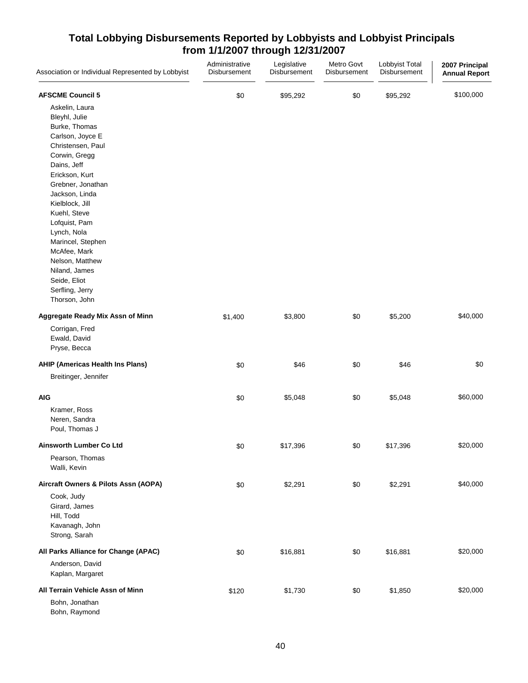| Association or Individual Represented by Lobbyist | Administrative<br>Disbursement | Legislative<br>Disbursement | Metro Govt<br>Disbursement | Lobbyist Total<br>Disbursement | 2007 Principal<br><b>Annual Report</b> |
|---------------------------------------------------|--------------------------------|-----------------------------|----------------------------|--------------------------------|----------------------------------------|
| <b>AFSCME Council 5</b>                           | \$0                            | \$95,292                    | \$0                        | \$95,292                       | \$100,000                              |
| Askelin, Laura                                    |                                |                             |                            |                                |                                        |
| Bleyhl, Julie                                     |                                |                             |                            |                                |                                        |
| Burke, Thomas                                     |                                |                             |                            |                                |                                        |
| Carlson, Joyce E                                  |                                |                             |                            |                                |                                        |
| Christensen, Paul                                 |                                |                             |                            |                                |                                        |
| Corwin, Gregg                                     |                                |                             |                            |                                |                                        |
| Dains, Jeff                                       |                                |                             |                            |                                |                                        |
| Erickson, Kurt                                    |                                |                             |                            |                                |                                        |
| Grebner, Jonathan                                 |                                |                             |                            |                                |                                        |
| Jackson, Linda                                    |                                |                             |                            |                                |                                        |
| Kielblock, Jill                                   |                                |                             |                            |                                |                                        |
| Kuehl, Steve                                      |                                |                             |                            |                                |                                        |
| Lofquist, Pam                                     |                                |                             |                            |                                |                                        |
| Lynch, Nola                                       |                                |                             |                            |                                |                                        |
| Marincel, Stephen                                 |                                |                             |                            |                                |                                        |
| McAfee, Mark                                      |                                |                             |                            |                                |                                        |
| Nelson, Matthew                                   |                                |                             |                            |                                |                                        |
| Niland, James                                     |                                |                             |                            |                                |                                        |
| Seide, Eliot                                      |                                |                             |                            |                                |                                        |
| Serfling, Jerry                                   |                                |                             |                            |                                |                                        |
| Thorson, John                                     |                                |                             |                            |                                |                                        |
| Aggregate Ready Mix Assn of Minn                  | \$1,400                        | \$3,800                     | \$0                        | \$5,200                        | \$40,000                               |
| Corrigan, Fred                                    |                                |                             |                            |                                |                                        |
| Ewald, David                                      |                                |                             |                            |                                |                                        |
| Pryse, Becca                                      |                                |                             |                            |                                |                                        |
| AHIP (Americas Health Ins Plans)                  | \$0                            | \$46                        | \$0                        | \$46                           | \$0                                    |
| Breitinger, Jennifer                              |                                |                             |                            |                                |                                        |
| <b>AIG</b>                                        | \$0                            | \$5,048                     | \$0                        | \$5,048                        | \$60,000                               |
| Kramer, Ross                                      |                                |                             |                            |                                |                                        |
| Neren, Sandra                                     |                                |                             |                            |                                |                                        |
| Poul, Thomas J                                    |                                |                             |                            |                                |                                        |
| Ainsworth Lumber Co Ltd                           | $\$0$                          | \$17,396                    | \$0                        | \$17,396                       | \$20,000                               |
| Pearson, Thomas                                   |                                |                             |                            |                                |                                        |
| Walli, Kevin                                      |                                |                             |                            |                                |                                        |
| Aircraft Owners & Pilots Assn (AOPA)              | \$0                            | \$2,291                     | \$0                        | \$2,291                        | \$40,000                               |
| Cook, Judy                                        |                                |                             |                            |                                |                                        |
| Girard, James                                     |                                |                             |                            |                                |                                        |
| Hill, Todd                                        |                                |                             |                            |                                |                                        |
| Kavanagh, John                                    |                                |                             |                            |                                |                                        |
| Strong, Sarah                                     |                                |                             |                            |                                |                                        |
| All Parks Alliance for Change (APAC)              | \$0                            | \$16,881                    | \$0                        | \$16,881                       | \$20,000                               |
| Anderson, David                                   |                                |                             |                            |                                |                                        |
| Kaplan, Margaret                                  |                                |                             |                            |                                |                                        |
| All Terrain Vehicle Assn of Minn                  | \$120                          | \$1,730                     | \$0                        | \$1,850                        | \$20,000                               |
| Bohn, Jonathan                                    |                                |                             |                            |                                |                                        |
| Bohn, Raymond                                     |                                |                             |                            |                                |                                        |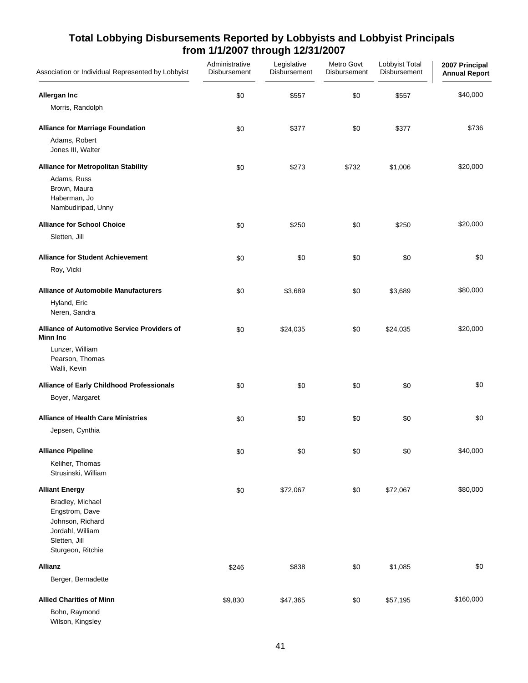| Association or Individual Represented by Lobbyist                                                                | Administrative<br>Disbursement | Legislative<br>Disbursement | Metro Govt<br>Disbursement | Lobbyist Total<br>Disbursement | 2007 Principal<br><b>Annual Report</b> |
|------------------------------------------------------------------------------------------------------------------|--------------------------------|-----------------------------|----------------------------|--------------------------------|----------------------------------------|
| Allergan Inc                                                                                                     | \$0                            | \$557                       | \$0                        | \$557                          | \$40,000                               |
| Morris, Randolph                                                                                                 |                                |                             |                            |                                |                                        |
| <b>Alliance for Marriage Foundation</b>                                                                          | \$0                            | \$377                       | \$0                        | \$377                          | \$736                                  |
| Adams, Robert<br>Jones III, Walter                                                                               |                                |                             |                            |                                |                                        |
| <b>Alliance for Metropolitan Stability</b><br>Adams, Russ<br>Brown, Maura<br>Haberman, Jo<br>Nambudiripad, Unny  | \$0                            | \$273                       | \$732                      | \$1,006                        | \$20,000                               |
| <b>Alliance for School Choice</b>                                                                                | \$0                            | \$250                       | \$0                        | \$250                          | \$20,000                               |
| Sletten, Jill                                                                                                    |                                |                             |                            |                                |                                        |
| <b>Alliance for Student Achievement</b>                                                                          | \$0                            | \$0                         | \$0                        | \$0                            | \$0                                    |
| Roy, Vicki                                                                                                       |                                |                             |                            |                                |                                        |
| <b>Alliance of Automobile Manufacturers</b>                                                                      | \$0                            | \$3,689                     | \$0                        | \$3,689                        | \$80,000                               |
| Hyland, Eric<br>Neren, Sandra                                                                                    |                                |                             |                            |                                |                                        |
| <b>Alliance of Automotive Service Providers of</b><br><b>Minn Inc</b>                                            | \$0                            | \$24,035                    | \$0                        | \$24,035                       | \$20,000                               |
| Lunzer, William<br>Pearson, Thomas<br>Walli, Kevin                                                               |                                |                             |                            |                                |                                        |
| Alliance of Early Childhood Professionals                                                                        | \$0                            | \$0                         | \$0                        | \$0                            | \$0                                    |
| Boyer, Margaret                                                                                                  |                                |                             |                            |                                |                                        |
| <b>Alliance of Health Care Ministries</b>                                                                        | \$0                            | \$0                         | \$0                        | \$0                            | \$0                                    |
| Jepsen, Cynthia                                                                                                  |                                |                             |                            |                                |                                        |
| <b>Alliance Pipeline</b>                                                                                         | \$0                            | \$0                         | \$0                        | \$0                            | \$40,000                               |
| Keliher, Thomas<br>Strusinski, William                                                                           |                                |                             |                            |                                |                                        |
| <b>Alliant Energy</b>                                                                                            | \$0                            | \$72,067                    | \$0                        | \$72,067                       | \$80,000                               |
| Bradley, Michael<br>Engstrom, Dave<br>Johnson, Richard<br>Jordahl, William<br>Sletten, Jill<br>Sturgeon, Ritchie |                                |                             |                            |                                |                                        |
| <b>Allianz</b>                                                                                                   | \$246                          | \$838                       | \$0                        | \$1,085                        | \$0                                    |
| Berger, Bernadette                                                                                               |                                |                             |                            |                                |                                        |
| <b>Allied Charities of Minn</b>                                                                                  | \$9,830                        | \$47,365                    | \$0                        | \$57,195                       | \$160,000                              |
| Bohn, Raymond<br>Wilson, Kingsley                                                                                |                                |                             |                            |                                |                                        |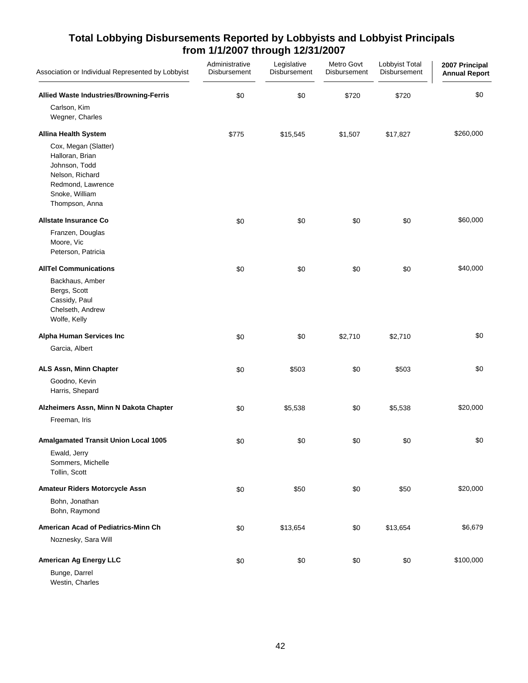| Association or Individual Represented by Lobbyist                                                                                    | Administrative<br>Disbursement | Legislative<br>Disbursement | Metro Govt<br>Disbursement | Lobbyist Total<br>Disbursement | 2007 Principal<br><b>Annual Report</b> |
|--------------------------------------------------------------------------------------------------------------------------------------|--------------------------------|-----------------------------|----------------------------|--------------------------------|----------------------------------------|
| Allied Waste Industries/Browning-Ferris                                                                                              | \$0                            | \$0                         | \$720                      | \$720                          | \$0                                    |
| Carlson, Kim<br>Wegner, Charles                                                                                                      |                                |                             |                            |                                |                                        |
| <b>Allina Health System</b>                                                                                                          | \$775                          | \$15,545                    | \$1,507                    | \$17,827                       | \$260,000                              |
| Cox, Megan (Slatter)<br>Halloran, Brian<br>Johnson, Todd<br>Nelson, Richard<br>Redmond, Lawrence<br>Snoke, William<br>Thompson, Anna |                                |                             |                            |                                |                                        |
| <b>Allstate Insurance Co</b>                                                                                                         | \$0                            | \$0                         | \$0                        | \$0                            | \$60,000                               |
| Franzen, Douglas<br>Moore, Vic<br>Peterson, Patricia                                                                                 |                                |                             |                            |                                |                                        |
| <b>AllTel Communications</b>                                                                                                         | \$0                            | \$0                         | \$0                        | \$0                            | \$40,000                               |
| Backhaus, Amber<br>Bergs, Scott<br>Cassidy, Paul<br>Chelseth, Andrew<br>Wolfe, Kelly                                                 |                                |                             |                            |                                |                                        |
| Alpha Human Services Inc                                                                                                             | \$0                            | \$0                         | \$2,710                    | \$2,710                        | \$0                                    |
| Garcia, Albert                                                                                                                       |                                |                             |                            |                                |                                        |
| ALS Assn, Minn Chapter                                                                                                               | \$0                            | \$503                       | \$0                        | \$503                          | \$0                                    |
| Goodno, Kevin<br>Harris, Shepard                                                                                                     |                                |                             |                            |                                |                                        |
| Alzheimers Assn, Minn N Dakota Chapter                                                                                               | \$0                            | \$5,538                     | \$0                        | \$5,538                        | \$20,000                               |
| Freeman, Iris                                                                                                                        |                                |                             |                            |                                |                                        |
| <b>Amalgamated Transit Union Local 1005</b><br>Ewald, Jerry<br>Sommers, Michelle<br>Tollin, Scott                                    | \$0                            | \$0                         | \$0                        | \$0                            | \$0                                    |
| Amateur Riders Motorcycle Assn                                                                                                       | \$0                            | \$50                        | \$0                        | \$50                           | \$20,000                               |
| Bohn, Jonathan<br>Bohn, Raymond                                                                                                      |                                |                             |                            |                                |                                        |
| American Acad of Pediatrics-Minn Ch                                                                                                  | \$0                            | \$13,654                    | \$0                        | \$13,654                       | \$6,679                                |
| Noznesky, Sara Will                                                                                                                  |                                |                             |                            |                                |                                        |
| American Ag Energy LLC                                                                                                               | \$0                            | \$0                         | \$0                        | \$0                            | \$100,000                              |
| Bunge, Darrel<br>Westin, Charles                                                                                                     |                                |                             |                            |                                |                                        |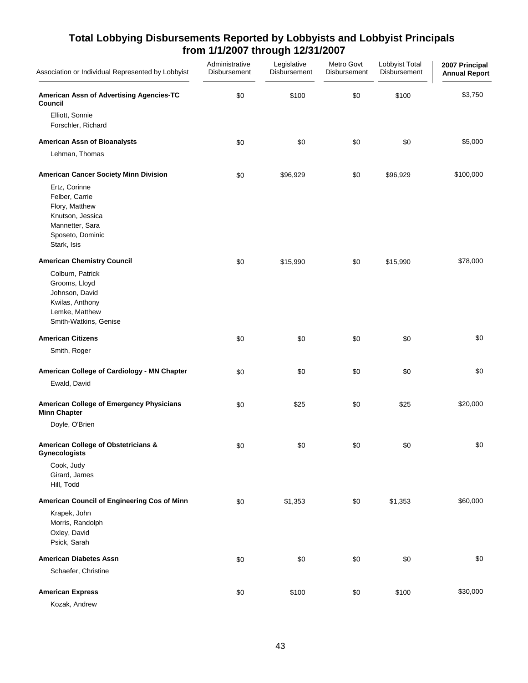| Association or Individual Represented by Lobbyist                                                                           | Administrative<br>Disbursement | Legislative<br>Disbursement | Metro Govt<br>Disbursement | Lobbyist Total<br>Disbursement | 2007 Principal<br><b>Annual Report</b> |
|-----------------------------------------------------------------------------------------------------------------------------|--------------------------------|-----------------------------|----------------------------|--------------------------------|----------------------------------------|
| American Assn of Advertising Agencies-TC<br>Council                                                                         | \$0                            | \$100                       | \$0                        | \$100                          | \$3,750                                |
| Elliott, Sonnie<br>Forschler, Richard                                                                                       |                                |                             |                            |                                |                                        |
| <b>American Assn of Bioanalysts</b>                                                                                         | \$0                            | \$0                         | \$0                        | \$0                            | \$5,000                                |
| Lehman, Thomas                                                                                                              |                                |                             |                            |                                |                                        |
| American Cancer Society Minn Division                                                                                       | \$0                            | \$96,929                    | \$0                        | \$96,929                       | \$100,000                              |
| Ertz, Corinne<br>Felber, Carrie<br>Flory, Matthew<br>Knutson, Jessica<br>Mannetter, Sara<br>Sposeto, Dominic<br>Stark, Isis |                                |                             |                            |                                |                                        |
| <b>American Chemistry Council</b>                                                                                           | \$0                            | \$15,990                    | \$0                        | \$15,990                       | \$78,000                               |
| Colburn, Patrick<br>Grooms, Lloyd<br>Johnson, David<br>Kwilas, Anthony<br>Lemke, Matthew<br>Smith-Watkins, Genise           |                                |                             |                            |                                |                                        |
| <b>American Citizens</b>                                                                                                    | \$0                            | \$0                         | \$0                        | \$0                            | \$0                                    |
| Smith, Roger                                                                                                                |                                |                             |                            |                                |                                        |
| American College of Cardiology - MN Chapter<br>Ewald, David                                                                 | \$0                            | \$0                         | \$0                        | \$0                            | \$0                                    |
| American College of Emergency Physicians<br><b>Minn Chapter</b>                                                             | \$0                            | \$25                        | \$0                        | \$25                           | \$20,000                               |
| Doyle, O'Brien                                                                                                              |                                |                             |                            |                                |                                        |
| American College of Obstetricians &<br><b>Gynecologists</b>                                                                 | \$0                            | \$0                         | \$0                        | \$0                            | \$0                                    |
| Cook, Judy<br>Girard, James<br>Hill, Todd                                                                                   |                                |                             |                            |                                |                                        |
| American Council of Engineering Cos of Minn                                                                                 | \$0                            | \$1,353                     | \$0                        | \$1,353                        | \$60,000                               |
| Krapek, John<br>Morris, Randolph<br>Oxley, David<br>Psick, Sarah                                                            |                                |                             |                            |                                |                                        |
| <b>American Diabetes Assn</b>                                                                                               | \$0                            | \$0                         | \$0                        | \$0                            | \$0                                    |
| Schaefer, Christine                                                                                                         |                                |                             |                            |                                |                                        |
| <b>American Express</b>                                                                                                     | \$0                            | \$100                       | \$0                        | \$100                          | \$30,000                               |
| Kozak, Andrew                                                                                                               |                                |                             |                            |                                |                                        |

43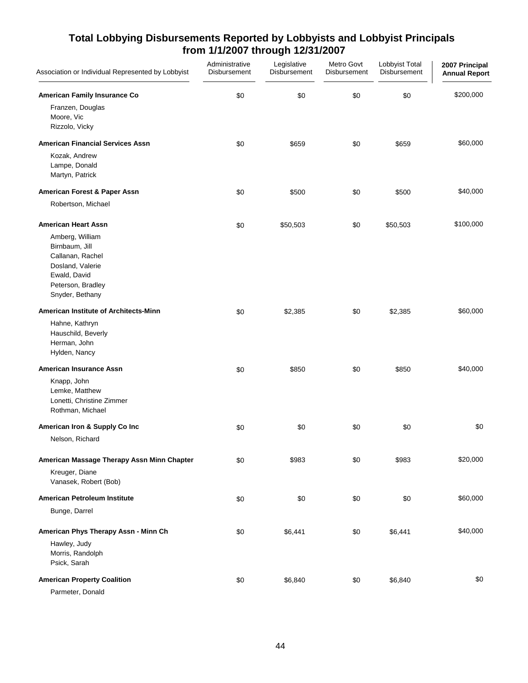| Association or Individual Represented by Lobbyist                                                                                                               | Administrative<br>Disbursement | Legislative<br>Disbursement | Metro Govt<br>Disbursement | Lobbyist Total<br>Disbursement | 2007 Principal<br><b>Annual Report</b> |
|-----------------------------------------------------------------------------------------------------------------------------------------------------------------|--------------------------------|-----------------------------|----------------------------|--------------------------------|----------------------------------------|
| American Family Insurance Co<br>Franzen, Douglas<br>Moore, Vic<br>Rizzolo, Vicky                                                                                | \$0                            | \$0                         | \$0                        | \$0                            | \$200,000                              |
| <b>American Financial Services Assn</b><br>Kozak, Andrew<br>Lampe, Donald<br>Martyn, Patrick                                                                    | \$0                            | \$659                       | \$0                        | \$659                          | \$60,000                               |
| American Forest & Paper Assn                                                                                                                                    | \$0                            | \$500                       | \$0                        | \$500                          | \$40,000                               |
| Robertson, Michael                                                                                                                                              |                                |                             |                            |                                |                                        |
| <b>American Heart Assn</b><br>Amberg, William<br>Birnbaum, Jill<br>Callanan, Rachel<br>Dosland, Valerie<br>Ewald, David<br>Peterson, Bradley<br>Snyder, Bethany | \$0                            | \$50,503                    | \$0                        | \$50,503                       | \$100,000                              |
| American Institute of Architects-Minn<br>Hahne, Kathryn<br>Hauschild, Beverly<br>Herman, John<br>Hylden, Nancy                                                  | \$0                            | \$2,385                     | \$0                        | \$2,385                        | \$60,000                               |
| <b>American Insurance Assn</b><br>Knapp, John<br>Lemke, Matthew<br>Lonetti, Christine Zimmer<br>Rothman, Michael                                                | \$0                            | \$850                       | \$0                        | \$850                          | \$40,000                               |
| American Iron & Supply Co Inc                                                                                                                                   | \$0                            | \$0                         | \$0                        | \$0                            | \$0                                    |
| Nelson, Richard                                                                                                                                                 |                                |                             |                            |                                |                                        |
| American Massage Therapy Assn Minn Chapter<br>Kreuger, Diane<br>Vanasek, Robert (Bob)                                                                           | \$0                            | \$983                       | \$0                        | \$983                          | \$20,000                               |
| American Petroleum Institute                                                                                                                                    | \$0                            | \$0                         | \$0                        | \$0                            | \$60,000                               |
| Bunge, Darrel                                                                                                                                                   |                                |                             |                            |                                |                                        |
| American Phys Therapy Assn - Minn Ch<br>Hawley, Judy<br>Morris, Randolph<br>Psick, Sarah                                                                        | \$0                            | \$6,441                     | \$0                        | \$6,441                        | \$40,000                               |
| <b>American Property Coalition</b><br>Parmeter, Donald                                                                                                          | \$0                            | \$6,840                     | \$0                        | \$6,840                        | \$0                                    |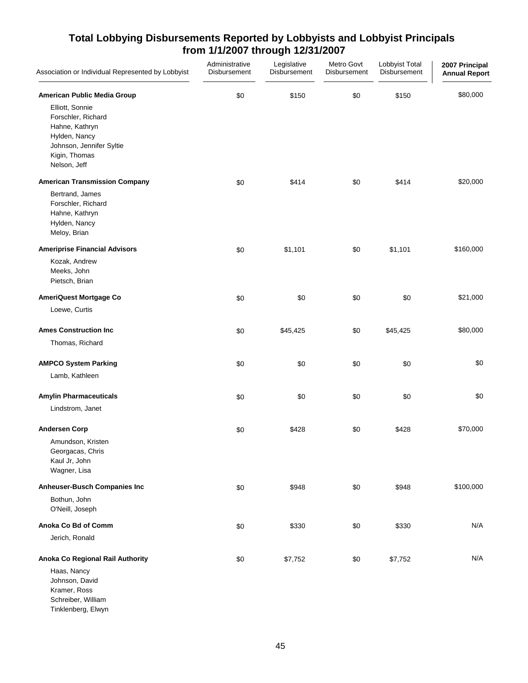| Association or Individual Represented by Lobbyist                                                                                                                    | Administrative<br>Disbursement | Legislative<br>Disbursement | Metro Govt<br>Disbursement | Lobbyist Total<br>Disbursement | 2007 Principal<br><b>Annual Report</b> |
|----------------------------------------------------------------------------------------------------------------------------------------------------------------------|--------------------------------|-----------------------------|----------------------------|--------------------------------|----------------------------------------|
| American Public Media Group<br>Elliott, Sonnie<br>Forschler, Richard<br>Hahne, Kathryn<br>Hylden, Nancy<br>Johnson, Jennifer Syltie<br>Kigin, Thomas<br>Nelson, Jeff | \$0                            | \$150                       | \$0                        | \$150                          | \$80,000                               |
| <b>American Transmission Company</b>                                                                                                                                 | \$0                            | \$414                       | \$0                        | \$414                          | \$20,000                               |
| Bertrand, James<br>Forschler, Richard<br>Hahne, Kathryn<br>Hylden, Nancy<br>Meloy, Brian                                                                             |                                |                             |                            |                                |                                        |
| <b>Ameriprise Financial Advisors</b>                                                                                                                                 | \$0                            | \$1,101                     | \$0                        | \$1,101                        | \$160,000                              |
| Kozak, Andrew<br>Meeks, John<br>Pietsch, Brian                                                                                                                       |                                |                             |                            |                                |                                        |
| AmeriQuest Mortgage Co                                                                                                                                               | \$0                            | \$0                         | \$0                        | \$0                            | \$21,000                               |
| Loewe, Curtis                                                                                                                                                        |                                |                             |                            |                                |                                        |
| <b>Ames Construction Inc</b>                                                                                                                                         | \$0                            | \$45,425                    | \$0                        | \$45,425                       | \$80,000                               |
| Thomas, Richard                                                                                                                                                      |                                |                             |                            |                                |                                        |
| <b>AMPCO System Parking</b>                                                                                                                                          | \$0                            | \$0                         | \$0                        | \$0                            | \$0                                    |
| Lamb, Kathleen                                                                                                                                                       |                                |                             |                            |                                |                                        |
| <b>Amylin Pharmaceuticals</b>                                                                                                                                        | \$0                            | \$0                         | \$0                        | \$0                            | \$0                                    |
| Lindstrom, Janet                                                                                                                                                     |                                |                             |                            |                                |                                        |
| <b>Andersen Corp</b>                                                                                                                                                 | \$0                            | \$428                       | \$0                        | \$428                          | \$70,000                               |
| Amundson, Kristen<br>Georgacas, Chris<br>Kaul Jr, John<br>Wagner, Lisa                                                                                               |                                |                             |                            |                                |                                        |
| <b>Anheuser-Busch Companies Inc</b>                                                                                                                                  | \$0                            | \$948                       | \$0                        | \$948                          | \$100,000                              |
| Bothun, John<br>O'Neill, Joseph                                                                                                                                      |                                |                             |                            |                                |                                        |
| Anoka Co Bd of Comm                                                                                                                                                  | \$0                            | \$330                       | \$0                        | \$330                          | N/A                                    |
| Jerich, Ronald                                                                                                                                                       |                                |                             |                            |                                |                                        |
| Anoka Co Regional Rail Authority                                                                                                                                     | \$0                            | \$7,752                     | \$0                        | \$7,752                        | N/A                                    |
| Haas, Nancy<br>Johnson, David<br>Kramer, Ross<br>Schreiber, William<br>Tinklenberg, Elwyn                                                                            |                                |                             |                            |                                |                                        |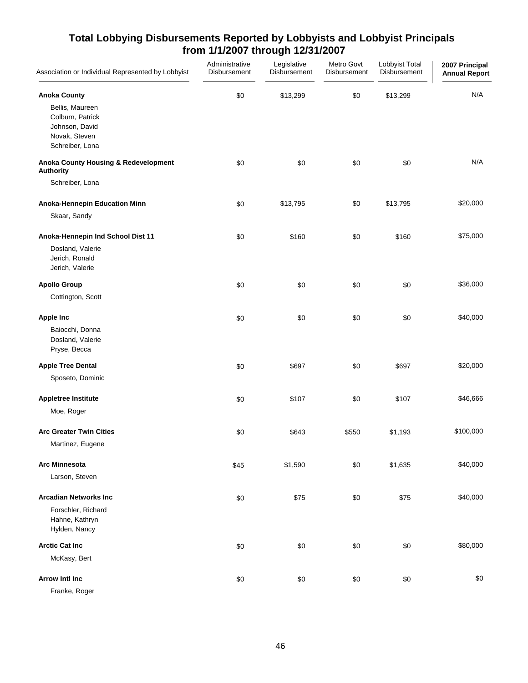| Association or Individual Represented by Lobbyist                                         | Administrative<br>Disbursement | Legislative<br>Disbursement | Metro Govt<br>Disbursement | Lobbyist Total<br>Disbursement | 2007 Principal<br><b>Annual Report</b> |
|-------------------------------------------------------------------------------------------|--------------------------------|-----------------------------|----------------------------|--------------------------------|----------------------------------------|
| <b>Anoka County</b>                                                                       | \$0                            | \$13,299                    | \$0                        | \$13,299                       | N/A                                    |
| Bellis, Maureen<br>Colburn, Patrick<br>Johnson, David<br>Novak, Steven<br>Schreiber, Lona |                                |                             |                            |                                |                                        |
| Anoka County Housing & Redevelopment<br><b>Authority</b>                                  | \$0                            | \$0                         | \$0                        | \$0                            | N/A                                    |
| Schreiber, Lona                                                                           |                                |                             |                            |                                |                                        |
| Anoka-Hennepin Education Minn<br>Skaar, Sandy                                             | \$0                            | \$13,795                    | \$0                        | \$13,795                       | \$20,000                               |
| Anoka-Hennepin Ind School Dist 11                                                         | \$0                            | \$160                       | \$0                        | \$160                          | \$75,000                               |
| Dosland, Valerie<br>Jerich, Ronald<br>Jerich, Valerie                                     |                                |                             |                            |                                |                                        |
| <b>Apollo Group</b>                                                                       | \$0                            | \$0                         | \$0                        | \$0                            | \$36,000                               |
| Cottington, Scott                                                                         |                                |                             |                            |                                |                                        |
| <b>Apple Inc</b><br>Baiocchi, Donna<br>Dosland, Valerie<br>Pryse, Becca                   | \$0                            | \$0                         | \$0                        | \$0                            | \$40,000                               |
| <b>Apple Tree Dental</b>                                                                  | \$0                            | \$697                       | \$0                        | \$697                          | \$20,000                               |
| Sposeto, Dominic                                                                          |                                |                             |                            |                                |                                        |
| <b>Appletree Institute</b><br>Moe, Roger                                                  | \$0                            | \$107                       | \$0                        | \$107                          | \$46,666                               |
| <b>Arc Greater Twin Cities</b><br>Martinez, Eugene                                        | \$0                            | \$643                       | \$550                      | \$1,193                        | \$100,000                              |
| <b>Arc Minnesota</b><br>Larson, Steven                                                    | \$45                           | \$1,590                     | \$0                        | \$1,635                        | \$40,000                               |
| <b>Arcadian Networks Inc</b><br>Forschler, Richard<br>Hahne, Kathryn<br>Hylden, Nancy     | \$0                            | \$75                        | \$0                        | \$75                           | \$40,000                               |
| <b>Arctic Cat Inc</b><br>McKasy, Bert                                                     | \$0                            | \$0                         | \$0                        | \$0                            | \$80,000                               |
| <b>Arrow Intl Inc</b><br>Franke, Roger                                                    | \$0                            | \$0                         | \$0                        | \$0                            | \$0                                    |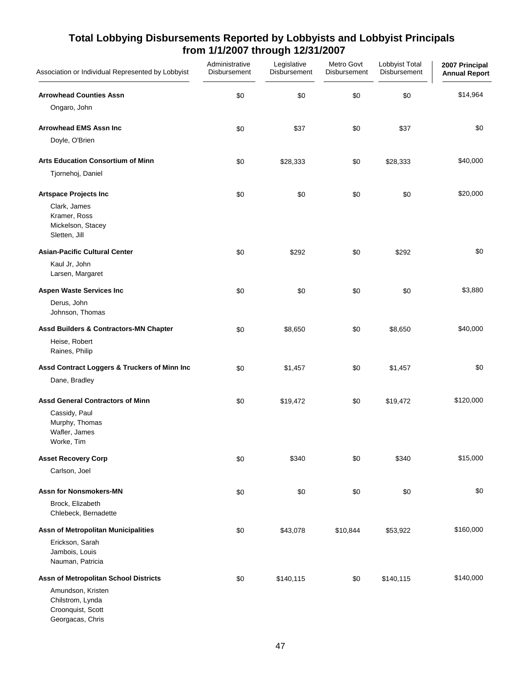| Association or Individual Represented by Lobbyist                              | Administrative<br>Disbursement | Legislative<br>Disbursement | Metro Govt<br>Disbursement | Lobbyist Total<br>Disbursement | 2007 Principal<br><b>Annual Report</b> |
|--------------------------------------------------------------------------------|--------------------------------|-----------------------------|----------------------------|--------------------------------|----------------------------------------|
| <b>Arrowhead Counties Assn</b>                                                 | \$0                            | \$0                         | \$0                        | \$0                            | \$14,964                               |
| Ongaro, John                                                                   |                                |                             |                            |                                |                                        |
| <b>Arrowhead EMS Assn Inc</b>                                                  | \$0                            | \$37                        | \$0                        | \$37                           | \$0                                    |
| Doyle, O'Brien                                                                 |                                |                             |                            |                                |                                        |
| <b>Arts Education Consortium of Minn</b>                                       | \$0                            | \$28,333                    | \$0                        | \$28,333                       | \$40,000                               |
| Tjornehoj, Daniel                                                              |                                |                             |                            |                                |                                        |
| <b>Artspace Projects Inc</b>                                                   | \$0                            | \$0                         | \$0                        | \$0                            | \$20,000                               |
| Clark, James<br>Kramer, Ross<br>Mickelson, Stacey<br>Sletten, Jill             |                                |                             |                            |                                |                                        |
| <b>Asian-Pacific Cultural Center</b>                                           | \$0                            | \$292                       | \$0                        | \$292                          | \$0                                    |
| Kaul Jr, John<br>Larsen, Margaret                                              |                                |                             |                            |                                |                                        |
| <b>Aspen Waste Services Inc</b>                                                | \$0                            | \$0                         | \$0                        | \$0                            | \$3,880                                |
| Derus, John<br>Johnson, Thomas                                                 |                                |                             |                            |                                |                                        |
| <b>Assd Builders &amp; Contractors-MN Chapter</b>                              | \$0                            | \$8,650                     | \$0                        | \$8,650                        | \$40,000                               |
| Heise, Robert<br>Raines, Philip                                                |                                |                             |                            |                                |                                        |
| Assd Contract Loggers & Truckers of Minn Inc                                   | \$0                            | \$1,457                     | \$0                        | \$1,457                        | \$0                                    |
| Dane, Bradley                                                                  |                                |                             |                            |                                |                                        |
| <b>Assd General Contractors of Minn</b>                                        | \$0                            | \$19,472                    | \$0                        | \$19,472                       | \$120,000                              |
| Cassidy, Paul<br>Murphy, Thomas<br>Wafler, James<br>Worke, Tim                 |                                |                             |                            |                                |                                        |
| <b>Asset Recovery Corp</b>                                                     | \$0                            | \$340                       | \$0                        | \$340                          | \$15,000                               |
| Carlson, Joel                                                                  |                                |                             |                            |                                |                                        |
| <b>Assn for Nonsmokers-MN</b><br>Brock, Elizabeth                              | \$0                            | \$0                         | \$0                        | \$0                            | \$0                                    |
| Chlebeck, Bernadette                                                           |                                |                             |                            |                                |                                        |
| Assn of Metropolitan Municipalities                                            | \$0                            | \$43,078                    | \$10,844                   | \$53,922                       | \$160,000                              |
| Erickson, Sarah<br>Jambois, Louis<br>Nauman, Patricia                          |                                |                             |                            |                                |                                        |
| Assn of Metropolitan School Districts                                          | \$0                            | \$140,115                   | \$0                        | \$140,115                      | \$140,000                              |
| Amundson, Kristen<br>Chilstrom, Lynda<br>Croonquist, Scott<br>Georgacas, Chris |                                |                             |                            |                                |                                        |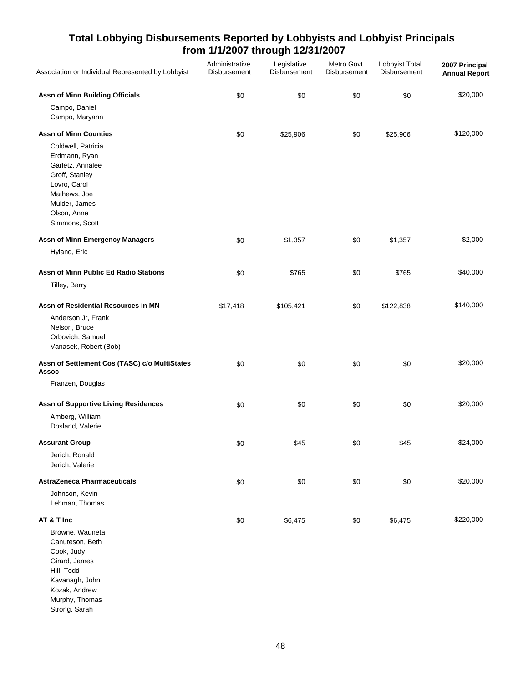| Association or Individual Represented by Lobbyist                                                                                                                                           | Administrative<br>Disbursement | Legislative<br>Disbursement | Metro Govt<br>Disbursement | Lobbyist Total<br>Disbursement | 2007 Principal<br><b>Annual Report</b> |
|---------------------------------------------------------------------------------------------------------------------------------------------------------------------------------------------|--------------------------------|-----------------------------|----------------------------|--------------------------------|----------------------------------------|
| Assn of Minn Building Officials<br>Campo, Daniel<br>Campo, Maryann                                                                                                                          | \$0                            | \$0                         | \$0                        | \$0                            | \$20,000                               |
|                                                                                                                                                                                             |                                |                             |                            |                                |                                        |
| <b>Assn of Minn Counties</b><br>Coldwell, Patricia<br>Erdmann, Ryan<br>Garletz, Annalee<br>Groff, Stanley<br>Lovro, Carol<br>Mathews, Joe<br>Mulder, James<br>Olson, Anne<br>Simmons, Scott | \$0                            | \$25,906                    | \$0                        | \$25,906                       | \$120,000                              |
| <b>Assn of Minn Emergency Managers</b>                                                                                                                                                      | \$0                            | \$1,357                     | \$0                        | \$1,357                        | \$2,000                                |
| Hyland, Eric                                                                                                                                                                                |                                |                             |                            |                                |                                        |
| Assn of Minn Public Ed Radio Stations<br>Tilley, Barry                                                                                                                                      | \$0                            | \$765                       | \$0                        | \$765                          | \$40,000                               |
| Assn of Residential Resources in MN                                                                                                                                                         | \$17,418                       | \$105,421                   | \$0                        | \$122,838                      | \$140,000                              |
| Anderson Jr, Frank<br>Nelson, Bruce<br>Orbovich, Samuel<br>Vanasek, Robert (Bob)                                                                                                            |                                |                             |                            |                                |                                        |
| Assn of Settlement Cos (TASC) c/o MultiStates<br><b>Assoc</b>                                                                                                                               | \$0                            | \$0                         | \$0                        | \$0                            | \$20,000                               |
| Franzen, Douglas                                                                                                                                                                            |                                |                             |                            |                                |                                        |
| <b>Assn of Supportive Living Residences</b>                                                                                                                                                 | \$0                            | \$0                         | \$0                        | \$0                            | \$20,000                               |
| Amberg, William<br>Dosland, Valerie                                                                                                                                                         |                                |                             |                            |                                |                                        |
| <b>Assurant Group</b>                                                                                                                                                                       | \$0                            | \$45                        | \$0                        | \$45                           | \$24,000                               |
| Jerich, Ronald<br>Jerich, Valerie                                                                                                                                                           |                                |                             |                            |                                |                                        |
| <b>AstraZeneca Pharmaceuticals</b>                                                                                                                                                          | \$0                            | \$0                         | \$0                        | \$0                            | \$20,000                               |
| Johnson, Kevin<br>Lehman, Thomas                                                                                                                                                            |                                |                             |                            |                                |                                        |
| AT & T Inc                                                                                                                                                                                  | \$0                            | \$6,475                     | \$0                        | \$6,475                        | \$220,000                              |
| Browne, Wauneta<br>Canuteson, Beth<br>Cook, Judy<br>Girard, James<br>Hill, Todd<br>Kavanagh, John<br>Kozak, Andrew<br>Murphy, Thomas<br>Strong, Sarah                                       |                                |                             |                            |                                |                                        |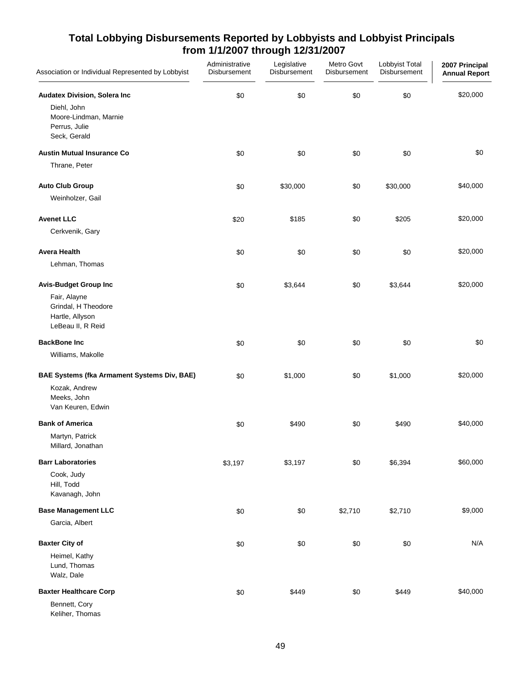| Association or Individual Represented by Lobbyist                                                            | Administrative<br>Disbursement | Legislative<br>Disbursement | Metro Govt<br><b>Disbursement</b> | Lobbyist Total<br>Disbursement | 2007 Principal<br><b>Annual Report</b> |
|--------------------------------------------------------------------------------------------------------------|--------------------------------|-----------------------------|-----------------------------------|--------------------------------|----------------------------------------|
| <b>Audatex Division, Solera Inc</b><br>Diehl, John<br>Moore-Lindman, Marnie<br>Perrus, Julie<br>Seck, Gerald | \$0                            | \$0                         | \$0                               | \$0                            | \$20,000                               |
| <b>Austin Mutual Insurance Co</b><br>Thrane, Peter                                                           | \$0                            | \$0                         | \$0                               | \$0                            | \$0                                    |
| <b>Auto Club Group</b><br>Weinholzer, Gail                                                                   | \$0                            | \$30,000                    | \$0                               | \$30,000                       | \$40,000                               |
| <b>Avenet LLC</b><br>Cerkvenik, Gary                                                                         | \$20                           | \$185                       | \$0                               | \$205                          | \$20,000                               |
| <b>Avera Health</b><br>Lehman, Thomas                                                                        | \$0                            | \$0                         | \$0                               | \$0                            | \$20,000                               |
| <b>Avis-Budget Group Inc</b><br>Fair, Alayne<br>Grindal, H Theodore<br>Hartle, Allyson<br>LeBeau II, R Reid  | \$0                            | \$3,644                     | \$0                               | \$3,644                        | \$20,000                               |
| <b>BackBone Inc</b><br>Williams, Makolle                                                                     | \$0                            | \$0                         | \$0                               | \$0                            | \$0                                    |
| BAE Systems (fka Armament Systems Div, BAE)<br>Kozak, Andrew<br>Meeks, John<br>Van Keuren, Edwin             | \$0                            | \$1,000                     | \$0                               | \$1,000                        | \$20,000                               |
| <b>Bank of America</b><br>Martyn, Patrick<br>Millard, Jonathan                                               | \$0                            | \$490                       | \$0                               | \$490                          | \$40,000                               |
| <b>Barr Laboratories</b><br>Cook, Judy<br>Hill, Todd<br>Kavanagh, John                                       | \$3,197                        | \$3,197                     | \$0                               | \$6,394                        | \$60,000                               |
| <b>Base Management LLC</b><br>Garcia, Albert                                                                 | \$0                            | \$0                         | \$2,710                           | \$2,710                        | \$9,000                                |
| <b>Baxter City of</b><br>Heimel, Kathy<br>Lund, Thomas<br>Walz, Dale                                         | \$0                            | \$0                         | \$0                               | \$0                            | N/A                                    |
| <b>Baxter Healthcare Corp</b><br>Bennett, Cory                                                               | \$0                            | \$449                       | \$0                               | \$449                          | \$40,000                               |

Keliher, Thomas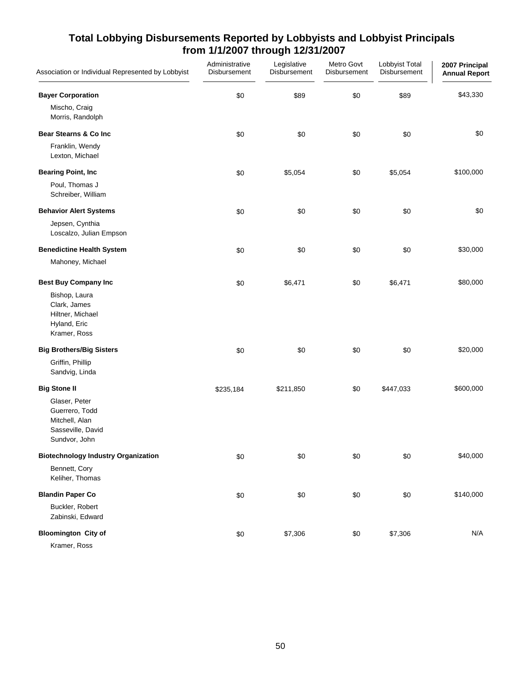| Association or Individual Represented by Lobbyist                                       | Administrative<br>Disbursement | Legislative<br>Disbursement | Metro Govt<br>Disbursement | Lobbyist Total<br>Disbursement | 2007 Principal<br><b>Annual Report</b> |
|-----------------------------------------------------------------------------------------|--------------------------------|-----------------------------|----------------------------|--------------------------------|----------------------------------------|
| <b>Bayer Corporation</b>                                                                | \$0                            | \$89                        | \$0                        | \$89                           | \$43,330                               |
| Mischo, Craig<br>Morris, Randolph                                                       |                                |                             |                            |                                |                                        |
| <b>Bear Stearns &amp; Co Inc</b>                                                        | \$0                            | \$0                         | \$0                        | \$0                            | \$0                                    |
| Franklin, Wendy<br>Lexton, Michael                                                      |                                |                             |                            |                                |                                        |
| <b>Bearing Point, Inc.</b>                                                              | \$0                            | \$5,054                     | \$0                        | \$5,054                        | \$100,000                              |
| Poul, Thomas J<br>Schreiber, William                                                    |                                |                             |                            |                                |                                        |
| <b>Behavior Alert Systems</b>                                                           | \$0                            | \$0                         | \$0                        | \$0                            | \$0                                    |
| Jepsen, Cynthia<br>Loscalzo, Julian Empson                                              |                                |                             |                            |                                |                                        |
| <b>Benedictine Health System</b>                                                        | \$0                            | \$0                         | \$0                        | \$0                            | \$30,000                               |
| Mahoney, Michael                                                                        |                                |                             |                            |                                |                                        |
| <b>Best Buy Company Inc</b>                                                             | \$0                            | \$6,471                     | \$0                        | \$6,471                        | \$80,000                               |
| Bishop, Laura<br>Clark, James<br>Hiltner, Michael<br>Hyland, Eric<br>Kramer, Ross       |                                |                             |                            |                                |                                        |
| <b>Big Brothers/Big Sisters</b>                                                         | \$0                            | \$0                         | \$0                        | \$0                            | \$20,000                               |
| Griffin, Phillip<br>Sandvig, Linda                                                      |                                |                             |                            |                                |                                        |
| <b>Big Stone II</b>                                                                     | \$235,184                      | \$211,850                   | \$0                        | \$447,033                      | \$600,000                              |
| Glaser, Peter<br>Guerrero, Todd<br>Mitchell, Alan<br>Sasseville, David<br>Sundvor, John |                                |                             |                            |                                |                                        |
| <b>Biotechnology Industry Organization</b>                                              | \$0                            | \$0                         | \$0                        | \$0                            | \$40,000                               |
| Bennett, Cory<br>Keliher, Thomas                                                        |                                |                             |                            |                                |                                        |
| <b>Blandin Paper Co</b>                                                                 | \$0                            | \$0                         | \$0                        | \$0                            | \$140,000                              |
| Buckler, Robert<br>Zabinski, Edward                                                     |                                |                             |                            |                                |                                        |
| <b>Bloomington City of</b>                                                              | \$0                            | \$7,306                     | \$0                        | \$7,306                        | N/A                                    |
| Kramer, Ross                                                                            |                                |                             |                            |                                |                                        |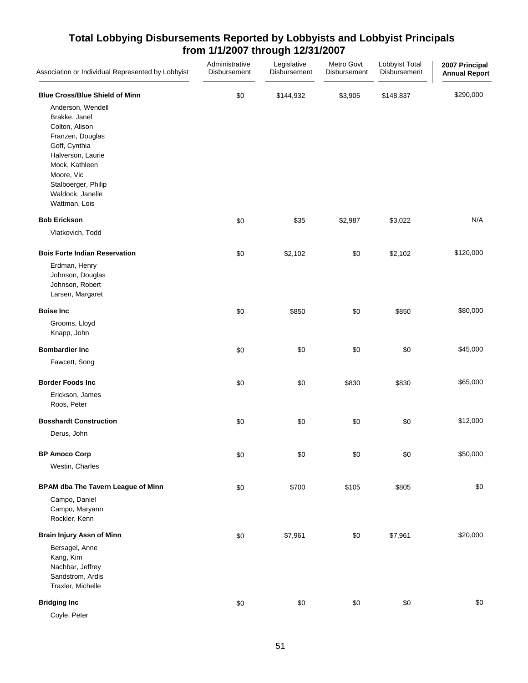| Association or Individual Represented by Lobbyist                                                                                                                                                                                                   | Administrative<br>Disbursement | Legislative<br>Disbursement | Metro Govt<br>Disbursement | Lobbyist Total<br>Disbursement | 2007 Principal<br><b>Annual Report</b> |
|-----------------------------------------------------------------------------------------------------------------------------------------------------------------------------------------------------------------------------------------------------|--------------------------------|-----------------------------|----------------------------|--------------------------------|----------------------------------------|
| <b>Blue Cross/Blue Shield of Minn</b><br>Anderson, Wendell<br>Brakke, Janel<br>Colton, Alison<br>Franzen, Douglas<br>Goff, Cynthia<br>Halverson, Laurie<br>Mock, Kathleen<br>Moore, Vic<br>Stalboerger, Philip<br>Waldock, Janelle<br>Wattman, Lois | \$0                            | \$144,932                   | \$3,905                    | \$148,837                      | \$290,000                              |
| <b>Bob Erickson</b>                                                                                                                                                                                                                                 | \$0                            | \$35                        | \$2,987                    | \$3,022                        | N/A                                    |
| Vlatkovich, Todd                                                                                                                                                                                                                                    |                                |                             |                            |                                |                                        |
| <b>Bois Forte Indian Reservation</b><br>Erdman, Henry<br>Johnson, Douglas<br>Johnson, Robert<br>Larsen, Margaret                                                                                                                                    | \$0                            | \$2,102                     | \$0                        | \$2,102                        | \$120,000                              |
| <b>Boise Inc</b>                                                                                                                                                                                                                                    | \$0                            | \$850                       | \$0                        | \$850                          | \$80,000                               |
| Grooms, Lloyd<br>Knapp, John                                                                                                                                                                                                                        |                                |                             |                            |                                |                                        |
| <b>Bombardier Inc</b>                                                                                                                                                                                                                               | \$0                            | \$0                         | \$0                        | \$0                            | \$45,000                               |
| Fawcett, Song                                                                                                                                                                                                                                       |                                |                             |                            |                                |                                        |
| <b>Border Foods Inc</b>                                                                                                                                                                                                                             | \$0                            | \$0                         | \$830                      | \$830                          | \$65,000                               |
| Erickson, James<br>Roos, Peter                                                                                                                                                                                                                      |                                |                             |                            |                                |                                        |
| <b>Bosshardt Construction</b>                                                                                                                                                                                                                       | \$0                            | \$0                         | \$0                        | \$0                            | \$12,000                               |
| Derus, John                                                                                                                                                                                                                                         |                                |                             |                            |                                |                                        |
| <b>BP Amoco Corp</b>                                                                                                                                                                                                                                | \$0                            | \$0                         | \$0                        | \$0                            | \$50,000                               |
| Westin, Charles                                                                                                                                                                                                                                     |                                |                             |                            |                                |                                        |
| <b>BPAM dba The Tavern League of Minn</b>                                                                                                                                                                                                           | \$0                            | \$700                       | \$105                      | \$805                          | \$0                                    |
| Campo, Daniel<br>Campo, Maryann<br>Rockler, Kenn                                                                                                                                                                                                    |                                |                             |                            |                                |                                        |
| Brain Injury Assn of Minn                                                                                                                                                                                                                           | \$0                            | \$7,961                     | \$0                        | \$7,961                        | \$20,000                               |
| Bersagel, Anne<br>Kang, Kim<br>Nachbar, Jeffrey<br>Sandstrom, Ardis<br>Traxler, Michelle                                                                                                                                                            |                                |                             |                            |                                |                                        |
| <b>Bridging Inc</b><br>Coyle, Peter                                                                                                                                                                                                                 | \$0                            | \$0                         | \$0                        | \$0                            | \$0                                    |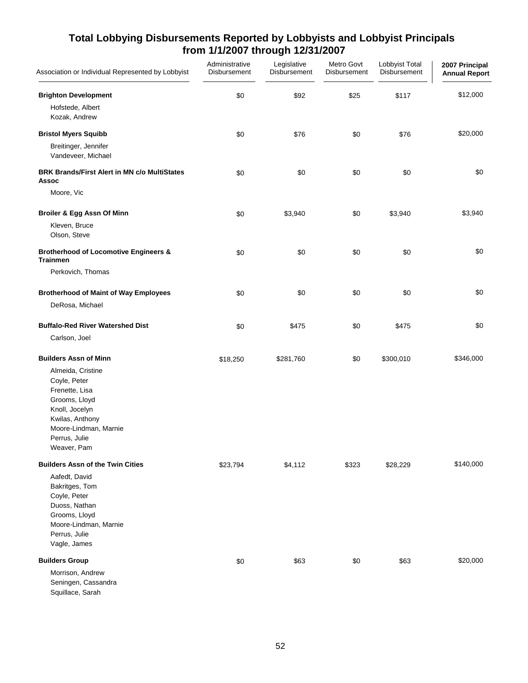| Association or Individual Represented by Lobbyist                                                                                                                  | Administrative<br>Disbursement | Legislative<br>Disbursement | Metro Govt<br>Disbursement | Lobbyist Total<br>Disbursement | 2007 Principal<br><b>Annual Report</b> |
|--------------------------------------------------------------------------------------------------------------------------------------------------------------------|--------------------------------|-----------------------------|----------------------------|--------------------------------|----------------------------------------|
| <b>Brighton Development</b><br>Hofstede, Albert                                                                                                                    | \$0                            | \$92                        | \$25                       | \$117                          | \$12,000                               |
| Kozak, Andrew                                                                                                                                                      |                                |                             |                            |                                |                                        |
| <b>Bristol Myers Squibb</b>                                                                                                                                        | \$0                            | \$76                        | \$0                        | \$76                           | \$20,000                               |
| Breitinger, Jennifer<br>Vandeveer, Michael                                                                                                                         |                                |                             |                            |                                |                                        |
| <b>BRK Brands/First Alert in MN c/o MultiStates</b><br>Assoc                                                                                                       | \$0                            | \$0                         | \$0                        | \$0                            | \$0                                    |
| Moore, Vic                                                                                                                                                         |                                |                             |                            |                                |                                        |
| Broiler & Egg Assn Of Minn                                                                                                                                         | \$0                            | \$3,940                     | \$0                        | \$3,940                        | \$3,940                                |
| Kleven, Bruce<br>Olson, Steve                                                                                                                                      |                                |                             |                            |                                |                                        |
| <b>Brotherhood of Locomotive Engineers &amp;</b><br><b>Trainmen</b>                                                                                                | \$0                            | \$0                         | \$0                        | \$0                            | \$0                                    |
| Perkovich, Thomas                                                                                                                                                  |                                |                             |                            |                                |                                        |
| <b>Brotherhood of Maint of Way Employees</b>                                                                                                                       | \$0                            | \$0                         | \$0                        | \$0                            | \$0                                    |
| DeRosa, Michael                                                                                                                                                    |                                |                             |                            |                                |                                        |
| <b>Buffalo-Red River Watershed Dist</b>                                                                                                                            | \$0                            | \$475                       | \$0                        | \$475                          | \$0                                    |
| Carlson, Joel                                                                                                                                                      |                                |                             |                            |                                |                                        |
| <b>Builders Assn of Minn</b>                                                                                                                                       | \$18,250                       | \$281,760                   | \$0                        | \$300,010                      | \$346,000                              |
| Almeida, Cristine<br>Coyle, Peter<br>Frenette, Lisa<br>Grooms, Lloyd<br>Knoll, Jocelyn<br>Kwilas, Anthony<br>Moore-Lindman, Marnie<br>Perrus, Julie<br>Weaver, Pam |                                |                             |                            |                                |                                        |
| <b>Builders Assn of the Twin Cities</b>                                                                                                                            | \$23,794                       | \$4,112                     | \$323                      | \$28,229                       | \$140,000                              |
| Aafedt, David<br>Bakritges, Tom<br>Coyle, Peter<br>Duoss, Nathan<br>Grooms, Lloyd<br>Moore-Lindman, Marnie<br>Perrus, Julie<br>Vagle, James                        |                                |                             |                            |                                |                                        |
| <b>Builders Group</b>                                                                                                                                              | \$0                            | \$63                        | \$0                        | \$63                           | \$20,000                               |
| Morrison, Andrew<br>Seningen, Cassandra<br>Squillace, Sarah                                                                                                        |                                |                             |                            |                                |                                        |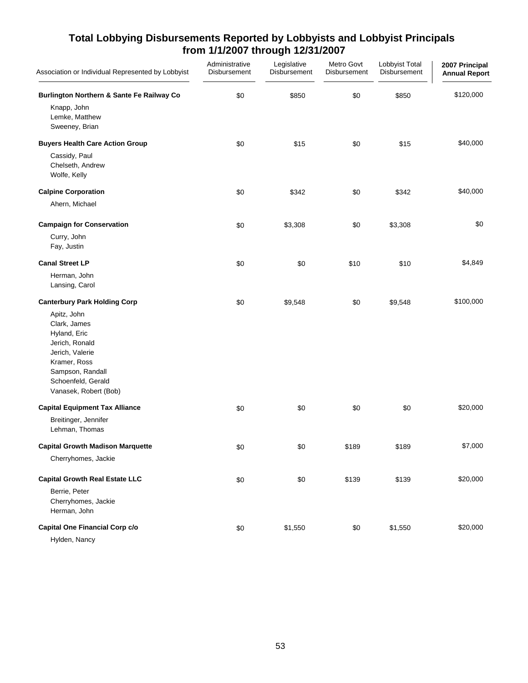| Association or Individual Represented by Lobbyist                                                                                                                   | Administrative<br>Disbursement | Legislative<br>Disbursement | Metro Govt<br>Disbursement | Lobbyist Total<br>Disbursement | 2007 Principal<br><b>Annual Report</b> |
|---------------------------------------------------------------------------------------------------------------------------------------------------------------------|--------------------------------|-----------------------------|----------------------------|--------------------------------|----------------------------------------|
| <b>Burlington Northern &amp; Sante Fe Railway Co</b>                                                                                                                | \$0                            | \$850                       | \$0                        | \$850                          | \$120,000                              |
| Knapp, John<br>Lemke, Matthew<br>Sweeney, Brian                                                                                                                     |                                |                             |                            |                                |                                        |
| <b>Buyers Health Care Action Group</b>                                                                                                                              | \$0                            | \$15                        | \$0                        | \$15                           | \$40,000                               |
| Cassidy, Paul<br>Chelseth, Andrew<br>Wolfe, Kelly                                                                                                                   |                                |                             |                            |                                |                                        |
| <b>Calpine Corporation</b>                                                                                                                                          | \$0                            | \$342                       | \$0                        | \$342                          | \$40,000                               |
| Ahern, Michael                                                                                                                                                      |                                |                             |                            |                                |                                        |
| <b>Campaign for Conservation</b>                                                                                                                                    | \$0                            | \$3,308                     | \$0                        | \$3,308                        | \$0                                    |
| Curry, John<br>Fay, Justin                                                                                                                                          |                                |                             |                            |                                |                                        |
| <b>Canal Street LP</b>                                                                                                                                              | \$0                            | \$0                         | \$10                       | \$10                           | \$4,849                                |
| Herman, John<br>Lansing, Carol                                                                                                                                      |                                |                             |                            |                                |                                        |
| <b>Canterbury Park Holding Corp</b>                                                                                                                                 | \$0                            | \$9,548                     | \$0                        | \$9,548                        | \$100,000                              |
| Apitz, John<br>Clark, James<br>Hyland, Eric<br>Jerich, Ronald<br>Jerich, Valerie<br>Kramer, Ross<br>Sampson, Randall<br>Schoenfeld, Gerald<br>Vanasek, Robert (Bob) |                                |                             |                            |                                |                                        |
| <b>Capital Equipment Tax Alliance</b>                                                                                                                               | \$0                            | \$0                         | \$0                        | \$0                            | \$20,000                               |
| Breitinger, Jennifer<br>Lehman, Thomas                                                                                                                              |                                |                             |                            |                                |                                        |
| <b>Capital Growth Madison Marquette</b>                                                                                                                             | \$0                            | \$0                         | \$189                      | \$189                          | \$7,000                                |
| Cherryhomes, Jackie                                                                                                                                                 |                                |                             |                            |                                |                                        |
| <b>Capital Growth Real Estate LLC</b>                                                                                                                               | \$0                            | \$0                         | \$139                      | \$139                          | \$20,000                               |
| Berrie, Peter<br>Cherryhomes, Jackie<br>Herman, John                                                                                                                |                                |                             |                            |                                |                                        |
| Capital One Financial Corp c/o                                                                                                                                      | \$0                            | \$1,550                     | \$0                        | \$1,550                        | \$20,000                               |
| Hylden, Nancy                                                                                                                                                       |                                |                             |                            |                                |                                        |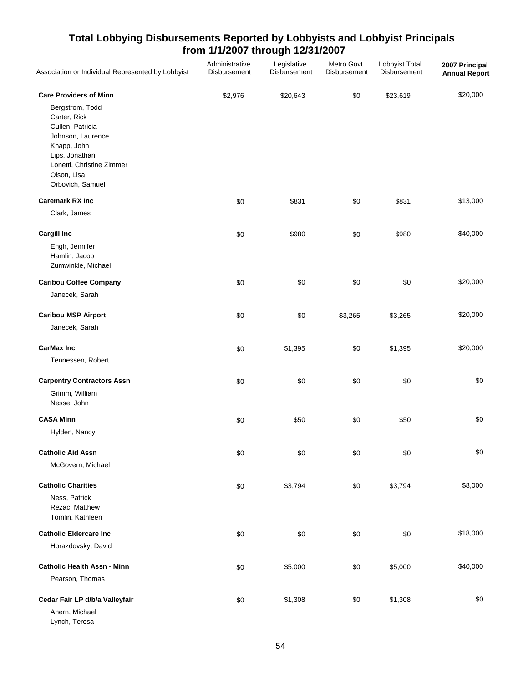| Association or Individual Represented by Lobbyist                                                                                                                         | Administrative<br>Disbursement | Legislative<br>Disbursement | Metro Govt<br><b>Disbursement</b> | Lobbyist Total<br>Disbursement | 2007 Principal<br><b>Annual Report</b> |
|---------------------------------------------------------------------------------------------------------------------------------------------------------------------------|--------------------------------|-----------------------------|-----------------------------------|--------------------------------|----------------------------------------|
| <b>Care Providers of Minn</b>                                                                                                                                             | \$2,976                        | \$20,643                    | \$0                               | \$23,619                       | \$20,000                               |
| Bergstrom, Todd<br>Carter, Rick<br>Cullen, Patricia<br>Johnson, Laurence<br>Knapp, John<br>Lips, Jonathan<br>Lonetti, Christine Zimmer<br>Olson, Lisa<br>Orbovich, Samuel |                                |                             |                                   |                                |                                        |
| <b>Caremark RX Inc</b>                                                                                                                                                    | \$0                            | \$831                       | \$0                               | \$831                          | \$13,000                               |
| Clark, James                                                                                                                                                              |                                |                             |                                   |                                |                                        |
| <b>Cargill Inc</b>                                                                                                                                                        | \$0                            | \$980                       | \$0                               | \$980                          | \$40,000                               |
| Engh, Jennifer<br>Hamlin, Jacob<br>Zumwinkle, Michael                                                                                                                     |                                |                             |                                   |                                |                                        |
| <b>Caribou Coffee Company</b>                                                                                                                                             | \$0                            | \$0                         | \$0                               | \$0                            | \$20,000                               |
| Janecek, Sarah                                                                                                                                                            |                                |                             |                                   |                                |                                        |
| <b>Caribou MSP Airport</b>                                                                                                                                                | \$0                            | \$0                         | \$3,265                           | \$3,265                        | \$20,000                               |
| Janecek, Sarah                                                                                                                                                            |                                |                             |                                   |                                |                                        |
| <b>CarMax Inc</b>                                                                                                                                                         | \$0                            | \$1,395                     | \$0                               | \$1,395                        | \$20,000                               |
| Tennessen, Robert                                                                                                                                                         |                                |                             |                                   |                                |                                        |
| <b>Carpentry Contractors Assn</b>                                                                                                                                         | \$0                            | \$0                         | \$0                               | \$0                            | \$0                                    |
| Grimm, William<br>Nesse, John                                                                                                                                             |                                |                             |                                   |                                |                                        |
| <b>CASA Minn</b>                                                                                                                                                          | \$0                            | \$50                        | \$0                               | \$50                           | \$0                                    |
| Hylden, Nancy                                                                                                                                                             |                                |                             |                                   |                                |                                        |
| <b>Catholic Aid Assn</b>                                                                                                                                                  | \$0                            | \$0                         | \$0                               | \$0                            | \$0                                    |
| McGovern, Michael                                                                                                                                                         |                                |                             |                                   |                                |                                        |
| <b>Catholic Charities</b>                                                                                                                                                 | \$0                            | \$3,794                     | \$0                               | \$3,794                        | \$8,000                                |
| Ness, Patrick<br>Rezac, Matthew<br>Tomlin, Kathleen                                                                                                                       |                                |                             |                                   |                                |                                        |
| <b>Catholic Eldercare Inc</b>                                                                                                                                             | \$0                            | \$0                         | \$0                               | \$0                            | \$18,000                               |
| Horazdovsky, David                                                                                                                                                        |                                |                             |                                   |                                |                                        |
| <b>Catholic Health Assn - Minn</b>                                                                                                                                        | \$0                            | \$5,000                     | \$0                               | \$5,000                        | \$40,000                               |
| Pearson, Thomas                                                                                                                                                           |                                |                             |                                   |                                |                                        |
| Cedar Fair LP d/b/a Valleyfair                                                                                                                                            | \$0                            | \$1,308                     | \$0                               | \$1,308                        | \$0                                    |
| Ahern, Michael<br>Lynch, Teresa                                                                                                                                           |                                |                             |                                   |                                |                                        |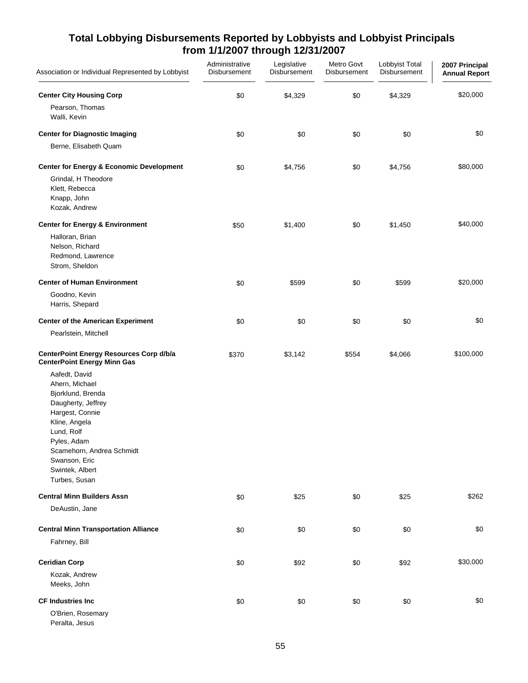| Association or Individual Represented by Lobbyist                                                                                                                                                                             | Administrative<br>Disbursement | Legislative<br>Disbursement | Metro Govt<br>Disbursement | Lobbyist Total<br>Disbursement | 2007 Principal<br><b>Annual Report</b> |
|-------------------------------------------------------------------------------------------------------------------------------------------------------------------------------------------------------------------------------|--------------------------------|-----------------------------|----------------------------|--------------------------------|----------------------------------------|
| <b>Center City Housing Corp</b>                                                                                                                                                                                               | \$0                            | \$4,329                     | \$0                        | \$4,329                        | \$20,000                               |
| Pearson, Thomas<br>Walli, Kevin                                                                                                                                                                                               |                                |                             |                            |                                |                                        |
| <b>Center for Diagnostic Imaging</b>                                                                                                                                                                                          | \$0                            | \$0                         | \$0                        | \$0                            | \$0                                    |
| Berne, Elisabeth Quam                                                                                                                                                                                                         |                                |                             |                            |                                |                                        |
| <b>Center for Energy &amp; Economic Development</b>                                                                                                                                                                           | \$0                            | \$4,756                     | $$0$$                      | \$4,756                        | \$80,000                               |
| Grindal, H Theodore<br>Klett, Rebecca<br>Knapp, John<br>Kozak, Andrew                                                                                                                                                         |                                |                             |                            |                                |                                        |
| <b>Center for Energy &amp; Environment</b>                                                                                                                                                                                    | \$50                           | \$1,400                     | \$0                        | \$1,450                        | \$40,000                               |
| Halloran, Brian<br>Nelson, Richard<br>Redmond, Lawrence<br>Strom, Sheldon                                                                                                                                                     |                                |                             |                            |                                |                                        |
| <b>Center of Human Environment</b>                                                                                                                                                                                            | \$0                            | \$599                       | \$0                        | \$599                          | \$20,000                               |
| Goodno, Kevin<br>Harris, Shepard                                                                                                                                                                                              |                                |                             |                            |                                |                                        |
| <b>Center of the American Experiment</b>                                                                                                                                                                                      | \$0                            | \$0                         | \$0                        | \$0                            | \$0                                    |
| Pearlstein, Mitchell                                                                                                                                                                                                          |                                |                             |                            |                                |                                        |
| CenterPoint Energy Resources Corp d/b/a<br><b>CenterPoint Energy Minn Gas</b>                                                                                                                                                 | \$370                          | \$3,142                     | \$554                      | \$4,066                        | \$100,000                              |
| Aafedt, David<br>Ahern, Michael<br>Bjorklund, Brenda<br>Daugherty, Jeffrey<br>Hargest, Connie<br>Kline, Angela<br>Lund, Rolf<br>Pyles, Adam<br>Scamehorn, Andrea Schmidt<br>Swanson, Eric<br>Swintek, Albert<br>Turbes, Susan |                                |                             |                            |                                |                                        |
| <b>Central Minn Builders Assn</b>                                                                                                                                                                                             | \$0                            | \$25                        | \$0                        | \$25                           | \$262                                  |
| DeAustin, Jane                                                                                                                                                                                                                |                                |                             |                            |                                |                                        |
| <b>Central Minn Transportation Alliance</b>                                                                                                                                                                                   | \$0                            | \$0                         | \$0                        | \$0                            | \$0                                    |
| Fahrney, Bill                                                                                                                                                                                                                 |                                |                             |                            |                                |                                        |
| <b>Ceridian Corp</b>                                                                                                                                                                                                          | \$0                            | \$92                        | \$0                        | \$92                           | \$30,000                               |
| Kozak, Andrew<br>Meeks, John                                                                                                                                                                                                  |                                |                             |                            |                                |                                        |
| <b>CF Industries Inc.</b><br>O'Brien, Rosemary<br>Peralta, Jesus                                                                                                                                                              | \$0                            | \$0                         | \$0                        | \$0                            | \$0                                    |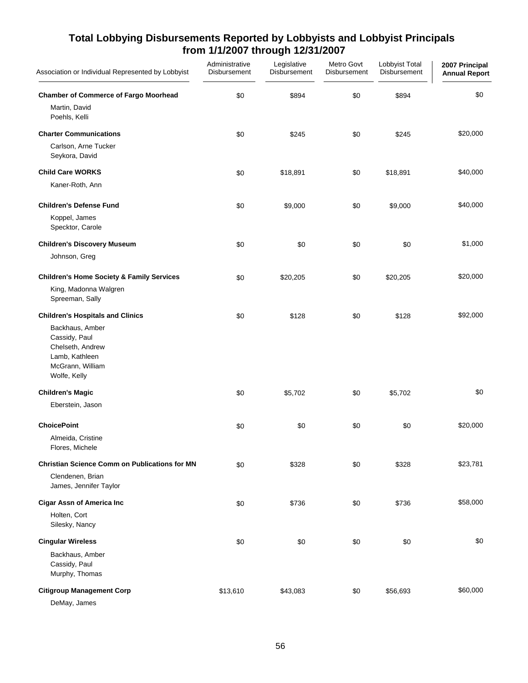| Association or Individual Represented by Lobbyist                                                          | Administrative<br>Disbursement | Legislative<br>Disbursement | Metro Govt<br>Disbursement | Lobbyist Total<br>Disbursement | 2007 Principal<br><b>Annual Report</b> |
|------------------------------------------------------------------------------------------------------------|--------------------------------|-----------------------------|----------------------------|--------------------------------|----------------------------------------|
| <b>Chamber of Commerce of Fargo Moorhead</b><br>Martin, David                                              | \$0                            | \$894                       | \$0                        | \$894                          | \$0                                    |
| Poehls, Kelli                                                                                              |                                |                             |                            |                                |                                        |
| <b>Charter Communications</b>                                                                              | \$0                            | \$245                       | \$0                        | \$245                          | \$20,000                               |
| Carlson, Arne Tucker<br>Seykora, David                                                                     |                                |                             |                            |                                |                                        |
| <b>Child Care WORKS</b>                                                                                    | \$0                            | \$18,891                    | \$0                        | \$18,891                       | \$40,000                               |
| Kaner-Roth, Ann                                                                                            |                                |                             |                            |                                |                                        |
| <b>Children's Defense Fund</b>                                                                             | \$0                            | \$9,000                     | \$0                        | \$9,000                        | \$40,000                               |
| Koppel, James<br>Specktor, Carole                                                                          |                                |                             |                            |                                |                                        |
| <b>Children's Discovery Museum</b>                                                                         | \$0                            | \$0                         | \$0                        | \$0                            | \$1,000                                |
| Johnson, Greg                                                                                              |                                |                             |                            |                                |                                        |
| <b>Children's Home Society &amp; Family Services</b>                                                       | \$0                            | \$20,205                    | \$0                        | \$20,205                       | \$20,000                               |
| King, Madonna Walgren<br>Spreeman, Sally                                                                   |                                |                             |                            |                                |                                        |
| <b>Children's Hospitals and Clinics</b>                                                                    | \$0                            | \$128                       | \$0                        | \$128                          | \$92,000                               |
| Backhaus, Amber<br>Cassidy, Paul<br>Chelseth, Andrew<br>Lamb, Kathleen<br>McGrann, William<br>Wolfe, Kelly |                                |                             |                            |                                |                                        |
| <b>Children's Magic</b>                                                                                    | \$0                            | \$5,702                     | \$0                        | \$5,702                        | \$0                                    |
| Eberstein, Jason                                                                                           |                                |                             |                            |                                |                                        |
| <b>ChoicePoint</b>                                                                                         | \$0                            | \$0                         | \$0                        | \$0                            | \$20,000                               |
| Almeida, Cristine<br>Flores, Michele                                                                       |                                |                             |                            |                                |                                        |
| <b>Christian Science Comm on Publications for MN</b>                                                       | \$0                            | \$328                       | \$0                        | \$328                          | \$23,781                               |
| Clendenen, Brian<br>James, Jennifer Taylor                                                                 |                                |                             |                            |                                |                                        |
| <b>Cigar Assn of America Inc</b>                                                                           | \$0                            | \$736                       | \$0                        | \$736                          | \$58,000                               |
| Holten, Cort<br>Silesky, Nancy                                                                             |                                |                             |                            |                                |                                        |
| <b>Cingular Wireless</b>                                                                                   | \$0                            | \$0                         | \$0                        | \$0                            | \$0                                    |
| Backhaus, Amber                                                                                            |                                |                             |                            |                                |                                        |
| Cassidy, Paul<br>Murphy, Thomas                                                                            |                                |                             |                            |                                |                                        |
| <b>Citigroup Management Corp</b>                                                                           | \$13,610                       | \$43,083                    | \$0                        | \$56,693                       | \$60,000                               |
| DeMay, James                                                                                               |                                |                             |                            |                                |                                        |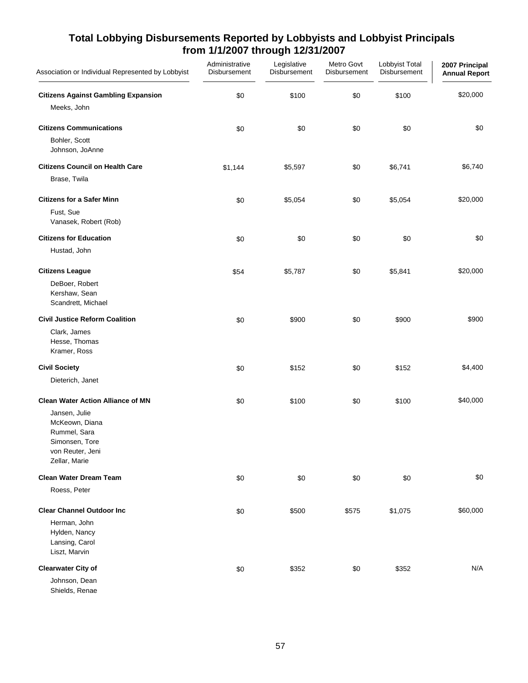| Association or Individual Represented by Lobbyist                                                                                                  | Administrative<br>Disbursement | Legislative<br>Disbursement | Metro Govt<br>Disbursement | Lobbyist Total<br>Disbursement | 2007 Principal<br><b>Annual Report</b> |
|----------------------------------------------------------------------------------------------------------------------------------------------------|--------------------------------|-----------------------------|----------------------------|--------------------------------|----------------------------------------|
| <b>Citizens Against Gambling Expansion</b><br>Meeks, John                                                                                          | \$0                            | \$100                       | \$0                        | \$100                          | \$20,000                               |
| <b>Citizens Communications</b>                                                                                                                     | \$0                            | \$0                         | \$0                        | \$0                            | \$0                                    |
| Bohler, Scott<br>Johnson, JoAnne                                                                                                                   |                                |                             |                            |                                |                                        |
| <b>Citizens Council on Health Care</b><br>Brase, Twila                                                                                             | \$1,144                        | \$5,597                     | \$0                        | \$6,741                        | \$6,740                                |
| <b>Citizens for a Safer Minn</b><br>Fust, Sue<br>Vanasek, Robert (Rob)                                                                             | \$0                            | \$5,054                     | \$0                        | \$5,054                        | \$20,000                               |
| <b>Citizens for Education</b><br>Hustad, John                                                                                                      | \$0                            | \$0                         | \$0                        | \$0                            | \$0                                    |
| <b>Citizens League</b><br>DeBoer, Robert<br>Kershaw, Sean<br>Scandrett, Michael                                                                    | \$54                           | \$5,787                     | \$0                        | \$5,841                        | \$20,000                               |
| <b>Civil Justice Reform Coalition</b><br>Clark, James<br>Hesse, Thomas<br>Kramer, Ross                                                             | \$0                            | \$900                       | \$0                        | \$900                          | \$900                                  |
| <b>Civil Society</b><br>Dieterich, Janet                                                                                                           | \$0                            | \$152                       | \$0                        | \$152                          | \$4,400                                |
| <b>Clean Water Action Alliance of MN</b><br>Jansen, Julie<br>McKeown, Diana<br>Rummel, Sara<br>Simonsen, Tore<br>von Reuter, Jeni<br>Zellar, Marie | \$0                            | \$100                       | \$0                        | \$100                          | \$40,000                               |
| <b>Clean Water Dream Team</b>                                                                                                                      | \$0                            | \$0                         | \$0                        | \$0                            | \$0                                    |
| Roess, Peter                                                                                                                                       |                                |                             |                            |                                |                                        |
| <b>Clear Channel Outdoor Inc</b><br>Herman, John<br>Hylden, Nancy<br>Lansing, Carol<br>Liszt, Marvin                                               | \$0                            | \$500                       | \$575                      | \$1,075                        | \$60,000                               |
| <b>Clearwater City of</b><br>Johnson, Dean<br>Shields, Renae                                                                                       | \$0                            | \$352                       | \$0                        | \$352                          | N/A                                    |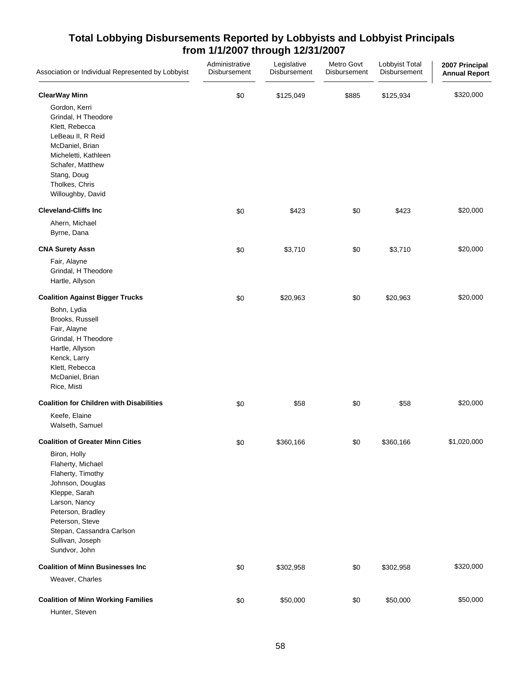| Association or Individual Represented by Lobbyist                                                                                                                                                                      | Administrative<br>Disbursement | Legislative<br>Disbursement | Metro Govt<br>Disbursement | Lobbyist Total<br>Disbursement | 2007 Principal<br><b>Annual Report</b> |
|------------------------------------------------------------------------------------------------------------------------------------------------------------------------------------------------------------------------|--------------------------------|-----------------------------|----------------------------|--------------------------------|----------------------------------------|
| <b>ClearWay Minn</b>                                                                                                                                                                                                   | \$0                            | \$125,049                   | \$885                      | \$125,934                      | \$320,000                              |
| Gordon, Kerri<br>Grindal, H Theodore<br>Klett, Rebecca<br>LeBeau II, R Reid<br>McDaniel, Brian<br>Micheletti, Kathleen<br>Schafer, Matthew<br>Stang, Doug<br>Tholkes, Chris<br>Willoughby, David                       |                                |                             |                            |                                |                                        |
| <b>Cleveland-Cliffs Inc</b>                                                                                                                                                                                            | \$0                            | \$423                       | \$0                        | \$423                          | \$20,000                               |
| Ahern, Michael<br>Byrne, Dana                                                                                                                                                                                          |                                |                             |                            |                                |                                        |
| <b>CNA Surety Assn</b>                                                                                                                                                                                                 | \$0                            | \$3,710                     | \$0                        | \$3,710                        | \$20,000                               |
| Fair, Alayne<br>Grindal, H Theodore<br>Hartle, Allyson                                                                                                                                                                 |                                |                             |                            |                                |                                        |
| <b>Coalition Against Bigger Trucks</b>                                                                                                                                                                                 | \$0                            | \$20,963                    | \$0                        | \$20,963                       | \$20,000                               |
| Bohn, Lydia<br>Brooks, Russell<br>Fair, Alayne<br>Grindal, H Theodore<br>Hartle, Allyson<br>Kenck, Larry<br>Klett, Rebecca<br>McDaniel, Brian<br>Rice, Misti                                                           |                                |                             |                            |                                |                                        |
| <b>Coalition for Children with Disabilities</b>                                                                                                                                                                        | \$0                            | \$58                        | \$0                        | \$58                           | \$20,000                               |
| Keefe, Elaine<br>Walseth, Samuel                                                                                                                                                                                       |                                |                             |                            |                                |                                        |
| <b>Coalition of Greater Minn Cities</b>                                                                                                                                                                                | \$0                            | \$360,166                   | \$0                        | \$360,166                      | \$1,020,000                            |
| Biron, Holly<br>Flaherty, Michael<br>Flaherty, Timothy<br>Johnson, Douglas<br>Kleppe, Sarah<br>Larson, Nancy<br>Peterson, Bradley<br>Peterson, Steve<br>Stepan, Cassandra Carlson<br>Sullivan, Joseph<br>Sundvor, John |                                |                             |                            |                                |                                        |
| <b>Coalition of Minn Businesses Inc</b>                                                                                                                                                                                | \$0                            | \$302,958                   | \$0                        | \$302,958                      | \$320,000                              |
| Weaver, Charles                                                                                                                                                                                                        |                                |                             |                            |                                |                                        |
| <b>Coalition of Minn Working Families</b><br>Hunter, Steven                                                                                                                                                            | \$0                            | \$50,000                    | \$0                        | \$50,000                       | \$50,000                               |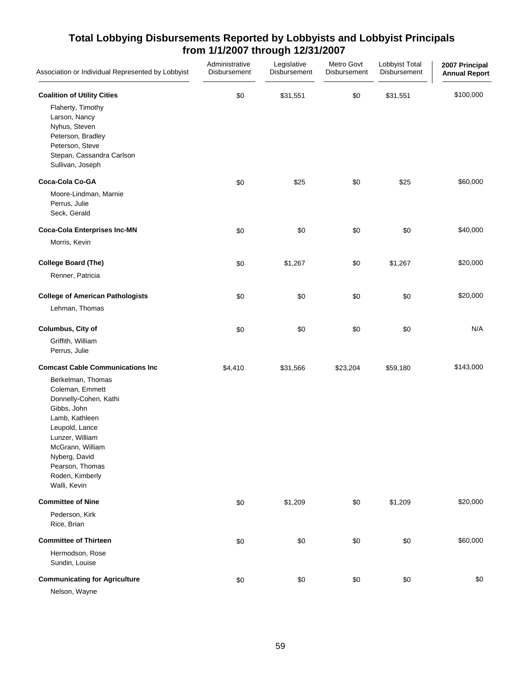| Association or Individual Represented by Lobbyist                                                                                                                                                                                                                         | Administrative<br>Disbursement | Legislative<br>Disbursement | Metro Govt<br>Disbursement | Lobbyist Total<br>Disbursement | 2007 Principal<br><b>Annual Report</b> |
|---------------------------------------------------------------------------------------------------------------------------------------------------------------------------------------------------------------------------------------------------------------------------|--------------------------------|-----------------------------|----------------------------|--------------------------------|----------------------------------------|
| <b>Coalition of Utility Cities</b><br>Flaherty, Timothy<br>Larson, Nancy<br>Nyhus, Steven<br>Peterson, Bradley<br>Peterson, Steve<br>Stepan, Cassandra Carlson<br>Sullivan, Joseph                                                                                        | \$0                            | \$31,551                    | \$0                        | \$31,551                       | \$100,000                              |
| <b>Coca-Cola Co-GA</b><br>Moore-Lindman, Marnie<br>Perrus, Julie<br>Seck, Gerald                                                                                                                                                                                          | \$0                            | \$25                        | \$0                        | \$25                           | \$60,000                               |
| <b>Coca-Cola Enterprises Inc-MN</b><br>Morris, Kevin                                                                                                                                                                                                                      | \$0                            | \$0                         | \$0                        | \$0                            | \$40,000                               |
| <b>College Board (The)</b><br>Renner, Patricia                                                                                                                                                                                                                            | \$0                            | \$1,267                     | \$0                        | \$1,267                        | \$20,000                               |
| <b>College of American Pathologists</b><br>Lehman, Thomas                                                                                                                                                                                                                 | \$0                            | \$0                         | \$0                        | \$0                            | \$20,000                               |
| Columbus, City of<br>Griffith, William<br>Perrus, Julie                                                                                                                                                                                                                   | \$0                            | \$0                         | \$0                        | \$0                            | N/A                                    |
| <b>Comcast Cable Communications Inc</b><br>Berkelman, Thomas<br>Coleman, Emmett<br>Donnelly-Cohen, Kathi<br>Gibbs, John<br>Lamb, Kathleen<br>Leupold, Lance<br>Lunzer, William<br>McGrann, William<br>Nyberg, David<br>Pearson, Thomas<br>Roden, Kimberly<br>Walli, Kevin | \$4,410                        | \$31,566                    | \$23,204                   | \$59,180                       | \$143,000                              |
| <b>Committee of Nine</b><br>Pederson, Kirk<br>Rice, Brian                                                                                                                                                                                                                 | \$0                            | \$1,209                     | \$0                        | \$1,209                        | \$20,000                               |
| <b>Committee of Thirteen</b><br>Hermodson, Rose<br>Sundin, Louise                                                                                                                                                                                                         | \$0                            | \$0                         | \$0                        | \$0                            | \$60,000                               |
| <b>Communicating for Agriculture</b><br>Nelson, Wayne                                                                                                                                                                                                                     | \$0                            | \$0                         | \$0                        | \$0                            | \$0                                    |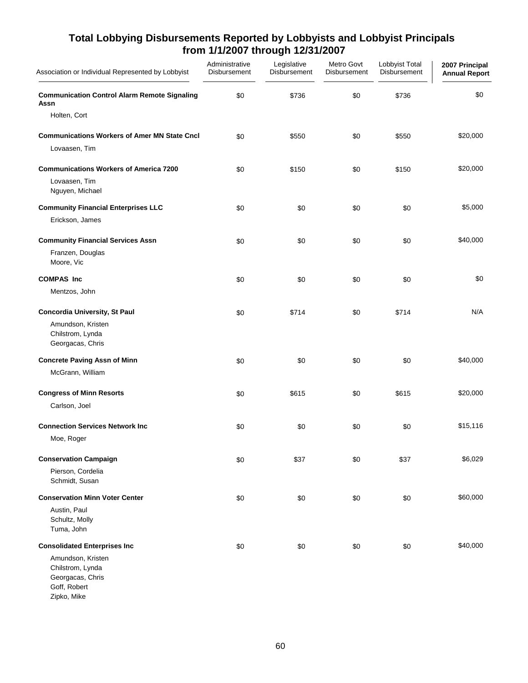| Association or Individual Represented by Lobbyist                                        | Administrative<br><b>Disbursement</b> | Legislative<br>Disbursement | Metro Govt<br><b>Disbursement</b> | Lobbyist Total<br>Disbursement | 2007 Principal<br><b>Annual Report</b> |
|------------------------------------------------------------------------------------------|---------------------------------------|-----------------------------|-----------------------------------|--------------------------------|----------------------------------------|
| <b>Communication Control Alarm Remote Signaling</b><br>Assn                              | \$0                                   | \$736                       | \$0                               | \$736                          | \$0                                    |
| Holten, Cort                                                                             |                                       |                             |                                   |                                |                                        |
| <b>Communications Workers of Amer MN State Cncl</b>                                      | \$0                                   | \$550                       | \$0                               | \$550                          | \$20,000                               |
| Lovaasen, Tim                                                                            |                                       |                             |                                   |                                |                                        |
| <b>Communications Workers of America 7200</b>                                            | \$0                                   | \$150                       | \$0                               | \$150                          | \$20,000                               |
| Lovaasen, Tim<br>Nguyen, Michael                                                         |                                       |                             |                                   |                                |                                        |
| <b>Community Financial Enterprises LLC</b>                                               | \$0                                   | \$0                         | \$0                               | \$0                            | \$5,000                                |
| Erickson, James                                                                          |                                       |                             |                                   |                                |                                        |
| <b>Community Financial Services Assn</b>                                                 | \$0                                   | \$0                         | \$0                               | \$0                            | \$40,000                               |
| Franzen, Douglas<br>Moore, Vic                                                           |                                       |                             |                                   |                                |                                        |
| <b>COMPAS Inc</b>                                                                        | \$0                                   | \$0                         | \$0                               | \$0                            | \$0                                    |
| Mentzos, John                                                                            |                                       |                             |                                   |                                |                                        |
| <b>Concordia University, St Paul</b>                                                     | \$0                                   | \$714                       | \$0                               | \$714                          | N/A                                    |
| Amundson, Kristen<br>Chilstrom, Lynda<br>Georgacas, Chris                                |                                       |                             |                                   |                                |                                        |
| <b>Concrete Paving Assn of Minn</b>                                                      | \$0                                   | \$0                         | \$0                               | \$0                            | \$40,000                               |
| McGrann, William                                                                         |                                       |                             |                                   |                                |                                        |
| <b>Congress of Minn Resorts</b>                                                          | \$0                                   | \$615                       | \$0                               | \$615                          | \$20,000                               |
| Carlson, Joel                                                                            |                                       |                             |                                   |                                |                                        |
| <b>Connection Services Network Inc.</b>                                                  | \$0                                   | \$0                         | \$0                               | \$0                            | \$15,116                               |
| Moe, Roger                                                                               |                                       |                             |                                   |                                |                                        |
| <b>Conservation Campaign</b>                                                             | \$0                                   | \$37                        | \$0                               | \$37                           | \$6,029                                |
| Pierson, Cordelia<br>Schmidt, Susan                                                      |                                       |                             |                                   |                                |                                        |
| <b>Conservation Minn Voter Center</b>                                                    | \$0                                   | \$0                         | \$0                               | \$0                            | \$60,000                               |
| Austin, Paul<br>Schultz, Molly<br>Tuma, John                                             |                                       |                             |                                   |                                |                                        |
| <b>Consolidated Enterprises Inc</b>                                                      | \$0                                   | \$0                         | \$0                               | \$0                            | \$40,000                               |
| Amundson, Kristen<br>Chilstrom, Lynda<br>Georgacas, Chris<br>Goff, Robert<br>Zipko, Mike |                                       |                             |                                   |                                |                                        |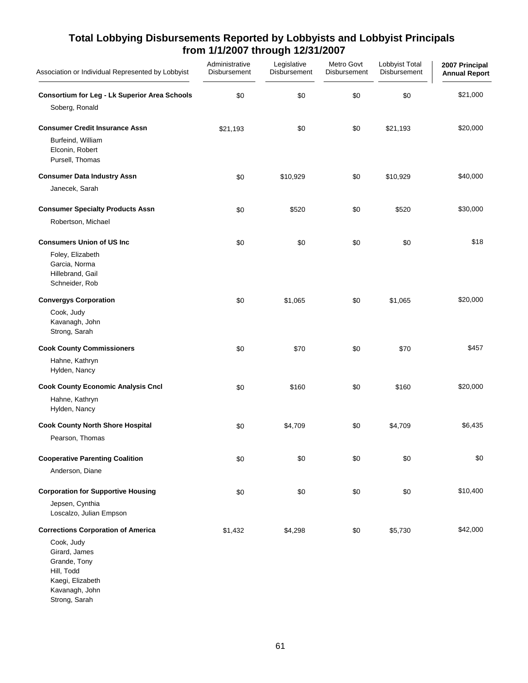| Association or Individual Represented by Lobbyist                                                                | Administrative<br>Disbursement | Legislative<br>Disbursement | Metro Govt<br>Disbursement | Lobbyist Total<br>Disbursement | 2007 Principal<br><b>Annual Report</b> |
|------------------------------------------------------------------------------------------------------------------|--------------------------------|-----------------------------|----------------------------|--------------------------------|----------------------------------------|
| <b>Consortium for Leg - Lk Superior Area Schools</b>                                                             | \$0                            | \$0                         | \$0                        | \$0                            | \$21,000                               |
| Soberg, Ronald                                                                                                   |                                |                             |                            |                                |                                        |
| <b>Consumer Credit Insurance Assn</b>                                                                            | \$21,193                       | \$0                         | \$0                        | \$21,193                       | \$20,000                               |
| Burfeind, William<br>Elconin, Robert<br>Pursell, Thomas                                                          |                                |                             |                            |                                |                                        |
| <b>Consumer Data Industry Assn</b>                                                                               | \$0                            | \$10,929                    | \$0                        | \$10,929                       | \$40,000                               |
| Janecek, Sarah                                                                                                   |                                |                             |                            |                                |                                        |
| <b>Consumer Specialty Products Assn</b><br>Robertson, Michael                                                    | \$0                            | \$520                       | \$0                        | \$520                          | \$30,000                               |
| <b>Consumers Union of US Inc</b>                                                                                 | \$0                            | \$0                         | \$0                        | \$0                            | \$18                                   |
| Foley, Elizabeth<br>Garcia, Norma<br>Hillebrand, Gail<br>Schneider, Rob                                          |                                |                             |                            |                                |                                        |
| <b>Convergys Corporation</b>                                                                                     | \$0                            | \$1,065                     | \$0                        | \$1,065                        | \$20,000                               |
| Cook, Judy<br>Kavanagh, John<br>Strong, Sarah                                                                    |                                |                             |                            |                                |                                        |
| <b>Cook County Commissioners</b>                                                                                 | \$0                            | \$70                        | \$0                        | \$70                           | \$457                                  |
| Hahne, Kathryn<br>Hylden, Nancy                                                                                  |                                |                             |                            |                                |                                        |
| <b>Cook County Economic Analysis Cncl</b>                                                                        | \$0                            | \$160                       | \$0                        | \$160                          | \$20,000                               |
| Hahne, Kathryn<br>Hylden, Nancy                                                                                  |                                |                             |                            |                                |                                        |
| <b>Cook County North Shore Hospital</b><br>Pearson, Thomas                                                       | \$0                            | \$4,709                     | \$0                        | \$4,709                        | \$6,435                                |
| <b>Cooperative Parenting Coalition</b>                                                                           | \$0                            | \$0                         | \$0                        | \$0                            | \$0                                    |
| Anderson, Diane                                                                                                  |                                |                             |                            |                                |                                        |
| <b>Corporation for Supportive Housing</b>                                                                        | \$0                            | \$0                         | \$0                        | \$0                            | \$10,400                               |
| Jepsen, Cynthia<br>Loscalzo, Julian Empson                                                                       |                                |                             |                            |                                |                                        |
| <b>Corrections Corporation of America</b>                                                                        | \$1,432                        | \$4,298                     | \$0                        | \$5,730                        | \$42,000                               |
| Cook, Judy<br>Girard, James<br>Grande, Tony<br>Hill, Todd<br>Kaegi, Elizabeth<br>Kavanagh, John<br>Strong, Sarah |                                |                             |                            |                                |                                        |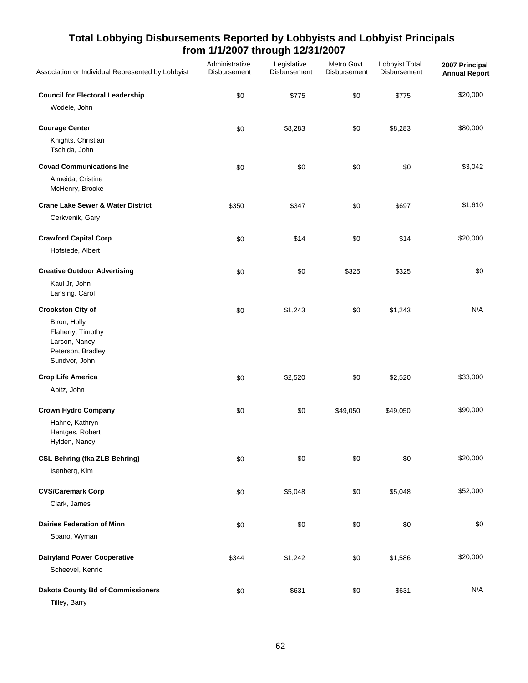| Association or Individual Represented by Lobbyist                                        | Administrative<br>Disbursement | Legislative<br>Disbursement | Metro Govt<br>Disbursement | Lobbyist Total<br>Disbursement | 2007 Principal<br><b>Annual Report</b> |
|------------------------------------------------------------------------------------------|--------------------------------|-----------------------------|----------------------------|--------------------------------|----------------------------------------|
| <b>Council for Electoral Leadership</b>                                                  | \$0                            | \$775                       | \$0                        | \$775                          | \$20,000                               |
| Wodele, John                                                                             |                                |                             |                            |                                |                                        |
| <b>Courage Center</b>                                                                    | \$0                            | \$8,283                     | \$0                        | \$8,283                        | \$80,000                               |
| Knights, Christian<br>Tschida, John                                                      |                                |                             |                            |                                |                                        |
| <b>Covad Communications Inc</b>                                                          | \$0                            | \$0                         | \$0                        | \$0                            | \$3,042                                |
| Almeida, Cristine<br>McHenry, Brooke                                                     |                                |                             |                            |                                |                                        |
| <b>Crane Lake Sewer &amp; Water District</b>                                             | \$350                          | \$347                       | \$0                        | \$697                          | \$1,610                                |
| Cerkvenik, Gary                                                                          |                                |                             |                            |                                |                                        |
| <b>Crawford Capital Corp</b>                                                             | \$0                            | \$14                        | \$0                        | \$14                           | \$20,000                               |
| Hofstede, Albert                                                                         |                                |                             |                            |                                |                                        |
| <b>Creative Outdoor Advertising</b>                                                      | \$0                            | \$0                         | \$325                      | \$325                          | \$0                                    |
| Kaul Jr, John<br>Lansing, Carol                                                          |                                |                             |                            |                                |                                        |
| <b>Crookston City of</b>                                                                 | \$0                            | \$1,243                     | \$0                        | \$1,243                        | N/A                                    |
| Biron, Holly<br>Flaherty, Timothy<br>Larson, Nancy<br>Peterson, Bradley<br>Sundvor, John |                                |                             |                            |                                |                                        |
| <b>Crop Life America</b>                                                                 | \$0                            | \$2,520                     | \$0                        | \$2,520                        | \$33,000                               |
| Apitz, John                                                                              |                                |                             |                            |                                |                                        |
| <b>Crown Hydro Company</b>                                                               | \$0                            | \$0                         | \$49,050                   | \$49,050                       | \$90,000                               |
| Hahne, Kathryn<br>Hentges, Robert<br>Hylden, Nancy                                       |                                |                             |                            |                                |                                        |
| <b>CSL Behring (fka ZLB Behring)</b>                                                     | \$0                            | \$0                         | \$0                        | \$0                            | \$20,000                               |
| Isenberg, Kim                                                                            |                                |                             |                            |                                |                                        |
| <b>CVS/Caremark Corp</b>                                                                 | \$0                            | \$5,048                     | \$0                        | \$5,048                        | \$52,000                               |
| Clark, James                                                                             |                                |                             |                            |                                |                                        |
| <b>Dairies Federation of Minn</b>                                                        | \$0                            | \$0                         | \$0                        | \$0                            | \$0                                    |
| Spano, Wyman                                                                             |                                |                             |                            |                                |                                        |
| <b>Dairyland Power Cooperative</b>                                                       | \$344                          | \$1,242                     | \$0                        | \$1,586                        | \$20,000                               |
| Scheevel, Kenric                                                                         |                                |                             |                            |                                |                                        |
| <b>Dakota County Bd of Commissioners</b><br>Tilley, Barry                                | \$0                            | \$631                       | \$0                        | \$631                          | N/A                                    |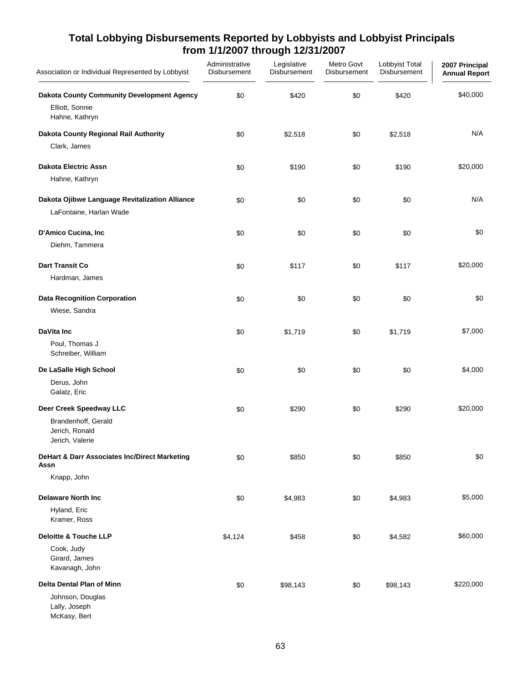| Association or Individual Represented by Lobbyist                                     | Administrative<br>Disbursement | Legislative<br>Disbursement | Metro Govt<br>Disbursement | Lobbyist Total<br>Disbursement | 2007 Principal<br><b>Annual Report</b> |
|---------------------------------------------------------------------------------------|--------------------------------|-----------------------------|----------------------------|--------------------------------|----------------------------------------|
| Dakota County Community Development Agency<br>Elliott, Sonnie<br>Hahne, Kathryn       | \$0                            | \$420                       | \$0                        | \$420                          | \$40,000                               |
| Dakota County Regional Rail Authority<br>Clark, James                                 | \$0                            | \$2,518                     | \$0                        | \$2,518                        | N/A                                    |
| <b>Dakota Electric Assn</b><br>Hahne, Kathryn                                         | \$0                            | \$190                       | \$0                        | \$190                          | \$20,000                               |
| Dakota Ojibwe Language Revitalization Alliance<br>LaFontaine, Harlan Wade             | \$0                            | \$0                         | \$0                        | \$0                            | N/A                                    |
| D'Amico Cucina, Inc<br>Diehm, Tammera                                                 | \$0                            | \$0                         | \$0                        | \$0                            | \$0                                    |
| <b>Dart Transit Co</b><br>Hardman, James                                              | \$0                            | \$117                       | \$0                        | \$117                          | \$20,000                               |
| <b>Data Recognition Corporation</b><br>Wiese, Sandra                                  | \$0                            | \$0                         | \$0                        | \$0                            | \$0                                    |
| DaVita Inc<br>Poul, Thomas J<br>Schreiber, William                                    | \$0                            | \$1,719                     | \$0                        | \$1,719                        | \$7,000                                |
| De LaSalle High School<br>Derus, John<br>Galatz, Eric                                 | \$0                            | \$0                         | \$0                        | \$0                            | \$4,000                                |
| Deer Creek Speedway LLC<br>Brandenhoff, Gerald<br>Jerich, Ronald<br>Jerich, Valerie   | \$0                            | \$290                       | \$0                        | \$290                          | \$20,000                               |
| DeHart & Darr Associates Inc/Direct Marketing<br>Assn<br>Knapp, John                  | \$0                            | \$850                       | \$0                        | \$850                          | \$0                                    |
| <b>Delaware North Inc</b><br>Hyland, Eric<br>Kramer, Ross                             | \$0                            | \$4,983                     | \$0                        | \$4,983                        | \$5,000                                |
| <b>Deloitte &amp; Touche LLP</b><br>Cook, Judy<br>Girard, James<br>Kavanagh, John     | \$4,124                        | \$458                       | \$0                        | \$4,582                        | \$60,000                               |
| <b>Delta Dental Plan of Minn</b><br>Johnson, Douglas<br>Lally, Joseph<br>McKasy, Bert | \$0                            | \$98,143                    | \$0                        | \$98,143                       | \$220,000                              |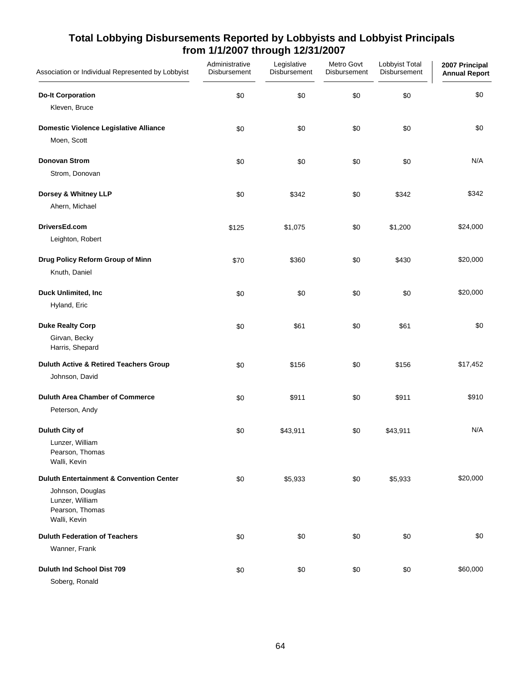| Association or Individual Represented by Lobbyist   | Administrative<br>Disbursement | Legislative<br>Disbursement | Metro Govt<br>Disbursement | Lobbyist Total<br>Disbursement | 2007 Principal<br><b>Annual Report</b> |
|-----------------------------------------------------|--------------------------------|-----------------------------|----------------------------|--------------------------------|----------------------------------------|
| <b>Do-It Corporation</b>                            | \$0                            | \$0                         | \$0                        | \$0                            | \$0                                    |
| Kleven, Bruce                                       |                                |                             |                            |                                |                                        |
| Domestic Violence Legislative Alliance              | \$0                            | \$0                         | \$0                        | \$0                            | \$0                                    |
| Moen, Scott                                         |                                |                             |                            |                                |                                        |
| <b>Donovan Strom</b>                                | \$0                            | \$0                         | \$0                        | \$0                            | N/A                                    |
| Strom, Donovan                                      |                                |                             |                            |                                |                                        |
| Dorsey & Whitney LLP                                | \$0                            | \$342                       | \$0                        | \$342                          | \$342                                  |
| Ahern, Michael                                      |                                |                             |                            |                                |                                        |
| DriversEd.com                                       | \$125                          | \$1,075                     | \$0                        | \$1,200                        | \$24,000                               |
| Leighton, Robert                                    |                                |                             |                            |                                |                                        |
| Drug Policy Reform Group of Minn                    | \$70                           | \$360                       | \$0                        | \$430                          | \$20,000                               |
| Knuth, Daniel                                       |                                |                             |                            |                                |                                        |
| Duck Unlimited, Inc                                 | \$0                            | \$0                         | \$0                        | \$0                            | \$20,000                               |
| Hyland, Eric                                        |                                |                             |                            |                                |                                        |
| <b>Duke Realty Corp</b>                             | \$0                            | \$61                        | \$0                        | \$61                           | \$0                                    |
| Girvan, Becky<br>Harris, Shepard                    |                                |                             |                            |                                |                                        |
| <b>Duluth Active &amp; Retired Teachers Group</b>   | \$0                            | \$156                       | \$0                        | \$156                          | \$17,452                               |
| Johnson, David                                      |                                |                             |                            |                                |                                        |
| <b>Duluth Area Chamber of Commerce</b>              | \$0                            | \$911                       | \$0                        | \$911                          | \$910                                  |
| Peterson, Andy                                      |                                |                             |                            |                                |                                        |
| Duluth City of                                      | \$0                            | \$43,911                    | \$0                        | \$43,911                       | N/A                                    |
| Lunzer, William<br>Pearson, Thomas                  |                                |                             |                            |                                |                                        |
| Walli, Kevin                                        |                                |                             |                            |                                |                                        |
| <b>Duluth Entertainment &amp; Convention Center</b> | \$0                            | \$5,933                     | \$0                        | \$5,933                        | \$20,000                               |
| Johnson, Douglas<br>Lunzer, William                 |                                |                             |                            |                                |                                        |
| Pearson, Thomas<br>Walli, Kevin                     |                                |                             |                            |                                |                                        |
| <b>Duluth Federation of Teachers</b>                | \$0                            | \$0                         | \$0                        | \$0                            | \$0                                    |
| Wanner, Frank                                       |                                |                             |                            |                                |                                        |
| Duluth Ind School Dist 709                          | \$0                            | \$0                         | \$0                        | \$0                            | \$60,000                               |
| Soberg, Ronald                                      |                                |                             |                            |                                |                                        |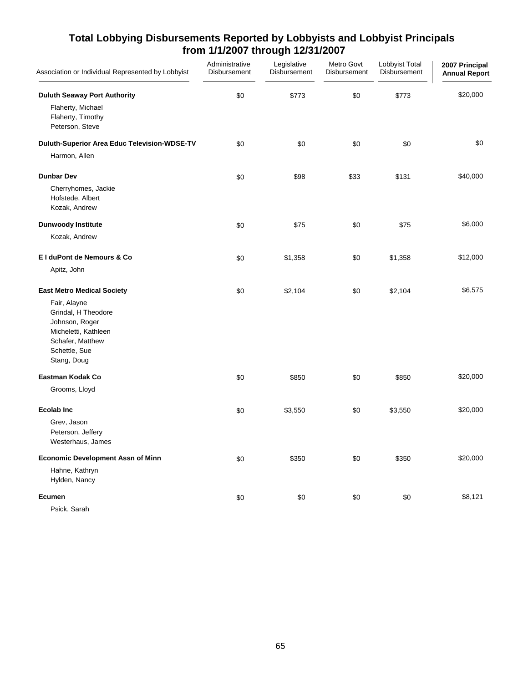| Association or Individual Represented by Lobbyist                                                                                                                      | Administrative<br>Disbursement | Legislative<br>Disbursement | Metro Govt<br>Disbursement | Lobbyist Total<br>Disbursement | 2007 Principal<br><b>Annual Report</b> |
|------------------------------------------------------------------------------------------------------------------------------------------------------------------------|--------------------------------|-----------------------------|----------------------------|--------------------------------|----------------------------------------|
| <b>Duluth Seaway Port Authority</b>                                                                                                                                    | \$0                            | \$773                       | \$0                        | \$773                          | \$20,000                               |
| Flaherty, Michael<br>Flaherty, Timothy<br>Peterson, Steve                                                                                                              |                                |                             |                            |                                |                                        |
| Duluth-Superior Area Educ Television-WDSE-TV<br>Harmon, Allen                                                                                                          | \$0                            | \$0                         | \$0                        | \$0                            | \$0                                    |
| <b>Dunbar Dev</b>                                                                                                                                                      | \$0                            | \$98                        | \$33                       | \$131                          | \$40,000                               |
| Cherryhomes, Jackie<br>Hofstede, Albert<br>Kozak, Andrew                                                                                                               |                                |                             |                            |                                |                                        |
| <b>Dunwoody Institute</b>                                                                                                                                              | \$0                            | \$75                        | \$0                        | \$75                           | \$6,000                                |
| Kozak, Andrew                                                                                                                                                          |                                |                             |                            |                                |                                        |
| El duPont de Nemours & Co                                                                                                                                              | \$0                            | \$1,358                     | \$0                        | \$1,358                        | \$12,000                               |
| Apitz, John                                                                                                                                                            |                                |                             |                            |                                |                                        |
| <b>East Metro Medical Society</b><br>Fair, Alayne<br>Grindal, H Theodore<br>Johnson, Roger<br>Micheletti, Kathleen<br>Schafer, Matthew<br>Schettle, Sue<br>Stang, Doug | \$0                            | \$2,104                     | \$0                        | \$2,104                        | \$6,575                                |
| Eastman Kodak Co                                                                                                                                                       | \$0                            | \$850                       | \$0                        | \$850                          | \$20,000                               |
| Grooms, Lloyd                                                                                                                                                          |                                |                             |                            |                                |                                        |
| <b>Ecolab Inc</b><br>Grev, Jason<br>Peterson, Jeffery<br>Westerhaus, James                                                                                             | \$0                            | \$3,550                     | \$0                        | \$3,550                        | \$20,000                               |
| <b>Economic Development Assn of Minn</b>                                                                                                                               | \$0                            | \$350                       | \$0                        | \$350                          | \$20,000                               |
| Hahne, Kathryn<br>Hylden, Nancy                                                                                                                                        |                                |                             |                            |                                |                                        |
| Ecumen<br>Psick, Sarah                                                                                                                                                 | \$0                            | \$0                         | \$0                        | \$0                            | \$8,121                                |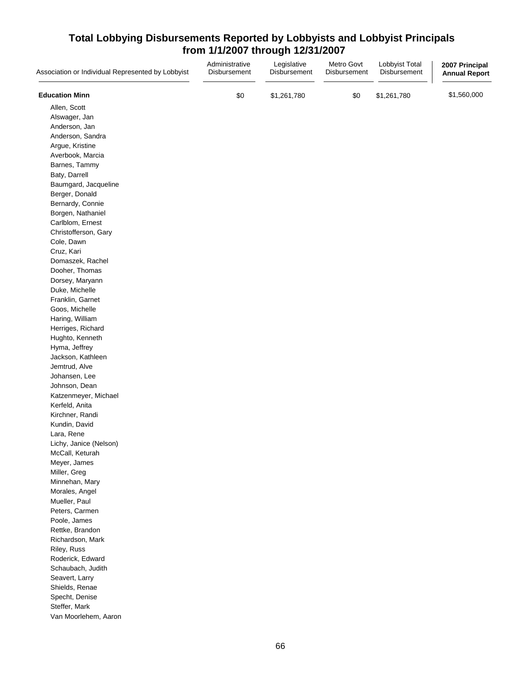| Association or Individual Represented by Lobbyist | Administrative<br>Disbursement | Legislative<br>Disbursement | Metro Govt<br>Disbursement | Lobbyist Total<br>Disbursement | 2007 Principal<br><b>Annual Report</b> |
|---------------------------------------------------|--------------------------------|-----------------------------|----------------------------|--------------------------------|----------------------------------------|
| <b>Education Minn</b>                             | \$0                            | \$1,261,780                 | \$0                        | \$1,261,780                    | \$1,560,000                            |
| Allen, Scott                                      |                                |                             |                            |                                |                                        |
| Alswager, Jan                                     |                                |                             |                            |                                |                                        |
| Anderson, Jan                                     |                                |                             |                            |                                |                                        |
| Anderson, Sandra                                  |                                |                             |                            |                                |                                        |
| Argue, Kristine                                   |                                |                             |                            |                                |                                        |
| Averbook, Marcia                                  |                                |                             |                            |                                |                                        |
| Barnes, Tammy                                     |                                |                             |                            |                                |                                        |
| Baty, Darrell                                     |                                |                             |                            |                                |                                        |
| Baumgard, Jacqueline                              |                                |                             |                            |                                |                                        |
| Berger, Donald                                    |                                |                             |                            |                                |                                        |
| Bernardy, Connie                                  |                                |                             |                            |                                |                                        |
| Borgen, Nathaniel                                 |                                |                             |                            |                                |                                        |
| Carlblom, Ernest                                  |                                |                             |                            |                                |                                        |
| Christofferson, Gary                              |                                |                             |                            |                                |                                        |
| Cole, Dawn                                        |                                |                             |                            |                                |                                        |
| Cruz, Kari                                        |                                |                             |                            |                                |                                        |
| Domaszek, Rachel                                  |                                |                             |                            |                                |                                        |
| Dooher, Thomas                                    |                                |                             |                            |                                |                                        |
| Dorsey, Maryann                                   |                                |                             |                            |                                |                                        |
| Duke, Michelle                                    |                                |                             |                            |                                |                                        |
| Franklin, Garnet                                  |                                |                             |                            |                                |                                        |
| Goos, Michelle                                    |                                |                             |                            |                                |                                        |
| Haring, William                                   |                                |                             |                            |                                |                                        |
| Herriges, Richard                                 |                                |                             |                            |                                |                                        |
| Hughto, Kenneth                                   |                                |                             |                            |                                |                                        |
| Hyma, Jeffrey                                     |                                |                             |                            |                                |                                        |
| Jackson, Kathleen                                 |                                |                             |                            |                                |                                        |
| Jemtrud, Alve                                     |                                |                             |                            |                                |                                        |
| Johansen, Lee                                     |                                |                             |                            |                                |                                        |
| Johnson, Dean                                     |                                |                             |                            |                                |                                        |
| Katzenmeyer, Michael                              |                                |                             |                            |                                |                                        |
| Kerfeld, Anita                                    |                                |                             |                            |                                |                                        |
| Kirchner, Randi                                   |                                |                             |                            |                                |                                        |
| Kundin, David                                     |                                |                             |                            |                                |                                        |
| Lara, Rene                                        |                                |                             |                            |                                |                                        |
| Lichy, Janice (Nelson)                            |                                |                             |                            |                                |                                        |
| McCall, Keturah                                   |                                |                             |                            |                                |                                        |
| Meyer, James                                      |                                |                             |                            |                                |                                        |
| Miller, Greg                                      |                                |                             |                            |                                |                                        |
| Minnehan, Mary                                    |                                |                             |                            |                                |                                        |
| Morales, Angel                                    |                                |                             |                            |                                |                                        |
| Mueller, Paul                                     |                                |                             |                            |                                |                                        |
| Peters, Carmen                                    |                                |                             |                            |                                |                                        |
| Poole, James                                      |                                |                             |                            |                                |                                        |
| Rettke, Brandon                                   |                                |                             |                            |                                |                                        |
| Richardson, Mark                                  |                                |                             |                            |                                |                                        |
| Riley, Russ                                       |                                |                             |                            |                                |                                        |
| Roderick, Edward                                  |                                |                             |                            |                                |                                        |
| Schaubach, Judith                                 |                                |                             |                            |                                |                                        |
| Seavert, Larry                                    |                                |                             |                            |                                |                                        |
| Shields, Renae                                    |                                |                             |                            |                                |                                        |
| Specht, Denise                                    |                                |                             |                            |                                |                                        |
| Steffer, Mark                                     |                                |                             |                            |                                |                                        |
| Van Moorlehem, Aaron                              |                                |                             |                            |                                |                                        |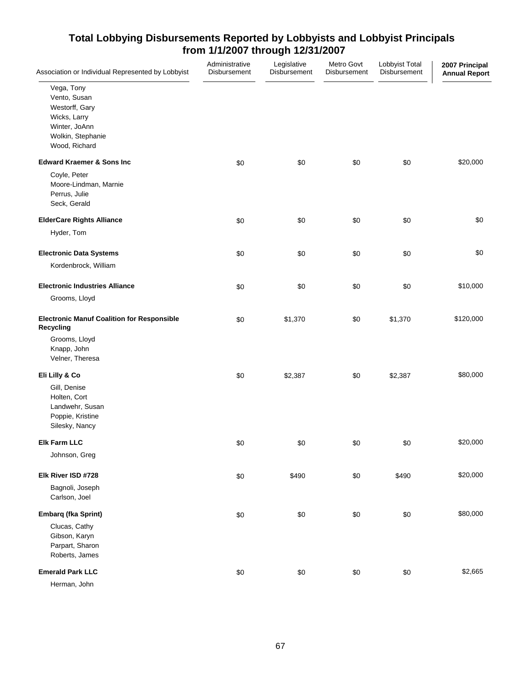| Association or Individual Represented by Lobbyist                                                                   | Administrative<br>Disbursement | Legislative<br>Disbursement | Metro Govt<br>Disbursement | Lobbyist Total<br>Disbursement | 2007 Principal<br><b>Annual Report</b> |
|---------------------------------------------------------------------------------------------------------------------|--------------------------------|-----------------------------|----------------------------|--------------------------------|----------------------------------------|
| Vega, Tony<br>Vento, Susan<br>Westorff, Gary<br>Wicks, Larry<br>Winter, JoAnn<br>Wolkin, Stephanie<br>Wood, Richard |                                |                             |                            |                                |                                        |
| <b>Edward Kraemer &amp; Sons Inc</b>                                                                                | \$0                            | \$0                         | \$0                        | \$0                            | \$20,000                               |
| Coyle, Peter<br>Moore-Lindman, Marnie<br>Perrus, Julie<br>Seck, Gerald                                              |                                |                             |                            |                                |                                        |
| <b>ElderCare Rights Alliance</b>                                                                                    | \$0                            | \$0                         | \$0                        | \$0                            | \$0                                    |
| Hyder, Tom                                                                                                          |                                |                             |                            |                                |                                        |
| <b>Electronic Data Systems</b>                                                                                      | \$0                            | \$0                         | \$0                        | \$0                            | \$0                                    |
| Kordenbrock, William                                                                                                |                                |                             |                            |                                |                                        |
| <b>Electronic Industries Alliance</b>                                                                               | \$0                            | \$0                         | \$0                        | \$0                            | \$10,000                               |
| Grooms, Lloyd                                                                                                       |                                |                             |                            |                                |                                        |
| <b>Electronic Manuf Coalition for Responsible</b><br><b>Recycling</b>                                               | \$0                            | \$1,370                     | \$0                        | \$1,370                        | \$120,000                              |
| Grooms, Lloyd<br>Knapp, John<br>Velner, Theresa                                                                     |                                |                             |                            |                                |                                        |
| Eli Lilly & Co                                                                                                      | \$0                            | \$2,387                     | \$0                        | \$2,387                        | \$80,000                               |
| Gill, Denise<br>Holten, Cort<br>Landwehr, Susan<br>Poppie, Kristine<br>Silesky, Nancy                               |                                |                             |                            |                                |                                        |
| <b>Elk Farm LLC</b>                                                                                                 | \$0                            | \$0                         | \$0                        | \$0                            | \$20,000                               |
| Johnson, Greg                                                                                                       |                                |                             |                            |                                |                                        |
| Elk River ISD #728                                                                                                  | \$0                            | \$490                       | \$0                        | \$490                          | \$20,000                               |
| Bagnoli, Joseph<br>Carlson, Joel                                                                                    |                                |                             |                            |                                |                                        |
| Embarq (fka Sprint)                                                                                                 | \$0                            | \$0                         | \$0                        | \$0                            | \$80,000                               |
| Clucas, Cathy<br>Gibson, Karyn<br>Parpart, Sharon<br>Roberts, James                                                 |                                |                             |                            |                                |                                        |
| <b>Emerald Park LLC</b>                                                                                             | \$0                            | \$0                         | \$0                        | \$0                            | \$2,665                                |
| Herman, John                                                                                                        |                                |                             |                            |                                |                                        |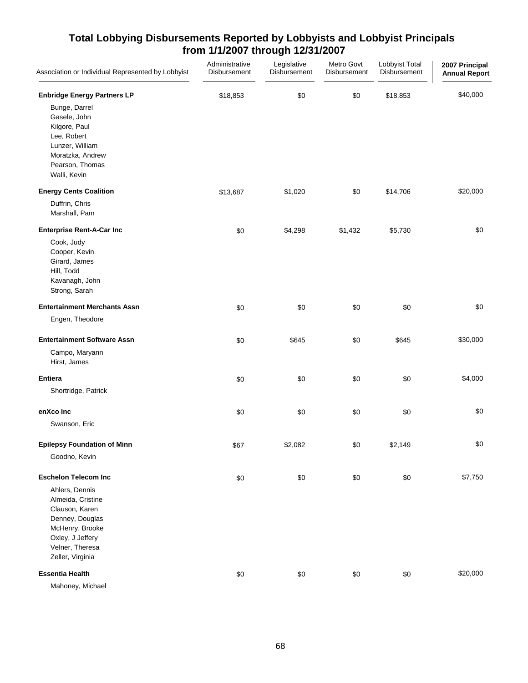| Association or Individual Represented by Lobbyist                                                                                                      | Administrative<br>Disbursement | Legislative<br>Disbursement | Metro Govt<br>Disbursement | Lobbyist Total<br>Disbursement | 2007 Principal<br><b>Annual Report</b> |
|--------------------------------------------------------------------------------------------------------------------------------------------------------|--------------------------------|-----------------------------|----------------------------|--------------------------------|----------------------------------------|
| <b>Enbridge Energy Partners LP</b>                                                                                                                     | \$18,853                       | \$0                         | \$0                        | \$18,853                       | \$40,000                               |
| Bunge, Darrel<br>Gasele, John<br>Kilgore, Paul<br>Lee, Robert<br>Lunzer, William<br>Moratzka, Andrew<br>Pearson, Thomas<br>Walli, Kevin                |                                |                             |                            |                                |                                        |
| <b>Energy Cents Coalition</b>                                                                                                                          | \$13,687                       | \$1,020                     | \$0                        | \$14,706                       | \$20,000                               |
| Duffrin, Chris<br>Marshall, Pam                                                                                                                        |                                |                             |                            |                                |                                        |
| <b>Enterprise Rent-A-Car Inc</b>                                                                                                                       | \$0                            | \$4,298                     | \$1,432                    | \$5,730                        | \$0                                    |
| Cook, Judy<br>Cooper, Kevin<br>Girard, James<br>Hill, Todd<br>Kavanagh, John<br>Strong, Sarah                                                          |                                |                             |                            |                                |                                        |
| <b>Entertainment Merchants Assn</b>                                                                                                                    | \$0                            | \$0                         | \$0                        | \$0                            | \$0                                    |
| Engen, Theodore                                                                                                                                        |                                |                             |                            |                                |                                        |
| <b>Entertainment Software Assn</b>                                                                                                                     | \$0                            | \$645                       | \$0                        | \$645                          | \$30,000                               |
| Campo, Maryann<br>Hirst, James                                                                                                                         |                                |                             |                            |                                |                                        |
| <b>Entiera</b>                                                                                                                                         | \$0                            | \$0                         | \$0                        | \$0                            | \$4,000                                |
| Shortridge, Patrick                                                                                                                                    |                                |                             |                            |                                |                                        |
| enXco Inc                                                                                                                                              | \$0                            | \$0                         | \$0                        | \$0                            | \$0                                    |
| Swanson, Eric                                                                                                                                          |                                |                             |                            |                                |                                        |
| <b>Epilepsy Foundation of Minn</b>                                                                                                                     | \$67                           | \$2,082                     | \$0                        | \$2,149                        | \$0                                    |
| Goodno, Kevin                                                                                                                                          |                                |                             |                            |                                |                                        |
| <b>Eschelon Telecom Inc</b>                                                                                                                            | \$0                            | \$0                         | \$0                        | \$0                            | \$7,750                                |
| Ahlers, Dennis<br>Almeida, Cristine<br>Clauson, Karen<br>Denney, Douglas<br>McHenry, Brooke<br>Oxley, J Jeffery<br>Velner, Theresa<br>Zeller, Virginia |                                |                             |                            |                                |                                        |
| <b>Essentia Health</b>                                                                                                                                 | \$0                            | \$0                         | \$0                        | \$0                            | \$20,000                               |
| Mahoney, Michael                                                                                                                                       |                                |                             |                            |                                |                                        |

68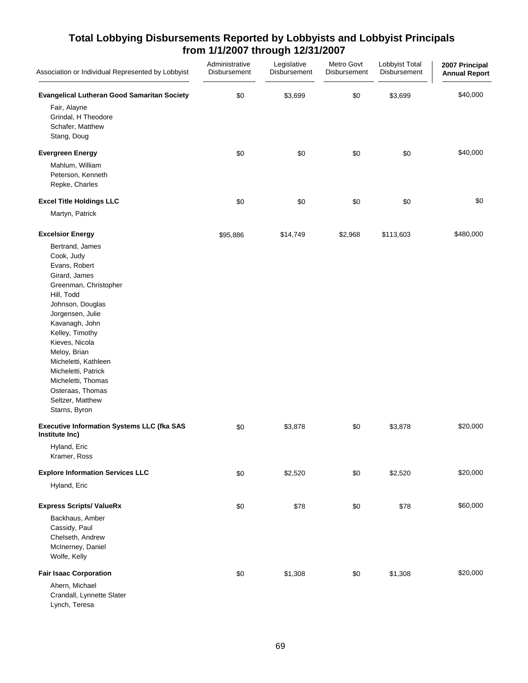| Association or Individual Represented by Lobbyist                                                                                                                                                                                                                                                                                                                              | Administrative<br>Disbursement | Legislative<br>Disbursement | Metro Govt<br>Disbursement | Lobbyist Total<br>Disbursement | 2007 Principal<br><b>Annual Report</b> |
|--------------------------------------------------------------------------------------------------------------------------------------------------------------------------------------------------------------------------------------------------------------------------------------------------------------------------------------------------------------------------------|--------------------------------|-----------------------------|----------------------------|--------------------------------|----------------------------------------|
| <b>Evangelical Lutheran Good Samaritan Society</b><br>Fair, Alayne<br>Grindal, H Theodore<br>Schafer, Matthew<br>Stang, Doug                                                                                                                                                                                                                                                   | \$0                            | \$3,699                     | \$0                        | \$3,699                        | \$40,000                               |
| <b>Evergreen Energy</b><br>Mahlum, William<br>Peterson, Kenneth<br>Repke, Charles                                                                                                                                                                                                                                                                                              | \$0                            | \$0                         | \$0                        | \$0                            | \$40,000                               |
| <b>Excel Title Holdings LLC</b><br>Martyn, Patrick                                                                                                                                                                                                                                                                                                                             | \$0                            | \$0                         | \$0                        | \$0                            | \$0                                    |
| <b>Excelsior Energy</b><br>Bertrand, James<br>Cook, Judy<br>Evans, Robert<br>Girard, James<br>Greenman, Christopher<br>Hill, Todd<br>Johnson, Douglas<br>Jorgensen, Julie<br>Kavanagh, John<br>Kelley, Timothy<br>Kieves, Nicola<br>Meloy, Brian<br>Micheletti, Kathleen<br>Micheletti, Patrick<br>Micheletti, Thomas<br>Osteraas, Thomas<br>Seltzer, Matthew<br>Starns, Byron | \$95,886                       | \$14,749                    | \$2,968                    | \$113,603                      | \$480,000                              |
| <b>Executive Information Systems LLC (fka SAS</b><br>Institute Inc)<br>Hyland, Eric                                                                                                                                                                                                                                                                                            | \$0                            | \$3,878                     | \$0                        | \$3,878                        | \$20,000                               |
| Kramer, Ross<br><b>Explore Information Services LLC</b>                                                                                                                                                                                                                                                                                                                        | \$0                            | \$2,520                     | \$0                        | \$2,520                        | \$20,000                               |
| Hyland, Eric                                                                                                                                                                                                                                                                                                                                                                   |                                |                             |                            |                                |                                        |
| <b>Express Scripts/ ValueRx</b><br>Backhaus, Amber<br>Cassidy, Paul<br>Chelseth, Andrew<br>McInerney, Daniel<br>Wolfe, Kelly                                                                                                                                                                                                                                                   | \$0                            | \$78                        | \$0                        | \$78                           | \$60,000                               |
| <b>Fair Isaac Corporation</b><br>Ahern, Michael<br>Crandall, Lynnette Slater<br>Lynch, Teresa                                                                                                                                                                                                                                                                                  | \$0                            | \$1,308                     | \$0                        | \$1,308                        | \$20,000                               |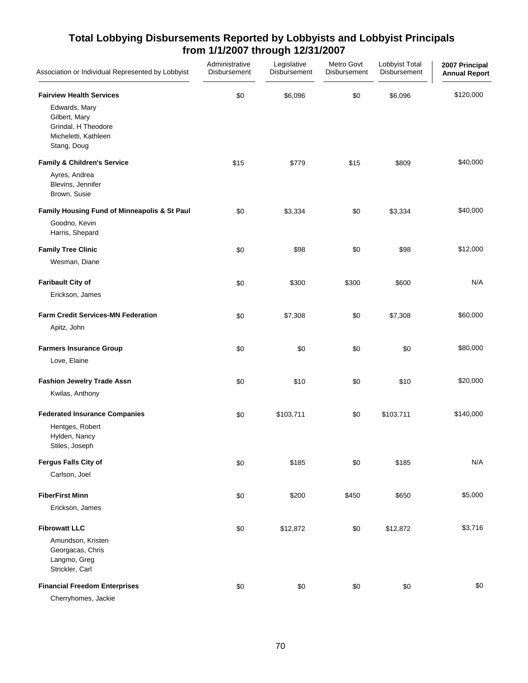| Association or Individual Represented by Lobbyist                                            | Administrative<br>Disbursement | Legislative<br>Disbursement | Metro Govt<br>Disbursement | Lobbyist Total<br>Disbursement | 2007 Principal<br><b>Annual Report</b> |
|----------------------------------------------------------------------------------------------|--------------------------------|-----------------------------|----------------------------|--------------------------------|----------------------------------------|
| <b>Fairview Health Services</b>                                                              | \$0                            | \$6,096                     | \$0                        | \$6,096                        | \$120,000                              |
| Edwards, Mary<br>Gilbert, Mary<br>Grindal, H Theodore<br>Micheletti, Kathleen<br>Stang, Doug |                                |                             |                            |                                |                                        |
| <b>Family &amp; Children's Service</b>                                                       | \$15                           | \$779                       | \$15                       | \$809                          | \$40,000                               |
| Ayres, Andrea<br>Blevins, Jennifer<br>Brown, Susie                                           |                                |                             |                            |                                |                                        |
| Family Housing Fund of Minneapolis & St Paul                                                 | \$0                            | \$3,334                     | \$0                        | \$3,334                        | \$40,000                               |
| Goodno, Kevin<br>Harris, Shepard                                                             |                                |                             |                            |                                |                                        |
| <b>Family Tree Clinic</b>                                                                    | \$0                            | \$98                        | \$0                        | \$98                           | \$12,000                               |
| Wesman, Diane                                                                                |                                |                             |                            |                                |                                        |
| <b>Faribault City of</b>                                                                     | \$0                            | \$300                       | \$300                      | \$600                          | N/A                                    |
| Erickson, James                                                                              |                                |                             |                            |                                |                                        |
| <b>Farm Credit Services-MN Federation</b>                                                    | \$0                            | \$7,308                     | \$0                        | \$7,308                        | \$60,000                               |
| Apitz, John                                                                                  |                                |                             |                            |                                |                                        |
| <b>Farmers Insurance Group</b>                                                               | \$0                            | \$0                         | \$0                        | \$0                            | \$80,000                               |
| Love, Elaine                                                                                 |                                |                             |                            |                                |                                        |
| <b>Fashion Jewelry Trade Assn</b>                                                            | \$0                            | \$10                        | \$0                        | \$10                           | \$20,000                               |
| Kwilas, Anthony                                                                              |                                |                             |                            |                                |                                        |
| <b>Federated Insurance Companies</b>                                                         | \$0                            | \$103,711                   | \$0                        | \$103,711                      | \$140,000                              |
| Hentges, Robert<br>Hylden, Nancy<br>Stiles, Joseph                                           |                                |                             |                            |                                |                                        |
| Fergus Falls City of                                                                         | \$0                            | \$185                       | \$0                        | \$185                          | N/A                                    |
| Carlson, Joel                                                                                |                                |                             |                            |                                |                                        |
| <b>FiberFirst Minn</b>                                                                       | \$0                            | \$200                       | \$450                      | \$650                          | \$5,000                                |
| Erickson, James                                                                              |                                |                             |                            |                                |                                        |
| <b>Fibrowatt LLC</b>                                                                         | \$0                            | \$12,872                    | \$0                        | \$12,872                       | \$3,716                                |
| Amundson, Kristen<br>Georgacas, Chris<br>Langmo, Greg<br>Strickler, Carl                     |                                |                             |                            |                                |                                        |
| <b>Financial Freedom Enterprises</b>                                                         | \$0                            | \$0                         | $\$0$                      | \$0                            | \$0                                    |
| Cherryhomes, Jackie                                                                          |                                |                             |                            |                                |                                        |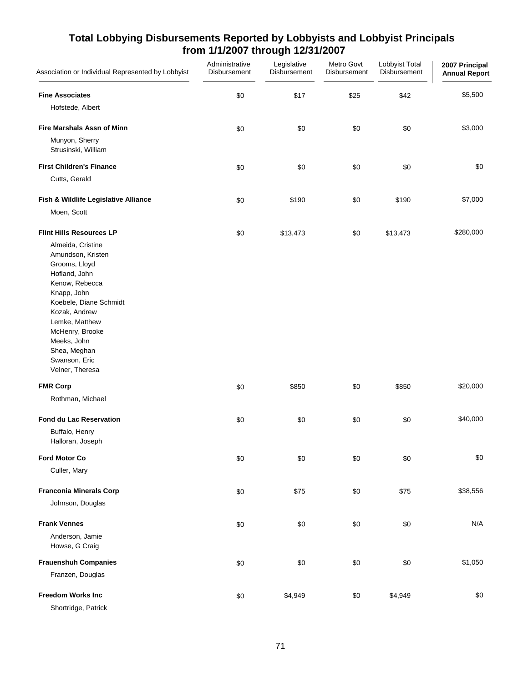| Association or Individual Represented by Lobbyist | Administrative<br>Disbursement | Legislative<br>Disbursement | Metro Govt<br>Disbursement | Lobbyist Total<br>Disbursement | 2007 Principal<br><b>Annual Report</b> |
|---------------------------------------------------|--------------------------------|-----------------------------|----------------------------|--------------------------------|----------------------------------------|
| <b>Fine Associates</b>                            | \$0                            | \$17                        | \$25                       | \$42                           | \$5,500                                |
| Hofstede, Albert                                  |                                |                             |                            |                                |                                        |
| <b>Fire Marshals Assn of Minn</b>                 | \$0                            | \$0                         | \$0                        | \$0                            | \$3,000                                |
| Munyon, Sherry<br>Strusinski, William             |                                |                             |                            |                                |                                        |
| <b>First Children's Finance</b>                   | \$0                            | \$0                         | \$0                        | \$0                            | \$0                                    |
| Cutts, Gerald                                     |                                |                             |                            |                                |                                        |
| Fish & Wildlife Legislative Alliance              | \$0                            | \$190                       | \$0                        | \$190                          | \$7,000                                |
| Moen, Scott                                       |                                |                             |                            |                                |                                        |
| <b>Flint Hills Resources LP</b>                   | \$0                            | \$13,473                    | \$0                        | \$13,473                       | \$280,000                              |
| Almeida, Cristine                                 |                                |                             |                            |                                |                                        |
| Amundson, Kristen                                 |                                |                             |                            |                                |                                        |
| Grooms, Lloyd<br>Hofland, John                    |                                |                             |                            |                                |                                        |
| Kenow, Rebecca                                    |                                |                             |                            |                                |                                        |
| Knapp, John                                       |                                |                             |                            |                                |                                        |
| Koebele, Diane Schmidt                            |                                |                             |                            |                                |                                        |
| Kozak, Andrew<br>Lemke, Matthew                   |                                |                             |                            |                                |                                        |
| McHenry, Brooke                                   |                                |                             |                            |                                |                                        |
| Meeks, John                                       |                                |                             |                            |                                |                                        |
| Shea, Meghan                                      |                                |                             |                            |                                |                                        |
| Swanson, Eric                                     |                                |                             |                            |                                |                                        |
| Velner, Theresa                                   |                                |                             |                            |                                |                                        |
| <b>FMR Corp</b>                                   | \$0                            | \$850                       | \$0                        | \$850                          | \$20,000                               |
| Rothman, Michael                                  |                                |                             |                            |                                |                                        |
| <b>Fond du Lac Reservation</b>                    | \$0                            | \$0                         | \$0                        | \$0                            | \$40,000                               |
| Buffalo, Henry                                    |                                |                             |                            |                                |                                        |
| Halloran, Joseph                                  |                                |                             |                            |                                |                                        |
| <b>Ford Motor Co</b>                              | \$0                            | \$0                         | \$0                        | \$0                            | \$0                                    |
| Culler, Mary                                      |                                |                             |                            |                                |                                        |
| <b>Franconia Minerals Corp</b>                    | \$0                            | \$75                        | \$0                        | \$75                           | \$38,556                               |
| Johnson, Douglas                                  |                                |                             |                            |                                |                                        |
| <b>Frank Vennes</b>                               | \$0                            | \$0                         | \$0                        | \$0                            | N/A                                    |
| Anderson, Jamie                                   |                                |                             |                            |                                |                                        |
| Howse, G Craig                                    |                                |                             |                            |                                |                                        |
| <b>Frauenshuh Companies</b>                       | \$0                            | \$0                         | \$0                        | \$0                            | \$1,050                                |
| Franzen, Douglas                                  |                                |                             |                            |                                |                                        |
| <b>Freedom Works Inc</b>                          | \$0                            | \$4,949                     | \$0                        | \$4,949                        | \$0                                    |
| Shortridge, Patrick                               |                                |                             |                            |                                |                                        |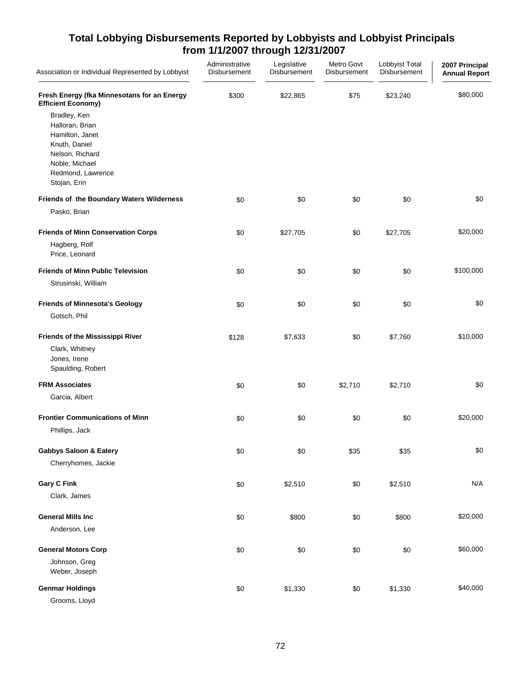| Association or Individual Represented by Lobbyist                                                                                             | Administrative<br>Disbursement | Legislative<br>Disbursement | Metro Govt<br>Disbursement | Lobbyist Total<br>Disbursement | 2007 Principal<br><b>Annual Report</b> |
|-----------------------------------------------------------------------------------------------------------------------------------------------|--------------------------------|-----------------------------|----------------------------|--------------------------------|----------------------------------------|
| Fresh Energy (fka Minnesotans for an Energy<br><b>Efficient Economy)</b>                                                                      | \$300                          | \$22,865                    | \$75                       | \$23,240                       | \$80,000                               |
| Bradley, Ken<br>Halloran, Brian<br>Hamilton, Janet<br>Knuth, Daniel<br>Nelson, Richard<br>Noble, Michael<br>Redmond, Lawrence<br>Stojan, Erin |                                |                             |                            |                                |                                        |
| Friends of the Boundary Waters Wilderness                                                                                                     | \$0                            | \$0                         | \$0                        | \$0                            | \$0                                    |
| Pasko, Brian                                                                                                                                  |                                |                             |                            |                                |                                        |
| <b>Friends of Minn Conservation Corps</b><br>Hagberg, Rolf<br>Price, Leonard                                                                  | \$0                            | \$27,705                    | \$0                        | \$27,705                       | \$20,000                               |
| <b>Friends of Minn Public Television</b>                                                                                                      | \$0                            | \$0                         | \$0                        | \$0                            | \$100,000                              |
| Strusinski, William                                                                                                                           |                                |                             |                            |                                |                                        |
| <b>Friends of Minnesota's Geology</b>                                                                                                         | \$0                            | \$0                         | \$0                        | \$0                            | \$0                                    |
| Gotsch, Phil                                                                                                                                  |                                |                             |                            |                                |                                        |
| <b>Friends of the Mississippi River</b>                                                                                                       | \$128                          | \$7,633                     | \$0                        | \$7,760                        | \$10,000                               |
| Clark, Whitney<br>Jones, Irene<br>Spaulding, Robert                                                                                           |                                |                             |                            |                                |                                        |
| <b>FRM Associates</b>                                                                                                                         | \$0                            | \$0                         | \$2,710                    | \$2,710                        | \$0                                    |
| Garcia, Albert                                                                                                                                |                                |                             |                            |                                |                                        |
| <b>Frontier Communications of Minn</b>                                                                                                        | \$0                            | \$0                         | \$0                        | \$0                            | \$20,000                               |
| Phillips, Jack                                                                                                                                |                                |                             |                            |                                |                                        |
| <b>Gabbys Saloon &amp; Eatery</b>                                                                                                             | \$0                            | \$0                         | \$35                       | \$35                           | \$0                                    |
| Cherryhomes, Jackie                                                                                                                           |                                |                             |                            |                                |                                        |
| <b>Gary C Fink</b>                                                                                                                            | \$0                            | \$2,510                     | \$0                        | \$2,510                        | N/A                                    |
| Clark, James                                                                                                                                  |                                |                             |                            |                                |                                        |
| <b>General Mills Inc</b>                                                                                                                      | \$0                            | \$800                       | \$0                        | \$800                          | \$20,000                               |
| Anderson, Lee                                                                                                                                 |                                |                             |                            |                                |                                        |
| <b>General Motors Corp</b>                                                                                                                    | \$0                            | \$0                         | \$0                        | \$0                            | \$60,000                               |
| Johnson, Greg<br>Weber, Joseph                                                                                                                |                                |                             |                            |                                |                                        |
| <b>Genmar Holdings</b>                                                                                                                        | \$0                            | \$1,330                     | \$0                        | \$1,330                        | \$40,000                               |
| Grooms, Lloyd                                                                                                                                 |                                |                             |                            |                                |                                        |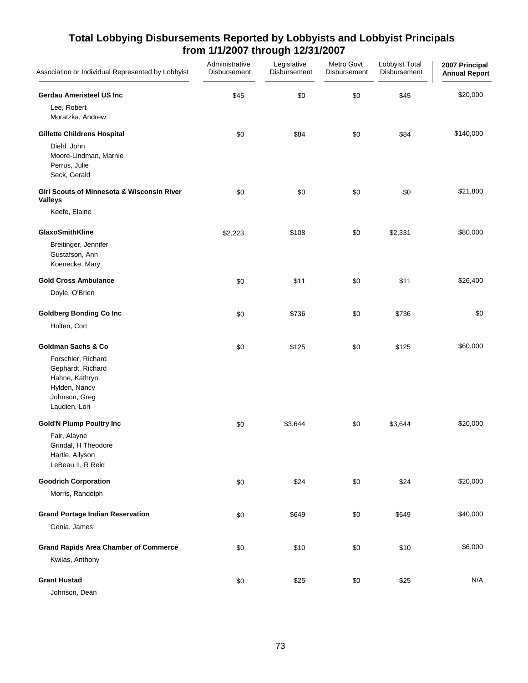| Association or Individual Represented by Lobbyist                                                                                             | Administrative<br>Disbursement | Legislative<br>Disbursement | Metro Govt<br>Disbursement | Lobbyist Total<br>Disbursement | 2007 Principal<br><b>Annual Report</b> |
|-----------------------------------------------------------------------------------------------------------------------------------------------|--------------------------------|-----------------------------|----------------------------|--------------------------------|----------------------------------------|
| <b>Gerdau Ameristeel US Inc</b><br>Lee, Robert<br>Moratzka, Andrew                                                                            | \$45                           | \$0                         | \$0                        | \$45                           | \$20,000                               |
| <b>Gillette Childrens Hospital</b><br>Diehl, John<br>Moore-Lindman, Marnie<br>Perrus, Julie<br>Seck, Gerald                                   | \$0                            | \$84                        | \$0                        | \$84                           | \$140,000                              |
| Girl Scouts of Minnesota & Wisconsin River<br><b>Valleys</b><br>Keefe, Elaine                                                                 | \$0                            | \$0                         | \$0                        | \$0                            | \$21,800                               |
| GlaxoSmithKline<br>Breitinger, Jennifer<br>Gustafson, Ann<br>Koenecke, Mary                                                                   | \$2,223                        | \$108                       | \$0                        | \$2,331                        | \$80,000                               |
| <b>Gold Cross Ambulance</b><br>Doyle, O'Brien                                                                                                 | \$0                            | \$11                        | \$0                        | \$11                           | \$26,400                               |
| <b>Goldberg Bonding Co Inc</b><br>Holten, Cort                                                                                                | \$0                            | \$736                       | \$0                        | \$736                          | \$0                                    |
| <b>Goldman Sachs &amp; Co</b><br>Forschler, Richard<br>Gephardt, Richard<br>Hahne, Kathryn<br>Hylden, Nancy<br>Johnson, Greg<br>Laudien, Lori | \$0                            | \$125                       | \$0                        | \$125                          | \$60,000                               |
| <b>Gold'N Plump Poultry Inc</b><br>Fair, Alayne<br>Grindal, H Theodore<br>Hartle, Allyson<br>LeBeau II, R Reid                                | \$0                            | \$3,644                     | \$0                        | \$3,644                        | \$20,000                               |
| <b>Goodrich Corporation</b><br>Morris, Randolph                                                                                               | \$0                            | \$24                        | \$0                        | \$24                           | \$20,000                               |
| <b>Grand Portage Indian Reservation</b><br>Genia, James                                                                                       | \$0                            | \$649                       | \$0                        | \$649                          | \$40,000                               |
| <b>Grand Rapids Area Chamber of Commerce</b><br>Kwilas, Anthony                                                                               | \$0                            | \$10                        | \$0                        | \$10                           | \$6,000                                |
| <b>Grant Hustad</b><br>Johnson, Dean                                                                                                          | \$0                            | \$25                        | \$0                        | \$25                           | N/A                                    |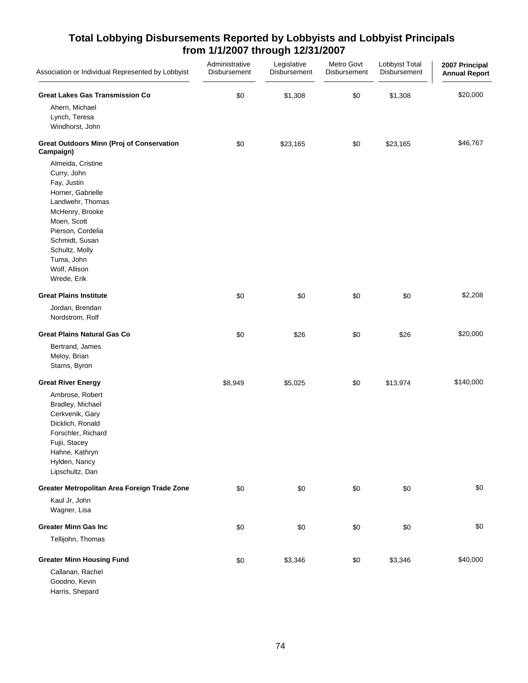| Association or Individual Represented by Lobbyist                                                                                                                                                                                 | Administrative<br>Disbursement | Legislative<br>Disbursement | Metro Govt<br>Disbursement | Lobbyist Total<br>Disbursement | 2007 Principal<br><b>Annual Report</b> |
|-----------------------------------------------------------------------------------------------------------------------------------------------------------------------------------------------------------------------------------|--------------------------------|-----------------------------|----------------------------|--------------------------------|----------------------------------------|
| <b>Great Lakes Gas Transmission Co</b>                                                                                                                                                                                            | \$0                            | \$1,308                     | \$0                        | \$1,308                        | \$20,000                               |
| Ahern, Michael<br>Lynch, Teresa<br>Windhorst, John                                                                                                                                                                                |                                |                             |                            |                                |                                        |
| <b>Great Outdoors Minn (Proj of Conservation</b><br>Campaign)                                                                                                                                                                     | \$0                            | \$23,165                    | \$0                        | \$23,165                       | \$46,767                               |
| Almeida, Cristine<br>Curry, John<br>Fay, Justin<br>Horner, Gabrielle<br>Landwehr, Thomas<br>McHenry, Brooke<br>Moen, Scott<br>Pierson, Cordelia<br>Schmidt, Susan<br>Schultz, Molly<br>Tuma, John<br>Wolf, Allison<br>Wrede, Erik |                                |                             |                            |                                |                                        |
| <b>Great Plains Institute</b>                                                                                                                                                                                                     | \$0                            | \$0                         | \$0                        | \$0                            | \$2,208                                |
| Jordan, Brendan<br>Nordstrom, Rolf                                                                                                                                                                                                |                                |                             |                            |                                |                                        |
| <b>Great Plains Natural Gas Co</b>                                                                                                                                                                                                | \$0                            | \$26                        | \$0                        | \$26                           | \$20,000                               |
| Bertrand, James<br>Meloy, Brian<br>Starns, Byron                                                                                                                                                                                  |                                |                             |                            |                                |                                        |
| <b>Great River Energy</b>                                                                                                                                                                                                         | \$8,949                        | \$5,025                     | \$0                        | \$13,974                       | \$140,000                              |
| Ambrose, Robert<br>Bradley, Michael<br>Cerkvenik, Gary<br>Dicklich, Ronald<br>Forschler, Richard<br>Fujii, Stacey<br>Hahne, Kathryn<br>Hylden, Nancy<br>Lipschultz, Dan                                                           |                                |                             |                            |                                |                                        |
| Greater Metropolitan Area Foreign Trade Zone                                                                                                                                                                                      | \$0                            | \$0                         | \$0                        | \$0                            | \$0                                    |
| Kaul Jr, John<br>Wagner, Lisa                                                                                                                                                                                                     |                                |                             |                            |                                |                                        |
| <b>Greater Minn Gas Inc</b>                                                                                                                                                                                                       | \$0                            | \$0                         | \$0                        | \$0                            | \$0                                    |
| Tellijohn, Thomas                                                                                                                                                                                                                 |                                |                             |                            |                                |                                        |
| <b>Greater Minn Housing Fund</b><br>Callanan, Rachel<br>Goodno, Kevin<br>Harris, Shepard                                                                                                                                          | \$0                            | \$3,346                     | \$0                        | \$3,346                        | \$40,000                               |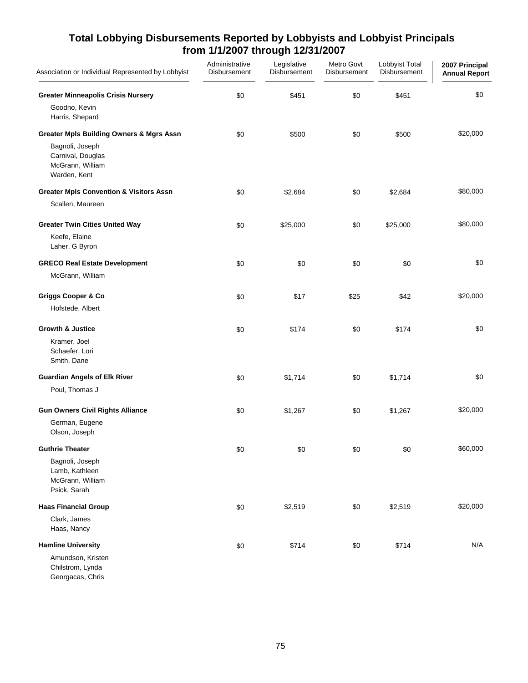| Association or Individual Represented by Lobbyist                                               | Administrative<br>Disbursement | Legislative<br>Disbursement | Metro Govt<br>Disbursement | Lobbyist Total<br>Disbursement | 2007 Principal<br><b>Annual Report</b> |
|-------------------------------------------------------------------------------------------------|--------------------------------|-----------------------------|----------------------------|--------------------------------|----------------------------------------|
| <b>Greater Minneapolis Crisis Nursery</b><br>Goodno, Kevin<br>Harris, Shepard                   | \$0                            | \$451                       | \$0                        | \$451                          | \$0                                    |
| <b>Greater Mpls Building Owners &amp; Mgrs Assn</b><br>Bagnoli, Joseph                          | \$0                            | \$500                       | \$0                        | \$500                          | \$20,000                               |
| Carnival, Douglas<br>McGrann, William<br>Warden, Kent                                           |                                |                             |                            |                                |                                        |
| <b>Greater Mpls Convention &amp; Visitors Assn</b><br>Scallen, Maureen                          | \$0                            | \$2,684                     | \$0                        | \$2,684                        | \$80,000                               |
| <b>Greater Twin Cities United Way</b><br>Keefe, Elaine<br>Laher, G Byron                        | \$0                            | \$25,000                    | \$0                        | \$25,000                       | \$80,000                               |
| <b>GRECO Real Estate Development</b>                                                            | \$0                            | \$0                         | \$0                        | \$0                            | \$0                                    |
| McGrann, William                                                                                |                                |                             |                            |                                |                                        |
| <b>Griggs Cooper &amp; Co</b>                                                                   | \$0                            | \$17                        | \$25                       | \$42                           | \$20,000                               |
| Hofstede, Albert                                                                                |                                |                             |                            |                                |                                        |
| <b>Growth &amp; Justice</b><br>Kramer, Joel<br>Schaefer, Lori<br>Smith, Dane                    | \$0                            | \$174                       | \$0                        | \$174                          | \$0                                    |
| <b>Guardian Angels of Elk River</b><br>Poul, Thomas J                                           | \$0                            | \$1,714                     | \$0                        | \$1,714                        | \$0                                    |
| <b>Gun Owners Civil Rights Alliance</b><br>German, Eugene<br>Olson, Joseph                      | \$0                            | \$1,267                     | \$0                        | \$1,267                        | \$20,000                               |
| <b>Guthrie Theater</b><br>Bagnoli, Joseph<br>Lamb, Kathleen<br>McGrann, William<br>Psick, Sarah | \$0                            | \$0                         | \$0                        | \$0                            | \$60,000                               |
| <b>Haas Financial Group</b>                                                                     | \$0                            | \$2,519                     | \$0                        | \$2,519                        | \$20,000                               |
| Clark, James<br>Haas, Nancy                                                                     |                                |                             |                            |                                |                                        |
| <b>Hamline University</b>                                                                       | \$0                            | \$714                       | \$0                        | \$714                          | N/A                                    |
| Amundson, Kristen<br>Chilstrom, Lynda<br>Georgacas, Chris                                       |                                |                             |                            |                                |                                        |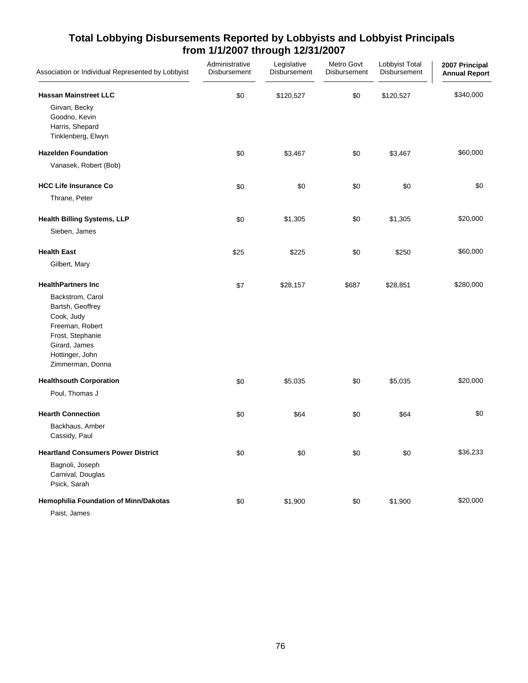| Association or Individual Represented by Lobbyist                                                                                                 | Administrative<br>Disbursement | Legislative<br>Disbursement | Metro Govt<br>Disbursement | Lobbyist Total<br>Disbursement | 2007 Principal<br><b>Annual Report</b> |
|---------------------------------------------------------------------------------------------------------------------------------------------------|--------------------------------|-----------------------------|----------------------------|--------------------------------|----------------------------------------|
| <b>Hassan Mainstreet LLC</b>                                                                                                                      | \$0                            | \$120,527                   | \$0                        | \$120,527                      | \$340,000                              |
| Girvan, Becky<br>Goodno, Kevin<br>Harris, Shepard<br>Tinklenberg, Elwyn                                                                           |                                |                             |                            |                                |                                        |
| <b>Hazelden Foundation</b>                                                                                                                        | \$0                            | \$3,467                     | \$0                        | \$3,467                        | \$60,000                               |
| Vanasek, Robert (Bob)                                                                                                                             |                                |                             |                            |                                |                                        |
| <b>HCC Life Insurance Co</b>                                                                                                                      | \$0                            | \$0                         | \$0                        | \$0                            | \$0                                    |
| Thrane, Peter                                                                                                                                     |                                |                             |                            |                                |                                        |
| <b>Health Billing Systems, LLP</b>                                                                                                                | \$0                            | \$1,305                     | \$0                        | \$1,305                        | \$20,000                               |
| Sieben, James                                                                                                                                     |                                |                             |                            |                                |                                        |
| <b>Health East</b>                                                                                                                                | \$25                           | \$225                       | \$0                        | \$250                          | \$60,000                               |
| Gilbert, Mary                                                                                                                                     |                                |                             |                            |                                |                                        |
| <b>HealthPartners Inc</b>                                                                                                                         | \$7                            | \$28,157                    | \$687                      | \$28,851                       | \$280,000                              |
| Backstrom, Carol<br>Bartsh, Geoffrey<br>Cook, Judy<br>Freeman, Robert<br>Frost, Stephanie<br>Girard, James<br>Hottinger, John<br>Zimmerman, Donna |                                |                             |                            |                                |                                        |
| <b>Healthsouth Corporation</b>                                                                                                                    | \$0                            | \$5,035                     | \$0                        | \$5,035                        | \$20,000                               |
| Poul, Thomas J                                                                                                                                    |                                |                             |                            |                                |                                        |
| <b>Hearth Connection</b>                                                                                                                          | \$0                            | \$64                        | \$0                        | \$64                           | \$0                                    |
| Backhaus, Amber<br>Cassidy, Paul                                                                                                                  |                                |                             |                            |                                |                                        |
| <b>Heartland Consumers Power District</b>                                                                                                         | \$0                            | \$0                         | \$0                        | \$0                            | \$36,233                               |
| Bagnoli, Joseph<br>Carnival, Douglas<br>Psick, Sarah                                                                                              |                                |                             |                            |                                |                                        |
| Hemophilia Foundation of Minn/Dakotas                                                                                                             | \$0                            | \$1,900                     | \$0                        | \$1,900                        | \$20,000                               |
| Paist, James                                                                                                                                      |                                |                             |                            |                                |                                        |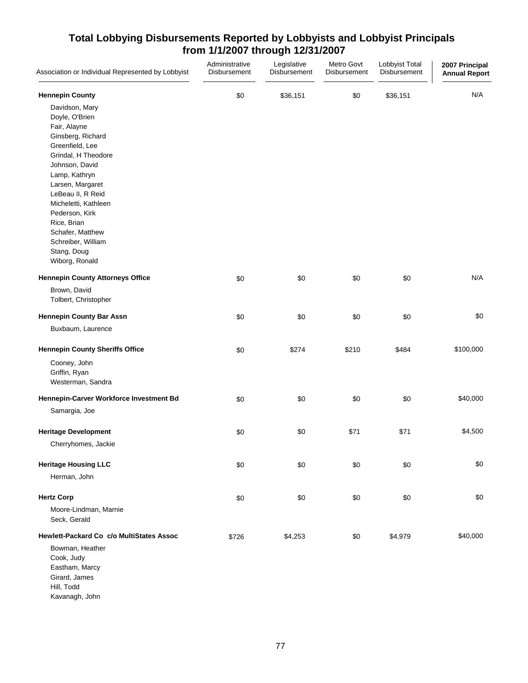| Association or Individual Represented by Lobbyist | Administrative<br>Disbursement | Legislative<br>Disbursement | Metro Govt<br>Disbursement | Lobbyist Total<br>Disbursement | 2007 Principal<br><b>Annual Report</b> |
|---------------------------------------------------|--------------------------------|-----------------------------|----------------------------|--------------------------------|----------------------------------------|
| <b>Hennepin County</b>                            | \$0                            | \$36,151                    | \$0                        | \$36,151                       | N/A                                    |
| Davidson, Mary                                    |                                |                             |                            |                                |                                        |
| Doyle, O'Brien                                    |                                |                             |                            |                                |                                        |
| Fair, Alayne                                      |                                |                             |                            |                                |                                        |
| Ginsberg, Richard                                 |                                |                             |                            |                                |                                        |
| Greenfield, Lee                                   |                                |                             |                            |                                |                                        |
| Grindal, H Theodore                               |                                |                             |                            |                                |                                        |
| Johnson, David                                    |                                |                             |                            |                                |                                        |
| Lamp, Kathryn                                     |                                |                             |                            |                                |                                        |
| Larsen, Margaret                                  |                                |                             |                            |                                |                                        |
| LeBeau II, R Reid                                 |                                |                             |                            |                                |                                        |
| Micheletti, Kathleen                              |                                |                             |                            |                                |                                        |
| Pederson, Kirk                                    |                                |                             |                            |                                |                                        |
| Rice, Brian                                       |                                |                             |                            |                                |                                        |
|                                                   |                                |                             |                            |                                |                                        |
| Schafer, Matthew                                  |                                |                             |                            |                                |                                        |
| Schreiber, William                                |                                |                             |                            |                                |                                        |
| Stang, Doug                                       |                                |                             |                            |                                |                                        |
| Wiborg, Ronald                                    |                                |                             |                            |                                |                                        |
| <b>Hennepin County Attorneys Office</b>           | \$0                            | \$0                         | \$0                        | \$0                            | N/A                                    |
| Brown, David                                      |                                |                             |                            |                                |                                        |
| Tolbert, Christopher                              |                                |                             |                            |                                |                                        |
| <b>Hennepin County Bar Assn</b>                   | \$0                            | \$0                         | \$0                        | \$0                            | \$0                                    |
| Buxbaum, Laurence                                 |                                |                             |                            |                                |                                        |
| <b>Hennepin County Sheriffs Office</b>            | \$0                            | \$274                       | \$210                      | \$484                          | \$100,000                              |
| Cooney, John                                      |                                |                             |                            |                                |                                        |
| Griffin, Ryan                                     |                                |                             |                            |                                |                                        |
| Westerman, Sandra                                 |                                |                             |                            |                                |                                        |
| Hennepin-Carver Workforce Investment Bd           | \$0                            | \$0                         | \$0                        | \$0                            | \$40,000                               |
| Samargia, Joe                                     |                                |                             |                            |                                |                                        |
| <b>Heritage Development</b>                       | \$0                            | \$0                         | \$71                       | \$71                           | \$4,500                                |
| Cherryhomes, Jackie                               |                                |                             |                            |                                |                                        |
| <b>Heritage Housing LLC</b>                       | \$0                            | \$0                         | \$0                        | \$0                            | \$0                                    |
| Herman, John                                      |                                |                             |                            |                                |                                        |
| <b>Hertz Corp</b>                                 | \$0                            | \$0                         | \$0                        | \$0                            | \$0                                    |
|                                                   |                                |                             |                            |                                |                                        |
| Moore-Lindman, Marnie<br>Seck, Gerald             |                                |                             |                            |                                |                                        |
| Hewlett-Packard Co c/o MultiStates Assoc          | \$726                          | \$4,253                     | \$0                        | \$4,979                        | \$40,000                               |
| Bowman, Heather                                   |                                |                             |                            |                                |                                        |
| Cook, Judy                                        |                                |                             |                            |                                |                                        |
| Eastham, Marcy                                    |                                |                             |                            |                                |                                        |
| Girard, James                                     |                                |                             |                            |                                |                                        |
| Hill, Todd                                        |                                |                             |                            |                                |                                        |
| Kavanagh, John                                    |                                |                             |                            |                                |                                        |
|                                                   |                                |                             |                            |                                |                                        |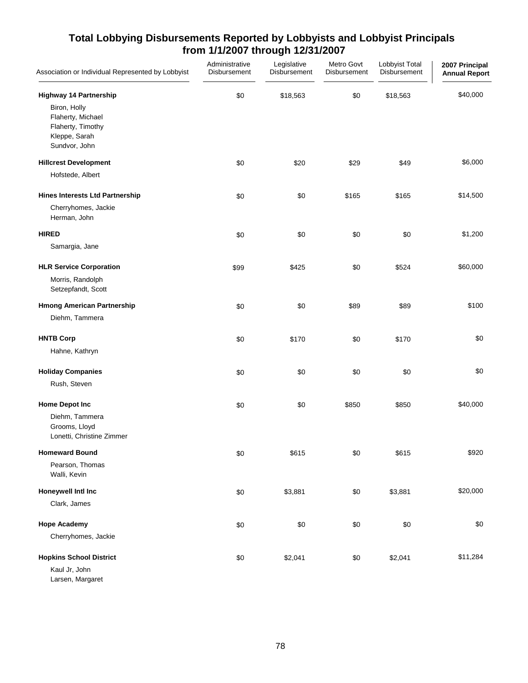| Association or Individual Represented by Lobbyist                                        | Administrative<br>Disbursement | Legislative<br>Disbursement | Metro Govt<br>Disbursement | Lobbyist Total<br>Disbursement | 2007 Principal<br><b>Annual Report</b> |
|------------------------------------------------------------------------------------------|--------------------------------|-----------------------------|----------------------------|--------------------------------|----------------------------------------|
| <b>Highway 14 Partnership</b>                                                            | \$0                            | \$18,563                    | \$0                        | \$18,563                       | \$40,000                               |
| Biron, Holly<br>Flaherty, Michael<br>Flaherty, Timothy<br>Kleppe, Sarah<br>Sundvor, John |                                |                             |                            |                                |                                        |
| <b>Hillcrest Development</b>                                                             | \$0                            | \$20                        | \$29                       | \$49                           | \$6,000                                |
| Hofstede, Albert                                                                         |                                |                             |                            |                                |                                        |
| <b>Hines Interests Ltd Partnership</b>                                                   | \$0                            | \$0                         | \$165                      | \$165                          | \$14,500                               |
| Cherryhomes, Jackie<br>Herman, John                                                      |                                |                             |                            |                                |                                        |
| <b>HIRED</b>                                                                             | \$0                            | \$0                         | \$0                        | \$0                            | \$1,200                                |
| Samargia, Jane                                                                           |                                |                             |                            |                                |                                        |
| <b>HLR Service Corporation</b>                                                           | \$99                           | \$425                       | \$0                        | \$524                          | \$60,000                               |
| Morris, Randolph<br>Setzepfandt, Scott                                                   |                                |                             |                            |                                |                                        |
| <b>Hmong American Partnership</b>                                                        | \$0                            | \$0                         | \$89                       | \$89                           | \$100                                  |
| Diehm, Tammera                                                                           |                                |                             |                            |                                |                                        |
| <b>HNTB Corp</b>                                                                         | \$0                            | \$170                       | \$0                        | \$170                          | \$0                                    |
| Hahne, Kathryn                                                                           |                                |                             |                            |                                |                                        |
| <b>Holiday Companies</b>                                                                 | \$0                            | \$0                         | \$0                        | \$0                            | \$0                                    |
| Rush, Steven                                                                             |                                |                             |                            |                                |                                        |
| <b>Home Depot Inc</b>                                                                    | \$0                            | \$0                         | \$850                      | \$850                          | \$40,000                               |
| Diehm, Tammera<br>Grooms, Lloyd<br>Lonetti, Christine Zimmer                             |                                |                             |                            |                                |                                        |
| <b>Homeward Bound</b>                                                                    | \$0                            | \$615                       | \$0                        | \$615                          | \$920                                  |
| Pearson, Thomas<br>Walli, Kevin                                                          |                                |                             |                            |                                |                                        |
| Honeywell Intl Inc                                                                       | \$0                            | \$3,881                     | \$0                        | \$3,881                        | \$20,000                               |
| Clark, James                                                                             |                                |                             |                            |                                |                                        |
| <b>Hope Academy</b>                                                                      | \$0                            | \$0                         | \$0                        | \$0                            | \$0                                    |
| Cherryhomes, Jackie                                                                      |                                |                             |                            |                                |                                        |
| <b>Hopkins School District</b>                                                           | \$0                            | \$2,041                     | \$0                        | \$2,041                        | \$11,284                               |
| Kaul Jr, John<br>Larsen, Margaret                                                        |                                |                             |                            |                                |                                        |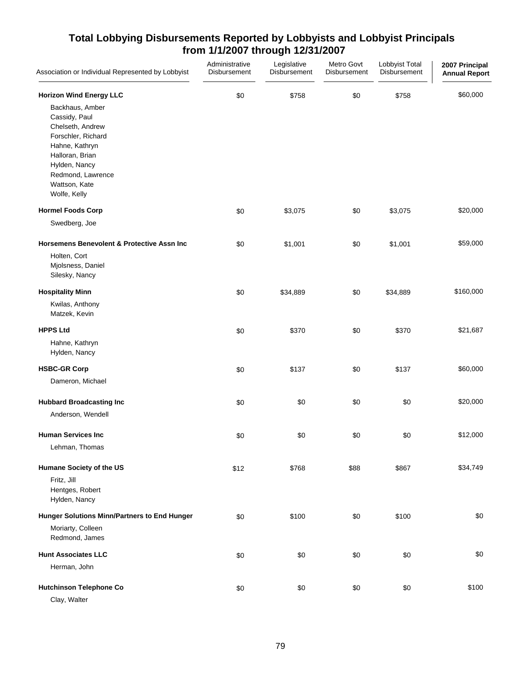| Association or Individual Represented by Lobbyist                                                                                                                                      | Administrative<br>Disbursement | Legislative<br>Disbursement | Metro Govt<br>Disbursement | Lobbyist Total<br>Disbursement | 2007 Principal<br><b>Annual Report</b> |
|----------------------------------------------------------------------------------------------------------------------------------------------------------------------------------------|--------------------------------|-----------------------------|----------------------------|--------------------------------|----------------------------------------|
| <b>Horizon Wind Energy LLC</b>                                                                                                                                                         | \$0                            | \$758                       | \$0                        | \$758                          | \$60,000                               |
| Backhaus, Amber<br>Cassidy, Paul<br>Chelseth, Andrew<br>Forschler, Richard<br>Hahne, Kathryn<br>Halloran, Brian<br>Hylden, Nancy<br>Redmond, Lawrence<br>Wattson, Kate<br>Wolfe, Kelly |                                |                             |                            |                                |                                        |
| <b>Hormel Foods Corp</b>                                                                                                                                                               | \$0                            | \$3,075                     | \$0                        | \$3,075                        | \$20,000                               |
| Swedberg, Joe                                                                                                                                                                          |                                |                             |                            |                                |                                        |
| <b>Horsemens Benevolent &amp; Protective Assn Inc</b><br>Holten, Cort<br>Mjolsness, Daniel<br>Silesky, Nancy                                                                           | \$0                            | \$1,001                     | \$0                        | \$1,001                        | \$59,000                               |
| <b>Hospitality Minn</b>                                                                                                                                                                | \$0                            | \$34,889                    | \$0                        | \$34,889                       | \$160,000                              |
| Kwilas, Anthony<br>Matzek, Kevin                                                                                                                                                       |                                |                             |                            |                                |                                        |
| <b>HPPS Ltd</b>                                                                                                                                                                        | \$0                            | \$370                       | \$0                        | \$370                          | \$21,687                               |
| Hahne, Kathryn<br>Hylden, Nancy                                                                                                                                                        |                                |                             |                            |                                |                                        |
| <b>HSBC-GR Corp</b>                                                                                                                                                                    | \$0                            | \$137                       | \$0                        | \$137                          | \$60,000                               |
| Dameron, Michael                                                                                                                                                                       |                                |                             |                            |                                |                                        |
| <b>Hubbard Broadcasting Inc</b><br>Anderson, Wendell                                                                                                                                   | \$0                            | \$0                         | \$0                        | \$0                            | \$20,000                               |
| <b>Human Services Inc</b><br>Lehman, Thomas                                                                                                                                            | \$0                            | \$0                         | \$0                        | \$0                            | \$12,000                               |
| Humane Society of the US                                                                                                                                                               | \$12                           | \$768                       | \$88                       | \$867                          | \$34,749                               |
| Fritz, Jill<br>Hentges, Robert<br>Hylden, Nancy                                                                                                                                        |                                |                             |                            |                                |                                        |
| Hunger Solutions Minn/Partners to End Hunger                                                                                                                                           | \$0                            | \$100                       | \$0                        | \$100                          | \$0                                    |
| Moriarty, Colleen<br>Redmond, James                                                                                                                                                    |                                |                             |                            |                                |                                        |
| <b>Hunt Associates LLC</b>                                                                                                                                                             | \$0                            | \$0                         | \$0                        | \$0                            | \$0                                    |
| Herman, John                                                                                                                                                                           |                                |                             |                            |                                |                                        |
| <b>Hutchinson Telephone Co</b><br>Clay, Walter                                                                                                                                         | \$0                            | \$0                         | \$0                        | \$0                            | \$100                                  |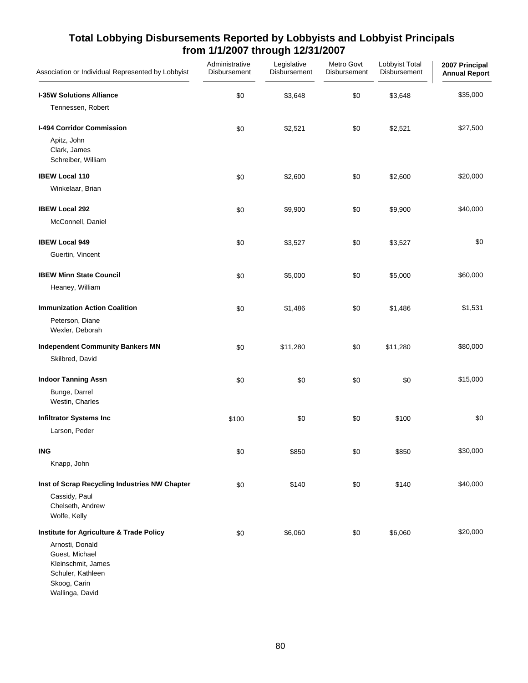| Association or Individual Represented by Lobbyist                                                               | Administrative<br>Disbursement | Legislative<br>Disbursement | Metro Govt<br>Disbursement | Lobbyist Total<br>Disbursement | 2007 Principal<br><b>Annual Report</b> |
|-----------------------------------------------------------------------------------------------------------------|--------------------------------|-----------------------------|----------------------------|--------------------------------|----------------------------------------|
| <b>I-35W Solutions Alliance</b>                                                                                 | \$0                            | \$3,648                     | \$0                        | \$3,648                        | \$35,000                               |
| Tennessen, Robert                                                                                               |                                |                             |                            |                                |                                        |
| I-494 Corridor Commission                                                                                       | \$0                            | \$2,521                     | \$0                        | \$2,521                        | \$27,500                               |
| Apitz, John<br>Clark, James<br>Schreiber, William                                                               |                                |                             |                            |                                |                                        |
| <b>IBEW Local 110</b>                                                                                           | \$0                            | \$2,600                     | \$0                        | \$2,600                        | \$20,000                               |
| Winkelaar, Brian                                                                                                |                                |                             |                            |                                |                                        |
| <b>IBEW Local 292</b>                                                                                           | \$0                            | \$9,900                     | \$0                        | \$9,900                        | \$40,000                               |
| McConnell, Daniel                                                                                               |                                |                             |                            |                                |                                        |
| <b>IBEW Local 949</b>                                                                                           | \$0                            | \$3,527                     | \$0                        | \$3,527                        | \$0                                    |
| Guertin, Vincent                                                                                                |                                |                             |                            |                                |                                        |
| <b>IBEW Minn State Council</b>                                                                                  | \$0                            | \$5,000                     | \$0                        | \$5,000                        | \$60,000                               |
| Heaney, William                                                                                                 |                                |                             |                            |                                |                                        |
| <b>Immunization Action Coalition</b>                                                                            | \$0                            | \$1,486                     | \$0                        | \$1,486                        | \$1,531                                |
| Peterson, Diane<br>Wexler, Deborah                                                                              |                                |                             |                            |                                |                                        |
| <b>Independent Community Bankers MN</b>                                                                         | \$0                            | \$11,280                    | \$0                        | \$11,280                       | \$80,000                               |
| Skilbred, David                                                                                                 |                                |                             |                            |                                |                                        |
| <b>Indoor Tanning Assn</b>                                                                                      | \$0                            | \$0                         | \$0                        | \$0                            | \$15,000                               |
| Bunge, Darrel<br>Westin, Charles                                                                                |                                |                             |                            |                                |                                        |
| <b>Infiltrator Systems Inc</b>                                                                                  | \$100                          | \$0                         | \$0                        | \$100                          | \$0                                    |
| Larson, Peder                                                                                                   |                                |                             |                            |                                |                                        |
| <b>ING</b>                                                                                                      | \$0                            | \$850                       | \$0                        | \$850                          | \$30,000                               |
| Knapp, John                                                                                                     |                                |                             |                            |                                |                                        |
| Inst of Scrap Recycling Industries NW Chapter                                                                   | \$0                            | \$140                       | \$0                        | \$140                          | \$40,000                               |
| Cassidy, Paul<br>Chelseth, Andrew<br>Wolfe, Kelly                                                               |                                |                             |                            |                                |                                        |
| Institute for Agriculture & Trade Policy                                                                        | \$0                            | \$6,060                     | \$0                        | \$6,060                        | \$20,000                               |
| Arnosti, Donald<br>Guest, Michael<br>Kleinschmit, James<br>Schuler, Kathleen<br>Skoog, Carin<br>Wallinga, David |                                |                             |                            |                                |                                        |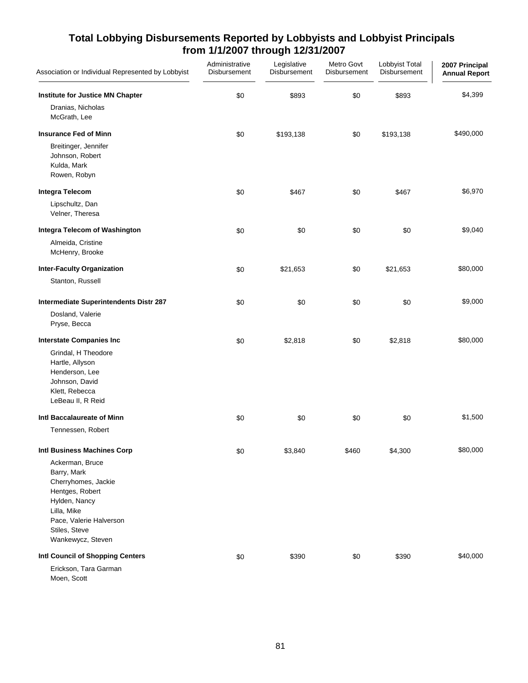| Association or Individual Represented by Lobbyist                                                                                                                         | Administrative<br><b>Disbursement</b> | Legislative<br>Disbursement | Metro Govt<br>Disbursement | Lobbyist Total<br>Disbursement | 2007 Principal<br><b>Annual Report</b> |
|---------------------------------------------------------------------------------------------------------------------------------------------------------------------------|---------------------------------------|-----------------------------|----------------------------|--------------------------------|----------------------------------------|
| Institute for Justice MN Chapter                                                                                                                                          | \$0                                   | \$893                       | \$0                        | \$893                          | \$4,399                                |
| Dranias, Nicholas<br>McGrath, Lee                                                                                                                                         |                                       |                             |                            |                                |                                        |
| <b>Insurance Fed of Minn</b>                                                                                                                                              | \$0                                   | \$193,138                   | \$0                        | \$193,138                      | \$490,000                              |
| Breitinger, Jennifer<br>Johnson, Robert<br>Kulda, Mark<br>Rowen, Robyn                                                                                                    |                                       |                             |                            |                                |                                        |
| <b>Integra Telecom</b>                                                                                                                                                    | \$0                                   | \$467                       | \$0                        | \$467                          | \$6,970                                |
| Lipschultz, Dan<br>Velner, Theresa                                                                                                                                        |                                       |                             |                            |                                |                                        |
| Integra Telecom of Washington                                                                                                                                             | \$0                                   | \$0                         | \$0                        | \$0                            | \$9,040                                |
| Almeida, Cristine<br>McHenry, Brooke                                                                                                                                      |                                       |                             |                            |                                |                                        |
| <b>Inter-Faculty Organization</b>                                                                                                                                         | \$0                                   | \$21,653                    | \$0                        | \$21,653                       | \$80,000                               |
| Stanton, Russell                                                                                                                                                          |                                       |                             |                            |                                |                                        |
| Intermediate Superintendents Distr 287                                                                                                                                    | \$0                                   | \$0                         | \$0                        | \$0                            | \$9,000                                |
| Dosland, Valerie<br>Pryse, Becca                                                                                                                                          |                                       |                             |                            |                                |                                        |
| <b>Interstate Companies Inc</b>                                                                                                                                           | \$0                                   | \$2,818                     | \$0                        | \$2,818                        | \$80,000                               |
| Grindal, H Theodore<br>Hartle, Allyson<br>Henderson, Lee<br>Johnson, David<br>Klett, Rebecca<br>LeBeau II, R Reid                                                         |                                       |                             |                            |                                |                                        |
| Intl Baccalaureate of Minn                                                                                                                                                | \$0                                   | \$0                         | \$0                        | \$0                            | \$1,500                                |
| Tennessen, Robert                                                                                                                                                         |                                       |                             |                            |                                |                                        |
| Intl Business Machines Corp                                                                                                                                               | \$0                                   | \$3,840                     | \$460                      | \$4,300                        | \$80,000                               |
| Ackerman, Bruce<br>Barry, Mark<br>Cherryhomes, Jackie<br>Hentges, Robert<br>Hylden, Nancy<br>Lilla, Mike<br>Pace, Valerie Halverson<br>Stiles, Steve<br>Wankewycz, Steven |                                       |                             |                            |                                |                                        |
| Intl Council of Shopping Centers                                                                                                                                          | \$0                                   | \$390                       | \$0                        | \$390                          | \$40,000                               |
| Erickson, Tara Garman<br>Moen, Scott                                                                                                                                      |                                       |                             |                            |                                |                                        |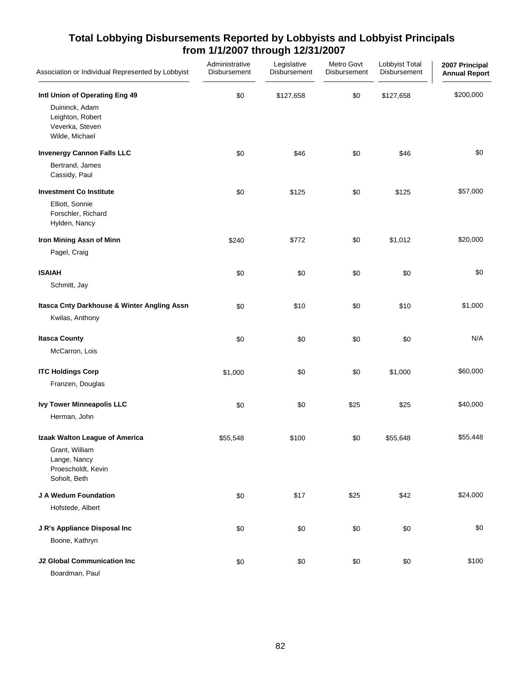| Association or Individual Represented by Lobbyist                       | Administrative<br>Disbursement | Legislative<br>Disbursement | Metro Govt<br>Disbursement | Lobbyist Total<br>Disbursement | 2007 Principal<br><b>Annual Report</b> |
|-------------------------------------------------------------------------|--------------------------------|-----------------------------|----------------------------|--------------------------------|----------------------------------------|
| Intl Union of Operating Eng 49                                          | \$0                            | \$127,658                   | \$0                        | \$127,658                      | \$200,000                              |
| Duininck, Adam<br>Leighton, Robert<br>Veverka, Steven<br>Wilde, Michael |                                |                             |                            |                                |                                        |
| <b>Invenergy Cannon Falls LLC</b>                                       | \$0                            | \$46                        | \$0                        | \$46                           | \$0                                    |
| Bertrand, James<br>Cassidy, Paul                                        |                                |                             |                            |                                |                                        |
| <b>Investment Co Institute</b>                                          | \$0                            | \$125                       | \$0                        | \$125                          | \$57,000                               |
| Elliott, Sonnie<br>Forschler, Richard<br>Hylden, Nancy                  |                                |                             |                            |                                |                                        |
| Iron Mining Assn of Minn                                                | \$240                          | \$772                       | \$0                        | \$1,012                        | \$20,000                               |
| Pagel, Craig                                                            |                                |                             |                            |                                |                                        |
| <b>ISAIAH</b>                                                           | \$0                            | \$0                         | \$0                        | \$0                            | \$0                                    |
| Schmitt, Jay                                                            |                                |                             |                            |                                |                                        |
| Itasca Cnty Darkhouse & Winter Angling Assn                             | \$0                            | \$10                        | \$0                        | \$10                           | \$1,000                                |
| Kwilas, Anthony                                                         |                                |                             |                            |                                |                                        |
| <b>Itasca County</b>                                                    | \$0                            | \$0                         | \$0                        | \$0                            | N/A                                    |
| McCarron, Lois                                                          |                                |                             |                            |                                |                                        |
| <b>ITC Holdings Corp</b>                                                | \$1,000                        | \$0                         | \$0                        | \$1,000                        | \$60,000                               |
| Franzen, Douglas                                                        |                                |                             |                            |                                |                                        |
| <b>Ivy Tower Minneapolis LLC</b>                                        | \$0                            | \$0                         | \$25                       | \$25                           | \$40,000                               |
| Herman, John                                                            |                                |                             |                            |                                |                                        |
| Izaak Walton League of America                                          | \$55,548                       | \$100                       | \$0                        | \$55,648                       | \$55,448                               |
| Grant, William<br>Lange, Nancy<br>Proescholdt, Kevin<br>Soholt, Beth    |                                |                             |                            |                                |                                        |
| J A Wedum Foundation                                                    | \$0                            | \$17                        | \$25                       | \$42                           | \$24,000                               |
| Hofstede, Albert                                                        |                                |                             |                            |                                |                                        |
| J R's Appliance Disposal Inc                                            | \$0                            | \$0                         | \$0                        | \$0                            | \$0                                    |
| Boone, Kathryn                                                          |                                |                             |                            |                                |                                        |
| <b>J2 Global Communication Inc</b>                                      | \$0                            | \$0                         | \$0                        | \$0                            | \$100                                  |
| Boardman, Paul                                                          |                                |                             |                            |                                |                                        |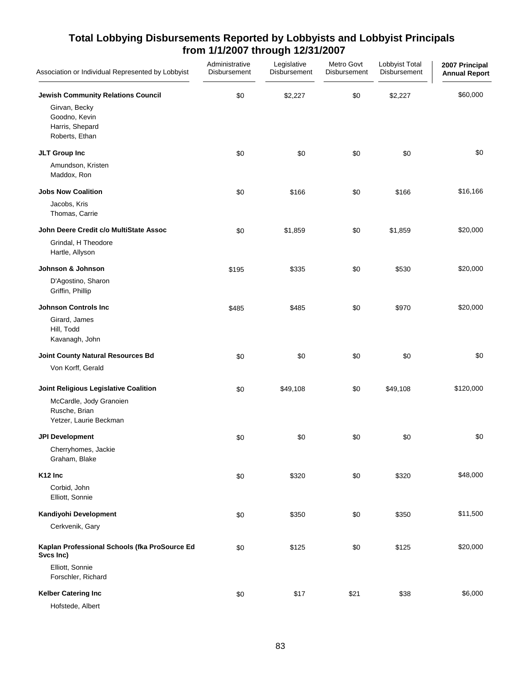| Association or Individual Represented by Lobbyist                                                                | Administrative<br>Disbursement | Legislative<br>Disbursement | Metro Govt<br>Disbursement | Lobbyist Total<br>Disbursement | 2007 Principal<br><b>Annual Report</b> |
|------------------------------------------------------------------------------------------------------------------|--------------------------------|-----------------------------|----------------------------|--------------------------------|----------------------------------------|
| <b>Jewish Community Relations Council</b><br>Girvan, Becky<br>Goodno, Kevin<br>Harris, Shepard<br>Roberts, Ethan | \$0                            | \$2,227                     | \$0                        | \$2,227                        | \$60,000                               |
| JLT Group Inc<br>Amundson, Kristen<br>Maddox, Ron                                                                | \$0                            | \$0                         | \$0                        | \$0                            | \$0                                    |
| <b>Jobs Now Coalition</b><br>Jacobs, Kris<br>Thomas, Carrie                                                      | \$0                            | \$166                       | \$0                        | \$166                          | \$16,166                               |
| John Deere Credit c/o MultiState Assoc<br>Grindal, H Theodore<br>Hartle, Allyson                                 | \$0                            | \$1,859                     | \$0                        | \$1,859                        | \$20,000                               |
| Johnson & Johnson<br>D'Agostino, Sharon<br>Griffin, Phillip                                                      | \$195                          | \$335                       | \$0                        | \$530                          | \$20,000                               |
| <b>Johnson Controls Inc</b><br>Girard, James<br>Hill, Todd<br>Kavanagh, John                                     | \$485                          | \$485                       | \$0                        | \$970                          | \$20,000                               |
| Joint County Natural Resources Bd<br>Von Korff, Gerald                                                           | \$0                            | \$0                         | \$0                        | \$0                            | \$0                                    |
| Joint Religious Legislative Coalition<br>McCardle, Jody Granoien<br>Rusche, Brian<br>Yetzer, Laurie Beckman      | \$0                            | \$49,108                    | \$0                        | \$49,108                       | \$120,000                              |
| <b>JPI Development</b><br>Cherryhomes, Jackie<br>Graham, Blake                                                   | \$0                            | \$0                         | \$0                        | \$0                            | \$0                                    |
| K <sub>12</sub> Inc<br>Corbid, John<br>Elliott, Sonnie                                                           | \$0                            | \$320                       | \$0                        | \$320                          | \$48,000                               |
| Kandiyohi Development<br>Cerkvenik, Gary                                                                         | \$0                            | \$350                       | \$0                        | \$350                          | \$11,500                               |
| Kaplan Professional Schools (fka ProSource Ed<br>Svcs Inc)<br>Elliott, Sonnie<br>Forschler, Richard              | \$0                            | \$125                       | \$0                        | \$125                          | \$20,000                               |
| <b>Kelber Catering Inc</b><br>Hofstede, Albert                                                                   | \$0                            | \$17                        | \$21                       | \$38                           | \$6,000                                |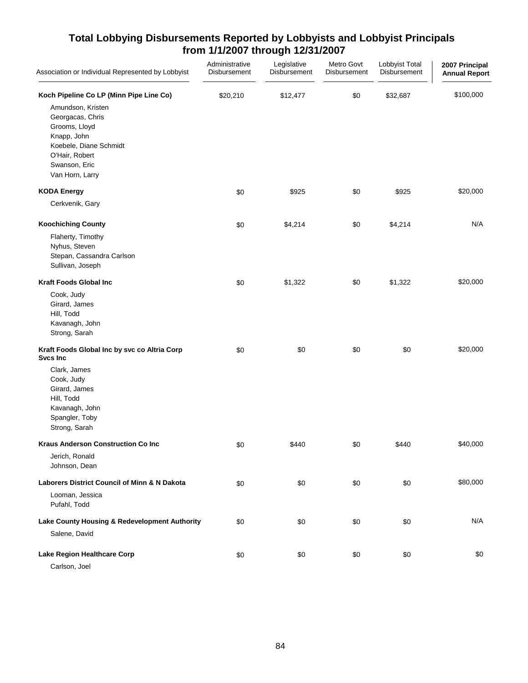| Association or Individual Represented by Lobbyist                                                                                                     | Administrative<br>Disbursement | Legislative<br>Disbursement | Metro Govt<br>Disbursement | Lobbyist Total<br>Disbursement | 2007 Principal<br><b>Annual Report</b> |
|-------------------------------------------------------------------------------------------------------------------------------------------------------|--------------------------------|-----------------------------|----------------------------|--------------------------------|----------------------------------------|
| Koch Pipeline Co LP (Minn Pipe Line Co)                                                                                                               | \$20,210                       | \$12,477                    | \$0                        | \$32,687                       | \$100,000                              |
| Amundson, Kristen<br>Georgacas, Chris<br>Grooms, Lloyd<br>Knapp, John<br>Koebele, Diane Schmidt<br>O'Hair, Robert<br>Swanson, Eric<br>Van Horn, Larry |                                |                             |                            |                                |                                        |
| <b>KODA Energy</b>                                                                                                                                    | \$0                            | \$925                       | \$0                        | \$925                          | \$20,000                               |
| Cerkvenik, Gary                                                                                                                                       |                                |                             |                            |                                |                                        |
| <b>Koochiching County</b><br>Flaherty, Timothy<br>Nyhus, Steven<br>Stepan, Cassandra Carlson<br>Sullivan, Joseph                                      | \$0                            | \$4,214                     | \$0                        | \$4,214                        | N/A                                    |
| <b>Kraft Foods Global Inc</b>                                                                                                                         | \$0                            | \$1,322                     | \$0                        | \$1,322                        | \$20,000                               |
| Cook, Judy<br>Girard, James<br>Hill, Todd<br>Kavanagh, John<br>Strong, Sarah                                                                          |                                |                             |                            |                                |                                        |
| Kraft Foods Global Inc by svc co Altria Corp<br><b>Svcs Inc</b>                                                                                       | \$0                            | \$0                         | \$0                        | \$0                            | \$20,000                               |
| Clark, James<br>Cook, Judy<br>Girard, James<br>Hill, Todd<br>Kavanagh, John<br>Spangler, Toby<br>Strong, Sarah                                        |                                |                             |                            |                                |                                        |
| <b>Kraus Anderson Construction Co Inc</b>                                                                                                             | \$0                            | \$440                       | \$0                        | \$440                          | \$40,000                               |
| Jerich, Ronald<br>Johnson, Dean                                                                                                                       |                                |                             |                            |                                |                                        |
| Laborers District Council of Minn & N Dakota                                                                                                          | \$0                            | \$0                         | \$0                        | \$0                            | \$80,000                               |
| Looman, Jessica<br>Pufahl, Todd                                                                                                                       |                                |                             |                            |                                |                                        |
| Lake County Housing & Redevelopment Authority                                                                                                         | \$0                            | \$0                         | \$0                        | \$0                            | N/A                                    |
| Salene, David                                                                                                                                         |                                |                             |                            |                                |                                        |
| Lake Region Healthcare Corp<br>Carlson, Joel                                                                                                          | \$0                            | \$0                         | \$0                        | \$0                            | \$0                                    |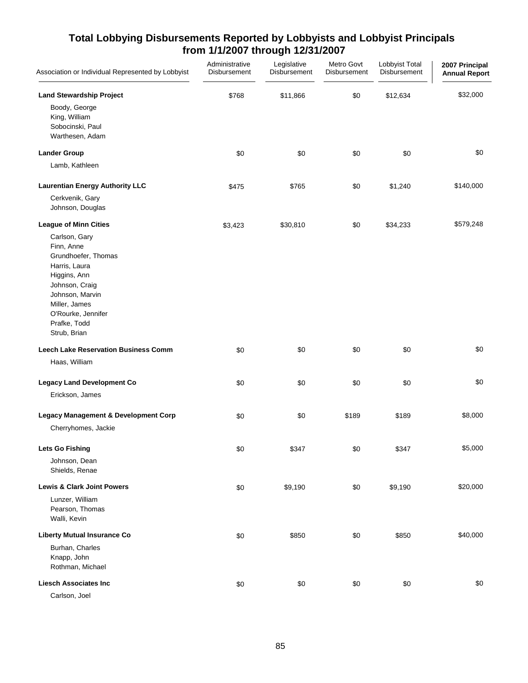| Association or Individual Represented by Lobbyist                                                                                                                                               | Administrative<br>Disbursement | Legislative<br>Disbursement | Metro Govt<br>Disbursement | Lobbyist Total<br>Disbursement | 2007 Principal<br><b>Annual Report</b> |
|-------------------------------------------------------------------------------------------------------------------------------------------------------------------------------------------------|--------------------------------|-----------------------------|----------------------------|--------------------------------|----------------------------------------|
| <b>Land Stewardship Project</b><br>Boody, George<br>King, William<br>Sobocinski, Paul<br>Warthesen, Adam                                                                                        | \$768                          | \$11,866                    | \$0                        | \$12,634                       | \$32,000                               |
| <b>Lander Group</b>                                                                                                                                                                             | \$0                            | \$0                         | \$0                        | \$0                            | \$0                                    |
| Lamb, Kathleen                                                                                                                                                                                  |                                |                             |                            |                                |                                        |
| <b>Laurentian Energy Authority LLC</b><br>Cerkvenik, Gary<br>Johnson, Douglas                                                                                                                   | \$475                          | \$765                       | \$0                        | \$1,240                        | \$140,000                              |
| <b>League of Minn Cities</b>                                                                                                                                                                    | \$3,423                        | \$30,810                    | \$0                        | \$34,233                       | \$579,248                              |
| Carlson, Gary<br>Finn, Anne<br>Grundhoefer, Thomas<br>Harris, Laura<br>Higgins, Ann<br>Johnson, Craig<br>Johnson, Marvin<br>Miller, James<br>O'Rourke, Jennifer<br>Prafke, Todd<br>Strub, Brian |                                |                             |                            |                                |                                        |
| <b>Leech Lake Reservation Business Comm</b>                                                                                                                                                     | \$0                            | \$0                         | \$0                        | \$0                            | \$0                                    |
| Haas, William                                                                                                                                                                                   |                                |                             |                            |                                |                                        |
| <b>Legacy Land Development Co</b><br>Erickson, James                                                                                                                                            | \$0                            | \$0                         | \$0                        | \$0                            | \$0                                    |
| <b>Legacy Management &amp; Development Corp</b><br>Cherryhomes, Jackie                                                                                                                          | \$0                            | \$0                         | \$189                      | \$189                          | \$8,000                                |
| <b>Lets Go Fishing</b><br>Johnson, Dean<br>Shields, Renae                                                                                                                                       | \$0                            | \$347                       | \$0                        | \$347                          | \$5,000                                |
| <b>Lewis &amp; Clark Joint Powers</b>                                                                                                                                                           | \$0                            | \$9,190                     | \$0                        | \$9,190                        | \$20,000                               |
| Lunzer, William<br>Pearson, Thomas<br>Walli, Kevin                                                                                                                                              |                                |                             |                            |                                |                                        |
| <b>Liberty Mutual Insurance Co</b>                                                                                                                                                              | \$0                            | \$850                       | \$0                        | \$850                          | \$40,000                               |
| Burhan, Charles<br>Knapp, John<br>Rothman, Michael                                                                                                                                              |                                |                             |                            |                                |                                        |
| <b>Liesch Associates Inc</b><br>Carlson, Joel                                                                                                                                                   | \$0                            | \$0                         | \$0                        | \$0                            | \$0                                    |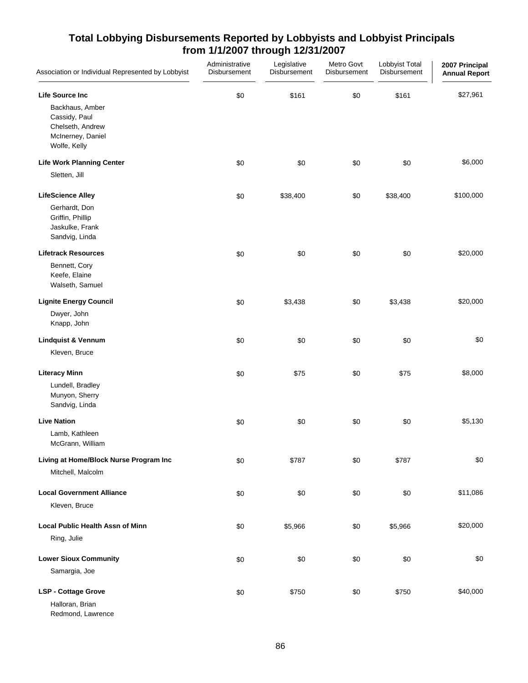| Association or Individual Represented by Lobbyist                                                                   | Administrative<br>Disbursement | Legislative<br>Disbursement | Metro Govt<br>Disbursement | Lobbyist Total<br>Disbursement | 2007 Principal<br><b>Annual Report</b> |
|---------------------------------------------------------------------------------------------------------------------|--------------------------------|-----------------------------|----------------------------|--------------------------------|----------------------------------------|
| <b>Life Source Inc</b><br>Backhaus, Amber<br>Cassidy, Paul<br>Chelseth, Andrew<br>McInerney, Daniel<br>Wolfe, Kelly | \$0                            | \$161                       | \$0                        | \$161                          | \$27,961                               |
| <b>Life Work Planning Center</b><br>Sletten, Jill                                                                   | \$0                            | \$0                         | \$0                        | \$0                            | \$6,000                                |
| <b>LifeScience Alley</b><br>Gerhardt, Don<br>Griffin, Phillip<br>Jaskulke, Frank<br>Sandvig, Linda                  | \$0                            | \$38,400                    | \$0                        | \$38,400                       | \$100,000                              |
| <b>Lifetrack Resources</b><br>Bennett, Cory<br>Keefe, Elaine<br>Walseth, Samuel                                     | \$0                            | \$0                         | \$0                        | \$0                            | \$20,000                               |
| <b>Lignite Energy Council</b><br>Dwyer, John<br>Knapp, John                                                         | \$0                            | \$3,438                     | \$0                        | \$3,438                        | \$20,000                               |
| <b>Lindquist &amp; Vennum</b><br>Kleven, Bruce                                                                      | \$0                            | \$0                         | \$0                        | \$0                            | \$0                                    |
| <b>Literacy Minn</b><br>Lundell, Bradley<br>Munyon, Sherry<br>Sandvig, Linda                                        | \$0                            | \$75                        | \$0                        | \$75                           | \$8,000                                |
| <b>Live Nation</b><br>Lamb, Kathleen<br>McGrann, William                                                            | \$0                            | \$0                         | \$0                        | \$0                            | \$5,130                                |
| Living at Home/Block Nurse Program Inc<br>Mitchell, Malcolm                                                         | \$0                            | \$787                       | \$0                        | \$787                          | \$0                                    |
| <b>Local Government Alliance</b><br>Kleven, Bruce                                                                   | \$0                            | \$0                         | \$0                        | \$0                            | \$11,086                               |
| <b>Local Public Health Assn of Minn</b><br>Ring, Julie                                                              | \$0                            | \$5,966                     | \$0                        | \$5,966                        | \$20,000                               |
| <b>Lower Sioux Community</b><br>Samargia, Joe                                                                       | \$0                            | \$0                         | \$0                        | \$0                            | \$0                                    |
| <b>LSP - Cottage Grove</b><br>Halloran, Brian                                                                       | \$0                            | \$750                       | \$0                        | \$750                          | \$40,000                               |

Redmond, Lawrence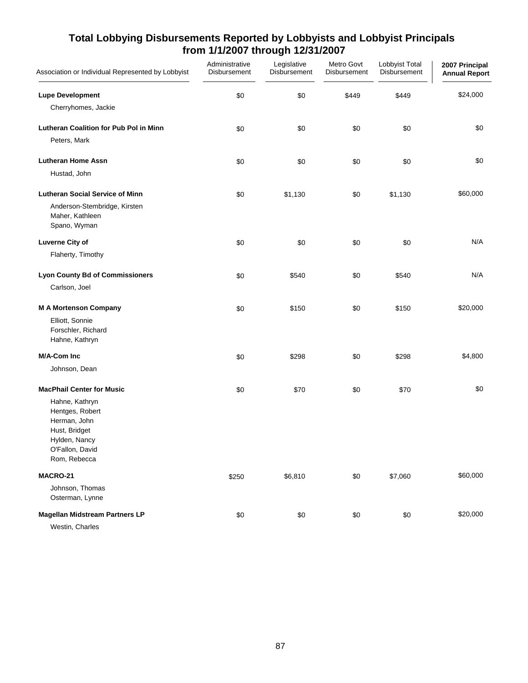| Association or Individual Represented by Lobbyist                                                                      | Administrative<br>Disbursement | Legislative<br>Disbursement | Metro Govt<br>Disbursement | Lobbyist Total<br>Disbursement | 2007 Principal<br><b>Annual Report</b> |
|------------------------------------------------------------------------------------------------------------------------|--------------------------------|-----------------------------|----------------------------|--------------------------------|----------------------------------------|
| <b>Lupe Development</b>                                                                                                | \$0                            | \$0                         | \$449                      | \$449                          | \$24,000                               |
| Cherryhomes, Jackie                                                                                                    |                                |                             |                            |                                |                                        |
| <b>Lutheran Coalition for Pub Pol in Minn</b><br>Peters, Mark                                                          | \$0                            | \$0                         | \$0                        | \$0                            | \$0                                    |
| <b>Lutheran Home Assn</b>                                                                                              | \$0                            | \$0                         | \$0                        | \$0                            | \$0                                    |
| Hustad, John                                                                                                           |                                |                             |                            |                                |                                        |
| <b>Lutheran Social Service of Minn</b>                                                                                 | \$0                            | \$1,130                     | \$0                        | \$1,130                        | \$60,000                               |
| Anderson-Stembridge, Kirsten<br>Maher, Kathleen<br>Spano, Wyman                                                        |                                |                             |                            |                                |                                        |
| <b>Luverne City of</b>                                                                                                 | \$0                            | \$0                         | \$0                        | \$0                            | N/A                                    |
| Flaherty, Timothy                                                                                                      |                                |                             |                            |                                |                                        |
| <b>Lyon County Bd of Commissioners</b>                                                                                 | \$0                            | \$540                       | \$0                        | \$540                          | N/A                                    |
| Carlson, Joel                                                                                                          |                                |                             |                            |                                |                                        |
| <b>M A Mortenson Company</b>                                                                                           | \$0                            | \$150                       | \$0                        | \$150                          | \$20,000                               |
| Elliott, Sonnie<br>Forschler, Richard<br>Hahne, Kathryn                                                                |                                |                             |                            |                                |                                        |
| M/A-Com Inc                                                                                                            | \$0                            | \$298                       | \$0                        | \$298                          | \$4,800                                |
| Johnson, Dean                                                                                                          |                                |                             |                            |                                |                                        |
| <b>MacPhail Center for Music</b>                                                                                       | \$0                            | \$70                        | \$0                        | \$70                           | \$0                                    |
| Hahne, Kathryn<br>Hentges, Robert<br>Herman, John<br>Hust, Bridget<br>Hylden, Nancy<br>O'Fallon, David<br>Rom, Rebecca |                                |                             |                            |                                |                                        |
| <b>MACRO-21</b>                                                                                                        | \$250                          | \$6,810                     | \$0                        | \$7,060                        | \$60,000                               |
| Johnson, Thomas<br>Osterman, Lynne                                                                                     |                                |                             |                            |                                |                                        |
| <b>Magellan Midstream Partners LP</b><br>Westin, Charles                                                               | \$0                            | \$0                         | $\$0$                      | \$0                            | \$20,000                               |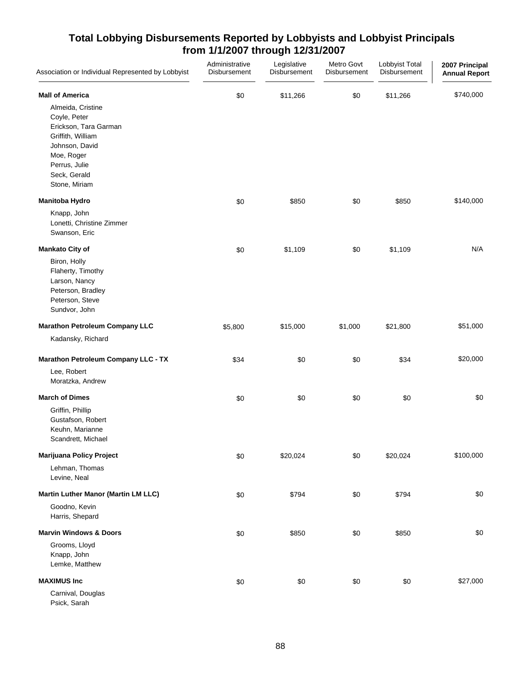| Association or Individual Represented by Lobbyist                                                                                                                 | Administrative<br>Disbursement | Legislative<br>Disbursement | Metro Govt<br>Disbursement | Lobbyist Total<br>Disbursement | 2007 Principal<br><b>Annual Report</b> |
|-------------------------------------------------------------------------------------------------------------------------------------------------------------------|--------------------------------|-----------------------------|----------------------------|--------------------------------|----------------------------------------|
| <b>Mall of America</b>                                                                                                                                            | \$0                            | \$11,266                    | \$0                        | \$11,266                       | \$740,000                              |
| Almeida, Cristine<br>Coyle, Peter<br>Erickson, Tara Garman<br>Griffith, William<br>Johnson, David<br>Moe, Roger<br>Perrus, Julie<br>Seck, Gerald<br>Stone, Miriam |                                |                             |                            |                                |                                        |
| Manitoba Hydro                                                                                                                                                    | \$0                            | \$850                       | \$0                        | \$850                          | \$140,000                              |
| Knapp, John<br>Lonetti, Christine Zimmer<br>Swanson, Eric                                                                                                         |                                |                             |                            |                                |                                        |
| <b>Mankato City of</b>                                                                                                                                            | \$0                            | \$1,109                     | \$0                        | \$1,109                        | N/A                                    |
| Biron, Holly<br>Flaherty, Timothy<br>Larson, Nancy<br>Peterson, Bradley<br>Peterson, Steve<br>Sundvor, John                                                       |                                |                             |                            |                                |                                        |
| <b>Marathon Petroleum Company LLC</b>                                                                                                                             | \$5,800                        | \$15,000                    | \$1,000                    | \$21,800                       | \$51,000                               |
| Kadansky, Richard                                                                                                                                                 |                                |                             |                            |                                |                                        |
| <b>Marathon Petroleum Company LLC - TX</b>                                                                                                                        | \$34                           | \$0                         | \$0                        | \$34                           | \$20,000                               |
| Lee, Robert<br>Moratzka, Andrew                                                                                                                                   |                                |                             |                            |                                |                                        |
| <b>March of Dimes</b>                                                                                                                                             | \$0                            | \$0                         | \$0                        | \$0                            | \$0                                    |
| Griffin, Phillip<br>Gustafson, Robert<br>Keuhn, Marianne<br>Scandrett, Michael                                                                                    |                                |                             |                            |                                |                                        |
| Marijuana Policy Project                                                                                                                                          | \$0                            | \$20,024                    | \$0                        | \$20,024                       | \$100,000                              |
| Lehman, Thomas<br>Levine, Neal                                                                                                                                    |                                |                             |                            |                                |                                        |
| Martin Luther Manor (Martin LM LLC)                                                                                                                               | \$0                            | \$794                       | \$0                        | \$794                          | \$0                                    |
| Goodno, Kevin<br>Harris, Shepard                                                                                                                                  |                                |                             |                            |                                |                                        |
| <b>Marvin Windows &amp; Doors</b>                                                                                                                                 | \$0                            | \$850                       | \$0                        | \$850                          | \$0                                    |
| Grooms, Lloyd<br>Knapp, John<br>Lemke, Matthew                                                                                                                    |                                |                             |                            |                                |                                        |
| <b>MAXIMUS Inc</b>                                                                                                                                                | \$0                            | \$0                         | \$0                        | \$0                            | \$27,000                               |
| Carnival, Douglas<br>Psick, Sarah                                                                                                                                 |                                |                             |                            |                                |                                        |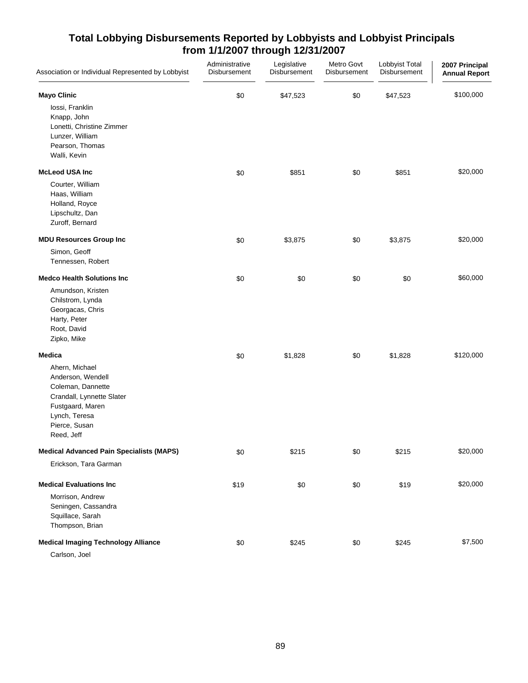| Association or Individual Represented by Lobbyist                                                                                                         | Administrative<br>Disbursement | Legislative<br>Disbursement | Metro Govt<br>Disbursement | Lobbyist Total<br>Disbursement | 2007 Principal<br><b>Annual Report</b> |
|-----------------------------------------------------------------------------------------------------------------------------------------------------------|--------------------------------|-----------------------------|----------------------------|--------------------------------|----------------------------------------|
| <b>Mayo Clinic</b>                                                                                                                                        | \$0                            | \$47,523                    | \$0                        | \$47,523                       | \$100,000                              |
| lossi, Franklin<br>Knapp, John<br>Lonetti, Christine Zimmer<br>Lunzer, William<br>Pearson, Thomas<br>Walli, Kevin                                         |                                |                             |                            |                                |                                        |
| <b>McLeod USA Inc</b>                                                                                                                                     | \$0                            | \$851                       | \$0                        | \$851                          | \$20,000                               |
| Courter, William<br>Haas, William<br>Holland, Royce<br>Lipschultz, Dan<br>Zuroff, Bernard                                                                 |                                |                             |                            |                                |                                        |
| <b>MDU Resources Group Inc</b>                                                                                                                            | \$0                            | \$3,875                     | \$0                        | \$3,875                        | \$20,000                               |
| Simon, Geoff<br>Tennessen, Robert                                                                                                                         |                                |                             |                            |                                |                                        |
| <b>Medco Health Solutions Inc</b>                                                                                                                         | \$0                            | \$0                         | \$0                        | \$0                            | \$60,000                               |
| Amundson, Kristen<br>Chilstrom, Lynda<br>Georgacas, Chris<br>Harty, Peter<br>Root, David<br>Zipko, Mike                                                   |                                |                             |                            |                                |                                        |
| <b>Medica</b>                                                                                                                                             | \$0                            | \$1,828                     | \$0                        | \$1,828                        | \$120,000                              |
| Ahern, Michael<br>Anderson, Wendell<br>Coleman, Dannette<br>Crandall, Lynnette Slater<br>Fustgaard, Maren<br>Lynch, Teresa<br>Pierce, Susan<br>Reed, Jeff |                                |                             |                            |                                |                                        |
| <b>Medical Advanced Pain Specialists (MAPS)</b>                                                                                                           | \$0                            | \$215                       | \$0                        | \$215                          | \$20,000                               |
| Erickson, Tara Garman                                                                                                                                     |                                |                             |                            |                                |                                        |
| <b>Medical Evaluations Inc.</b>                                                                                                                           | \$19                           | \$0                         | \$0                        | \$19                           | \$20,000                               |
| Morrison, Andrew<br>Seningen, Cassandra<br>Squillace, Sarah<br>Thompson, Brian                                                                            |                                |                             |                            |                                |                                        |
| <b>Medical Imaging Technology Alliance</b>                                                                                                                | \$0                            | \$245                       | \$0                        | \$245                          | \$7,500                                |
| Carlson, Joel                                                                                                                                             |                                |                             |                            |                                |                                        |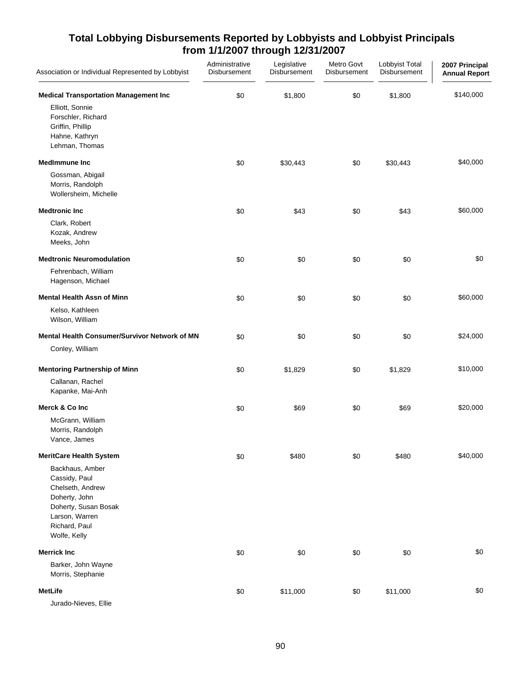| Association or Individual Represented by Lobbyist                                                                                                | Administrative<br>Disbursement | Legislative<br>Disbursement | Metro Govt<br>Disbursement | Lobbyist Total<br>Disbursement | 2007 Principal<br><b>Annual Report</b> |
|--------------------------------------------------------------------------------------------------------------------------------------------------|--------------------------------|-----------------------------|----------------------------|--------------------------------|----------------------------------------|
| <b>Medical Transportation Management Inc</b><br>Elliott, Sonnie                                                                                  | \$0                            | \$1,800                     | \$0                        | \$1,800                        | \$140,000                              |
| Forschler, Richard<br>Griffin, Phillip<br>Hahne, Kathryn<br>Lehman, Thomas                                                                       |                                |                             |                            |                                |                                        |
| <b>MedImmune Inc</b>                                                                                                                             | \$0                            | \$30,443                    | \$0                        | \$30,443                       | \$40,000                               |
| Gossman, Abigail<br>Morris, Randolph<br>Wollersheim, Michelle                                                                                    |                                |                             |                            |                                |                                        |
| <b>Medtronic Inc</b>                                                                                                                             | \$0                            | \$43                        | \$0                        | \$43                           | \$60,000                               |
| Clark, Robert<br>Kozak, Andrew<br>Meeks, John                                                                                                    |                                |                             |                            |                                |                                        |
| <b>Medtronic Neuromodulation</b>                                                                                                                 | \$0                            | \$0                         | \$0                        | \$0                            | \$0                                    |
| Fehrenbach, William<br>Hagenson, Michael                                                                                                         |                                |                             |                            |                                |                                        |
| <b>Mental Health Assn of Minn</b>                                                                                                                | \$0                            | \$0                         | \$0                        | \$0                            | \$60,000                               |
| Kelso, Kathleen<br>Wilson, William                                                                                                               |                                |                             |                            |                                |                                        |
| Mental Health Consumer/Survivor Network of MN                                                                                                    | \$0                            | \$0                         | \$0                        | \$0                            | \$24,000                               |
| Conley, William                                                                                                                                  |                                |                             |                            |                                |                                        |
| <b>Mentoring Partnership of Minn</b>                                                                                                             | \$0                            | \$1,829                     | \$0                        | \$1,829                        | \$10,000                               |
| Callanan, Rachel<br>Kapanke, Mai-Anh                                                                                                             |                                |                             |                            |                                |                                        |
| Merck & Co Inc                                                                                                                                   | \$0                            | \$69                        | \$0                        | \$69                           | \$20,000                               |
| McGrann, William<br>Morris, Randolph<br>Vance, James                                                                                             |                                |                             |                            |                                |                                        |
| <b>MeritCare Health System</b>                                                                                                                   | \$0                            | \$480                       | \$0                        | \$480                          | \$40,000                               |
| Backhaus, Amber<br>Cassidy, Paul<br>Chelseth, Andrew<br>Doherty, John<br>Doherty, Susan Bosak<br>Larson, Warren<br>Richard, Paul<br>Wolfe, Kelly |                                |                             |                            |                                |                                        |
| <b>Merrick Inc</b>                                                                                                                               | \$0                            | \$0                         | \$0                        | \$0                            | \$0                                    |
| Barker, John Wayne<br>Morris, Stephanie                                                                                                          |                                |                             |                            |                                |                                        |
| <b>MetLife</b>                                                                                                                                   | \$0                            | \$11,000                    | \$0                        | \$11,000                       | \$0                                    |
| Jurado-Nieves, Ellie                                                                                                                             |                                |                             |                            |                                |                                        |

90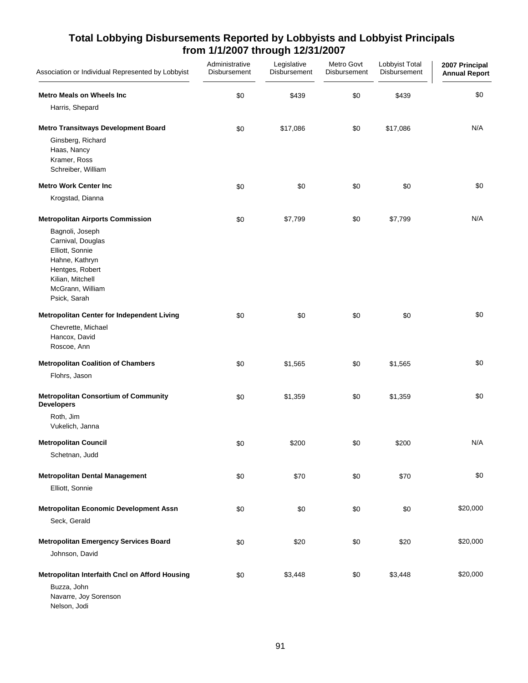| Association or Individual Represented by Lobbyist                                                                                                    | Administrative<br>Disbursement | Legislative<br><b>Disbursement</b> | Metro Govt<br>Disbursement | Lobbyist Total<br>Disbursement | 2007 Principal<br><b>Annual Report</b> |
|------------------------------------------------------------------------------------------------------------------------------------------------------|--------------------------------|------------------------------------|----------------------------|--------------------------------|----------------------------------------|
| <b>Metro Meals on Wheels Inc</b>                                                                                                                     | \$0                            | \$439                              | \$0                        | \$439                          | \$0                                    |
| Harris, Shepard                                                                                                                                      |                                |                                    |                            |                                |                                        |
| <b>Metro Transitways Development Board</b>                                                                                                           | \$0                            | \$17,086                           | \$0                        | \$17,086                       | N/A                                    |
| Ginsberg, Richard<br>Haas, Nancy<br>Kramer, Ross<br>Schreiber, William                                                                               |                                |                                    |                            |                                |                                        |
| <b>Metro Work Center Inc.</b>                                                                                                                        | \$0                            | \$0                                | \$0                        | \$0                            | \$0                                    |
| Krogstad, Dianna                                                                                                                                     |                                |                                    |                            |                                |                                        |
| <b>Metropolitan Airports Commission</b>                                                                                                              | \$0                            | \$7,799                            | $$0$$                      | \$7,799                        | N/A                                    |
| Bagnoli, Joseph<br>Carnival, Douglas<br>Elliott, Sonnie<br>Hahne, Kathryn<br>Hentges, Robert<br>Kilian, Mitchell<br>McGrann, William<br>Psick, Sarah |                                |                                    |                            |                                |                                        |
| Metropolitan Center for Independent Living                                                                                                           | \$0                            | \$0                                | \$0                        | \$0                            | \$0                                    |
| Chevrette, Michael<br>Hancox, David<br>Roscoe, Ann                                                                                                   |                                |                                    |                            |                                |                                        |
| <b>Metropolitan Coalition of Chambers</b>                                                                                                            | \$0                            | \$1,565                            | \$0                        | \$1,565                        | \$0                                    |
| Flohrs, Jason                                                                                                                                        |                                |                                    |                            |                                |                                        |
| <b>Metropolitan Consortium of Community</b><br><b>Developers</b>                                                                                     | \$0                            | \$1,359                            | \$0                        | \$1,359                        | \$0                                    |
| Roth, Jim<br>Vukelich, Janna                                                                                                                         |                                |                                    |                            |                                |                                        |
| <b>Metropolitan Council</b>                                                                                                                          | \$0                            | \$200                              | \$0                        | \$200                          | N/A                                    |
| Schetnan, Judd                                                                                                                                       |                                |                                    |                            |                                |                                        |
| <b>Metropolitan Dental Management</b>                                                                                                                | \$0                            | \$70                               | \$0                        | \$70                           | \$0                                    |
| Elliott, Sonnie                                                                                                                                      |                                |                                    |                            |                                |                                        |
| <b>Metropolitan Economic Development Assn</b>                                                                                                        | \$0                            | \$0                                | \$0                        | \$0                            | \$20,000                               |
| Seck, Gerald                                                                                                                                         |                                |                                    |                            |                                |                                        |
| <b>Metropolitan Emergency Services Board</b>                                                                                                         | \$0                            | \$20                               | \$0                        | \$20                           | \$20,000                               |
| Johnson, David                                                                                                                                       |                                |                                    |                            |                                |                                        |
| Metropolitan Interfaith Cncl on Afford Housing<br>Buzza, John<br>Navarre, Joy Sorenson<br>Nelson, Jodi                                               | \$0                            | \$3,448                            | \$0                        | \$3,448                        | \$20,000                               |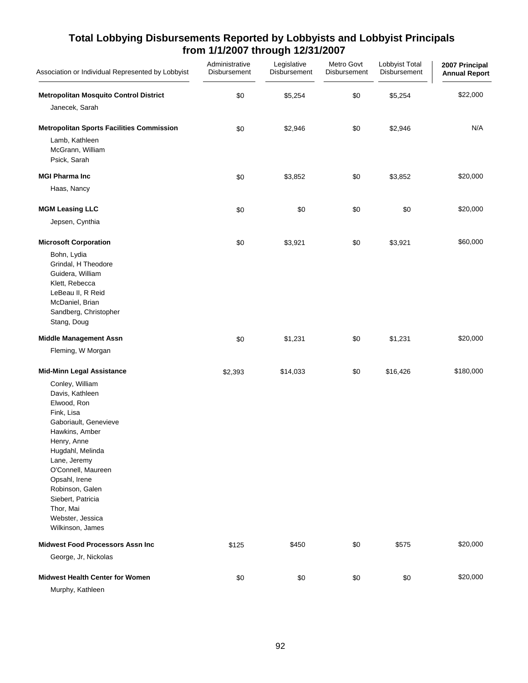| Association or Individual Represented by Lobbyist                                                                                                                                                                                                                                                                                            | Administrative<br>Disbursement | Legislative<br>Disbursement | Metro Govt<br>Disbursement | Lobbyist Total<br>Disbursement | 2007 Principal<br><b>Annual Report</b> |
|----------------------------------------------------------------------------------------------------------------------------------------------------------------------------------------------------------------------------------------------------------------------------------------------------------------------------------------------|--------------------------------|-----------------------------|----------------------------|--------------------------------|----------------------------------------|
| <b>Metropolitan Mosquito Control District</b>                                                                                                                                                                                                                                                                                                | \$0                            | \$5,254                     | \$0                        | \$5,254                        | \$22,000                               |
| Janecek, Sarah                                                                                                                                                                                                                                                                                                                               |                                |                             |                            |                                |                                        |
| <b>Metropolitan Sports Facilities Commission</b>                                                                                                                                                                                                                                                                                             | \$0                            | \$2,946                     | \$0                        | \$2,946                        | N/A                                    |
| Lamb, Kathleen<br>McGrann, William<br>Psick, Sarah                                                                                                                                                                                                                                                                                           |                                |                             |                            |                                |                                        |
| <b>MGI Pharma Inc.</b>                                                                                                                                                                                                                                                                                                                       | \$0                            | \$3,852                     | \$0                        | \$3,852                        | \$20,000                               |
| Haas, Nancy                                                                                                                                                                                                                                                                                                                                  |                                |                             |                            |                                |                                        |
| <b>MGM Leasing LLC</b>                                                                                                                                                                                                                                                                                                                       | \$0                            | \$0                         | \$0                        | \$0                            | \$20,000                               |
| Jepsen, Cynthia                                                                                                                                                                                                                                                                                                                              |                                |                             |                            |                                |                                        |
| <b>Microsoft Corporation</b>                                                                                                                                                                                                                                                                                                                 | \$0                            | \$3,921                     | \$0                        | \$3,921                        | \$60,000                               |
| Bohn, Lydia<br>Grindal, H Theodore<br>Guidera, William<br>Klett, Rebecca<br>LeBeau II, R Reid<br>McDaniel, Brian<br>Sandberg, Christopher<br>Stang, Doug                                                                                                                                                                                     |                                |                             |                            |                                |                                        |
| <b>Middle Management Assn</b>                                                                                                                                                                                                                                                                                                                | \$0                            | \$1,231                     | \$0                        | \$1,231                        | \$20,000                               |
| Fleming, W Morgan                                                                                                                                                                                                                                                                                                                            |                                |                             |                            |                                |                                        |
| <b>Mid-Minn Legal Assistance</b>                                                                                                                                                                                                                                                                                                             | \$2,393                        | \$14,033                    | \$0                        | \$16,426                       | \$180,000                              |
| Conley, William<br>Davis, Kathleen<br>Elwood, Ron<br>Fink, Lisa<br>Gaboriault, Genevieve<br>Hawkins, Amber<br>Henry, Anne<br>Hugdahl, Melinda<br>Lane, Jeremy<br>O'Connell, Maureen<br>Opsahl, Irene<br>Robinson, Galen<br>Siebert, Patricia<br>Thor, Mai<br>Webster, Jessica<br>Wilkinson, James<br><b>Midwest Food Processors Assn Inc</b> | \$125                          | \$450                       | \$0                        | \$575                          | \$20,000                               |
| George, Jr, Nickolas                                                                                                                                                                                                                                                                                                                         |                                |                             |                            |                                |                                        |
| <b>Midwest Health Center for Women</b>                                                                                                                                                                                                                                                                                                       | \$0                            | \$0                         | \$0                        | \$0                            | \$20,000                               |
| Murphy, Kathleen                                                                                                                                                                                                                                                                                                                             |                                |                             |                            |                                |                                        |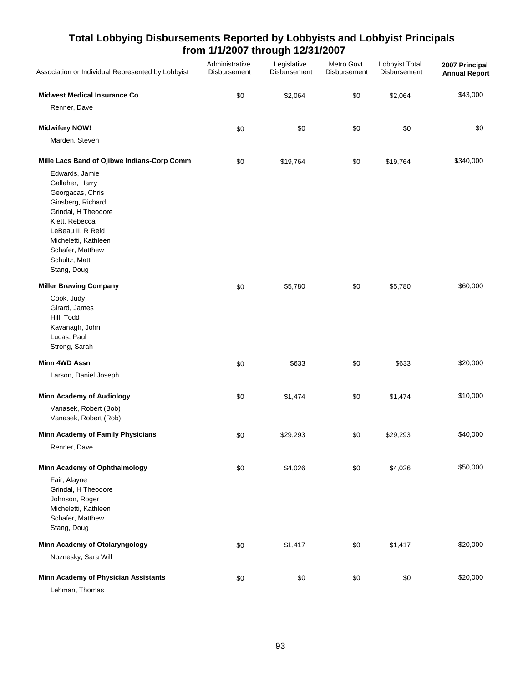| Association or Individual Represented by Lobbyist                                                                                                                                                                    | Administrative<br>Disbursement | Legislative<br>Disbursement | Metro Govt<br>Disbursement | Lobbyist Total<br>Disbursement | 2007 Principal<br><b>Annual Report</b> |
|----------------------------------------------------------------------------------------------------------------------------------------------------------------------------------------------------------------------|--------------------------------|-----------------------------|----------------------------|--------------------------------|----------------------------------------|
| <b>Midwest Medical Insurance Co</b>                                                                                                                                                                                  | \$0                            | \$2,064                     | \$0                        | \$2,064                        | \$43,000                               |
| Renner, Dave                                                                                                                                                                                                         |                                |                             |                            |                                |                                        |
| <b>Midwifery NOW!</b>                                                                                                                                                                                                | \$0                            | \$0                         | \$0                        | \$0                            | \$0                                    |
| Marden, Steven                                                                                                                                                                                                       |                                |                             |                            |                                |                                        |
| Mille Lacs Band of Ojibwe Indians-Corp Comm                                                                                                                                                                          | \$0                            | \$19,764                    | \$0                        | \$19,764                       | \$340,000                              |
| Edwards, Jamie<br>Gallaher, Harry<br>Georgacas, Chris<br>Ginsberg, Richard<br>Grindal, H Theodore<br>Klett, Rebecca<br>LeBeau II, R Reid<br>Micheletti, Kathleen<br>Schafer, Matthew<br>Schultz, Matt<br>Stang, Doug |                                |                             |                            |                                |                                        |
| <b>Miller Brewing Company</b>                                                                                                                                                                                        | \$0                            | \$5,780                     | \$0                        | \$5,780                        | \$60,000                               |
| Cook, Judy<br>Girard, James<br>Hill, Todd<br>Kavanagh, John<br>Lucas, Paul<br>Strong, Sarah                                                                                                                          |                                |                             |                            |                                |                                        |
| Minn 4WD Assn                                                                                                                                                                                                        | \$0                            | \$633                       | \$0                        | \$633                          | \$20,000                               |
| Larson, Daniel Joseph                                                                                                                                                                                                |                                |                             |                            |                                |                                        |
| <b>Minn Academy of Audiology</b>                                                                                                                                                                                     | \$0                            | \$1,474                     | \$0                        | \$1,474                        | \$10,000                               |
| Vanasek, Robert (Bob)<br>Vanasek, Robert (Rob)                                                                                                                                                                       |                                |                             |                            |                                |                                        |
| Minn Academy of Family Physicians                                                                                                                                                                                    | \$0                            | \$29,293                    | \$0                        | \$29,293                       | \$40,000                               |
| Renner, Dave                                                                                                                                                                                                         |                                |                             |                            |                                |                                        |
| Minn Academy of Ophthalmology                                                                                                                                                                                        | \$0                            | \$4,026                     | \$0                        | \$4,026                        | \$50,000                               |
| Fair, Alayne<br>Grindal, H Theodore<br>Johnson, Roger<br>Micheletti, Kathleen<br>Schafer, Matthew<br>Stang, Doug                                                                                                     |                                |                             |                            |                                |                                        |
| Minn Academy of Otolaryngology                                                                                                                                                                                       | \$0                            | \$1,417                     | \$0                        | \$1,417                        | \$20,000                               |
| Noznesky, Sara Will                                                                                                                                                                                                  |                                |                             |                            |                                |                                        |
| Minn Academy of Physician Assistants<br>Lehman, Thomas                                                                                                                                                               | \$0                            | \$0                         | \$0                        | \$0                            | \$20,000                               |
|                                                                                                                                                                                                                      |                                |                             |                            |                                |                                        |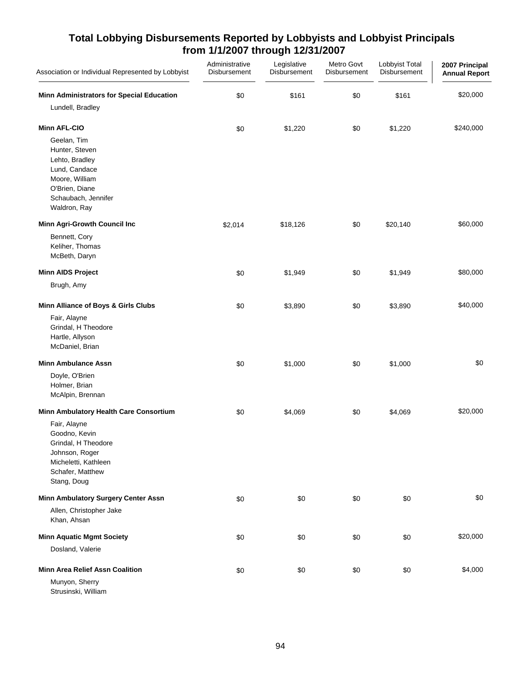| Association or Individual Represented by Lobbyist                                                                                           | Administrative<br>Disbursement | Legislative<br>Disbursement | Metro Govt<br>Disbursement | Lobbyist Total<br>Disbursement | 2007 Principal<br><b>Annual Report</b> |
|---------------------------------------------------------------------------------------------------------------------------------------------|--------------------------------|-----------------------------|----------------------------|--------------------------------|----------------------------------------|
| Minn Administrators for Special Education<br>Lundell, Bradley                                                                               | \$0                            | \$161                       | \$0                        | \$161                          | \$20,000                               |
| <b>Minn AFL-CIO</b>                                                                                                                         | \$0                            | \$1,220                     | \$0                        | \$1,220                        | \$240,000                              |
| Geelan, Tim<br>Hunter, Steven<br>Lehto, Bradley<br>Lund, Candace<br>Moore, William<br>O'Brien, Diane<br>Schaubach, Jennifer<br>Waldron, Ray |                                |                             |                            |                                |                                        |
| Minn Agri-Growth Council Inc                                                                                                                | \$2,014                        | \$18,126                    | \$0                        | \$20,140                       | \$60,000                               |
| Bennett, Cory<br>Keliher, Thomas<br>McBeth, Daryn                                                                                           |                                |                             |                            |                                |                                        |
| <b>Minn AIDS Project</b>                                                                                                                    | \$0                            | \$1,949                     | \$0                        | \$1,949                        | \$80,000                               |
| Brugh, Amy                                                                                                                                  |                                |                             |                            |                                |                                        |
| Minn Alliance of Boys & Girls Clubs                                                                                                         | \$0                            | \$3,890                     | \$0                        | \$3,890                        | \$40,000                               |
| Fair, Alayne<br>Grindal, H Theodore<br>Hartle, Allyson<br>McDaniel, Brian                                                                   |                                |                             |                            |                                |                                        |
| <b>Minn Ambulance Assn</b>                                                                                                                  | \$0                            | \$1,000                     | \$0                        | \$1,000                        | \$0                                    |
| Doyle, O'Brien<br>Holmer, Brian<br>McAlpin, Brennan                                                                                         |                                |                             |                            |                                |                                        |
| Minn Ambulatory Health Care Consortium                                                                                                      | \$0                            | \$4,069                     | \$0                        | \$4,069                        | \$20,000                               |
| Fair, Alayne<br>Goodno, Kevin<br>Grindal. H Theodore<br>Johnson, Roger<br>Micheletti, Kathleen<br>Schafer, Matthew<br>Stang, Doug           |                                |                             |                            |                                |                                        |
| Minn Ambulatory Surgery Center Assn                                                                                                         | \$0                            | \$0                         | \$0                        | \$0                            | \$0                                    |
| Allen, Christopher Jake<br>Khan, Ahsan                                                                                                      |                                |                             |                            |                                |                                        |
| <b>Minn Aquatic Mgmt Society</b>                                                                                                            | \$0                            | \$0                         | \$0                        | \$0                            | \$20,000                               |
| Dosland, Valerie                                                                                                                            |                                |                             |                            |                                |                                        |
| <b>Minn Area Relief Assn Coalition</b>                                                                                                      | \$0                            | \$0                         | \$0                        | \$0                            | \$4,000                                |
| Munyon, Sherry<br>Strusinski, William                                                                                                       |                                |                             |                            |                                |                                        |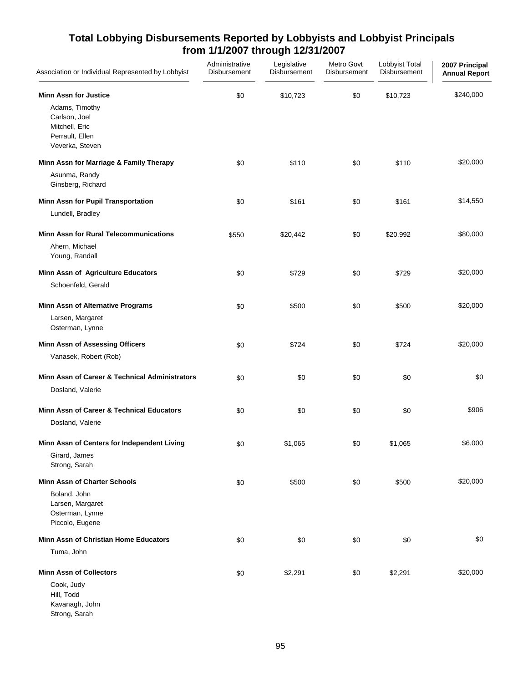| Association or Individual Represented by Lobbyist                      | Administrative<br>Disbursement | Legislative<br>Disbursement | Metro Govt<br>Disbursement | Lobbyist Total<br>Disbursement | 2007 Principal<br><b>Annual Report</b> |
|------------------------------------------------------------------------|--------------------------------|-----------------------------|----------------------------|--------------------------------|----------------------------------------|
| <b>Minn Assn for Justice</b><br>Adams, Timothy                         | \$0                            | \$10,723                    | \$0                        | \$10,723                       | \$240,000                              |
| Carlson, Joel<br>Mitchell, Eric<br>Perrault, Ellen                     |                                |                             |                            |                                |                                        |
| Veverka, Steven                                                        |                                |                             |                            |                                |                                        |
| Minn Assn for Marriage & Family Therapy                                | \$0                            | \$110                       | \$0                        | \$110                          | \$20,000                               |
| Asunma, Randy<br>Ginsberg, Richard                                     |                                |                             |                            |                                |                                        |
| Minn Assn for Pupil Transportation                                     | \$0                            | \$161                       | \$0                        | \$161                          | \$14,550                               |
| Lundell, Bradley                                                       |                                |                             |                            |                                |                                        |
| <b>Minn Assn for Rural Telecommunications</b>                          | \$550                          | \$20,442                    | \$0                        | \$20,992                       | \$80,000                               |
| Ahern, Michael<br>Young, Randall                                       |                                |                             |                            |                                |                                        |
| Minn Assn of Agriculture Educators                                     | \$0                            | \$729                       | \$0                        | \$729                          | \$20,000                               |
| Schoenfeld, Gerald                                                     |                                |                             |                            |                                |                                        |
| Minn Assn of Alternative Programs                                      | \$0                            | \$500                       | \$0                        | \$500                          | \$20,000                               |
| Larsen, Margaret<br>Osterman, Lynne                                    |                                |                             |                            |                                |                                        |
| <b>Minn Assn of Assessing Officers</b>                                 | \$0                            | \$724                       | \$0                        | \$724                          | \$20,000                               |
| Vanasek, Robert (Rob)                                                  |                                |                             |                            |                                |                                        |
| Minn Assn of Career & Technical Administrators                         | \$0                            | \$0                         | \$0                        | \$0                            | \$0                                    |
| Dosland, Valerie                                                       |                                |                             |                            |                                |                                        |
| Minn Assn of Career & Technical Educators                              | \$0                            | \$0                         | \$0                        | \$0                            | \$906                                  |
| Dosland, Valerie                                                       |                                |                             |                            |                                |                                        |
| Minn Assn of Centers for Independent Living                            | \$0                            | \$1,065                     | \$0                        | \$1,065                        | \$6,000                                |
| Girard, James<br>Strong, Sarah                                         |                                |                             |                            |                                |                                        |
| <b>Minn Assn of Charter Schools</b>                                    | \$0                            | \$500                       | \$0                        | \$500                          | \$20,000                               |
| Boland, John<br>Larsen, Margaret<br>Osterman, Lynne<br>Piccolo, Eugene |                                |                             |                            |                                |                                        |
| Minn Assn of Christian Home Educators                                  | \$0                            | \$0                         | \$0                        | \$0                            | \$0                                    |
| Tuma, John                                                             |                                |                             |                            |                                |                                        |
| <b>Minn Assn of Collectors</b>                                         | \$0                            | \$2,291                     | \$0                        | \$2,291                        | \$20,000                               |
| Cook, Judy<br>Hill, Todd<br>Kavanagh, John<br>Strong, Sarah            |                                |                             |                            |                                |                                        |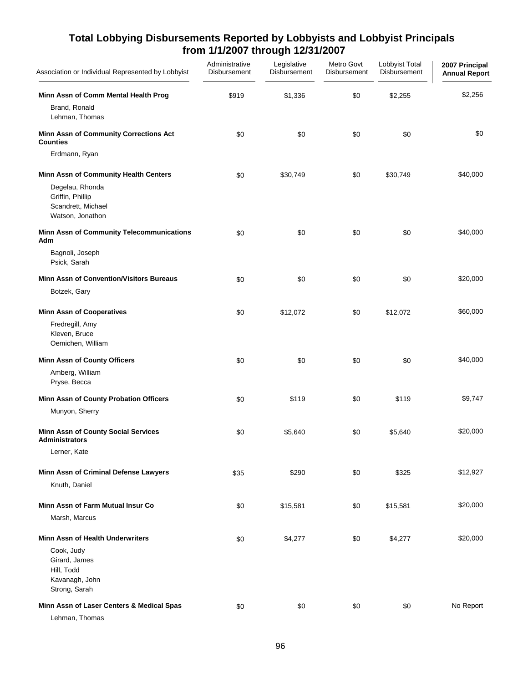| Association or Individual Represented by Lobbyist                             | Administrative<br>Disbursement | Legislative<br>Disbursement | Metro Govt<br>Disbursement | Lobbyist Total<br>Disbursement | 2007 Principal<br><b>Annual Report</b> |
|-------------------------------------------------------------------------------|--------------------------------|-----------------------------|----------------------------|--------------------------------|----------------------------------------|
| Minn Assn of Comm Mental Health Prog<br>Brand, Ronald<br>Lehman, Thomas       | \$919                          | \$1,336                     | \$0                        | \$2,255                        | \$2,256                                |
| Minn Assn of Community Corrections Act<br><b>Counties</b>                     | \$0                            | \$0                         | \$0                        | \$0                            | \$0                                    |
| Erdmann, Ryan                                                                 |                                |                             |                            |                                |                                        |
| Minn Assn of Community Health Centers                                         | \$0                            | \$30,749                    | \$0                        | \$30,749                       | \$40,000                               |
| Degelau, Rhonda<br>Griffin, Phillip<br>Scandrett, Michael<br>Watson, Jonathon |                                |                             |                            |                                |                                        |
| Minn Assn of Community Telecommunications<br>Adm                              | \$0                            | \$0                         | \$0                        | \$0                            | \$40,000                               |
| Bagnoli, Joseph<br>Psick, Sarah                                               |                                |                             |                            |                                |                                        |
| <b>Minn Assn of Convention/Visitors Bureaus</b>                               | \$0                            | \$0                         | \$0                        | \$0                            | \$20,000                               |
| Botzek, Gary                                                                  |                                |                             |                            |                                |                                        |
| <b>Minn Assn of Cooperatives</b>                                              | \$0                            | \$12,072                    | \$0                        | \$12,072                       | \$60,000                               |
| Fredregill, Amy<br>Kleven, Bruce<br>Oemichen, William                         |                                |                             |                            |                                |                                        |
| <b>Minn Assn of County Officers</b>                                           | \$0                            | \$0                         | \$0                        | \$0                            | \$40,000                               |
| Amberg, William<br>Pryse, Becca                                               |                                |                             |                            |                                |                                        |
| Minn Assn of County Probation Officers                                        | \$0                            | \$119                       | \$0                        | \$119                          | \$9,747                                |
| Munyon, Sherry                                                                |                                |                             |                            |                                |                                        |
| <b>Minn Assn of County Social Services</b><br><b>Administrators</b>           | \$0                            | \$5,640                     | \$0                        | \$5,640                        | \$20,000                               |
| Lerner, Kate                                                                  |                                |                             |                            |                                |                                        |
| Minn Assn of Criminal Defense Lawyers                                         | \$35                           | \$290                       | \$0                        | \$325                          | \$12,927                               |
| Knuth, Daniel                                                                 |                                |                             |                            |                                |                                        |
| Minn Assn of Farm Mutual Insur Co                                             | \$0                            | \$15,581                    | \$0                        | \$15,581                       | \$20,000                               |
| Marsh, Marcus                                                                 |                                |                             |                            |                                |                                        |
| <b>Minn Assn of Health Underwriters</b>                                       | \$0                            | \$4,277                     | \$0                        | \$4,277                        | \$20,000                               |
| Cook, Judy<br>Girard, James<br>Hill, Todd<br>Kavanagh, John<br>Strong, Sarah  |                                |                             |                            |                                |                                        |
| Minn Assn of Laser Centers & Medical Spas<br>Lehman, Thomas                   | \$0                            | \$0                         | \$0                        | \$0                            | No Report                              |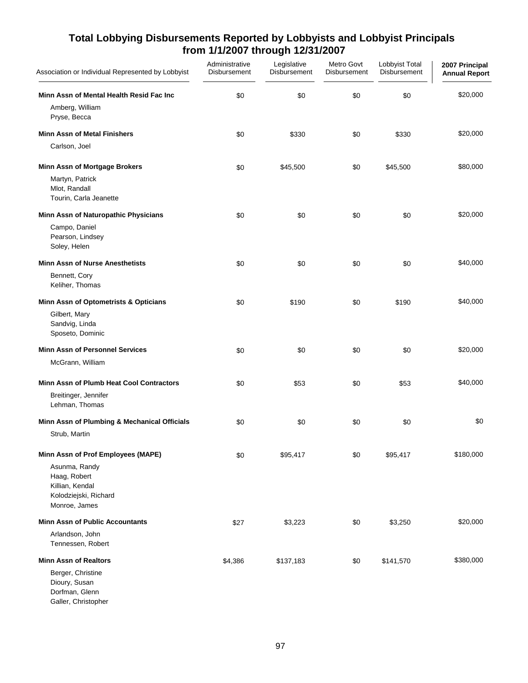| Association or Individual Represented by Lobbyist                                          | Administrative<br>Disbursement | Legislative<br>Disbursement | Metro Govt<br>Disbursement | Lobbyist Total<br>Disbursement | 2007 Principal<br><b>Annual Report</b> |
|--------------------------------------------------------------------------------------------|--------------------------------|-----------------------------|----------------------------|--------------------------------|----------------------------------------|
| Minn Assn of Mental Health Resid Fac Inc<br>Amberg, William<br>Pryse, Becca                | \$0                            | \$0                         | \$0                        | \$0                            | \$20,000                               |
| <b>Minn Assn of Metal Finishers</b>                                                        | \$0                            | \$330                       | \$0                        | \$330                          | \$20,000                               |
| Carlson, Joel                                                                              |                                |                             |                            |                                |                                        |
| Minn Assn of Mortgage Brokers                                                              | \$0                            | \$45,500                    | \$0                        | \$45,500                       | \$80,000                               |
| Martyn, Patrick<br>Mlot, Randall<br>Tourin, Carla Jeanette                                 |                                |                             |                            |                                |                                        |
| Minn Assn of Naturopathic Physicians                                                       | \$0                            | \$0                         | \$0                        | \$0                            | \$20,000                               |
| Campo, Daniel<br>Pearson, Lindsey<br>Soley, Helen                                          |                                |                             |                            |                                |                                        |
| <b>Minn Assn of Nurse Anesthetists</b>                                                     | \$0                            | \$0                         | \$0                        | \$0                            | \$40,000                               |
| Bennett, Cory<br>Keliher, Thomas                                                           |                                |                             |                            |                                |                                        |
| Minn Assn of Optometrists & Opticians                                                      | \$0                            | \$190                       | \$0                        | \$190                          | \$40,000                               |
| Gilbert, Mary<br>Sandvig, Linda<br>Sposeto, Dominic                                        |                                |                             |                            |                                |                                        |
| <b>Minn Assn of Personnel Services</b>                                                     | \$0                            | \$0                         | \$0                        | \$0                            | \$20,000                               |
| McGrann, William                                                                           |                                |                             |                            |                                |                                        |
| Minn Assn of Plumb Heat Cool Contractors                                                   | \$0                            | \$53                        | \$0                        | \$53                           | \$40,000                               |
| Breitinger, Jennifer<br>Lehman, Thomas                                                     |                                |                             |                            |                                |                                        |
| Minn Assn of Plumbing & Mechanical Officials                                               | \$0                            | \$0                         | \$0                        | \$0                            | \$0                                    |
| Strub, Martin                                                                              |                                |                             |                            |                                |                                        |
| Minn Assn of Prof Employees (MAPE)                                                         | \$0                            | \$95,417                    | \$0                        | \$95,417                       | \$180,000                              |
| Asunma, Randy<br>Haag, Robert<br>Killian, Kendal<br>Kolodziejski, Richard<br>Monroe, James |                                |                             |                            |                                |                                        |
| <b>Minn Assn of Public Accountants</b>                                                     | \$27                           | \$3,223                     | \$0                        | \$3,250                        | \$20,000                               |
| Arlandson, John<br>Tennessen, Robert                                                       |                                |                             |                            |                                |                                        |
| <b>Minn Assn of Realtors</b>                                                               | \$4,386                        | \$137,183                   | \$0                        | \$141,570                      | \$380,000                              |
| Berger, Christine<br>Dioury, Susan<br>Dorfman, Glenn<br>Galler, Christopher                |                                |                             |                            |                                |                                        |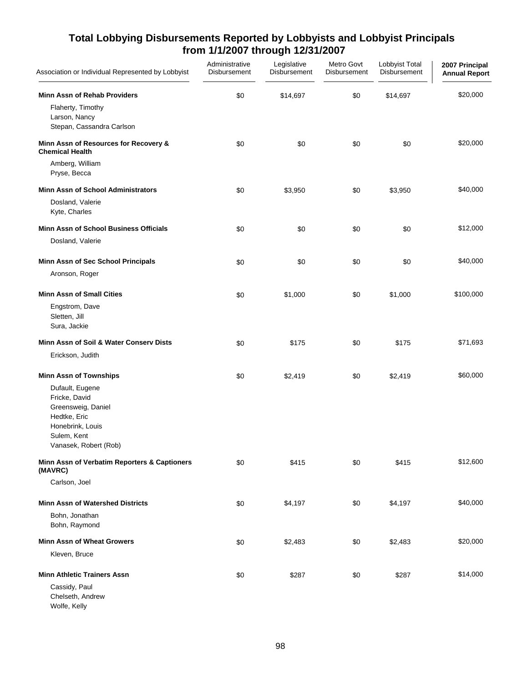| Association or Individual Represented by Lobbyist                                                                                  | Administrative<br>Disbursement | Legislative<br>Disbursement | Metro Govt<br>Disbursement | Lobbyist Total<br>Disbursement | 2007 Principal<br><b>Annual Report</b> |
|------------------------------------------------------------------------------------------------------------------------------------|--------------------------------|-----------------------------|----------------------------|--------------------------------|----------------------------------------|
| <b>Minn Assn of Rehab Providers</b>                                                                                                | \$0                            | \$14,697                    | \$0                        | \$14,697                       | \$20,000                               |
| Flaherty, Timothy<br>Larson, Nancy<br>Stepan, Cassandra Carlson                                                                    |                                |                             |                            |                                |                                        |
| Minn Assn of Resources for Recovery &<br><b>Chemical Health</b>                                                                    | \$0                            | \$0                         | \$0                        | \$0                            | \$20,000                               |
| Amberg, William<br>Pryse, Becca                                                                                                    |                                |                             |                            |                                |                                        |
| <b>Minn Assn of School Administrators</b>                                                                                          | \$0                            | \$3,950                     | \$0                        | \$3,950                        | \$40,000                               |
| Dosland, Valerie<br>Kyte, Charles                                                                                                  |                                |                             |                            |                                |                                        |
| Minn Assn of School Business Officials                                                                                             | \$0                            | \$0                         | \$0                        | \$0                            | \$12,000                               |
| Dosland, Valerie                                                                                                                   |                                |                             |                            |                                |                                        |
| Minn Assn of Sec School Principals                                                                                                 | \$0                            | \$0                         | \$0                        | \$0                            | \$40,000                               |
| Aronson, Roger                                                                                                                     |                                |                             |                            |                                |                                        |
| <b>Minn Assn of Small Cities</b>                                                                                                   | \$0                            | \$1,000                     | \$0                        | \$1,000                        | \$100,000                              |
| Engstrom, Dave<br>Sletten, Jill<br>Sura, Jackie                                                                                    |                                |                             |                            |                                |                                        |
| Minn Assn of Soil & Water Conserv Dists                                                                                            | \$0                            | \$175                       | \$0                        | \$175                          | \$71,693                               |
| Erickson, Judith                                                                                                                   |                                |                             |                            |                                |                                        |
| <b>Minn Assn of Townships</b>                                                                                                      | \$0                            | \$2,419                     | \$0                        | \$2,419                        | \$60,000                               |
| Dufault, Eugene<br>Fricke, David<br>Greensweig, Daniel<br>Hedtke, Eric<br>Honebrink, Louis<br>Sulem, Kent<br>Vanasek, Robert (Rob) |                                |                             |                            |                                |                                        |
| Minn Assn of Verbatim Reporters & Captioners<br>(MAVRC)                                                                            | \$0                            | \$415                       | \$0                        | \$415                          | \$12,600                               |
| Carlson, Joel                                                                                                                      |                                |                             |                            |                                |                                        |
| <b>Minn Assn of Watershed Districts</b>                                                                                            | \$0                            | \$4,197                     | \$0                        | \$4,197                        | \$40,000                               |
| Bohn, Jonathan<br>Bohn, Raymond                                                                                                    |                                |                             |                            |                                |                                        |
| <b>Minn Assn of Wheat Growers</b>                                                                                                  | \$0                            | \$2,483                     | \$0                        | \$2,483                        | \$20,000                               |
| Kleven, Bruce                                                                                                                      |                                |                             |                            |                                |                                        |
| <b>Minn Athletic Trainers Assn</b>                                                                                                 | \$0                            | \$287                       | \$0                        | \$287                          | \$14,000                               |
| Cassidy, Paul<br>Chelseth, Andrew<br>Wolfe, Kelly                                                                                  |                                |                             |                            |                                |                                        |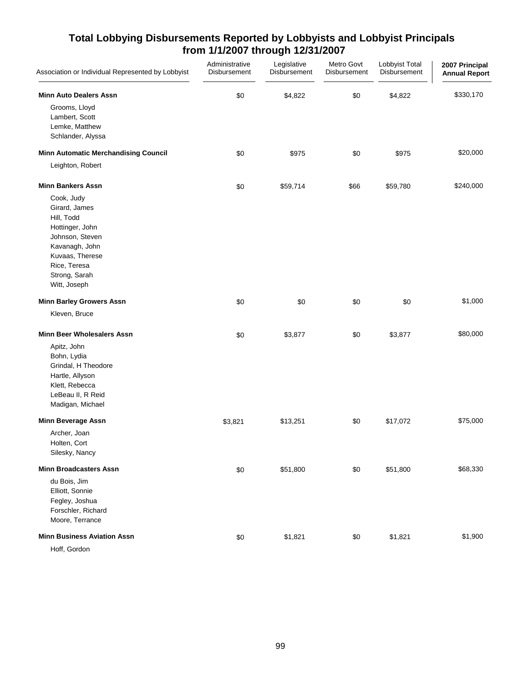| Association or Individual Represented by Lobbyist                                                                                                                     | Administrative<br>Disbursement | Legislative<br>Disbursement | Metro Govt<br>Disbursement | Lobbyist Total<br>Disbursement | 2007 Principal<br><b>Annual Report</b> |
|-----------------------------------------------------------------------------------------------------------------------------------------------------------------------|--------------------------------|-----------------------------|----------------------------|--------------------------------|----------------------------------------|
| <b>Minn Auto Dealers Assn</b>                                                                                                                                         | \$0                            | \$4,822                     | \$0                        | \$4,822                        | \$330,170                              |
| Grooms, Lloyd<br>Lambert, Scott<br>Lemke, Matthew<br>Schlander, Alyssa                                                                                                |                                |                             |                            |                                |                                        |
| <b>Minn Automatic Merchandising Council</b>                                                                                                                           | \$0                            | \$975                       | \$0                        | \$975                          | \$20,000                               |
| Leighton, Robert                                                                                                                                                      |                                |                             |                            |                                |                                        |
| <b>Minn Bankers Assn</b>                                                                                                                                              | \$0                            | \$59,714                    | \$66                       | \$59,780                       | \$240,000                              |
| Cook, Judy<br>Girard, James<br>Hill, Todd<br>Hottinger, John<br>Johnson, Steven<br>Kavanagh, John<br>Kuvaas, Therese<br>Rice, Teresa<br>Strong, Sarah<br>Witt, Joseph |                                |                             |                            |                                |                                        |
| <b>Minn Barley Growers Assn</b>                                                                                                                                       | \$0                            | \$0                         | \$0                        | \$0                            | \$1,000                                |
| Kleven, Bruce                                                                                                                                                         |                                |                             |                            |                                |                                        |
| <b>Minn Beer Wholesalers Assn</b>                                                                                                                                     | \$0                            | \$3,877                     | \$0                        | \$3,877                        | \$80,000                               |
| Apitz, John<br>Bohn, Lydia<br>Grindal, H Theodore<br>Hartle, Allyson<br>Klett, Rebecca<br>LeBeau II, R Reid<br>Madigan, Michael                                       |                                |                             |                            |                                |                                        |
| <b>Minn Beverage Assn</b>                                                                                                                                             | \$3,821                        | \$13,251                    | \$0                        | \$17,072                       | \$75,000                               |
| Archer, Joan<br>Holten, Cort<br>Silesky, Nancy                                                                                                                        |                                |                             |                            |                                |                                        |
| <b>Minn Broadcasters Assn</b>                                                                                                                                         | \$0                            | \$51,800                    | \$0                        | \$51,800                       | \$68,330                               |
| du Bois, Jim<br>Elliott, Sonnie<br>Fegley, Joshua<br>Forschler, Richard<br>Moore, Terrance                                                                            |                                |                             |                            |                                |                                        |
| <b>Minn Business Aviation Assn</b>                                                                                                                                    | \$0                            | \$1,821                     | \$0                        | \$1,821                        | \$1,900                                |
| Hoff, Gordon                                                                                                                                                          |                                |                             |                            |                                |                                        |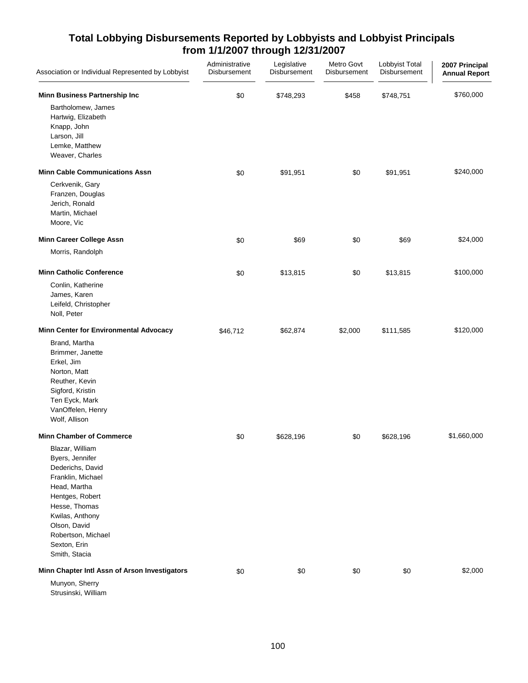| Association or Individual Represented by Lobbyist                                                                                                                                                                                                            | Administrative<br>Disbursement | Legislative<br>Disbursement | Metro Govt<br>Disbursement | Lobbyist Total<br>Disbursement | 2007 Principal<br><b>Annual Report</b> |
|--------------------------------------------------------------------------------------------------------------------------------------------------------------------------------------------------------------------------------------------------------------|--------------------------------|-----------------------------|----------------------------|--------------------------------|----------------------------------------|
| Minn Business Partnership Inc<br>Bartholomew, James<br>Hartwig, Elizabeth<br>Knapp, John<br>Larson, Jill<br>Lemke, Matthew<br>Weaver, Charles                                                                                                                | \$0                            | \$748,293                   | \$458                      | \$748,751                      | \$760,000                              |
| <b>Minn Cable Communications Assn</b><br>Cerkvenik, Gary<br>Franzen, Douglas<br>Jerich, Ronald<br>Martin, Michael<br>Moore, Vic                                                                                                                              | \$0                            | \$91,951                    | \$0                        | \$91,951                       | \$240,000                              |
| Minn Career College Assn<br>Morris, Randolph                                                                                                                                                                                                                 | \$0                            | \$69                        | \$0                        | \$69                           | \$24,000                               |
| <b>Minn Catholic Conference</b><br>Conlin, Katherine<br>James, Karen<br>Leifeld, Christopher<br>Noll, Peter                                                                                                                                                  | \$0                            | \$13,815                    | \$0                        | \$13,815                       | \$100,000                              |
| Minn Center for Environmental Advocacy<br>Brand, Martha<br>Brimmer, Janette<br>Erkel, Jim<br>Norton, Matt<br>Reuther, Kevin<br>Sigford, Kristin<br>Ten Eyck, Mark<br>VanOffelen, Henry<br>Wolf, Allison                                                      | \$46,712                       | \$62,874                    | \$2,000                    | \$111,585                      | \$120,000                              |
| <b>Minn Chamber of Commerce</b><br>Blazar, William<br>Byers, Jennifer<br>Dederichs, David<br>Franklin, Michael<br>Head, Martha<br>Hentges, Robert<br>Hesse, Thomas<br>Kwilas, Anthony<br>Olson, David<br>Robertson, Michael<br>Sexton, Erin<br>Smith, Stacia | \$0                            | \$628,196                   | \$0                        | \$628,196                      | \$1,660,000                            |
| Minn Chapter Intl Assn of Arson Investigators<br>Munyon, Sherry<br>Strusinski, William                                                                                                                                                                       | \$0                            | \$0                         | \$0                        | \$0                            | \$2,000                                |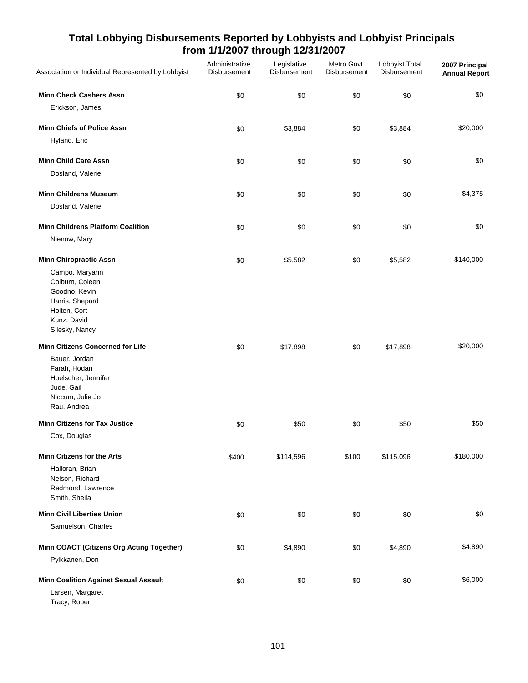| Association or Individual Represented by Lobbyist                                                                      | Administrative<br>Disbursement | Legislative<br>Disbursement | Metro Govt<br>Disbursement | Lobbyist Total<br>Disbursement | 2007 Principal<br><b>Annual Report</b> |
|------------------------------------------------------------------------------------------------------------------------|--------------------------------|-----------------------------|----------------------------|--------------------------------|----------------------------------------|
| <b>Minn Check Cashers Assn</b><br>Erickson, James                                                                      | \$0                            | \$0                         | \$0                        | \$0                            | \$0                                    |
| <b>Minn Chiefs of Police Assn</b>                                                                                      | \$0                            | \$3,884                     | \$0                        | \$3,884                        | \$20,000                               |
| Hyland, Eric                                                                                                           |                                |                             |                            |                                |                                        |
| <b>Minn Child Care Assn</b>                                                                                            | \$0                            | \$0                         | \$0                        | \$0                            | \$0                                    |
| Dosland, Valerie                                                                                                       |                                |                             |                            |                                |                                        |
| <b>Minn Childrens Museum</b>                                                                                           | \$0                            | \$0                         | \$0                        | \$0                            | \$4,375                                |
| Dosland, Valerie                                                                                                       |                                |                             |                            |                                |                                        |
| <b>Minn Childrens Platform Coalition</b>                                                                               | \$0                            | \$0                         | \$0                        | \$0                            | \$0                                    |
| Nienow, Mary                                                                                                           |                                |                             |                            |                                |                                        |
| <b>Minn Chiropractic Assn</b>                                                                                          | \$0                            | \$5,582                     | \$0                        | \$5,582                        | \$140,000                              |
| Campo, Maryann<br>Colburn, Coleen<br>Goodno, Kevin<br>Harris, Shepard<br>Holten, Cort<br>Kunz, David<br>Silesky, Nancy |                                |                             |                            |                                |                                        |
| <b>Minn Citizens Concerned for Life</b>                                                                                | \$0                            | \$17,898                    | \$0                        | \$17,898                       | \$20,000                               |
| Bauer, Jordan<br>Farah, Hodan<br>Hoelscher, Jennifer<br>Jude, Gail<br>Niccum, Julie Jo<br>Rau, Andrea                  |                                |                             |                            |                                |                                        |
| <b>Minn Citizens for Tax Justice</b>                                                                                   | \$0                            | \$50                        | \$0                        | \$50                           | \$50                                   |
| Cox, Douglas                                                                                                           |                                |                             |                            |                                |                                        |
| <b>Minn Citizens for the Arts</b><br>Halloran, Brian<br>Nelson, Richard<br>Redmond, Lawrence<br>Smith, Sheila          | \$400                          | \$114,596                   | \$100                      | \$115,096                      | \$180,000                              |
| <b>Minn Civil Liberties Union</b>                                                                                      | \$0                            | \$0                         | \$0                        | \$0                            | \$0                                    |
| Samuelson, Charles                                                                                                     |                                |                             |                            |                                |                                        |
| Minn COACT (Citizens Org Acting Together)                                                                              | \$0                            | \$4,890                     | \$0                        | \$4,890                        | \$4,890                                |
| Pylkkanen, Don                                                                                                         |                                |                             |                            |                                |                                        |
| <b>Minn Coalition Against Sexual Assault</b>                                                                           | \$0                            | \$0                         | \$0                        | \$0                            | \$6,000                                |
| Larsen, Margaret<br>Tracy, Robert                                                                                      |                                |                             |                            |                                |                                        |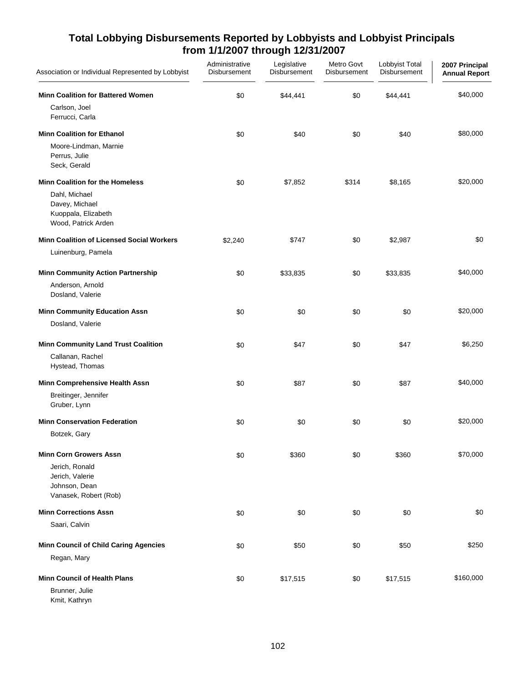| Association or Individual Represented by Lobbyist                                                                       | Administrative<br>Disbursement | Legislative<br>Disbursement | Metro Govt<br>Disbursement | Lobbyist Total<br>Disbursement | 2007 Principal<br><b>Annual Report</b> |
|-------------------------------------------------------------------------------------------------------------------------|--------------------------------|-----------------------------|----------------------------|--------------------------------|----------------------------------------|
| <b>Minn Coalition for Battered Women</b><br>Carlson, Joel<br>Ferrucci, Carla                                            | \$0                            | \$44,441                    | \$0                        | \$44,441                       | \$40,000                               |
| <b>Minn Coalition for Ethanol</b><br>Moore-Lindman, Marnie<br>Perrus, Julie<br>Seck, Gerald                             | \$0                            | \$40                        | \$0                        | \$40                           | \$80,000                               |
| <b>Minn Coalition for the Homeless</b><br>Dahl, Michael<br>Davey, Michael<br>Kuoppala, Elizabeth<br>Wood, Patrick Arden | \$0                            | \$7,852                     | \$314                      | \$8,165                        | \$20,000                               |
| <b>Minn Coalition of Licensed Social Workers</b>                                                                        | \$2,240                        | \$747                       | \$0                        | \$2,987                        | \$0                                    |
| Luinenburg, Pamela                                                                                                      |                                |                             |                            |                                |                                        |
| <b>Minn Community Action Partnership</b><br>Anderson, Arnold<br>Dosland, Valerie                                        | \$0                            | \$33,835                    | \$0                        | \$33,835                       | \$40,000                               |
| <b>Minn Community Education Assn</b><br>Dosland, Valerie                                                                | \$0                            | \$0                         | \$0                        | \$0                            | \$20,000                               |
| <b>Minn Community Land Trust Coalition</b><br>Callanan, Rachel<br>Hystead, Thomas                                       | \$0                            | \$47                        | \$0                        | \$47                           | \$6,250                                |
| Minn Comprehensive Health Assn<br>Breitinger, Jennifer<br>Gruber, Lynn                                                  | \$0                            | \$87                        | \$0                        | \$87                           | \$40,000                               |
| <b>Minn Conservation Federation</b>                                                                                     | \$0                            | \$0                         | \$0                        | \$0                            | \$20,000                               |
| Botzek, Gary                                                                                                            |                                |                             |                            |                                |                                        |
| <b>Minn Corn Growers Assn</b><br>Jerich, Ronald<br>Jerich, Valerie<br>Johnson, Dean<br>Vanasek, Robert (Rob)            | \$0                            | \$360                       | \$0                        | \$360                          | \$70,000                               |
| <b>Minn Corrections Assn</b>                                                                                            | \$0                            | \$0                         | \$0                        | \$0                            | \$0                                    |
| Saari, Calvin                                                                                                           |                                |                             |                            |                                |                                        |
| <b>Minn Council of Child Caring Agencies</b><br>Regan, Mary                                                             | \$0                            | \$50                        | \$0                        | \$50                           | \$250                                  |
| <b>Minn Council of Health Plans</b><br>Brunner, Julie<br>Kmit, Kathryn                                                  | \$0                            | \$17,515                    | \$0                        | \$17,515                       | \$160,000                              |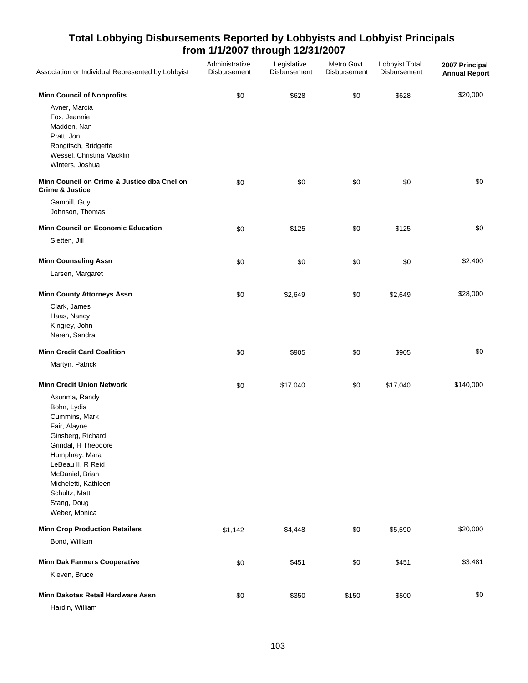| Association or Individual Represented by Lobbyist                                                                                                                                                                                            | Administrative<br>Disbursement | Legislative<br>Disbursement | Metro Govt<br>Disbursement | Lobbyist Total<br>Disbursement | 2007 Principal<br><b>Annual Report</b> |
|----------------------------------------------------------------------------------------------------------------------------------------------------------------------------------------------------------------------------------------------|--------------------------------|-----------------------------|----------------------------|--------------------------------|----------------------------------------|
| <b>Minn Council of Nonprofits</b><br>Avner, Marcia<br>Fox, Jeannie<br>Madden, Nan<br>Pratt, Jon<br>Rongitsch, Bridgette<br>Wessel, Christina Macklin<br>Winters, Joshua                                                                      | \$0                            | \$628                       | \$0                        | \$628                          | \$20,000                               |
| Minn Council on Crime & Justice dba Cncl on<br><b>Crime &amp; Justice</b><br>Gambill, Guy<br>Johnson, Thomas                                                                                                                                 | \$0                            | \$0                         | \$0                        | \$0                            | \$0                                    |
| <b>Minn Council on Economic Education</b>                                                                                                                                                                                                    | \$0                            | \$125                       | \$0                        | \$125                          | \$0                                    |
| Sletten, Jill                                                                                                                                                                                                                                |                                |                             |                            |                                |                                        |
| <b>Minn Counseling Assn</b>                                                                                                                                                                                                                  | \$0                            | \$0                         | \$0                        | \$0                            | \$2,400                                |
| Larsen, Margaret                                                                                                                                                                                                                             |                                |                             |                            |                                |                                        |
| <b>Minn County Attorneys Assn</b>                                                                                                                                                                                                            | \$0                            | \$2,649                     | \$0                        | \$2,649                        | \$28,000                               |
| Clark, James<br>Haas, Nancy<br>Kingrey, John<br>Neren, Sandra                                                                                                                                                                                |                                |                             |                            |                                |                                        |
| <b>Minn Credit Card Coalition</b>                                                                                                                                                                                                            | \$0                            | \$905                       | \$0                        | \$905                          | \$0                                    |
| Martyn, Patrick                                                                                                                                                                                                                              |                                |                             |                            |                                |                                        |
| <b>Minn Credit Union Network</b>                                                                                                                                                                                                             | \$0                            | \$17,040                    | \$0                        | \$17,040                       | \$140,000                              |
| Asunma, Randy<br>Bohn, Lydia<br>Cummins, Mark<br>Fair, Alayne<br>Ginsberg, Richard<br>Grindal, H Theodore<br>Humphrey, Mara<br>LeBeau II, R Reid<br>McDaniel, Brian<br>Micheletti, Kathleen<br>Schultz, Matt<br>Stang, Doug<br>Weber, Monica |                                |                             |                            |                                |                                        |
| <b>Minn Crop Production Retailers</b>                                                                                                                                                                                                        | \$1,142                        | \$4,448                     | \$0                        | \$5,590                        | \$20,000                               |
| Bond, William                                                                                                                                                                                                                                |                                |                             |                            |                                |                                        |
| <b>Minn Dak Farmers Cooperative</b>                                                                                                                                                                                                          | \$0                            | \$451                       | \$0                        | \$451                          | \$3,481                                |
| Kleven, Bruce                                                                                                                                                                                                                                |                                |                             |                            |                                |                                        |
| Minn Dakotas Retail Hardware Assn<br>Hardin, William                                                                                                                                                                                         | \$0                            | \$350                       | \$150                      | \$500                          | \$0                                    |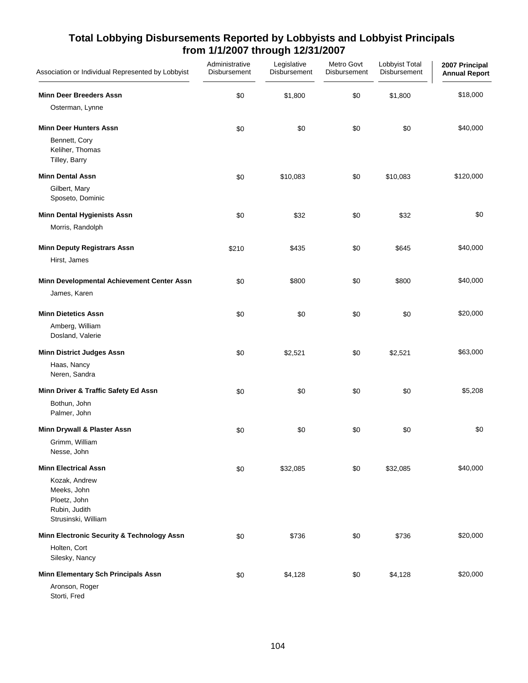| Association or Individual Represented by Lobbyist                                                                   | Administrative<br>Disbursement | Legislative<br>Disbursement | Metro Govt<br>Disbursement | Lobbyist Total<br>Disbursement | 2007 Principal<br><b>Annual Report</b> |
|---------------------------------------------------------------------------------------------------------------------|--------------------------------|-----------------------------|----------------------------|--------------------------------|----------------------------------------|
| <b>Minn Deer Breeders Assn</b><br>Osterman, Lynne                                                                   | \$0                            | \$1,800                     | \$0                        | \$1,800                        | \$18,000                               |
| <b>Minn Deer Hunters Assn</b><br>Bennett, Cory<br>Keliher, Thomas<br>Tilley, Barry                                  | \$0                            | \$0                         | \$0                        | \$0                            | \$40,000                               |
| <b>Minn Dental Assn</b><br>Gilbert, Mary<br>Sposeto, Dominic                                                        | \$0                            | \$10,083                    | \$0                        | \$10,083                       | \$120,000                              |
| <b>Minn Dental Hygienists Assn</b><br>Morris, Randolph                                                              | \$0                            | \$32                        | \$0                        | \$32                           | \$0                                    |
| <b>Minn Deputy Registrars Assn</b><br>Hirst, James                                                                  | \$210                          | \$435                       | \$0                        | \$645                          | \$40,000                               |
| Minn Developmental Achievement Center Assn<br>James, Karen                                                          | \$0                            | \$800                       | \$0                        | \$800                          | \$40,000                               |
| <b>Minn Dietetics Assn</b><br>Amberg, William<br>Dosland, Valerie                                                   | \$0                            | \$0                         | \$0                        | \$0                            | \$20,000                               |
| <b>Minn District Judges Assn</b><br>Haas, Nancy<br>Neren, Sandra                                                    | \$0                            | \$2,521                     | \$0                        | \$2,521                        | \$63,000                               |
| Minn Driver & Traffic Safety Ed Assn<br>Bothun, John<br>Palmer, John                                                | \$0                            | \$0                         | \$0                        | \$0                            | \$5,208                                |
| Minn Drywall & Plaster Assn<br>Grimm, William<br>Nesse, John                                                        | \$0                            | \$0                         | \$0                        | \$0                            | \$0                                    |
| <b>Minn Electrical Assn</b><br>Kozak, Andrew<br>Meeks, John<br>Ploetz, John<br>Rubin, Judith<br>Strusinski, William | \$0                            | \$32,085                    | \$0                        | \$32,085                       | \$40,000                               |
| Minn Electronic Security & Technology Assn<br>Holten, Cort<br>Silesky, Nancy                                        | \$0                            | \$736                       | \$0                        | \$736                          | \$20,000                               |
| <b>Minn Elementary Sch Principals Assn</b><br>Aronson, Roger<br>Storti, Fred                                        | \$0                            | \$4,128                     | \$0                        | \$4,128                        | \$20,000                               |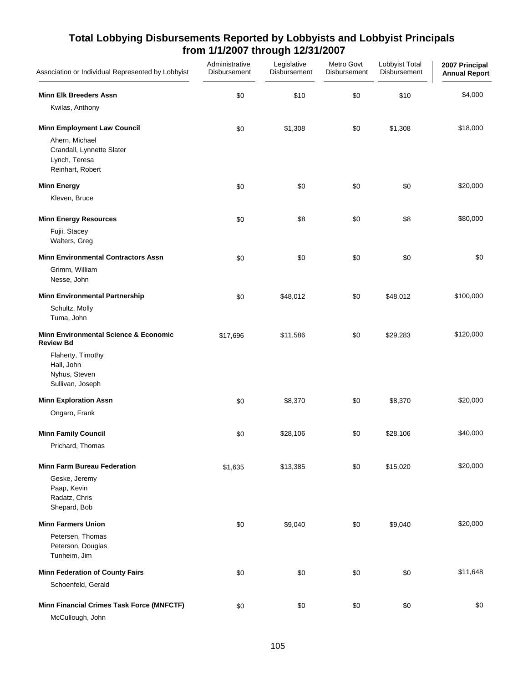| Association or Individual Represented by Lobbyist                                | Administrative<br>Disbursement | Legislative<br>Disbursement | Metro Govt<br>Disbursement | Lobbyist Total<br>Disbursement | 2007 Principal<br><b>Annual Report</b> |
|----------------------------------------------------------------------------------|--------------------------------|-----------------------------|----------------------------|--------------------------------|----------------------------------------|
| <b>Minn Elk Breeders Assn</b>                                                    | \$0                            | \$10                        | \$0                        | \$10                           | \$4,000                                |
| Kwilas, Anthony                                                                  |                                |                             |                            |                                |                                        |
| <b>Minn Employment Law Council</b>                                               | \$0                            | \$1,308                     | \$0                        | \$1,308                        | \$18,000                               |
| Ahern, Michael<br>Crandall, Lynnette Slater<br>Lynch, Teresa<br>Reinhart, Robert |                                |                             |                            |                                |                                        |
| <b>Minn Energy</b>                                                               | \$0                            | \$0                         | \$0                        | \$0                            | \$20,000                               |
| Kleven, Bruce                                                                    |                                |                             |                            |                                |                                        |
| <b>Minn Energy Resources</b>                                                     | \$0                            | \$8                         | \$0                        | \$8                            | \$80,000                               |
| Fujii, Stacey<br>Walters, Greg                                                   |                                |                             |                            |                                |                                        |
| <b>Minn Environmental Contractors Assn</b>                                       | \$0                            | \$0                         | \$0                        | \$0                            | \$0                                    |
| Grimm, William<br>Nesse, John                                                    |                                |                             |                            |                                |                                        |
| <b>Minn Environmental Partnership</b>                                            | \$0                            | \$48,012                    | \$0                        | \$48,012                       | \$100,000                              |
| Schultz, Molly<br>Tuma, John                                                     |                                |                             |                            |                                |                                        |
| <b>Minn Environmental Science &amp; Economic</b><br><b>Review Bd</b>             | \$17,696                       | \$11,586                    | \$0                        | \$29,283                       | \$120,000                              |
| Flaherty, Timothy<br>Hall, John<br>Nyhus, Steven<br>Sullivan, Joseph             |                                |                             |                            |                                |                                        |
| <b>Minn Exploration Assn</b>                                                     | \$0                            | \$8,370                     | \$0                        | \$8,370                        | \$20,000                               |
| Ongaro, Frank                                                                    |                                |                             |                            |                                |                                        |
| <b>Minn Family Council</b>                                                       | \$0                            | \$28,106                    | \$0                        | \$28,106                       | \$40,000                               |
| Prichard, Thomas                                                                 |                                |                             |                            |                                |                                        |
| <b>Minn Farm Bureau Federation</b>                                               | \$1,635                        | \$13,385                    | \$0                        | \$15,020                       | \$20,000                               |
| Geske, Jeremy<br>Paap, Kevin<br>Radatz, Chris<br>Shepard, Bob                    |                                |                             |                            |                                |                                        |
| <b>Minn Farmers Union</b>                                                        | \$0                            | \$9,040                     | \$0                        | \$9,040                        | \$20,000                               |
| Petersen, Thomas<br>Peterson, Douglas<br>Tunheim, Jim                            |                                |                             |                            |                                |                                        |
| <b>Minn Federation of County Fairs</b>                                           | \$0                            | \$0                         | \$0                        | \$0                            | \$11,648                               |
| Schoenfeld, Gerald                                                               |                                |                             |                            |                                |                                        |
| Minn Financial Crimes Task Force (MNFCTF)                                        | \$0                            | \$0                         | \$0                        | \$0                            | \$0                                    |
| McCullough, John                                                                 |                                |                             |                            |                                |                                        |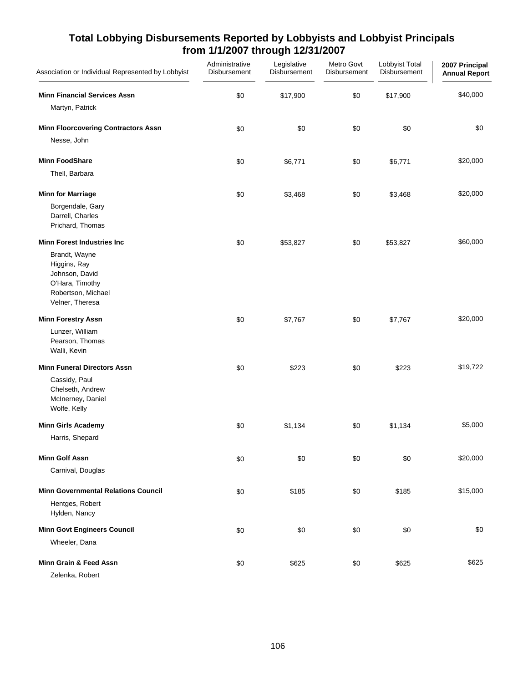| Association or Individual Represented by Lobbyist                                                           | Administrative<br>Disbursement | Legislative<br>Disbursement | Metro Govt<br>Disbursement | Lobbyist Total<br>Disbursement | 2007 Principal<br><b>Annual Report</b> |
|-------------------------------------------------------------------------------------------------------------|--------------------------------|-----------------------------|----------------------------|--------------------------------|----------------------------------------|
| <b>Minn Financial Services Assn</b>                                                                         | \$0                            | \$17,900                    | \$0                        | \$17,900                       | \$40,000                               |
| Martyn, Patrick                                                                                             |                                |                             |                            |                                |                                        |
| <b>Minn Floorcovering Contractors Assn</b>                                                                  | \$0                            | \$0                         | \$0                        | \$0                            | \$0                                    |
| Nesse, John                                                                                                 |                                |                             |                            |                                |                                        |
| <b>Minn FoodShare</b>                                                                                       | \$0                            | \$6,771                     | \$0                        | \$6,771                        | \$20,000                               |
| Thell, Barbara                                                                                              |                                |                             |                            |                                |                                        |
| <b>Minn for Marriage</b>                                                                                    | \$0                            | \$3,468                     | \$0                        | \$3,468                        | \$20,000                               |
| Borgendale, Gary<br>Darrell, Charles<br>Prichard, Thomas                                                    |                                |                             |                            |                                |                                        |
| <b>Minn Forest Industries Inc.</b>                                                                          | \$0                            | \$53,827                    | \$0                        | \$53,827                       | \$60,000                               |
| Brandt, Wayne<br>Higgins, Ray<br>Johnson, David<br>O'Hara, Timothy<br>Robertson, Michael<br>Velner, Theresa |                                |                             |                            |                                |                                        |
| <b>Minn Forestry Assn</b>                                                                                   | \$0                            | \$7,767                     | \$0                        | \$7,767                        | \$20,000                               |
| Lunzer, William<br>Pearson, Thomas<br>Walli, Kevin                                                          |                                |                             |                            |                                |                                        |
| <b>Minn Funeral Directors Assn</b>                                                                          | \$0                            | \$223                       | \$0                        | \$223                          | \$19,722                               |
| Cassidy, Paul<br>Chelseth, Andrew<br>McInerney, Daniel<br>Wolfe, Kelly                                      |                                |                             |                            |                                |                                        |
| <b>Minn Girls Academy</b>                                                                                   | \$0                            | \$1,134                     | \$0                        | \$1,134                        | \$5,000                                |
| Harris, Shepard                                                                                             |                                |                             |                            |                                |                                        |
| <b>Minn Golf Assn</b>                                                                                       | \$0                            | \$0                         | \$0                        | \$0                            | \$20,000                               |
| Carnival, Douglas                                                                                           |                                |                             |                            |                                |                                        |
| <b>Minn Governmental Relations Council</b>                                                                  | \$0                            | \$185                       | \$0                        | \$185                          | \$15,000                               |
| Hentges, Robert<br>Hylden, Nancy                                                                            |                                |                             |                            |                                |                                        |
| <b>Minn Govt Engineers Council</b>                                                                          | \$0                            | \$0                         | \$0                        | \$0                            | \$0                                    |
| Wheeler, Dana                                                                                               |                                |                             |                            |                                |                                        |
| Minn Grain & Feed Assn                                                                                      | \$0                            | \$625                       | \$0                        | \$625                          | \$625                                  |
| Zelenka, Robert                                                                                             |                                |                             |                            |                                |                                        |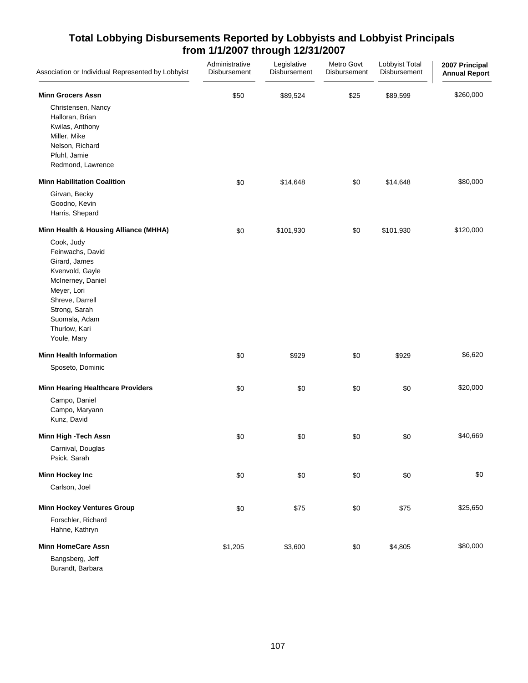| Association or Individual Represented by Lobbyist                                                                                                                                           | Administrative<br>Disbursement | Legislative<br>Disbursement | Metro Govt<br>Disbursement | Lobbyist Total<br>Disbursement | 2007 Principal<br><b>Annual Report</b> |
|---------------------------------------------------------------------------------------------------------------------------------------------------------------------------------------------|--------------------------------|-----------------------------|----------------------------|--------------------------------|----------------------------------------|
| <b>Minn Grocers Assn</b>                                                                                                                                                                    | \$50                           | \$89,524                    | \$25                       | \$89,599                       | \$260,000                              |
| Christensen, Nancy<br>Halloran, Brian<br>Kwilas, Anthony<br>Miller, Mike<br>Nelson, Richard<br>Pfuhl, Jamie<br>Redmond, Lawrence                                                            |                                |                             |                            |                                |                                        |
| <b>Minn Habilitation Coalition</b>                                                                                                                                                          | \$0                            | \$14,648                    | \$0                        | \$14,648                       | \$80,000                               |
| Girvan, Becky<br>Goodno, Kevin<br>Harris, Shepard                                                                                                                                           |                                |                             |                            |                                |                                        |
| Minn Health & Housing Alliance (MHHA)                                                                                                                                                       | \$0                            | \$101,930                   | \$0                        | \$101,930                      | \$120,000                              |
| Cook, Judy<br>Feinwachs, David<br>Girard, James<br>Kvenvold, Gayle<br>McInerney, Daniel<br>Meyer, Lori<br>Shreve, Darrell<br>Strong, Sarah<br>Suomala, Adam<br>Thurlow, Kari<br>Youle, Mary |                                |                             |                            |                                |                                        |
| <b>Minn Health Information</b>                                                                                                                                                              | \$0                            | \$929                       | \$0                        | \$929                          | \$6,620                                |
| Sposeto, Dominic                                                                                                                                                                            |                                |                             |                            |                                |                                        |
| <b>Minn Hearing Healthcare Providers</b><br>Campo, Daniel<br>Campo, Maryann<br>Kunz, David                                                                                                  | \$0                            | \$0                         | \$0                        | \$0                            | \$20,000                               |
| Minn High -Tech Assn                                                                                                                                                                        | \$0                            | \$0                         | \$0                        | \$0                            | \$40,669                               |
| Carnival, Douglas<br>Psick, Sarah                                                                                                                                                           |                                |                             |                            |                                |                                        |
| <b>Minn Hockey Inc</b>                                                                                                                                                                      | \$0                            | \$0                         | \$0                        | \$0                            | \$0                                    |
| Carlson, Joel                                                                                                                                                                               |                                |                             |                            |                                |                                        |
| <b>Minn Hockey Ventures Group</b>                                                                                                                                                           | \$0                            | \$75                        | \$0                        | \$75                           | \$25,650                               |
| Forschler, Richard<br>Hahne, Kathryn                                                                                                                                                        |                                |                             |                            |                                |                                        |
| <b>Minn HomeCare Assn</b>                                                                                                                                                                   | \$1,205                        | \$3,600                     | \$0                        | \$4,805                        | \$80,000                               |
| Bangsberg, Jeff<br>Burandt, Barbara                                                                                                                                                         |                                |                             |                            |                                |                                        |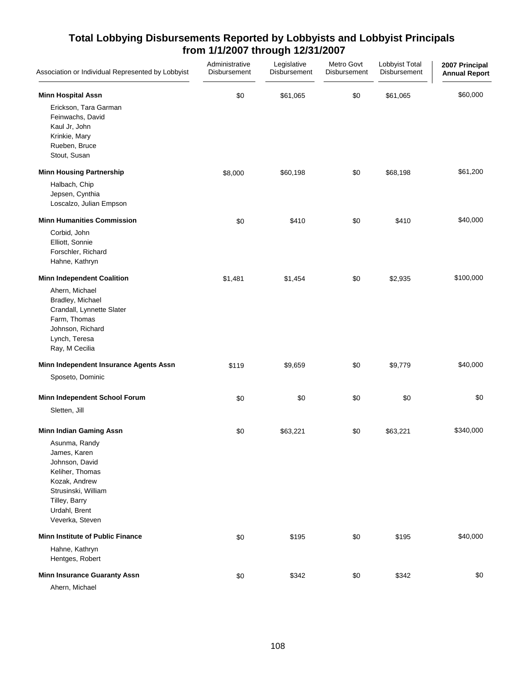| Association or Individual Represented by Lobbyist                                                                                                                                                 | Administrative<br>Disbursement | Legislative<br>Disbursement | Metro Govt<br>Disbursement | Lobbyist Total<br>Disbursement | 2007 Principal<br><b>Annual Report</b> |
|---------------------------------------------------------------------------------------------------------------------------------------------------------------------------------------------------|--------------------------------|-----------------------------|----------------------------|--------------------------------|----------------------------------------|
| <b>Minn Hospital Assn</b><br>Erickson, Tara Garman<br>Feinwachs, David<br>Kaul Jr, John<br>Krinkie, Mary<br>Rueben, Bruce<br>Stout, Susan                                                         | \$0                            | \$61,065                    | \$0                        | \$61,065                       | \$60,000                               |
| <b>Minn Housing Partnership</b><br>Halbach, Chip                                                                                                                                                  | \$8,000                        | \$60,198                    | \$0                        | \$68,198                       | \$61,200                               |
| Jepsen, Cynthia<br>Loscalzo, Julian Empson                                                                                                                                                        |                                |                             |                            |                                |                                        |
| <b>Minn Humanities Commission</b>                                                                                                                                                                 | \$0                            | \$410                       | \$0                        | \$410                          | \$40,000                               |
| Corbid, John<br>Elliott, Sonnie<br>Forschler, Richard<br>Hahne, Kathryn                                                                                                                           |                                |                             |                            |                                |                                        |
| <b>Minn Independent Coalition</b><br>Ahern, Michael<br>Bradley, Michael<br>Crandall, Lynnette Slater<br>Farm, Thomas<br>Johnson, Richard<br>Lynch, Teresa<br>Ray, M Cecilia                       | \$1,481                        | \$1,454                     | \$0                        | \$2,935                        | \$100,000                              |
| Minn Independent Insurance Agents Assn                                                                                                                                                            | \$119                          | \$9,659                     | \$0                        | \$9,779                        | \$40,000                               |
| Sposeto, Dominic                                                                                                                                                                                  |                                |                             |                            |                                |                                        |
| Minn Independent School Forum<br>Sletten, Jill                                                                                                                                                    | \$0                            | \$0                         | \$0                        | \$0                            | \$0                                    |
| <b>Minn Indian Gaming Assn</b><br>Asunma, Randy<br>James, Karen<br>Johnson, David<br>Keliher, Thomas<br>Kozak, Andrew<br>Strusinski, William<br>Tilley, Barry<br>Urdahl, Brent<br>Veverka, Steven | \$0                            | \$63,221                    | \$0                        | \$63,221                       | \$340,000                              |
| <b>Minn Institute of Public Finance</b>                                                                                                                                                           | \$0                            | \$195                       | \$0                        | \$195                          | \$40,000                               |
| Hahne, Kathryn<br>Hentges, Robert                                                                                                                                                                 |                                |                             |                            |                                |                                        |
| <b>Minn Insurance Guaranty Assn</b><br>Ahern, Michael                                                                                                                                             | \$0                            | \$342                       | \$0                        | \$342                          | \$0                                    |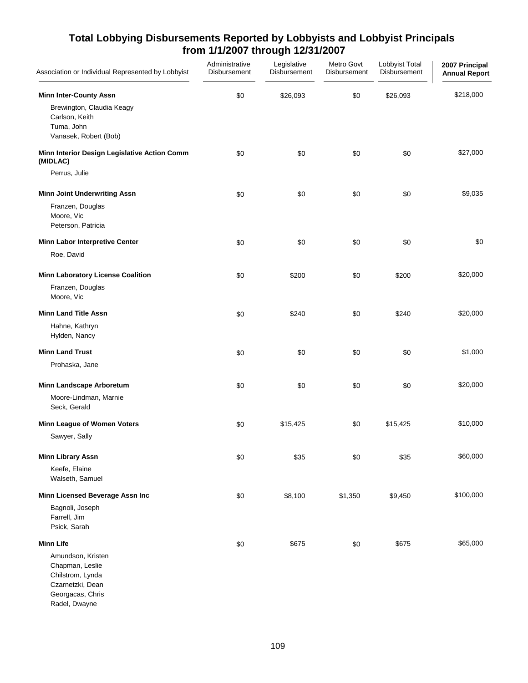| Association or Individual Represented by Lobbyist                                                                   | Administrative<br>Disbursement | Legislative<br>Disbursement | Metro Govt<br>Disbursement | Lobbyist Total<br>Disbursement | 2007 Principal<br><b>Annual Report</b> |
|---------------------------------------------------------------------------------------------------------------------|--------------------------------|-----------------------------|----------------------------|--------------------------------|----------------------------------------|
| <b>Minn Inter-County Assn</b><br>Brewington, Claudia Keagy<br>Carlson, Keith<br>Tuma, John<br>Vanasek, Robert (Bob) | \$0                            | \$26,093                    | \$0                        | \$26,093                       | \$218,000                              |
| Minn Interior Design Legislative Action Comm<br>(MIDLAC)                                                            | \$0                            | \$0                         | \$0                        | \$0                            | \$27,000                               |
| Perrus, Julie                                                                                                       |                                |                             |                            |                                |                                        |
| <b>Minn Joint Underwriting Assn</b><br>Franzen, Douglas<br>Moore, Vic<br>Peterson, Patricia                         | \$0                            | \$0                         | \$0                        | \$0                            | \$9,035                                |
| Minn Labor Interpretive Center                                                                                      | \$0                            | \$0                         | \$0                        | \$0                            | \$0                                    |
| Roe, David                                                                                                          |                                |                             |                            |                                |                                        |
| <b>Minn Laboratory License Coalition</b><br>Franzen, Douglas<br>Moore, Vic                                          | \$0                            | \$200                       | \$0                        | \$200                          | \$20,000                               |
| <b>Minn Land Title Assn</b>                                                                                         | \$0                            | \$240                       | \$0                        | \$240                          | \$20,000                               |
| Hahne, Kathryn<br>Hylden, Nancy                                                                                     |                                |                             |                            |                                |                                        |
| <b>Minn Land Trust</b>                                                                                              | \$0                            | \$0                         | \$0                        | \$0                            | \$1,000                                |
| Prohaska, Jane                                                                                                      |                                |                             |                            |                                |                                        |
| <b>Minn Landscape Arboretum</b>                                                                                     | \$0                            | \$0                         | \$0                        | \$0                            | \$20,000                               |
| Moore-Lindman, Marnie<br>Seck, Gerald                                                                               |                                |                             |                            |                                |                                        |
| Minn League of Women Voters                                                                                         | \$0                            | \$15,425                    | \$0                        | \$15,425                       | \$10,000                               |
| Sawyer, Sally                                                                                                       |                                |                             |                            |                                |                                        |
| <b>Minn Library Assn</b><br>Keefe, Elaine<br>Walseth, Samuel                                                        | \$0                            | \$35                        | \$0                        | \$35                           | \$60,000                               |
| Minn Licensed Beverage Assn Inc                                                                                     | \$0                            | \$8,100                     | \$1,350                    | \$9,450                        | \$100,000                              |
| Bagnoli, Joseph<br>Farrell, Jim<br>Psick, Sarah                                                                     |                                |                             |                            |                                |                                        |
| <b>Minn Life</b>                                                                                                    | \$0                            | \$675                       | \$0                        | \$675                          | \$65,000                               |
| Amundson, Kristen<br>Chapman, Leslie<br>Chilstrom, Lynda<br>Czarnetzki, Dean<br>Georgacas, Chris<br>Radel, Dwayne   |                                |                             |                            |                                |                                        |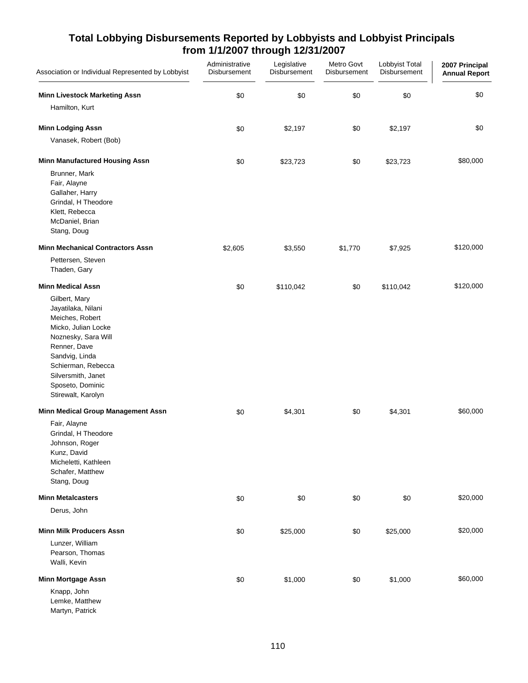| Association or Individual Represented by Lobbyist                                                                                                                                                                                                        | Administrative<br>Disbursement | Legislative<br>Disbursement | Metro Govt<br>Disbursement | Lobbyist Total<br>Disbursement | 2007 Principal<br><b>Annual Report</b> |
|----------------------------------------------------------------------------------------------------------------------------------------------------------------------------------------------------------------------------------------------------------|--------------------------------|-----------------------------|----------------------------|--------------------------------|----------------------------------------|
| <b>Minn Livestock Marketing Assn</b><br>Hamilton, Kurt                                                                                                                                                                                                   | \$0                            | \$0                         | \$0                        | \$0                            | \$0                                    |
| <b>Minn Lodging Assn</b>                                                                                                                                                                                                                                 | \$0                            | \$2,197                     | \$0                        | \$2,197                        | \$0                                    |
| Vanasek, Robert (Bob)                                                                                                                                                                                                                                    |                                |                             |                            |                                |                                        |
| <b>Minn Manufactured Housing Assn</b>                                                                                                                                                                                                                    | \$0                            | \$23,723                    | \$0                        | \$23,723                       | \$80,000                               |
| Brunner, Mark<br>Fair, Alayne<br>Gallaher, Harry<br>Grindal, H Theodore<br>Klett, Rebecca<br>McDaniel, Brian<br>Stang, Doug                                                                                                                              |                                |                             |                            |                                |                                        |
| <b>Minn Mechanical Contractors Assn</b>                                                                                                                                                                                                                  | \$2,605                        | \$3,550                     | \$1,770                    | \$7,925                        | \$120,000                              |
| Pettersen, Steven<br>Thaden, Gary                                                                                                                                                                                                                        |                                |                             |                            |                                |                                        |
| <b>Minn Medical Assn</b><br>Gilbert, Mary<br>Jayatilaka, Nilani<br>Meiches, Robert<br>Micko, Julian Locke<br>Noznesky, Sara Will<br>Renner, Dave<br>Sandvig, Linda<br>Schierman, Rebecca<br>Silversmith, Janet<br>Sposeto, Dominic<br>Stirewalt, Karolyn | \$0                            | \$110,042                   | \$0                        | \$110,042                      | \$120,000                              |
| Minn Medical Group Management Assn<br>Fair, Alayne<br>Grindal, H Theodore<br>Johnson, Roger<br>Kunz, David<br>Micheletti, Kathleen<br>Schafer, Matthew<br>Stang, Doug                                                                                    | \$0                            | \$4,301                     | \$0                        | \$4,301                        | \$60,000                               |
| <b>Minn Metalcasters</b>                                                                                                                                                                                                                                 | \$0                            | \$0                         | \$0                        | \$0                            | \$20,000                               |
| Derus, John                                                                                                                                                                                                                                              |                                |                             |                            |                                |                                        |
| <b>Minn Milk Producers Assn</b><br>Lunzer, William<br>Pearson, Thomas<br>Walli, Kevin                                                                                                                                                                    | \$0                            | \$25,000                    | \$0                        | \$25,000                       | \$20,000                               |
| Minn Mortgage Assn                                                                                                                                                                                                                                       | \$0                            | \$1,000                     | \$0                        | \$1,000                        | \$60,000                               |
| Knapp, John<br>Lemke, Matthew<br>Martyn, Patrick                                                                                                                                                                                                         |                                |                             |                            |                                |                                        |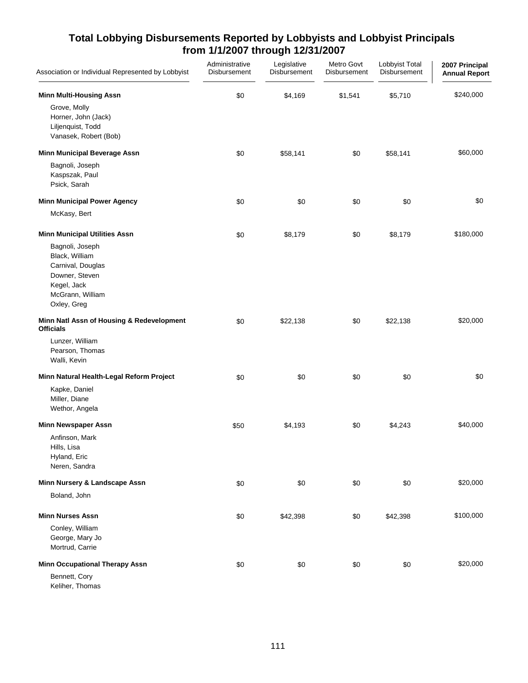| Association or Individual Represented by Lobbyist                                                                          | Administrative<br>Disbursement | Legislative<br>Disbursement | Metro Govt<br>Disbursement | Lobbyist Total<br>Disbursement | 2007 Principal<br><b>Annual Report</b> |
|----------------------------------------------------------------------------------------------------------------------------|--------------------------------|-----------------------------|----------------------------|--------------------------------|----------------------------------------|
| <b>Minn Multi-Housing Assn</b>                                                                                             | \$0                            | \$4,169                     | \$1,541                    | \$5,710                        | \$240,000                              |
| Grove, Molly<br>Horner, John (Jack)<br>Liljenquist, Todd<br>Vanasek, Robert (Bob)                                          |                                |                             |                            |                                |                                        |
| <b>Minn Municipal Beverage Assn</b>                                                                                        | \$0                            | \$58,141                    | \$0                        | \$58,141                       | \$60,000                               |
| Bagnoli, Joseph<br>Kaspszak, Paul<br>Psick, Sarah                                                                          |                                |                             |                            |                                |                                        |
| <b>Minn Municipal Power Agency</b>                                                                                         | \$0                            | \$0                         | \$0                        | \$0                            | \$0                                    |
| McKasy, Bert                                                                                                               |                                |                             |                            |                                |                                        |
| <b>Minn Municipal Utilities Assn</b>                                                                                       | \$0                            | \$8,179                     | \$0                        | \$8,179                        | \$180,000                              |
| Bagnoli, Joseph<br>Black, William<br>Carnival, Douglas<br>Downer, Steven<br>Kegel, Jack<br>McGrann, William<br>Oxley, Greg |                                |                             |                            |                                |                                        |
| Minn Natl Assn of Housing & Redevelopment<br><b>Officials</b>                                                              | \$0                            | \$22,138                    | \$0                        | \$22,138                       | \$20,000                               |
| Lunzer, William<br>Pearson, Thomas<br>Walli, Kevin                                                                         |                                |                             |                            |                                |                                        |
| Minn Natural Health-Legal Reform Project                                                                                   | \$0                            | \$0                         | \$0                        | \$0                            | \$0                                    |
| Kapke, Daniel<br>Miller, Diane<br>Wethor, Angela                                                                           |                                |                             |                            |                                |                                        |
| <b>Minn Newspaper Assn</b>                                                                                                 | \$50                           | \$4,193                     | \$0                        | \$4,243                        | \$40,000                               |
| Anfinson, Mark<br>Hills, Lisa<br>Hyland, Eric<br>Neren, Sandra                                                             |                                |                             |                            |                                |                                        |
| Minn Nursery & Landscape Assn                                                                                              | \$0                            | \$0                         | \$0                        | \$0                            | \$20,000                               |
| Boland, John                                                                                                               |                                |                             |                            |                                |                                        |
| <b>Minn Nurses Assn</b>                                                                                                    | \$0                            | \$42,398                    | \$0                        | \$42,398                       | \$100,000                              |
| Conley, William<br>George, Mary Jo<br>Mortrud, Carrie                                                                      |                                |                             |                            |                                |                                        |
| <b>Minn Occupational Therapy Assn</b>                                                                                      | \$0                            | \$0                         | \$0                        | \$0                            | \$20,000                               |
| Bennett, Cory<br>Keliher, Thomas                                                                                           |                                |                             |                            |                                |                                        |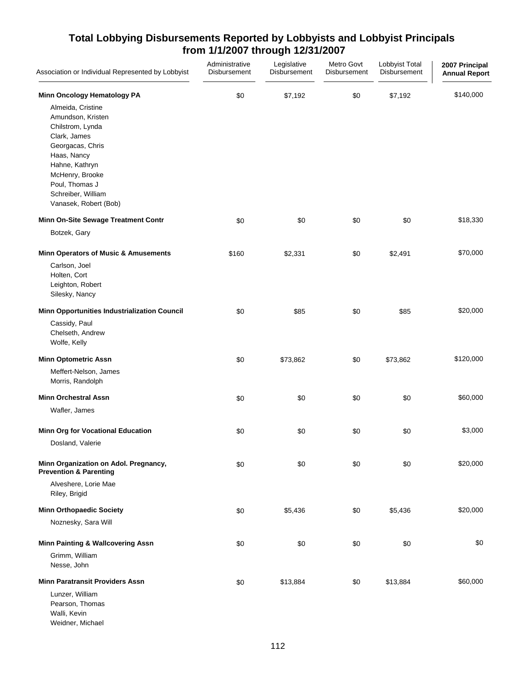| Association or Individual Represented by Lobbyist                                                                               | Administrative<br>Disbursement | Legislative<br>Disbursement | Metro Govt<br>Disbursement | Lobbyist Total<br>Disbursement | 2007 Principal<br><b>Annual Report</b> |
|---------------------------------------------------------------------------------------------------------------------------------|--------------------------------|-----------------------------|----------------------------|--------------------------------|----------------------------------------|
| Minn Oncology Hematology PA                                                                                                     | \$0                            | \$7,192                     | \$0                        | \$7,192                        | \$140,000                              |
| Almeida, Cristine<br>Amundson, Kristen<br>Chilstrom, Lynda<br>Clark, James<br>Georgacas, Chris<br>Haas, Nancy<br>Hahne, Kathryn |                                |                             |                            |                                |                                        |
| McHenry, Brooke<br>Poul, Thomas J<br>Schreiber, William<br>Vanasek, Robert (Bob)                                                |                                |                             |                            |                                |                                        |
| Minn On-Site Sewage Treatment Contr                                                                                             | \$0                            | \$0                         | \$0                        | \$0                            | \$18,330                               |
| Botzek, Gary                                                                                                                    |                                |                             |                            |                                |                                        |
| <b>Minn Operators of Music &amp; Amusements</b><br>Carlson, Joel<br>Holten, Cort<br>Leighton, Robert<br>Silesky, Nancy          | \$160                          | \$2,331                     | \$0                        | \$2,491                        | \$70,000                               |
| <b>Minn Opportunities Industrialization Council</b>                                                                             | \$0                            | \$85                        | \$0                        | \$85                           | \$20,000                               |
| Cassidy, Paul<br>Chelseth, Andrew<br>Wolfe, Kelly                                                                               |                                |                             |                            |                                |                                        |
| <b>Minn Optometric Assn</b>                                                                                                     | \$0                            | \$73,862                    | \$0                        | \$73,862                       | \$120,000                              |
| Meffert-Nelson, James<br>Morris, Randolph                                                                                       |                                |                             |                            |                                |                                        |
| <b>Minn Orchestral Assn</b>                                                                                                     | \$0                            | \$0                         | \$0                        | \$0                            | \$60,000                               |
| Wafler, James                                                                                                                   |                                |                             |                            |                                |                                        |
| <b>Minn Org for Vocational Education</b><br>Dosland, Valerie                                                                    | \$0                            | \$0                         | \$0                        | \$0                            | \$3,000                                |
| Minn Organization on Adol. Pregnancy,<br><b>Prevention &amp; Parenting</b>                                                      | \$0                            | \$0                         | \$0                        | \$0                            | \$20,000                               |
| Alveshere, Lorie Mae<br>Riley, Brigid                                                                                           |                                |                             |                            |                                |                                        |
| <b>Minn Orthopaedic Society</b>                                                                                                 | \$0                            | \$5,436                     | \$0                        | \$5,436                        | \$20,000                               |
| Noznesky, Sara Will                                                                                                             |                                |                             |                            |                                |                                        |
| <b>Minn Painting &amp; Wallcovering Assn</b>                                                                                    | \$0                            | \$0                         | \$0                        | \$0                            | \$0                                    |
| Grimm, William<br>Nesse, John                                                                                                   |                                |                             |                            |                                |                                        |
| <b>Minn Paratransit Providers Assn</b>                                                                                          | \$0                            | \$13,884                    | \$0                        | \$13,884                       | \$60,000                               |
| Lunzer, William<br>Pearson, Thomas<br>Walli, Kevin<br>Weidner, Michael                                                          |                                |                             |                            |                                |                                        |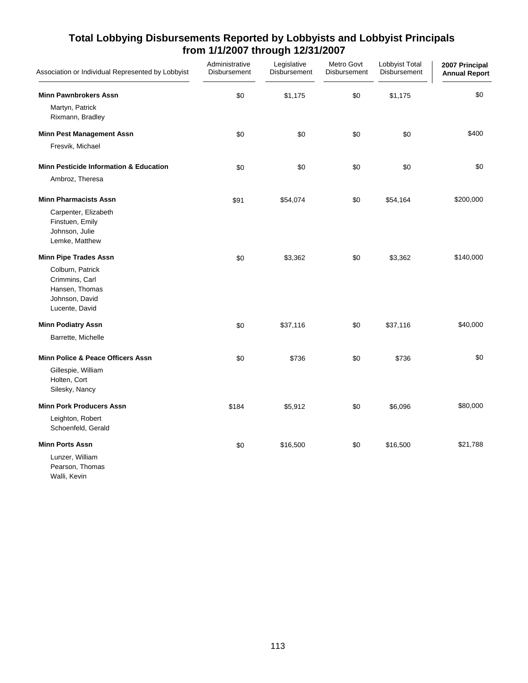| Association or Individual Represented by Lobbyist                                         | Administrative<br>Disbursement | Legislative<br>Disbursement | Metro Govt<br>Disbursement | Lobbyist Total<br>Disbursement | 2007 Principal<br><b>Annual Report</b> |
|-------------------------------------------------------------------------------------------|--------------------------------|-----------------------------|----------------------------|--------------------------------|----------------------------------------|
| <b>Minn Pawnbrokers Assn</b>                                                              | \$0                            | \$1,175                     | \$0                        | \$1,175                        | \$0                                    |
| Martyn, Patrick<br>Rixmann, Bradley                                                       |                                |                             |                            |                                |                                        |
| <b>Minn Pest Management Assn</b>                                                          | \$0                            | \$0                         | \$0                        | \$0                            | \$400                                  |
| Fresvik, Michael                                                                          |                                |                             |                            |                                |                                        |
| <b>Minn Pesticide Information &amp; Education</b>                                         | \$0                            | \$0                         | \$0                        | \$0                            | \$0                                    |
| Ambroz, Theresa                                                                           |                                |                             |                            |                                |                                        |
| <b>Minn Pharmacists Assn</b>                                                              | \$91                           | \$54,074                    | \$0                        | \$54,164                       | \$200,000                              |
| Carpenter, Elizabeth<br>Finstuen, Emily<br>Johnson, Julie<br>Lemke, Matthew               |                                |                             |                            |                                |                                        |
| <b>Minn Pipe Trades Assn</b>                                                              | \$0                            | \$3,362                     | \$0                        | \$3,362                        | \$140,000                              |
| Colburn, Patrick<br>Crimmins, Carl<br>Hansen, Thomas<br>Johnson, David<br>Lucente, David  |                                |                             |                            |                                |                                        |
| <b>Minn Podiatry Assn</b>                                                                 | \$0                            | \$37,116                    | \$0                        | \$37,116                       | \$40,000                               |
| Barrette, Michelle                                                                        |                                |                             |                            |                                |                                        |
| Minn Police & Peace Officers Assn<br>Gillespie, William<br>Holten, Cort<br>Silesky, Nancy | \$0                            | \$736                       | \$0                        | \$736                          | \$0                                    |
| <b>Minn Pork Producers Assn</b>                                                           | \$184                          | \$5,912                     | \$0                        | \$6,096                        | \$80,000                               |
| Leighton, Robert<br>Schoenfeld, Gerald                                                    |                                |                             |                            |                                |                                        |
| <b>Minn Ports Assn</b>                                                                    | \$0                            | \$16,500                    | \$0                        | \$16,500                       | \$21,788                               |
| Lunzer, William<br>Pearson, Thomas<br>Walli, Kevin                                        |                                |                             |                            |                                |                                        |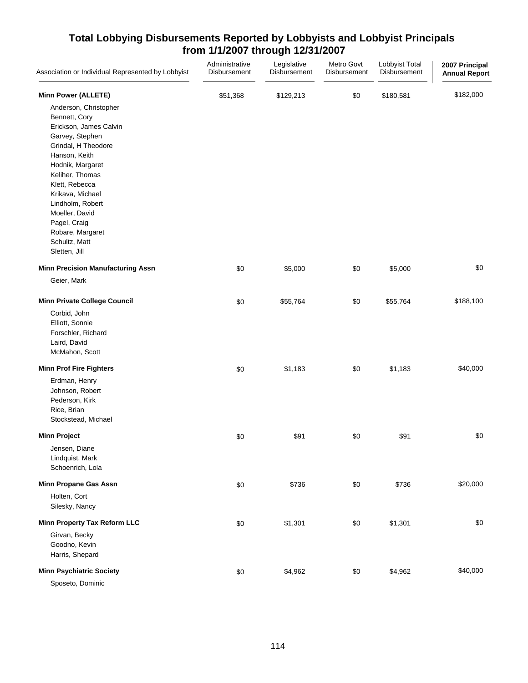| Association or Individual Represented by Lobbyist                                                                                                                                                                                                                                                                                                  | Administrative<br>Disbursement | Legislative<br>Disbursement | Metro Govt<br>Disbursement | Lobbyist Total<br>Disbursement | 2007 Principal<br><b>Annual Report</b> |
|----------------------------------------------------------------------------------------------------------------------------------------------------------------------------------------------------------------------------------------------------------------------------------------------------------------------------------------------------|--------------------------------|-----------------------------|----------------------------|--------------------------------|----------------------------------------|
| <b>Minn Power (ALLETE)</b><br>Anderson, Christopher<br>Bennett, Cory<br>Erickson, James Calvin<br>Garvey, Stephen<br>Grindal, H Theodore<br>Hanson, Keith<br>Hodnik, Margaret<br>Keliher, Thomas<br>Klett, Rebecca<br>Krikava, Michael<br>Lindholm, Robert<br>Moeller, David<br>Pagel, Craig<br>Robare, Margaret<br>Schultz, Matt<br>Sletten, Jill | \$51,368                       | \$129,213                   | \$0                        | \$180,581                      | \$182,000                              |
| <b>Minn Precision Manufacturing Assn</b><br>Geier, Mark                                                                                                                                                                                                                                                                                            | \$0                            | \$5,000                     | \$0                        | \$5,000                        | \$0                                    |
| <b>Minn Private College Council</b><br>Corbid, John<br>Elliott, Sonnie<br>Forschler, Richard<br>Laird, David<br>McMahon, Scott                                                                                                                                                                                                                     | \$0                            | \$55,764                    | \$0                        | \$55,764                       | \$188,100                              |
| <b>Minn Prof Fire Fighters</b><br>Erdman, Henry<br>Johnson, Robert<br>Pederson, Kirk<br>Rice, Brian<br>Stockstead, Michael                                                                                                                                                                                                                         | \$0                            | \$1,183                     | \$0                        | \$1,183                        | \$40,000                               |
| <b>Minn Project</b><br>Jensen, Diane<br>Lindquist, Mark<br>Schoenrich, Lola                                                                                                                                                                                                                                                                        | \$0                            | \$91                        | \$0                        | \$91                           | \$0                                    |
| <b>Minn Propane Gas Assn</b><br>Holten, Cort<br>Silesky, Nancy                                                                                                                                                                                                                                                                                     | \$0                            | \$736                       | \$0                        | \$736                          | \$20,000                               |
| Minn Property Tax Reform LLC<br>Girvan, Becky<br>Goodno, Kevin<br>Harris, Shepard                                                                                                                                                                                                                                                                  | \$0                            | \$1,301                     | \$0                        | \$1,301                        | \$0                                    |
| <b>Minn Psychiatric Society</b><br>Sposeto, Dominic                                                                                                                                                                                                                                                                                                | \$0                            | \$4,962                     | \$0                        | \$4,962                        | \$40,000                               |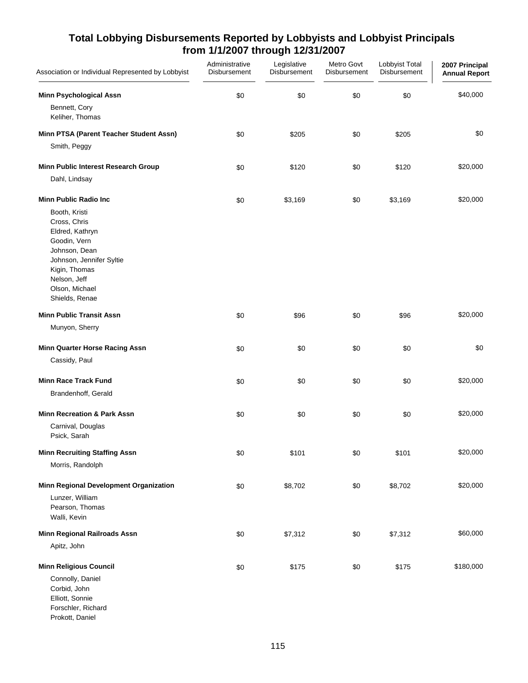| Association or Individual Represented by Lobbyist                                                                                                                                                                   | Administrative<br>Disbursement | Legislative<br>Disbursement | Metro Govt<br>Disbursement | Lobbyist Total<br>Disbursement | 2007 Principal<br><b>Annual Report</b> |
|---------------------------------------------------------------------------------------------------------------------------------------------------------------------------------------------------------------------|--------------------------------|-----------------------------|----------------------------|--------------------------------|----------------------------------------|
| <b>Minn Psychological Assn</b><br>Bennett, Cory<br>Keliher, Thomas                                                                                                                                                  | \$0                            | \$0                         | \$0                        | \$0                            | \$40,000                               |
| Minn PTSA (Parent Teacher Student Assn)                                                                                                                                                                             | \$0                            | \$205                       | \$0                        | \$205                          | \$0                                    |
| Smith, Peggy                                                                                                                                                                                                        |                                |                             |                            |                                |                                        |
| Minn Public Interest Research Group<br>Dahl, Lindsay                                                                                                                                                                | \$0                            | \$120                       | \$0                        | \$120                          | \$20,000                               |
| <b>Minn Public Radio Inc.</b><br>Booth, Kristi<br>Cross, Chris<br>Eldred, Kathryn<br>Goodin, Vern<br>Johnson, Dean<br>Johnson, Jennifer Syltie<br>Kigin, Thomas<br>Nelson, Jeff<br>Olson, Michael<br>Shields, Renae | \$0                            | \$3,169                     | \$0                        | \$3,169                        | \$20,000                               |
| <b>Minn Public Transit Assn</b>                                                                                                                                                                                     | \$0                            | \$96                        | \$0                        | \$96                           | \$20,000                               |
| Munyon, Sherry                                                                                                                                                                                                      |                                |                             |                            |                                |                                        |
| Minn Quarter Horse Racing Assn<br>Cassidy, Paul                                                                                                                                                                     | \$0                            | \$0                         | \$0                        | \$0                            | \$0                                    |
| <b>Minn Race Track Fund</b><br>Brandenhoff, Gerald                                                                                                                                                                  | \$0                            | \$0                         | \$0                        | \$0                            | \$20,000                               |
| <b>Minn Recreation &amp; Park Assn</b><br>Carnival, Douglas<br>Psick, Sarah                                                                                                                                         | \$0                            | \$0                         | \$0                        | \$0                            | \$20,000                               |
| <b>Minn Recruiting Staffing Assn</b><br>Morris, Randolph                                                                                                                                                            | \$0                            | \$101                       | \$0                        | \$101                          | \$20,000                               |
| Minn Regional Development Organization<br>Lunzer, William<br>Pearson, Thomas<br>Walli, Kevin                                                                                                                        | \$0                            | \$8,702                     | \$0                        | \$8,702                        | \$20,000                               |
| Minn Regional Railroads Assn<br>Apitz, John                                                                                                                                                                         | \$0                            | \$7,312                     | \$0                        | \$7,312                        | \$60,000                               |
| <b>Minn Religious Council</b><br>Connolly, Daniel<br>Corbid, John<br>Elliott, Sonnie<br>Forschler, Richard<br>Prokott, Daniel                                                                                       | \$0                            | \$175                       | \$0                        | \$175                          | \$180,000                              |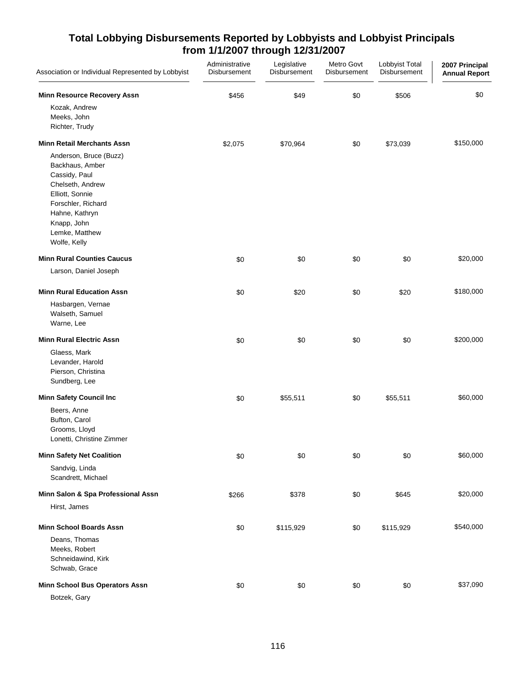| Association or Individual Represented by Lobbyist                                                                                                                                                                                                                    | Administrative<br>Disbursement | Legislative<br>Disbursement | Metro Govt<br>Disbursement | Lobbyist Total<br>Disbursement | 2007 Principal<br><b>Annual Report</b> |
|----------------------------------------------------------------------------------------------------------------------------------------------------------------------------------------------------------------------------------------------------------------------|--------------------------------|-----------------------------|----------------------------|--------------------------------|----------------------------------------|
| <b>Minn Resource Recovery Assn</b><br>Kozak, Andrew<br>Meeks, John<br>Richter, Trudy                                                                                                                                                                                 | \$456                          | \$49                        | \$0                        | \$506                          | \$0                                    |
| <b>Minn Retail Merchants Assn</b><br>Anderson, Bruce (Buzz)<br>Backhaus, Amber<br>Cassidy, Paul<br>Chelseth, Andrew<br>Elliott, Sonnie<br>Forschler, Richard<br>Hahne, Kathryn<br>Knapp, John<br>Lemke, Matthew<br>Wolfe, Kelly<br><b>Minn Rural Counties Caucus</b> | \$2,075<br>\$0                 | \$70,964<br>\$0             | \$0<br>\$0                 | \$73,039<br>\$0                | \$150,000<br>\$20,000                  |
| Larson, Daniel Joseph<br><b>Minn Rural Education Assn</b>                                                                                                                                                                                                            | \$0                            | \$20                        | \$0                        | \$20                           | \$180,000                              |
| Hasbargen, Vernae<br>Walseth, Samuel<br>Warne, Lee                                                                                                                                                                                                                   |                                |                             |                            |                                |                                        |
| <b>Minn Rural Electric Assn</b><br>Glaess, Mark<br>Levander, Harold<br>Pierson, Christina<br>Sundberg, Lee                                                                                                                                                           | \$0                            | \$0                         | \$0                        | \$0                            | \$200,000                              |
| <b>Minn Safety Council Inc</b><br>Beers, Anne<br>Bufton, Carol<br>Grooms, Lloyd<br>Lonetti, Christine Zimmer                                                                                                                                                         | \$0                            | \$55,511                    | \$0                        | \$55,511                       | \$60,000                               |
| <b>Minn Safety Net Coalition</b><br>Sandvig, Linda<br>Scandrett, Michael                                                                                                                                                                                             | \$0                            | \$0                         | \$0                        | \$0                            | \$60,000                               |
| Minn Salon & Spa Professional Assn<br>Hirst, James                                                                                                                                                                                                                   | \$266                          | \$378                       | \$0                        | \$645                          | \$20,000                               |
| <b>Minn School Boards Assn</b><br>Deans, Thomas<br>Meeks, Robert<br>Schneidawind, Kirk<br>Schwab, Grace                                                                                                                                                              | \$0                            | \$115,929                   | \$0                        | \$115,929                      | \$540,000                              |
| Minn School Bus Operators Assn<br>Botzek, Gary                                                                                                                                                                                                                       | \$0                            | \$0                         | \$0                        | \$0                            | \$37,090                               |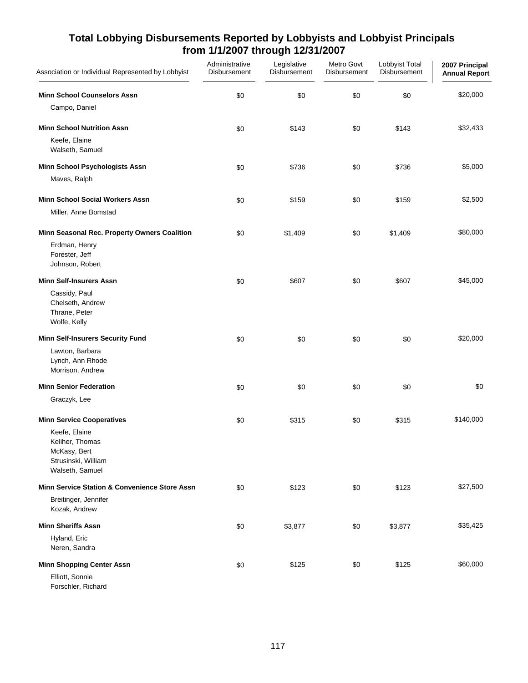| Association or Individual Represented by Lobbyist                                                                              | Administrative<br>Disbursement | Legislative<br>Disbursement | Metro Govt<br><b>Disbursement</b> | Lobbyist Total<br><b>Disbursement</b> | 2007 Principal<br><b>Annual Report</b> |
|--------------------------------------------------------------------------------------------------------------------------------|--------------------------------|-----------------------------|-----------------------------------|---------------------------------------|----------------------------------------|
| <b>Minn School Counselors Assn</b>                                                                                             | \$0                            | \$0                         | \$0                               | \$0                                   | \$20,000                               |
| Campo, Daniel                                                                                                                  |                                |                             |                                   |                                       |                                        |
| <b>Minn School Nutrition Assn</b><br>Keefe, Elaine<br>Walseth, Samuel                                                          | \$0                            | \$143                       | \$0                               | \$143                                 | \$32,433                               |
| Minn School Psychologists Assn<br>Maves, Ralph                                                                                 | \$0                            | \$736                       | \$0                               | \$736                                 | \$5,000                                |
| <b>Minn School Social Workers Assn</b><br>Miller, Anne Bomstad                                                                 | \$0                            | \$159                       | \$0                               | \$159                                 | \$2,500                                |
| Minn Seasonal Rec. Property Owners Coalition<br>Erdman, Henry<br>Forester, Jeff<br>Johnson, Robert                             | \$0                            | \$1,409                     | \$0                               | \$1,409                               | \$80,000                               |
| <b>Minn Self-Insurers Assn</b><br>Cassidy, Paul<br>Chelseth, Andrew<br>Thrane, Peter<br>Wolfe, Kelly                           | \$0                            | \$607                       | \$0                               | \$607                                 | \$45,000                               |
| <b>Minn Self-Insurers Security Fund</b><br>Lawton, Barbara<br>Lynch, Ann Rhode<br>Morrison, Andrew                             | \$0                            | \$0                         | \$0                               | \$0                                   | \$20,000                               |
| <b>Minn Senior Federation</b><br>Graczyk, Lee                                                                                  | \$0                            | \$0                         | \$0                               | \$0                                   | \$0                                    |
| <b>Minn Service Cooperatives</b><br>Keefe, Elaine<br>Keliher, Thomas<br>McKasy, Bert<br>Strusinski, William<br>Walseth, Samuel | \$0                            | \$315                       | \$0                               | \$315                                 | \$140,000                              |
| Minn Service Station & Convenience Store Assn<br>Breitinger, Jennifer<br>Kozak, Andrew                                         | \$0                            | \$123                       | \$0                               | \$123                                 | \$27,500                               |
| <b>Minn Sheriffs Assn</b>                                                                                                      | \$0                            | \$3,877                     | \$0                               | \$3,877                               | \$35,425                               |
| Hyland, Eric<br>Neren, Sandra                                                                                                  |                                |                             |                                   |                                       |                                        |
| <b>Minn Shopping Center Assn</b><br>Elliott, Sonnie<br>Forschler, Richard                                                      | \$0                            | \$125                       | \$0                               | \$125                                 | \$60,000                               |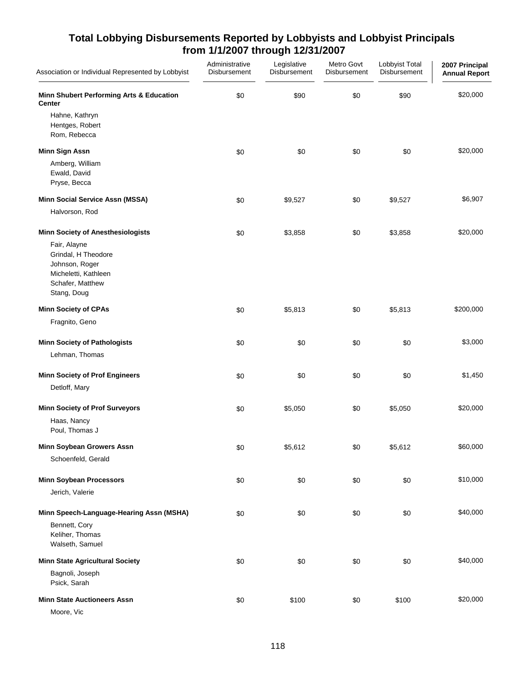| Association or Individual Represented by Lobbyist                                                                | Administrative<br>Disbursement | Legislative<br>Disbursement | Metro Govt<br>Disbursement | Lobbyist Total<br>Disbursement | 2007 Principal<br><b>Annual Report</b> |
|------------------------------------------------------------------------------------------------------------------|--------------------------------|-----------------------------|----------------------------|--------------------------------|----------------------------------------|
| Minn Shubert Performing Arts & Education<br><b>Center</b>                                                        | \$0                            | \$90                        | \$0                        | \$90                           | \$20,000                               |
| Hahne, Kathryn<br>Hentges, Robert<br>Rom, Rebecca                                                                |                                |                             |                            |                                |                                        |
| <b>Minn Sign Assn</b>                                                                                            | \$0                            | \$0                         | \$0                        | \$0                            | \$20,000                               |
| Amberg, William<br>Ewald, David<br>Pryse, Becca                                                                  |                                |                             |                            |                                |                                        |
| <b>Minn Social Service Assn (MSSA)</b>                                                                           | \$0                            | \$9,527                     | \$0                        | \$9,527                        | \$6,907                                |
| Halvorson, Rod                                                                                                   |                                |                             |                            |                                |                                        |
| <b>Minn Society of Anesthesiologists</b>                                                                         | \$0                            | \$3,858                     | \$0                        | \$3,858                        | \$20,000                               |
| Fair, Alayne<br>Grindal, H Theodore<br>Johnson, Roger<br>Micheletti, Kathleen<br>Schafer, Matthew<br>Stang, Doug |                                |                             |                            |                                |                                        |
| <b>Minn Society of CPAs</b>                                                                                      | \$0                            | \$5,813                     | \$0                        | \$5,813                        | \$200,000                              |
| Fragnito, Geno                                                                                                   |                                |                             |                            |                                |                                        |
| <b>Minn Society of Pathologists</b>                                                                              | \$0                            | \$0                         | \$0                        | \$0                            | \$3,000                                |
| Lehman, Thomas                                                                                                   |                                |                             |                            |                                |                                        |
| <b>Minn Society of Prof Engineers</b>                                                                            | \$0                            | \$0                         | \$0                        | \$0                            | \$1,450                                |
| Detloff, Mary                                                                                                    |                                |                             |                            |                                |                                        |
| <b>Minn Society of Prof Surveyors</b>                                                                            | \$0                            | \$5,050                     | \$0                        | \$5,050                        | \$20,000                               |
| Haas, Nancy<br>Poul, Thomas J                                                                                    |                                |                             |                            |                                |                                        |
| Minn Soybean Growers Assn                                                                                        | \$0                            | \$5,612                     | \$0                        | \$5,612                        | \$60,000                               |
| Schoenfeld, Gerald                                                                                               |                                |                             |                            |                                |                                        |
| <b>Minn Soybean Processors</b>                                                                                   | \$0                            | \$0                         | \$0                        | \$0                            | \$10,000                               |
| Jerich, Valerie                                                                                                  |                                |                             |                            |                                |                                        |
| Minn Speech-Language-Hearing Assn (MSHA)                                                                         | \$0                            | \$0                         | \$0                        | \$0                            | \$40,000                               |
| Bennett, Cory<br>Keliher, Thomas<br>Walseth, Samuel                                                              |                                |                             |                            |                                |                                        |
| <b>Minn State Agricultural Society</b>                                                                           | \$0                            | \$0                         | \$0                        | \$0                            | \$40,000                               |
| Bagnoli, Joseph<br>Psick, Sarah                                                                                  |                                |                             |                            |                                |                                        |
| <b>Minn State Auctioneers Assn</b><br>Moore, Vic                                                                 | \$0                            | \$100                       | \$0                        | \$100                          | \$20,000                               |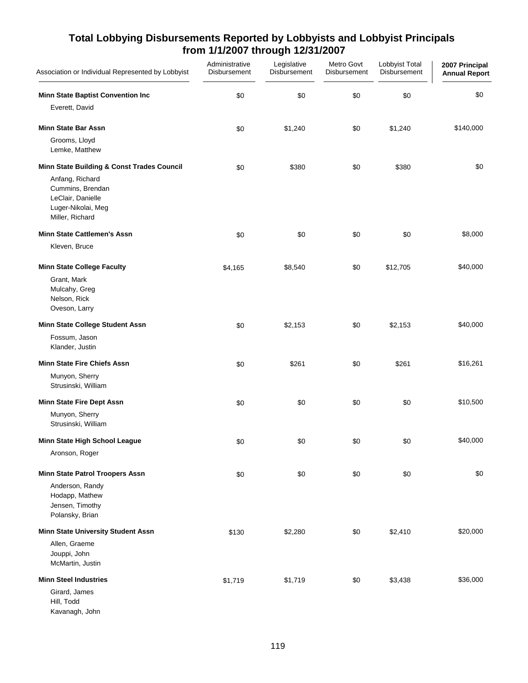| Association or Individual Represented by Lobbyist                                                 | Administrative<br><b>Disbursement</b> | Legislative<br><b>Disbursement</b> | Metro Govt<br><b>Disbursement</b> | Lobbyist Total<br>Disbursement | 2007 Principal<br><b>Annual Report</b> |
|---------------------------------------------------------------------------------------------------|---------------------------------------|------------------------------------|-----------------------------------|--------------------------------|----------------------------------------|
| <b>Minn State Baptist Convention Inc</b><br>Everett, David                                        | \$0                                   | \$0                                | \$0                               | \$0                            | \$0                                    |
| <b>Minn State Bar Assn</b>                                                                        | \$0                                   | \$1,240                            | \$0                               | \$1,240                        | \$140,000                              |
| Grooms, Lloyd<br>Lemke, Matthew                                                                   |                                       |                                    |                                   |                                |                                        |
| Minn State Building & Const Trades Council                                                        | \$0                                   | \$380                              | $$0$$                             | \$380                          | \$0                                    |
| Anfang, Richard<br>Cummins, Brendan<br>LeClair, Danielle<br>Luger-Nikolai, Meg<br>Miller, Richard |                                       |                                    |                                   |                                |                                        |
| <b>Minn State Cattlemen's Assn</b><br>Kleven, Bruce                                               | \$0                                   | \$0                                | \$0                               | \$0                            | \$8,000                                |
| <b>Minn State College Faculty</b>                                                                 | \$4,165                               | \$8,540                            | \$0                               | \$12,705                       | \$40,000                               |
| Grant, Mark<br>Mulcahy, Greg<br>Nelson, Rick<br>Oveson, Larry                                     |                                       |                                    |                                   |                                |                                        |
| Minn State College Student Assn                                                                   | \$0                                   | \$2,153                            | \$0                               | \$2,153                        | \$40,000                               |
| Fossum, Jason<br>Klander, Justin                                                                  |                                       |                                    |                                   |                                |                                        |
| <b>Minn State Fire Chiefs Assn</b>                                                                | \$0                                   | \$261                              | \$0                               | \$261                          | \$16,261                               |
| Munyon, Sherry<br>Strusinski, William                                                             |                                       |                                    |                                   |                                |                                        |
| <b>Minn State Fire Dept Assn</b>                                                                  | \$0                                   | \$0                                | \$0                               | \$0                            | \$10,500                               |
| Munyon, Sherry<br>Strusinski, William                                                             |                                       |                                    |                                   |                                |                                        |
| Minn State High School League                                                                     | \$0                                   | \$0                                | \$0                               | \$0                            | \$40,000                               |
| Aronson, Roger                                                                                    |                                       |                                    |                                   |                                |                                        |
| Minn State Patrol Troopers Assn                                                                   | \$0                                   | \$0                                | \$0                               | \$0                            | \$0                                    |
| Anderson, Randy<br>Hodapp, Mathew<br>Jensen, Timothy<br>Polansky, Brian                           |                                       |                                    |                                   |                                |                                        |
| Minn State University Student Assn                                                                | \$130                                 | \$2,280                            | \$0                               | \$2,410                        | \$20,000                               |
| Allen, Graeme<br>Jouppi, John<br>McMartin, Justin                                                 |                                       |                                    |                                   |                                |                                        |
| <b>Minn Steel Industries</b>                                                                      | \$1,719                               | \$1,719                            | \$0                               | \$3,438                        | \$36,000                               |
| Girard, James<br>Hill, Todd<br>Kavanagh, John                                                     |                                       |                                    |                                   |                                |                                        |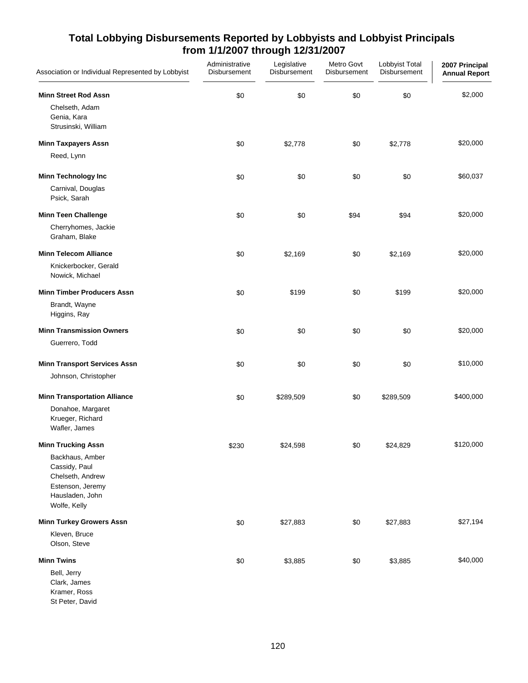| Association or Individual Represented by Lobbyist                                                                                        | Administrative<br>Disbursement | Legislative<br>Disbursement | Metro Govt<br>Disbursement | Lobbyist Total<br>Disbursement | 2007 Principal<br><b>Annual Report</b> |
|------------------------------------------------------------------------------------------------------------------------------------------|--------------------------------|-----------------------------|----------------------------|--------------------------------|----------------------------------------|
| <b>Minn Street Rod Assn</b><br>Chelseth, Adam<br>Genia, Kara<br>Strusinski, William                                                      | \$0                            | \$0                         | \$0                        | \$0                            | \$2,000                                |
| <b>Minn Taxpayers Assn</b><br>Reed, Lynn                                                                                                 | \$0                            | \$2,778                     | \$0                        | \$2,778                        | \$20,000                               |
| <b>Minn Technology Inc</b><br>Carnival, Douglas<br>Psick, Sarah                                                                          | \$0                            | \$0                         | \$0                        | \$0                            | \$60,037                               |
| <b>Minn Teen Challenge</b><br>Cherryhomes, Jackie<br>Graham, Blake                                                                       | \$0                            | \$0                         | \$94                       | \$94                           | \$20,000                               |
| <b>Minn Telecom Alliance</b><br>Knickerbocker, Gerald<br>Nowick, Michael                                                                 | \$0                            | \$2,169                     | \$0                        | \$2,169                        | \$20,000                               |
| <b>Minn Timber Producers Assn</b><br>Brandt, Wayne<br>Higgins, Ray                                                                       | \$0                            | \$199                       | \$0                        | \$199                          | \$20,000                               |
| <b>Minn Transmission Owners</b><br>Guerrero, Todd                                                                                        | \$0                            | \$0                         | \$0                        | \$0                            | \$20,000                               |
| <b>Minn Transport Services Assn</b><br>Johnson, Christopher                                                                              | \$0                            | \$0                         | \$0                        | \$0                            | \$10,000                               |
| <b>Minn Transportation Alliance</b><br>Donahoe, Margaret<br>Krueger, Richard<br>Wafler, James                                            | \$0                            | \$289,509                   | \$0                        | \$289,509                      | \$400,000                              |
| <b>Minn Trucking Assn</b><br>Backhaus, Amber<br>Cassidy, Paul<br>Chelseth, Andrew<br>Estenson, Jeremy<br>Hausladen, John<br>Wolfe, Kelly | \$230                          | \$24,598                    | \$0                        | \$24,829                       | \$120,000                              |
| <b>Minn Turkey Growers Assn</b><br>Kleven, Bruce<br>Olson, Steve                                                                         | \$0                            | \$27,883                    | \$0                        | \$27,883                       | \$27,194                               |
| <b>Minn Twins</b><br>Bell, Jerry<br>Clark, James<br>Kramer, Ross<br>St Peter, David                                                      | \$0                            | \$3,885                     | \$0                        | \$3,885                        | \$40,000                               |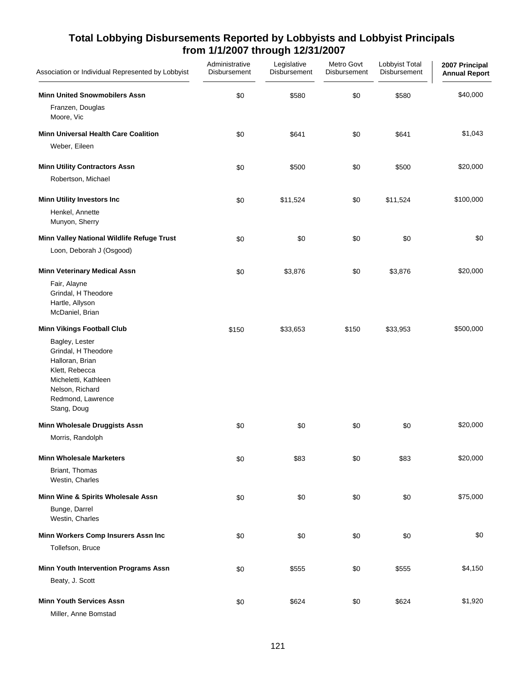| Association or Individual Represented by Lobbyist                                                                                                                                              | Administrative<br>Disbursement | Legislative<br>Disbursement | Metro Govt<br>Disbursement | Lobbyist Total<br>Disbursement | 2007 Principal<br><b>Annual Report</b> |
|------------------------------------------------------------------------------------------------------------------------------------------------------------------------------------------------|--------------------------------|-----------------------------|----------------------------|--------------------------------|----------------------------------------|
| <b>Minn United Snowmobilers Assn</b><br>Franzen, Douglas<br>Moore, Vic                                                                                                                         | \$0                            | \$580                       | \$0                        | \$580                          | \$40,000                               |
| <b>Minn Universal Health Care Coalition</b><br>Weber, Eileen                                                                                                                                   | \$0                            | \$641                       | \$0                        | \$641                          | \$1,043                                |
| <b>Minn Utility Contractors Assn</b><br>Robertson, Michael                                                                                                                                     | \$0                            | \$500                       | \$0                        | \$500                          | \$20,000                               |
| <b>Minn Utility Investors Inc</b><br>Henkel, Annette<br>Munyon, Sherry                                                                                                                         | \$0                            | \$11,524                    | \$0                        | \$11,524                       | \$100,000                              |
| Minn Valley National Wildlife Refuge Trust<br>Loon, Deborah J (Osgood)                                                                                                                         | \$0                            | \$0                         | \$0                        | \$0                            | \$0                                    |
| <b>Minn Veterinary Medical Assn</b><br>Fair, Alayne<br>Grindal, H Theodore<br>Hartle, Allyson<br>McDaniel, Brian                                                                               | \$0                            | \$3,876                     | \$0                        | \$3,876                        | \$20,000                               |
| <b>Minn Vikings Football Club</b><br>Bagley, Lester<br>Grindal, H Theodore<br>Halloran, Brian<br>Klett, Rebecca<br>Micheletti, Kathleen<br>Nelson, Richard<br>Redmond, Lawrence<br>Stang, Doug | \$150                          | \$33,653                    | \$150                      | \$33,953                       | \$500,000                              |
| Minn Wholesale Druggists Assn<br>Morris, Randolph                                                                                                                                              | \$0                            | \$0                         | \$0                        | \$0                            | \$20,000                               |
| <b>Minn Wholesale Marketers</b><br>Briant, Thomas<br>Westin, Charles                                                                                                                           | \$0                            | \$83                        | \$0                        | \$83                           | \$20,000                               |
| Minn Wine & Spirits Wholesale Assn<br>Bunge, Darrel<br>Westin, Charles                                                                                                                         | \$0                            | \$0                         | \$0                        | \$0                            | \$75,000                               |
| Minn Workers Comp Insurers Assn Inc<br>Tollefson, Bruce                                                                                                                                        | \$0                            | \$0                         | \$0                        | \$0                            | \$0                                    |
| Minn Youth Intervention Programs Assn<br>Beaty, J. Scott                                                                                                                                       | \$0                            | \$555                       | \$0                        | \$555                          | \$4,150                                |
| <b>Minn Youth Services Assn</b><br>Miller, Anne Bomstad                                                                                                                                        | \$0                            | \$624                       | \$0                        | \$624                          | \$1,920                                |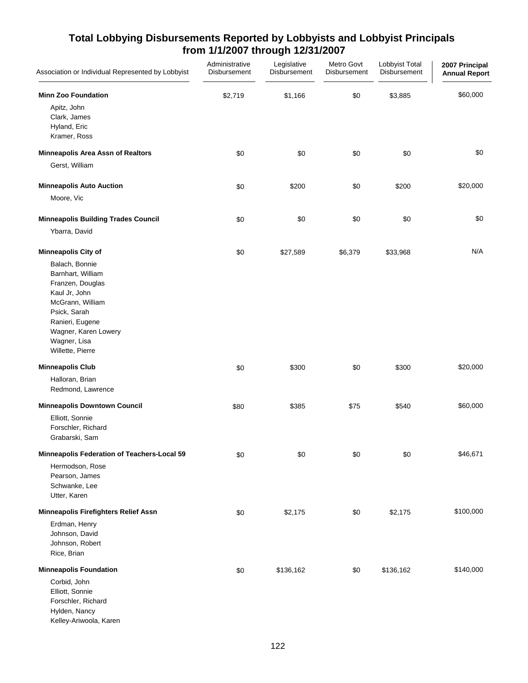| Association or Individual Represented by Lobbyist                                                                                                                                                                         | Administrative<br>Disbursement | Legislative<br>Disbursement | Metro Govt<br>Disbursement | Lobbyist Total<br>Disbursement | 2007 Principal<br><b>Annual Report</b> |
|---------------------------------------------------------------------------------------------------------------------------------------------------------------------------------------------------------------------------|--------------------------------|-----------------------------|----------------------------|--------------------------------|----------------------------------------|
| <b>Minn Zoo Foundation</b><br>Apitz, John<br>Clark, James<br>Hyland, Eric<br>Kramer, Ross                                                                                                                                 | \$2,719                        | \$1,166                     | \$0                        | \$3,885                        | \$60,000                               |
| <b>Minneapolis Area Assn of Realtors</b>                                                                                                                                                                                  | \$0                            | \$0                         | \$0                        | \$0                            | \$0                                    |
| Gerst, William                                                                                                                                                                                                            |                                |                             |                            |                                |                                        |
| <b>Minneapolis Auto Auction</b><br>Moore, Vic                                                                                                                                                                             | \$0                            | \$200                       | \$0                        | \$200                          | \$20,000                               |
| <b>Minneapolis Building Trades Council</b><br>Ybarra, David                                                                                                                                                               | \$0                            | \$0                         | \$0                        | \$0                            | \$0                                    |
| <b>Minneapolis City of</b><br>Balach, Bonnie<br>Barnhart, William<br>Franzen, Douglas<br>Kaul Jr, John<br>McGrann, William<br>Psick, Sarah<br>Ranieri, Eugene<br>Wagner, Karen Lowery<br>Wagner, Lisa<br>Willette, Pierre | \$0                            | \$27,589                    | \$6,379                    | \$33,968                       | N/A                                    |
| <b>Minneapolis Club</b>                                                                                                                                                                                                   | \$0                            | \$300                       | \$0                        | \$300                          | \$20,000                               |
| Halloran, Brian<br>Redmond, Lawrence                                                                                                                                                                                      |                                |                             |                            |                                |                                        |
| <b>Minneapolis Downtown Council</b><br>Elliott, Sonnie<br>Forschler, Richard<br>Grabarski, Sam                                                                                                                            | \$80                           | \$385                       | \$75                       | \$540                          | \$60,000                               |
| Minneapolis Federation of Teachers-Local 59<br>Hermodson, Rose<br>Pearson, James<br>Schwanke, Lee<br>Utter, Karen                                                                                                         | \$0                            | \$0                         | \$0                        | \$0                            | \$46,671                               |
| Minneapolis Firefighters Relief Assn<br>Erdman, Henry<br>Johnson, David<br>Johnson, Robert<br>Rice, Brian                                                                                                                 | \$0                            | \$2,175                     | \$0                        | \$2,175                        | \$100,000                              |
| <b>Minneapolis Foundation</b><br>Corbid, John<br>Elliott, Sonnie<br>Forschler, Richard<br>Hylden, Nancy<br>Kelley-Ariwoola, Karen                                                                                         | \$0                            | \$136,162                   | \$0                        | \$136,162                      | \$140,000                              |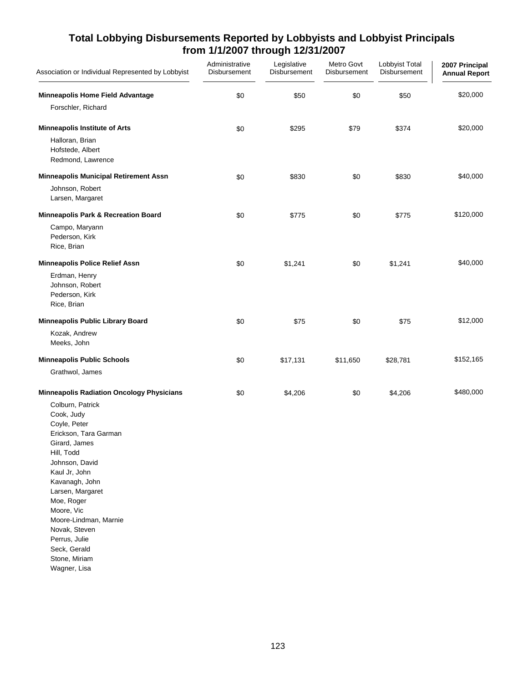| Association or Individual Represented by Lobbyist                                                                                                                                                                                                                                                                       | Administrative<br>Disbursement | Legislative<br>Disbursement | Metro Govt<br>Disbursement | Lobbyist Total<br>Disbursement | 2007 Principal<br><b>Annual Report</b> |
|-------------------------------------------------------------------------------------------------------------------------------------------------------------------------------------------------------------------------------------------------------------------------------------------------------------------------|--------------------------------|-----------------------------|----------------------------|--------------------------------|----------------------------------------|
| Minneapolis Home Field Advantage                                                                                                                                                                                                                                                                                        | \$0                            | \$50                        | \$0                        | \$50                           | \$20,000                               |
| Forschler, Richard                                                                                                                                                                                                                                                                                                      |                                |                             |                            |                                |                                        |
| <b>Minneapolis Institute of Arts</b>                                                                                                                                                                                                                                                                                    | \$0                            | \$295                       | \$79                       | \$374                          | \$20,000                               |
| Halloran, Brian<br>Hofstede, Albert<br>Redmond, Lawrence                                                                                                                                                                                                                                                                |                                |                             |                            |                                |                                        |
| <b>Minneapolis Municipal Retirement Assn</b>                                                                                                                                                                                                                                                                            | \$0                            | \$830                       | \$0                        | \$830                          | \$40,000                               |
| Johnson, Robert<br>Larsen, Margaret                                                                                                                                                                                                                                                                                     |                                |                             |                            |                                |                                        |
| Minneapolis Park & Recreation Board                                                                                                                                                                                                                                                                                     | \$0                            | \$775                       | \$0                        | \$775                          | \$120,000                              |
| Campo, Maryann<br>Pederson, Kirk<br>Rice, Brian                                                                                                                                                                                                                                                                         |                                |                             |                            |                                |                                        |
| <b>Minneapolis Police Relief Assn</b>                                                                                                                                                                                                                                                                                   | \$0                            | \$1,241                     | \$0                        | \$1,241                        | \$40,000                               |
| Erdman, Henry<br>Johnson, Robert<br>Pederson, Kirk<br>Rice, Brian                                                                                                                                                                                                                                                       |                                |                             |                            |                                |                                        |
| Minneapolis Public Library Board                                                                                                                                                                                                                                                                                        | \$0                            | \$75                        | \$0                        | \$75                           | \$12,000                               |
| Kozak, Andrew<br>Meeks, John                                                                                                                                                                                                                                                                                            |                                |                             |                            |                                |                                        |
| <b>Minneapolis Public Schools</b>                                                                                                                                                                                                                                                                                       | \$0                            | \$17,131                    | \$11,650                   | \$28,781                       | \$152,165                              |
| Grathwol, James                                                                                                                                                                                                                                                                                                         |                                |                             |                            |                                |                                        |
| <b>Minneapolis Radiation Oncology Physicians</b>                                                                                                                                                                                                                                                                        | \$0                            | \$4,206                     | \$0                        | \$4,206                        | \$480,000                              |
| Colburn, Patrick<br>Cook, Judy<br>Coyle, Peter<br>Erickson, Tara Garman<br>Girard, James<br>Hill, Todd<br>Johnson, David<br>Kaul Jr, John<br>Kavanagh, John<br>Larsen, Margaret<br>Moe, Roger<br>Moore, Vic<br>Moore-Lindman, Marnie<br>Novak, Steven<br>Perrus, Julie<br>Seck, Gerald<br>Stone, Miriam<br>Wagner, Lisa |                                |                             |                            |                                |                                        |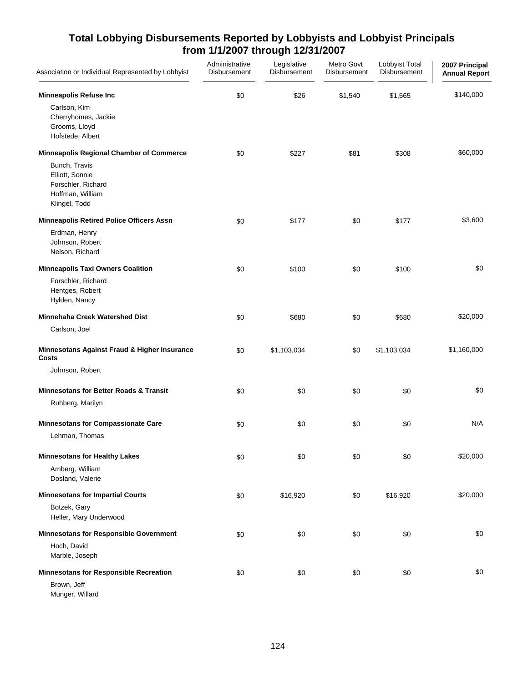| Association or Individual Represented by Lobbyist                                           | Administrative<br>Disbursement | Legislative<br>Disbursement | Metro Govt<br>Disbursement | Lobbyist Total<br>Disbursement | 2007 Principal<br><b>Annual Report</b> |
|---------------------------------------------------------------------------------------------|--------------------------------|-----------------------------|----------------------------|--------------------------------|----------------------------------------|
| <b>Minneapolis Refuse Inc</b>                                                               | \$0                            | \$26                        | \$1,540                    | \$1,565                        | \$140,000                              |
| Carlson, Kim<br>Cherryhomes, Jackie<br>Grooms, Lloyd<br>Hofstede, Albert                    |                                |                             |                            |                                |                                        |
| <b>Minneapolis Regional Chamber of Commerce</b>                                             | \$0                            | \$227                       | \$81                       | \$308                          | \$60,000                               |
| Bunch, Travis<br>Elliott, Sonnie<br>Forschler, Richard<br>Hoffman, William<br>Klingel, Todd |                                |                             |                            |                                |                                        |
| <b>Minneapolis Retired Police Officers Assn</b>                                             | \$0                            | \$177                       | \$0                        | \$177                          | \$3,600                                |
| Erdman, Henry<br>Johnson, Robert<br>Nelson, Richard                                         |                                |                             |                            |                                |                                        |
| <b>Minneapolis Taxi Owners Coalition</b>                                                    | \$0                            | \$100                       | \$0                        | \$100                          | \$0                                    |
| Forschler, Richard<br>Hentges, Robert<br>Hylden, Nancy                                      |                                |                             |                            |                                |                                        |
| Minnehaha Creek Watershed Dist                                                              | \$0                            | \$680                       | \$0                        | \$680                          | \$20,000                               |
| Carlson, Joel                                                                               |                                |                             |                            |                                |                                        |
| Minnesotans Against Fraud & Higher Insurance<br>Costs                                       | \$0                            | \$1,103,034                 | \$0                        | \$1,103,034                    | \$1,160,000                            |
| Johnson, Robert                                                                             |                                |                             |                            |                                |                                        |
| <b>Minnesotans for Better Roads &amp; Transit</b>                                           | \$0                            | \$0                         | \$0                        | \$0                            | \$0                                    |
| Ruhberg, Marilyn                                                                            |                                |                             |                            |                                |                                        |
| <b>Minnesotans for Compassionate Care</b>                                                   | \$0                            | \$0                         | \$0                        | \$0                            | N/A                                    |
| Lehman, Thomas                                                                              |                                |                             |                            |                                |                                        |
| <b>Minnesotans for Healthy Lakes</b>                                                        | \$0                            | \$0                         | \$0                        | \$0                            | \$20,000                               |
| Amberg, William<br>Dosland, Valerie                                                         |                                |                             |                            |                                |                                        |
| <b>Minnesotans for Impartial Courts</b>                                                     | \$0                            | \$16,920                    | \$0                        | \$16,920                       | \$20,000                               |
| Botzek, Gary<br>Heller, Mary Underwood                                                      |                                |                             |                            |                                |                                        |
| <b>Minnesotans for Responsible Government</b>                                               | \$0                            | \$0                         | \$0                        | \$0                            | \$0                                    |
| Hoch, David<br>Marble, Joseph                                                               |                                |                             |                            |                                |                                        |
| <b>Minnesotans for Responsible Recreation</b>                                               | \$0                            | \$0                         | \$0                        | \$0                            | \$0                                    |
| Brown, Jeff<br>Munger, Willard                                                              |                                |                             |                            |                                |                                        |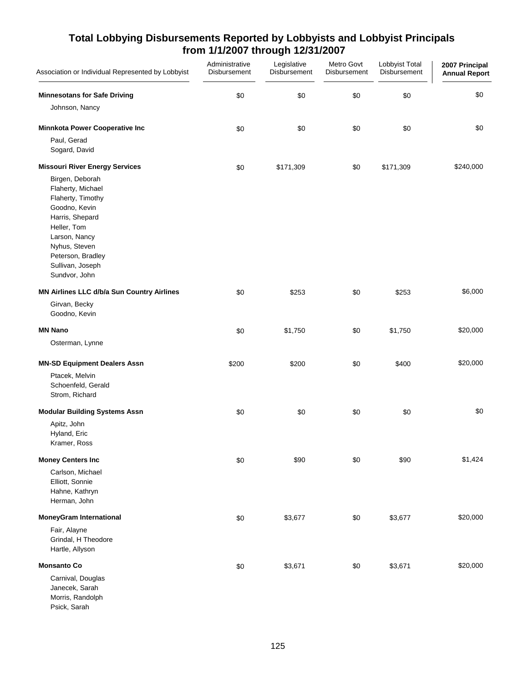| Association or Individual Represented by Lobbyist                                                                                                                                                        | Administrative<br>Disbursement | Legislative<br>Disbursement | Metro Govt<br>Disbursement | Lobbyist Total<br>Disbursement | 2007 Principal<br><b>Annual Report</b> |
|----------------------------------------------------------------------------------------------------------------------------------------------------------------------------------------------------------|--------------------------------|-----------------------------|----------------------------|--------------------------------|----------------------------------------|
| <b>Minnesotans for Safe Driving</b>                                                                                                                                                                      | \$0                            | \$0                         | \$0                        | \$0                            | \$0                                    |
| Johnson, Nancy                                                                                                                                                                                           |                                |                             |                            |                                |                                        |
| Minnkota Power Cooperative Inc                                                                                                                                                                           | \$0                            | \$0                         | \$0                        | \$0                            | \$0                                    |
| Paul, Gerad<br>Sogard, David                                                                                                                                                                             |                                |                             |                            |                                |                                        |
| <b>Missouri River Energy Services</b>                                                                                                                                                                    | \$0                            | \$171,309                   | \$0                        | \$171,309                      | \$240,000                              |
| Birgen, Deborah<br>Flaherty, Michael<br>Flaherty, Timothy<br>Goodno, Kevin<br>Harris, Shepard<br>Heller, Tom<br>Larson, Nancy<br>Nyhus, Steven<br>Peterson, Bradley<br>Sullivan, Joseph<br>Sundvor, John |                                |                             |                            |                                |                                        |
| MN Airlines LLC d/b/a Sun Country Airlines                                                                                                                                                               | \$0                            | \$253                       | \$0                        | \$253                          | \$6,000                                |
| Girvan, Becky<br>Goodno, Kevin                                                                                                                                                                           |                                |                             |                            |                                |                                        |
| <b>MN Nano</b>                                                                                                                                                                                           | \$0                            | \$1,750                     | \$0                        | \$1,750                        | \$20,000                               |
| Osterman, Lynne                                                                                                                                                                                          |                                |                             |                            |                                |                                        |
| <b>MN-SD Equipment Dealers Assn</b>                                                                                                                                                                      | \$200                          | \$200                       | \$0                        | \$400                          | \$20,000                               |
| Ptacek, Melvin<br>Schoenfeld, Gerald<br>Strom, Richard                                                                                                                                                   |                                |                             |                            |                                |                                        |
| <b>Modular Building Systems Assn</b>                                                                                                                                                                     | \$0                            | \$0                         | \$0                        | \$0                            | \$0                                    |
| Apitz, John<br>Hyland, Eric<br>Kramer, Ross                                                                                                                                                              |                                |                             |                            |                                |                                        |
| <b>Money Centers Inc</b>                                                                                                                                                                                 | \$0                            | \$90                        | \$0                        | \$90                           | \$1,424                                |
| Carlson, Michael<br>Elliott, Sonnie<br>Hahne, Kathryn<br>Herman, John                                                                                                                                    |                                |                             |                            |                                |                                        |
| <b>MoneyGram International</b>                                                                                                                                                                           | \$0                            | \$3,677                     | \$0                        | \$3,677                        | \$20,000                               |
| Fair, Alayne<br>Grindal, H Theodore<br>Hartle, Allyson                                                                                                                                                   |                                |                             |                            |                                |                                        |
| <b>Monsanto Co</b>                                                                                                                                                                                       | \$0                            | \$3,671                     | \$0                        | \$3,671                        | \$20,000                               |
| Carnival, Douglas<br>Janecek, Sarah<br>Morris, Randolph<br>Psick, Sarah                                                                                                                                  |                                |                             |                            |                                |                                        |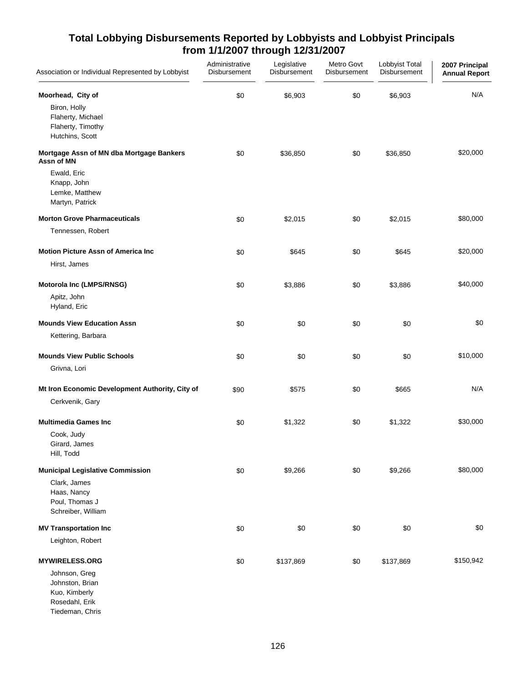| Association or Individual Represented by Lobbyist                                                                         | Administrative<br>Disbursement | Legislative<br>Disbursement | Metro Govt<br>Disbursement | Lobbyist Total<br>Disbursement | 2007 Principal<br><b>Annual Report</b> |
|---------------------------------------------------------------------------------------------------------------------------|--------------------------------|-----------------------------|----------------------------|--------------------------------|----------------------------------------|
| Moorhead, City of<br>Biron, Holly<br>Flaherty, Michael<br>Flaherty, Timothy<br>Hutchins, Scott                            | \$0                            | \$6,903                     | \$0                        | \$6,903                        | N/A                                    |
| Mortgage Assn of MN dba Mortgage Bankers<br>Assn of MN<br>Ewald, Eric<br>Knapp, John<br>Lemke, Matthew<br>Martyn, Patrick | \$0                            | \$36,850                    | \$0                        | \$36,850                       | \$20,000                               |
| <b>Morton Grove Pharmaceuticals</b><br>Tennessen, Robert                                                                  | \$0                            | \$2,015                     | \$0                        | \$2,015                        | \$80,000                               |
| <b>Motion Picture Assn of America Inc.</b><br>Hirst, James                                                                | \$0                            | \$645                       | \$0                        | \$645                          | \$20,000                               |
| Motorola Inc (LMPS/RNSG)<br>Apitz, John<br>Hyland, Eric                                                                   | \$0                            | \$3,886                     | \$0                        | \$3,886                        | \$40,000                               |
| <b>Mounds View Education Assn</b><br>Kettering, Barbara                                                                   | \$0                            | \$0                         | \$0                        | \$0                            | \$0                                    |
| <b>Mounds View Public Schools</b><br>Grivna, Lori                                                                         | \$0                            | \$0                         | \$0                        | \$0                            | \$10,000                               |
| Mt Iron Economic Development Authority, City of<br>Cerkvenik, Gary                                                        | \$90                           | \$575                       | \$0                        | \$665                          | N/A                                    |
| <b>Multimedia Games Inc</b><br>Cook, Judy<br>Girard, James<br>Hill, Todd                                                  | \$0                            | \$1,322                     | \$0                        | \$1,322                        | \$30,000                               |
| <b>Municipal Legislative Commission</b><br>Clark, James<br>Haas, Nancy<br>Poul, Thomas J<br>Schreiber, William            | \$0                            | \$9,266                     | \$0                        | \$9,266                        | \$80,000                               |
| <b>MV Transportation Inc</b><br>Leighton, Robert                                                                          | \$0                            | \$0                         | \$0                        | \$0                            | \$0                                    |
| <b>MYWIRELESS.ORG</b><br>Johnson, Greg<br>Johnston, Brian<br>Kuo, Kimberly<br>Rosedahl, Erik                              | \$0                            | \$137,869                   | \$0                        | \$137,869                      | \$150,942                              |

Tiedeman, Chris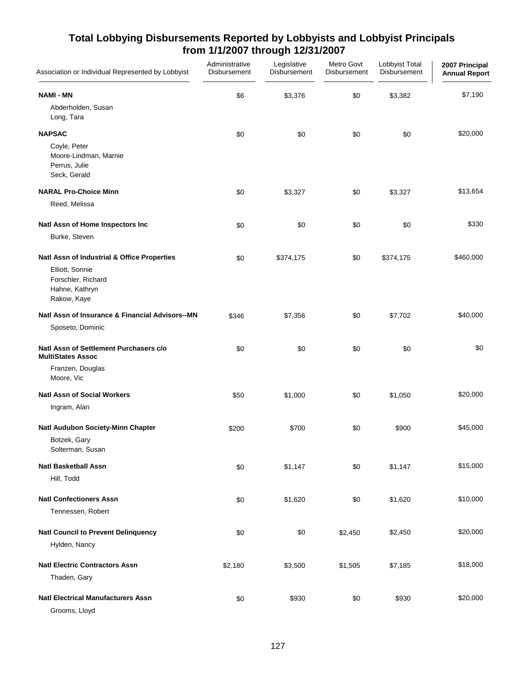| Association or Individual Represented by Lobbyist                      | Administrative<br>Disbursement | Legislative<br>Disbursement | Metro Govt<br>Disbursement | Lobbyist Total<br>Disbursement | 2007 Principal<br><b>Annual Report</b> |
|------------------------------------------------------------------------|--------------------------------|-----------------------------|----------------------------|--------------------------------|----------------------------------------|
| <b>NAMI - MN</b>                                                       | \$6                            | \$3,376                     | \$0                        | \$3,382                        | \$7,190                                |
| Abderholden, Susan<br>Long, Tara                                       |                                |                             |                            |                                |                                        |
| <b>NAPSAC</b>                                                          | \$0                            | \$0                         | \$0                        | \$0                            | \$20,000                               |
| Coyle, Peter<br>Moore-Lindman, Marnie<br>Perrus, Julie<br>Seck, Gerald |                                |                             |                            |                                |                                        |
| <b>NARAL Pro-Choice Minn</b>                                           | \$0                            | \$3,327                     | \$0                        | \$3,327                        | \$13,654                               |
| Reed, Melissa                                                          |                                |                             |                            |                                |                                        |
| Natl Assn of Home Inspectors Inc                                       | \$0                            | \$0                         | \$0                        | \$0                            | \$330                                  |
| Burke, Steven                                                          |                                |                             |                            |                                |                                        |
| Natl Assn of Industrial & Office Properties                            | \$0                            | \$374,175                   | \$0                        | \$374,175                      | \$460,000                              |
| Elliott, Sonnie<br>Forschler, Richard<br>Hahne, Kathryn<br>Rakow, Kaye |                                |                             |                            |                                |                                        |
| Natl Assn of Insurance & Financial Advisors--MN                        | \$346                          | \$7,356                     | \$0                        | \$7,702                        | \$40,000                               |
| Sposeto, Dominic                                                       |                                |                             |                            |                                |                                        |
| Natl Assn of Settlement Purchasers c/o<br><b>MultiStates Assoc</b>     | \$0                            | \$0                         | \$0                        | \$0                            | \$0                                    |
| Franzen, Douglas<br>Moore, Vic                                         |                                |                             |                            |                                |                                        |
| <b>Natl Assn of Social Workers</b>                                     | \$50                           | \$1,000                     | \$0                        | \$1,050                        | \$20,000                               |
| Ingram, Alan                                                           |                                |                             |                            |                                |                                        |
| Natl Audubon Society-Minn Chapter                                      | \$200                          | \$700                       | \$0                        | \$900                          | \$45,000                               |
| Botzek, Gary<br>Solterman, Susan                                       |                                |                             |                            |                                |                                        |
| <b>Natl Basketball Assn</b>                                            | \$0                            | \$1,147                     | \$0                        | \$1,147                        | \$15,000                               |
| Hill, Todd                                                             |                                |                             |                            |                                |                                        |
| <b>Natl Confectioners Assn</b>                                         | \$0                            | \$1,620                     | \$0                        | \$1,620                        | \$10,000                               |
| Tennessen, Robert                                                      |                                |                             |                            |                                |                                        |
| <b>Natl Council to Prevent Delinquency</b>                             | \$0                            | \$0                         | \$2,450                    | \$2,450                        | \$20,000                               |
| Hylden, Nancy                                                          |                                |                             |                            |                                |                                        |
| <b>Natl Electric Contractors Assn</b>                                  | \$2,180                        | \$3,500                     | \$1,505                    | \$7,185                        | \$18,000                               |
| Thaden, Gary                                                           |                                |                             |                            |                                |                                        |
| <b>Natl Electrical Manufacturers Assn</b><br>Grooms, Lloyd             | \$0                            | \$930                       | \$0                        | \$930                          | \$20,000                               |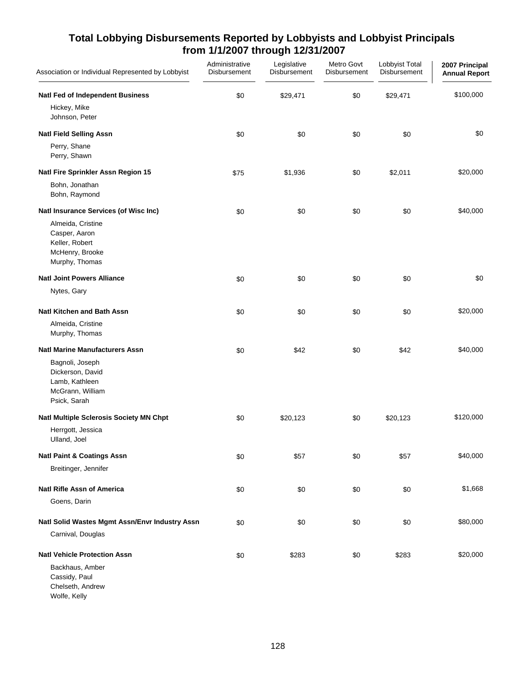| Association or Individual Represented by Lobbyist                                         | Administrative<br>Disbursement | Legislative<br>Disbursement | Metro Govt<br>Disbursement | Lobbyist Total<br>Disbursement | 2007 Principal<br><b>Annual Report</b> |
|-------------------------------------------------------------------------------------------|--------------------------------|-----------------------------|----------------------------|--------------------------------|----------------------------------------|
| <b>Natl Fed of Independent Business</b><br>Hickey, Mike                                   | \$0                            | \$29,471                    | \$0                        | \$29,471                       | \$100,000                              |
| Johnson, Peter                                                                            |                                |                             |                            |                                |                                        |
| <b>Natl Field Selling Assn</b>                                                            | \$0                            | \$0                         | \$0                        | \$0                            | \$0                                    |
| Perry, Shane<br>Perry, Shawn                                                              |                                |                             |                            |                                |                                        |
| Natl Fire Sprinkler Assn Region 15                                                        | \$75                           | \$1,936                     | \$0                        | \$2,011                        | \$20,000                               |
| Bohn, Jonathan<br>Bohn, Raymond                                                           |                                |                             |                            |                                |                                        |
| Natl Insurance Services (of Wisc Inc)                                                     | \$0                            | \$0                         | \$0                        | \$0                            | \$40,000                               |
| Almeida, Cristine<br>Casper, Aaron<br>Keller, Robert<br>McHenry, Brooke<br>Murphy, Thomas |                                |                             |                            |                                |                                        |
| <b>Natl Joint Powers Alliance</b>                                                         | \$0                            | \$0                         | \$0                        | \$0                            | \$0                                    |
| Nytes, Gary                                                                               |                                |                             |                            |                                |                                        |
| <b>Natl Kitchen and Bath Assn</b>                                                         | \$0                            | \$0                         | \$0                        | \$0                            | \$20,000                               |
| Almeida, Cristine<br>Murphy, Thomas                                                       |                                |                             |                            |                                |                                        |
| <b>Natl Marine Manufacturers Assn</b>                                                     | \$0                            | \$42                        | \$0                        | \$42                           | \$40,000                               |
| Bagnoli, Joseph<br>Dickerson, David<br>Lamb, Kathleen<br>McGrann, William<br>Psick, Sarah |                                |                             |                            |                                |                                        |
| Natl Multiple Sclerosis Society MN Chpt                                                   | \$0                            | \$20,123                    | \$0                        | \$20,123                       | \$120,000                              |
| Herrgott, Jessica<br>Ulland, Joel                                                         |                                |                             |                            |                                |                                        |
| <b>Natl Paint &amp; Coatings Assn</b>                                                     | \$0                            | \$57                        | \$0                        | \$57                           | \$40,000                               |
| Breitinger, Jennifer                                                                      |                                |                             |                            |                                |                                        |
| <b>Natl Rifle Assn of America</b>                                                         | \$0                            | \$0                         | \$0                        | \$0                            | \$1,668                                |
| Goens, Darin                                                                              |                                |                             |                            |                                |                                        |
| Natl Solid Wastes Mgmt Assn/Envr Industry Assn                                            | \$0                            | \$0                         | \$0                        | \$0                            | \$80,000                               |
| Carnival, Douglas                                                                         |                                |                             |                            |                                |                                        |
| <b>Natl Vehicle Protection Assn</b>                                                       | \$0                            | \$283                       | \$0                        | \$283                          | \$20,000                               |
| Backhaus, Amber<br>Cassidy, Paul<br>Chelseth, Andrew<br>Wolfe, Kelly                      |                                |                             |                            |                                |                                        |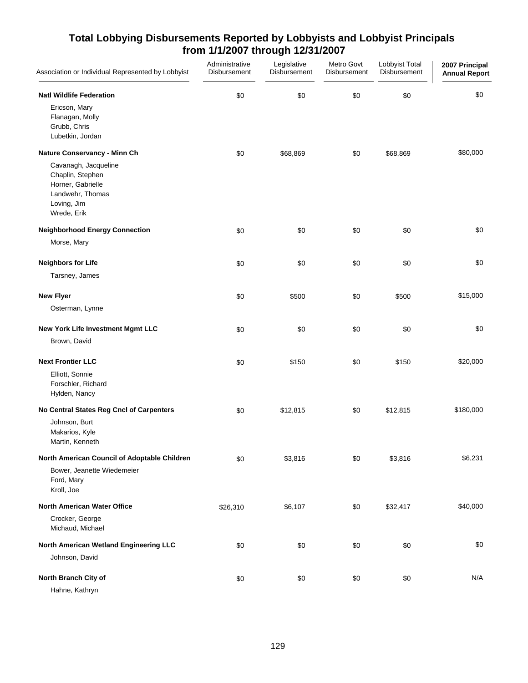| Association or Individual Represented by Lobbyist                                       | Administrative<br>Disbursement | Legislative<br>Disbursement | Metro Govt<br>Disbursement | Lobbyist Total<br>Disbursement | 2007 Principal<br><b>Annual Report</b> |
|-----------------------------------------------------------------------------------------|--------------------------------|-----------------------------|----------------------------|--------------------------------|----------------------------------------|
| <b>Natl Wildlife Federation</b>                                                         | \$0                            | \$0                         | \$0                        | \$0                            | \$0                                    |
| Ericson, Mary<br>Flanagan, Molly<br>Grubb, Chris                                        |                                |                             |                            |                                |                                        |
| Lubetkin, Jordan                                                                        |                                |                             |                            |                                |                                        |
| Nature Conservancy - Minn Ch<br>Cavanagh, Jacqueline                                    | \$0                            | \$68,869                    | \$0                        | \$68,869                       | \$80,000                               |
| Chaplin, Stephen<br>Horner, Gabrielle<br>Landwehr, Thomas<br>Loving, Jim<br>Wrede, Erik |                                |                             |                            |                                |                                        |
| <b>Neighborhood Energy Connection</b>                                                   | \$0                            | \$0                         | \$0                        | \$0                            | \$0                                    |
| Morse, Mary                                                                             |                                |                             |                            |                                |                                        |
| <b>Neighbors for Life</b>                                                               | \$0                            | \$0                         | \$0                        | \$0                            | \$0                                    |
| Tarsney, James                                                                          |                                |                             |                            |                                |                                        |
| <b>New Flyer</b>                                                                        | \$0                            | \$500                       | \$0                        | \$500                          | \$15,000                               |
| Osterman, Lynne                                                                         |                                |                             |                            |                                |                                        |
| New York Life Investment Mgmt LLC                                                       | \$0                            | \$0                         | \$0                        | \$0                            | \$0                                    |
| Brown, David                                                                            |                                |                             |                            |                                |                                        |
| <b>Next Frontier LLC</b><br>Elliott, Sonnie                                             | \$0                            | \$150                       | \$0                        | \$150                          | \$20,000                               |
| Forschler, Richard<br>Hylden, Nancy                                                     |                                |                             |                            |                                |                                        |
| No Central States Reg Cncl of Carpenters                                                | \$0                            | \$12,815                    | \$0                        | \$12,815                       | \$180,000                              |
| Johnson, Burt<br>Makarios, Kyle<br>Martin, Kenneth                                      |                                |                             |                            |                                |                                        |
| North American Council of Adoptable Children                                            | \$0                            | \$3,816                     | \$0                        | \$3,816                        | \$6,231                                |
| Bower, Jeanette Wiedemeier<br>Ford, Mary<br>Kroll, Joe                                  |                                |                             |                            |                                |                                        |
| <b>North American Water Office</b>                                                      | \$26,310                       | \$6,107                     | \$0                        | \$32,417                       | \$40,000                               |
| Crocker, George<br>Michaud, Michael                                                     |                                |                             |                            |                                |                                        |
| North American Wetland Engineering LLC                                                  | \$0                            | \$0                         | \$0                        | \$0                            | \$0                                    |
| Johnson, David                                                                          |                                |                             |                            |                                |                                        |
| North Branch City of<br>Hahne, Kathryn                                                  | \$0                            | \$0                         | \$0                        | \$0                            | N/A                                    |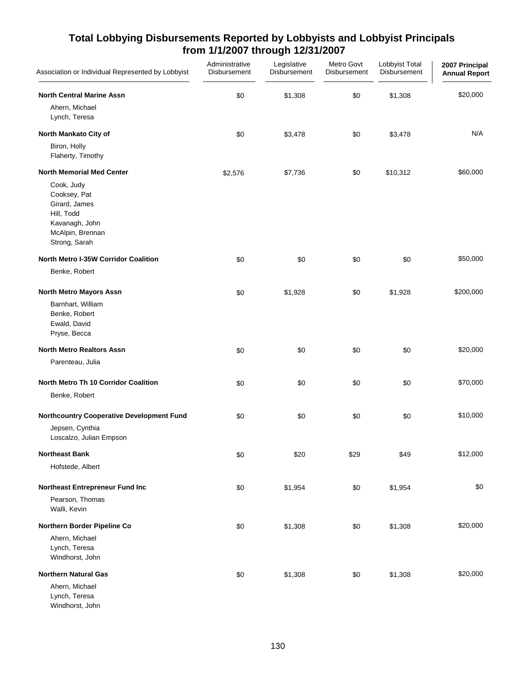| Association or Individual Represented by Lobbyist                                                                | Administrative<br>Disbursement | Legislative<br>Disbursement | Metro Govt<br>Disbursement | Lobbyist Total<br>Disbursement | 2007 Principal<br><b>Annual Report</b> |
|------------------------------------------------------------------------------------------------------------------|--------------------------------|-----------------------------|----------------------------|--------------------------------|----------------------------------------|
| <b>North Central Marine Assn</b><br>Ahern, Michael                                                               | \$0                            | \$1,308                     | \$0                        | \$1,308                        | \$20,000                               |
| Lynch, Teresa                                                                                                    |                                |                             |                            |                                |                                        |
| North Mankato City of                                                                                            | \$0                            | \$3,478                     | \$0                        | \$3,478                        | N/A                                    |
| Biron, Holly<br>Flaherty, Timothy                                                                                |                                |                             |                            |                                |                                        |
| <b>North Memorial Med Center</b>                                                                                 | \$2,576                        | \$7,736                     | \$0                        | \$10,312                       | \$60,000                               |
| Cook, Judy<br>Cooksey, Pat<br>Girard, James<br>Hill, Todd<br>Kavanagh, John<br>McAlpin, Brennan<br>Strong, Sarah |                                |                             |                            |                                |                                        |
| <b>North Metro I-35W Corridor Coalition</b>                                                                      | \$0                            | \$0                         | \$0                        | \$0                            | \$50,000                               |
| Benke, Robert                                                                                                    |                                |                             |                            |                                |                                        |
| North Metro Mayors Assn                                                                                          | \$0                            | \$1,928                     | \$0                        | \$1,928                        | \$200,000                              |
| Barnhart, William<br>Benke, Robert<br>Ewald, David<br>Pryse, Becca                                               |                                |                             |                            |                                |                                        |
| <b>North Metro Realtors Assn</b>                                                                                 | \$0                            | \$0                         | \$0                        | \$0                            | \$20,000                               |
| Parenteau, Julia                                                                                                 |                                |                             |                            |                                |                                        |
| North Metro Th 10 Corridor Coalition                                                                             | \$0                            | \$0                         | \$0                        | \$0                            | \$70,000                               |
| Benke, Robert                                                                                                    |                                |                             |                            |                                |                                        |
| <b>Northcountry Cooperative Development Fund</b>                                                                 | \$0                            | \$0                         | \$0                        | \$0                            | \$10,000                               |
| Jepsen, Cynthia<br>Loscalzo, Julian Empson                                                                       |                                |                             |                            |                                |                                        |
| <b>Northeast Bank</b>                                                                                            | \$0                            | \$20                        | \$29                       | \$49                           | \$12,000                               |
| Hofstede, Albert                                                                                                 |                                |                             |                            |                                |                                        |
| Northeast Entrepreneur Fund Inc                                                                                  | \$0                            | \$1,954                     | \$0                        | \$1,954                        | \$0                                    |
| Pearson, Thomas<br>Walli, Kevin                                                                                  |                                |                             |                            |                                |                                        |
| Northern Border Pipeline Co                                                                                      | \$0                            | \$1,308                     | \$0                        | \$1,308                        | \$20,000                               |
| Ahern, Michael<br>Lynch, Teresa<br>Windhorst, John                                                               |                                |                             |                            |                                |                                        |
| <b>Northern Natural Gas</b>                                                                                      | \$0                            | \$1,308                     | \$0                        | \$1,308                        | \$20,000                               |
| Ahern, Michael<br>Lynch, Teresa<br>Windhorst, John                                                               |                                |                             |                            |                                |                                        |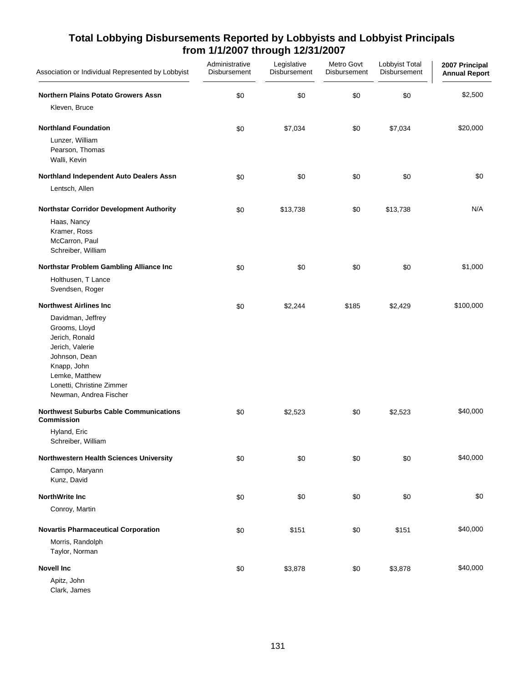| Association or Individual Represented by Lobbyist                                                                                                                                | Administrative<br><b>Disbursement</b> | Legislative<br>Disbursement | Metro Govt<br><b>Disbursement</b> | Lobbyist Total<br>Disbursement | 2007 Principal<br><b>Annual Report</b> |
|----------------------------------------------------------------------------------------------------------------------------------------------------------------------------------|---------------------------------------|-----------------------------|-----------------------------------|--------------------------------|----------------------------------------|
| <b>Northern Plains Potato Growers Assn</b>                                                                                                                                       | \$0                                   | \$0                         | \$0                               | \$0                            | \$2,500                                |
| Kleven, Bruce                                                                                                                                                                    |                                       |                             |                                   |                                |                                        |
| <b>Northland Foundation</b>                                                                                                                                                      | \$0                                   | \$7,034                     | \$0                               | \$7,034                        | \$20,000                               |
| Lunzer, William<br>Pearson, Thomas<br>Walli, Kevin                                                                                                                               |                                       |                             |                                   |                                |                                        |
| Northland Independent Auto Dealers Assn                                                                                                                                          | \$0                                   | \$0                         | \$0                               | \$0                            | \$0                                    |
| Lentsch, Allen                                                                                                                                                                   |                                       |                             |                                   |                                |                                        |
| Northstar Corridor Development Authority                                                                                                                                         | \$0                                   | \$13,738                    | \$0                               | \$13,738                       | N/A                                    |
| Haas, Nancy<br>Kramer, Ross<br>McCarron, Paul<br>Schreiber, William                                                                                                              |                                       |                             |                                   |                                |                                        |
| Northstar Problem Gambling Alliance Inc                                                                                                                                          | \$0                                   | \$0                         | \$0                               | \$0                            | \$1,000                                |
| Holthusen, T Lance<br>Svendsen, Roger                                                                                                                                            |                                       |                             |                                   |                                |                                        |
| <b>Northwest Airlines Inc.</b>                                                                                                                                                   | \$0                                   | \$2,244                     | \$185                             | \$2,429                        | \$100,000                              |
| Davidman, Jeffrey<br>Grooms, Lloyd<br>Jerich, Ronald<br>Jerich, Valerie<br>Johnson, Dean<br>Knapp, John<br>Lemke, Matthew<br>Lonetti, Christine Zimmer<br>Newman, Andrea Fischer |                                       |                             |                                   |                                |                                        |
| <b>Northwest Suburbs Cable Communications</b><br>Commission                                                                                                                      | \$0                                   | \$2,523                     | \$0                               | \$2,523                        | \$40,000                               |
| Hyland, Eric<br>Schreiber, William                                                                                                                                               |                                       |                             |                                   |                                |                                        |
| Northwestern Health Sciences University<br>Campo, Maryann<br>Kunz, David                                                                                                         | \$0                                   | \$0                         | \$0                               | \$0                            | \$40,000                               |
| <b>NorthWrite Inc</b>                                                                                                                                                            | \$0                                   | \$0                         | \$0                               | \$0                            | \$0                                    |
| Conroy, Martin                                                                                                                                                                   |                                       |                             |                                   |                                |                                        |
| <b>Novartis Pharmaceutical Corporation</b>                                                                                                                                       | \$0                                   | \$151                       | \$0                               | \$151                          | \$40,000                               |
| Morris, Randolph<br>Taylor, Norman                                                                                                                                               |                                       |                             |                                   |                                |                                        |
| <b>Novell Inc</b>                                                                                                                                                                | \$0                                   | \$3,878                     | \$0                               | \$3,878                        | \$40,000                               |
| Apitz, John<br>Clark, James                                                                                                                                                      |                                       |                             |                                   |                                |                                        |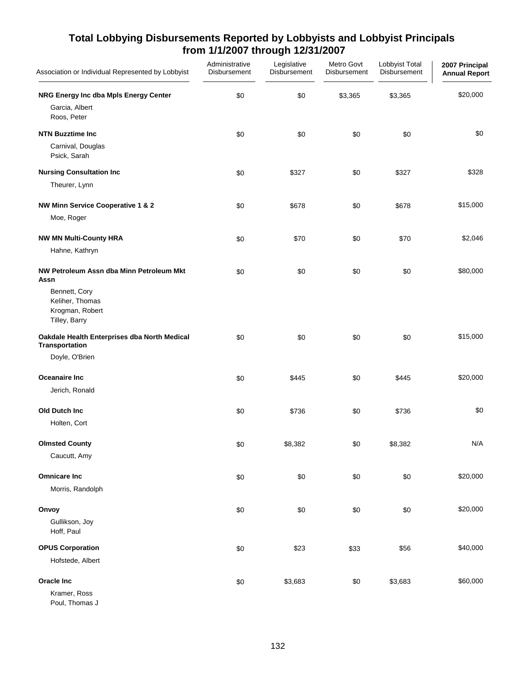| Association or Individual Represented by Lobbyist                    | Administrative<br>Disbursement | Legislative<br>Disbursement | Metro Govt<br>Disbursement | Lobbyist Total<br>Disbursement | 2007 Principal<br><b>Annual Report</b> |
|----------------------------------------------------------------------|--------------------------------|-----------------------------|----------------------------|--------------------------------|----------------------------------------|
| NRG Energy Inc dba Mpls Energy Center<br>Garcia, Albert              | \$0                            | \$0                         | \$3,365                    | \$3,365                        | \$20,000                               |
| Roos, Peter                                                          |                                |                             |                            |                                |                                        |
| <b>NTN Buzztime Inc.</b>                                             | \$0                            | \$0                         | \$0                        | \$0                            | \$0                                    |
| Carnival, Douglas<br>Psick, Sarah                                    |                                |                             |                            |                                |                                        |
| <b>Nursing Consultation Inc</b>                                      | \$0                            | \$327                       | \$0                        | \$327                          | \$328                                  |
| Theurer, Lynn                                                        |                                |                             |                            |                                |                                        |
| NW Minn Service Cooperative 1 & 2                                    | \$0                            | \$678                       | \$0                        | \$678                          | \$15,000                               |
| Moe, Roger                                                           |                                |                             |                            |                                |                                        |
| <b>NW MN Multi-County HRA</b>                                        | \$0                            | \$70                        | \$0                        | \$70                           | \$2,046                                |
| Hahne, Kathryn                                                       |                                |                             |                            |                                |                                        |
| NW Petroleum Assn dba Minn Petroleum Mkt<br>Assn                     | \$0                            | \$0                         | \$0                        | \$0                            | \$80,000                               |
| Bennett, Cory<br>Keliher, Thomas<br>Krogman, Robert<br>Tilley, Barry |                                |                             |                            |                                |                                        |
| Oakdale Health Enterprises dba North Medical<br>Transportation       | \$0                            | \$0                         | \$0                        | \$0                            | \$15,000                               |
| Doyle, O'Brien                                                       |                                |                             |                            |                                |                                        |
| Oceanaire Inc                                                        | \$0                            | \$445                       | \$0                        | \$445                          | \$20,000                               |
| Jerich, Ronald                                                       |                                |                             |                            |                                |                                        |
| Old Dutch Inc                                                        | \$0                            | \$736                       | \$0                        | \$736                          | \$0                                    |
| Holten, Cort                                                         |                                |                             |                            |                                |                                        |
| <b>Olmsted County</b>                                                | \$0                            | \$8,382                     | \$0                        | \$8,382                        | N/A                                    |
| Caucutt, Amy                                                         |                                |                             |                            |                                |                                        |
| <b>Omnicare Inc</b>                                                  | \$0                            | \$0                         | \$0                        | \$0                            | \$20,000                               |
| Morris, Randolph                                                     |                                |                             |                            |                                |                                        |
| Onvoy                                                                | \$0                            | \$0                         | \$0                        | \$0                            | \$20,000                               |
| Gullikson, Joy<br>Hoff, Paul                                         |                                |                             |                            |                                |                                        |
| <b>OPUS Corporation</b>                                              | \$0                            | \$23                        | \$33                       | \$56                           | \$40,000                               |
| Hofstede, Albert                                                     |                                |                             |                            |                                |                                        |
| Oracle Inc<br>Kramer, Ross                                           | \$0                            | \$3,683                     | \$0                        | \$3,683                        | \$60,000                               |
|                                                                      |                                |                             |                            |                                |                                        |

Poul, Thomas J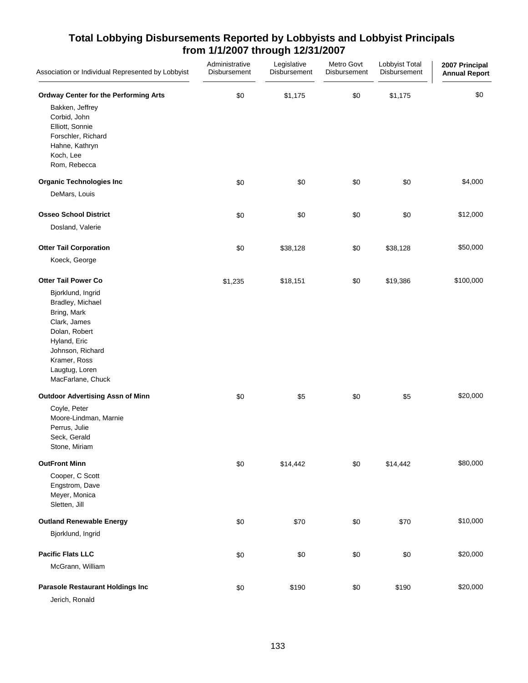| Association or Individual Represented by Lobbyist                                                                                                                                | Administrative<br>Disbursement | Legislative<br>Disbursement | Metro Govt<br>Disbursement | Lobbyist Total<br>Disbursement | 2007 Principal<br><b>Annual Report</b> |
|----------------------------------------------------------------------------------------------------------------------------------------------------------------------------------|--------------------------------|-----------------------------|----------------------------|--------------------------------|----------------------------------------|
| <b>Ordway Center for the Performing Arts</b><br>Bakken, Jeffrey<br>Corbid, John<br>Elliott, Sonnie<br>Forschler, Richard<br>Hahne, Kathryn<br>Koch, Lee<br>Rom, Rebecca          | \$0                            | \$1,175                     | \$0                        | \$1,175                        | \$0                                    |
| <b>Organic Technologies Inc</b>                                                                                                                                                  | \$0                            | \$0                         | \$0                        | \$0                            | \$4,000                                |
| DeMars, Louis                                                                                                                                                                    |                                |                             |                            |                                |                                        |
| <b>Osseo School District</b>                                                                                                                                                     | \$0                            | \$0                         | \$0                        | \$0                            | \$12,000                               |
| Dosland, Valerie                                                                                                                                                                 |                                |                             |                            |                                |                                        |
| <b>Otter Tail Corporation</b><br>Koeck, George                                                                                                                                   | \$0                            | \$38,128                    | \$0                        | \$38,128                       | \$50,000                               |
| <b>Otter Tail Power Co</b>                                                                                                                                                       | \$1,235                        | \$18,151                    | \$0                        | \$19,386                       | \$100,000                              |
| Bjorklund, Ingrid<br>Bradley, Michael<br>Bring, Mark<br>Clark, James<br>Dolan, Robert<br>Hyland, Eric<br>Johnson, Richard<br>Kramer, Ross<br>Laugtug, Loren<br>MacFarlane, Chuck |                                |                             |                            |                                |                                        |
| <b>Outdoor Advertising Assn of Minn</b>                                                                                                                                          | \$0                            | \$5                         | \$0                        | \$5                            | \$20,000                               |
| Coyle, Peter<br>Moore-Lindman, Marnie<br>Perrus, Julie<br>Seck, Gerald<br>Stone, Miriam                                                                                          |                                |                             |                            |                                |                                        |
| <b>OutFront Minn</b>                                                                                                                                                             | \$0                            | \$14,442                    | \$0                        | \$14,442                       | \$80,000                               |
| Cooper, C Scott<br>Engstrom, Dave<br>Meyer, Monica<br>Sletten, Jill                                                                                                              |                                |                             |                            |                                |                                        |
| <b>Outland Renewable Energy</b>                                                                                                                                                  | \$0                            | \$70                        | \$0                        | \$70                           | \$10,000                               |
| Bjorklund, Ingrid                                                                                                                                                                |                                |                             |                            |                                |                                        |
| <b>Pacific Flats LLC</b>                                                                                                                                                         | \$0                            | \$0                         | \$0                        | \$0                            | \$20,000                               |
| McGrann, William                                                                                                                                                                 |                                |                             |                            |                                |                                        |
| <b>Parasole Restaurant Holdings Inc</b><br>Jerich, Ronald                                                                                                                        | \$0                            | \$190                       | \$0                        | \$190                          | \$20,000                               |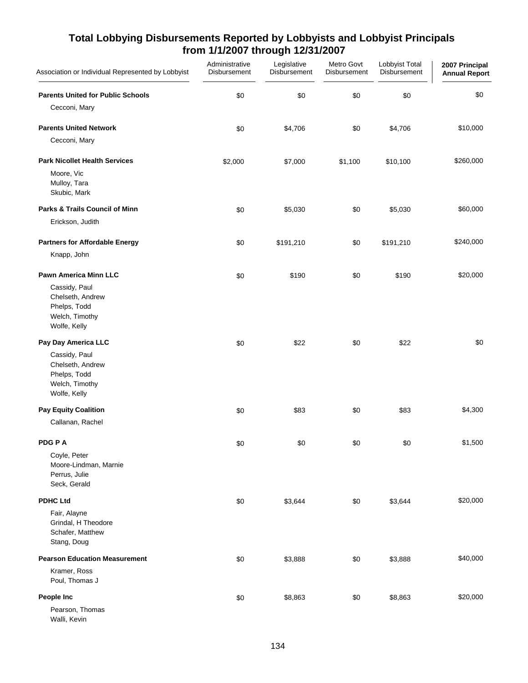| Association or Individual Represented by Lobbyist                                   | Administrative<br>Disbursement | Legislative<br>Disbursement | Metro Govt<br>Disbursement | Lobbyist Total<br>Disbursement | 2007 Principal<br><b>Annual Report</b> |
|-------------------------------------------------------------------------------------|--------------------------------|-----------------------------|----------------------------|--------------------------------|----------------------------------------|
| <b>Parents United for Public Schools</b><br>Cecconi, Mary                           | \$0                            | \$0                         | \$0                        | \$0                            | \$0                                    |
| <b>Parents United Network</b>                                                       | \$0                            | \$4,706                     | \$0                        | \$4,706                        | \$10,000                               |
| Cecconi, Mary                                                                       |                                |                             |                            |                                |                                        |
| <b>Park Nicollet Health Services</b><br>Moore, Vic<br>Mulloy, Tara                  | \$2,000                        | \$7,000                     | \$1,100                    | \$10,100                       | \$260,000                              |
| Skubic, Mark                                                                        |                                |                             |                            |                                |                                        |
| Parks & Trails Council of Minn                                                      | \$0                            | \$5,030                     | \$0                        | \$5,030                        | \$60,000                               |
| Erickson, Judith                                                                    |                                |                             |                            |                                |                                        |
| <b>Partners for Affordable Energy</b>                                               | \$0                            | \$191,210                   | \$0                        | \$191,210                      | \$240,000                              |
| Knapp, John                                                                         |                                |                             |                            |                                |                                        |
| <b>Pawn America Minn LLC</b>                                                        | \$0                            | \$190                       | \$0                        | \$190                          | \$20,000                               |
| Cassidy, Paul<br>Chelseth, Andrew<br>Phelps, Todd<br>Welch, Timothy<br>Wolfe, Kelly |                                |                             |                            |                                |                                        |
| Pay Day America LLC                                                                 | \$0                            | \$22                        | \$0                        | \$22                           | \$0                                    |
| Cassidy, Paul<br>Chelseth, Andrew<br>Phelps, Todd<br>Welch, Timothy<br>Wolfe, Kelly |                                |                             |                            |                                |                                        |
| <b>Pay Equity Coalition</b>                                                         | \$0                            | \$83                        | \$0                        | \$83                           | \$4,300                                |
| Callanan, Rachel                                                                    |                                |                             |                            |                                |                                        |
| PDG P A<br>Coyle, Peter<br>Moore-Lindman, Marnie<br>Perrus, Julie<br>Seck, Gerald   | \$0                            | \$0                         | \$0                        | \$0                            | \$1,500                                |
| <b>PDHC Ltd</b>                                                                     | \$0                            | \$3,644                     | \$0                        | \$3,644                        | \$20,000                               |
| Fair, Alayne<br>Grindal, H Theodore<br>Schafer, Matthew<br>Stang, Doug              |                                |                             |                            |                                |                                        |
| <b>Pearson Education Measurement</b>                                                | \$0                            | \$3,888                     | \$0                        | \$3,888                        | \$40,000                               |
| Kramer, Ross<br>Poul, Thomas J                                                      |                                |                             |                            |                                |                                        |
| People Inc<br>Pearson, Thomas<br>Walli, Kevin                                       | \$0                            | \$8,863                     | \$0                        | \$8,863                        | \$20,000                               |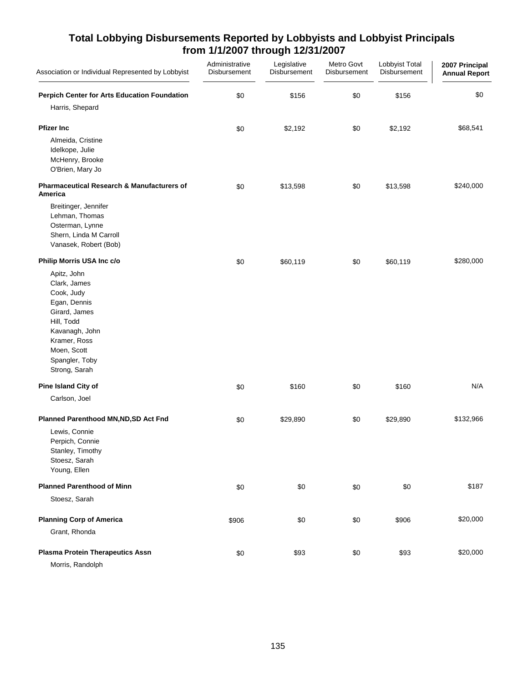| Association or Individual Represented by Lobbyist                                                                                                                                                         | Administrative<br>Disbursement | Legislative<br><b>Disbursement</b> | Metro Govt<br>Disbursement | Lobbyist Total<br><b>Disbursement</b> | 2007 Principal<br><b>Annual Report</b> |
|-----------------------------------------------------------------------------------------------------------------------------------------------------------------------------------------------------------|--------------------------------|------------------------------------|----------------------------|---------------------------------------|----------------------------------------|
| <b>Perpich Center for Arts Education Foundation</b><br>Harris, Shepard                                                                                                                                    | \$0                            | \$156                              | \$0                        | \$156                                 | \$0                                    |
| <b>Pfizer Inc</b><br>Almeida, Cristine<br>Idelkope, Julie<br>McHenry, Brooke<br>O'Brien, Mary Jo                                                                                                          | \$0                            | \$2,192                            | \$0                        | \$2,192                               | \$68,541                               |
| <b>Pharmaceutical Research &amp; Manufacturers of</b><br>America                                                                                                                                          | \$0                            | \$13,598                           | \$0                        | \$13,598                              | \$240,000                              |
| Breitinger, Jennifer<br>Lehman, Thomas<br>Osterman, Lynne<br>Shern, Linda M Carroll<br>Vanasek, Robert (Bob)                                                                                              |                                |                                    |                            |                                       |                                        |
| Philip Morris USA Inc c/o<br>Apitz, John<br>Clark, James<br>Cook, Judy<br>Egan, Dennis<br>Girard, James<br>Hill, Todd<br>Kavanagh, John<br>Kramer, Ross<br>Moen, Scott<br>Spangler, Toby<br>Strong, Sarah | \$0                            | \$60,119                           | \$0                        | \$60,119                              | \$280,000                              |
| Pine Island City of                                                                                                                                                                                       | \$0                            | \$160                              | \$0                        | \$160                                 | N/A                                    |
| Carlson, Joel<br>Planned Parenthood MN, ND, SD Act Fnd<br>Lewis, Connie<br>Perpich, Connie<br>Stanley, Timothy<br>Stoesz, Sarah<br>Young, Ellen                                                           | \$0                            | \$29,890                           | \$0                        | \$29,890                              | \$132,966                              |
| <b>Planned Parenthood of Minn</b>                                                                                                                                                                         | \$0                            | \$0                                | \$0                        | \$0                                   | \$187                                  |
| Stoesz, Sarah                                                                                                                                                                                             |                                |                                    |                            |                                       |                                        |
| <b>Planning Corp of America</b><br>Grant, Rhonda                                                                                                                                                          | \$906                          | \$0                                | \$0                        | \$906                                 | \$20,000                               |
| <b>Plasma Protein Therapeutics Assn</b><br>Morris, Randolph                                                                                                                                               | \$0                            | \$93                               | \$0                        | \$93                                  | \$20,000                               |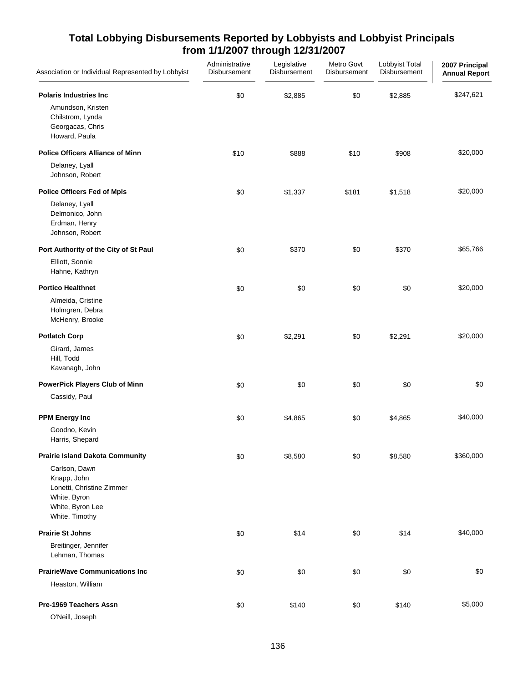| Association or Individual Represented by Lobbyist                                                               | Administrative<br>Disbursement | Legislative<br>Disbursement | Metro Govt<br>Disbursement | Lobbyist Total<br>Disbursement | 2007 Principal<br><b>Annual Report</b> |
|-----------------------------------------------------------------------------------------------------------------|--------------------------------|-----------------------------|----------------------------|--------------------------------|----------------------------------------|
| <b>Polaris Industries Inc</b><br>Amundson, Kristen<br>Chilstrom, Lynda<br>Georgacas, Chris<br>Howard, Paula     | \$0                            | \$2,885                     | \$0                        | \$2,885                        | \$247,621                              |
| <b>Police Officers Alliance of Minn</b>                                                                         | \$10                           | \$888                       | \$10                       | \$908                          | \$20,000                               |
| Delaney, Lyall<br>Johnson, Robert                                                                               |                                |                             |                            |                                |                                        |
| <b>Police Officers Fed of Mpls</b>                                                                              | \$0                            | \$1,337                     | \$181                      | \$1,518                        | \$20,000                               |
| Delaney, Lyall<br>Delmonico, John<br>Erdman, Henry<br>Johnson, Robert                                           |                                |                             |                            |                                |                                        |
| Port Authority of the City of St Paul                                                                           | \$0                            | \$370                       | \$0                        | \$370                          | \$65,766                               |
| Elliott, Sonnie<br>Hahne, Kathryn                                                                               |                                |                             |                            |                                |                                        |
| <b>Portico Healthnet</b>                                                                                        | \$0                            | \$0                         | \$0                        | \$0                            | \$20,000                               |
| Almeida, Cristine<br>Holmgren, Debra<br>McHenry, Brooke                                                         |                                |                             |                            |                                |                                        |
| <b>Potlatch Corp</b>                                                                                            | \$0                            | \$2,291                     | \$0                        | \$2,291                        | \$20,000                               |
| Girard, James<br>Hill, Todd<br>Kavanagh, John                                                                   |                                |                             |                            |                                |                                        |
| <b>PowerPick Players Club of Minn</b>                                                                           | \$0                            | \$0                         | \$0                        | \$0                            | \$0                                    |
| Cassidy, Paul                                                                                                   |                                |                             |                            |                                |                                        |
| <b>PPM Energy Inc</b>                                                                                           | \$0                            | \$4,865                     | \$0                        | \$4,865                        | \$40,000                               |
| Goodno, Kevin<br>Harris, Shepard                                                                                |                                |                             |                            |                                |                                        |
| <b>Prairie Island Dakota Community</b>                                                                          | \$0                            | \$8,580                     | \$0                        | \$8,580                        | \$360,000                              |
| Carlson, Dawn<br>Knapp, John<br>Lonetti, Christine Zimmer<br>White, Byron<br>White, Byron Lee<br>White, Timothy |                                |                             |                            |                                |                                        |
| <b>Prairie St Johns</b>                                                                                         | \$0                            | \$14                        | \$0                        | \$14                           | \$40,000                               |
| Breitinger, Jennifer<br>Lehman, Thomas                                                                          |                                |                             |                            |                                |                                        |
| <b>PrairieWave Communications Inc</b>                                                                           | \$0                            | \$0                         | \$0                        | \$0                            | \$0                                    |
| Heaston, William                                                                                                |                                |                             |                            |                                |                                        |
| Pre-1969 Teachers Assn<br>O'Neill, Joseph                                                                       | \$0                            | \$140                       | \$0                        | \$140                          | \$5,000                                |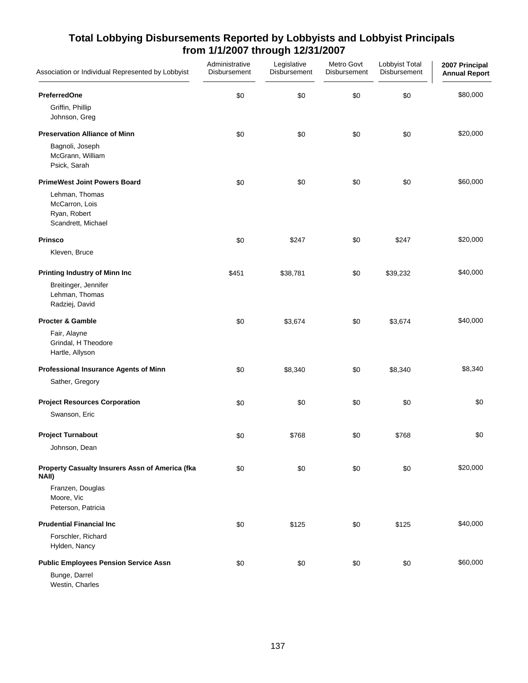| Association or Individual Represented by Lobbyist                      | Administrative<br>Disbursement | Legislative<br>Disbursement | Metro Govt<br>Disbursement | Lobbyist Total<br>Disbursement | 2007 Principal<br><b>Annual Report</b> |
|------------------------------------------------------------------------|--------------------------------|-----------------------------|----------------------------|--------------------------------|----------------------------------------|
| <b>PreferredOne</b>                                                    | \$0                            | \$0                         | \$0                        | \$0                            | \$80,000                               |
| Griffin, Phillip<br>Johnson, Greg                                      |                                |                             |                            |                                |                                        |
| <b>Preservation Alliance of Minn</b>                                   | \$0                            | \$0                         | \$0                        | \$0                            | \$20,000                               |
| Bagnoli, Joseph<br>McGrann, William<br>Psick, Sarah                    |                                |                             |                            |                                |                                        |
| <b>PrimeWest Joint Powers Board</b>                                    | \$0                            | \$0                         | \$0                        | \$0                            | \$60,000                               |
| Lehman, Thomas<br>McCarron, Lois<br>Ryan, Robert<br>Scandrett, Michael |                                |                             |                            |                                |                                        |
| <b>Prinsco</b>                                                         | \$0                            | \$247                       | \$0                        | \$247                          | \$20,000                               |
| Kleven, Bruce                                                          |                                |                             |                            |                                |                                        |
| <b>Printing Industry of Minn Inc</b>                                   | \$451                          | \$38,781                    | \$0                        | \$39,232                       | \$40,000                               |
| Breitinger, Jennifer<br>Lehman, Thomas<br>Radziej, David               |                                |                             |                            |                                |                                        |
| <b>Procter &amp; Gamble</b>                                            | \$0                            | \$3,674                     | \$0                        | \$3,674                        | \$40,000                               |
| Fair, Alayne<br>Grindal, H Theodore<br>Hartle, Allyson                 |                                |                             |                            |                                |                                        |
| Professional Insurance Agents of Minn                                  | \$0                            | \$8,340                     | \$0                        | \$8,340                        | \$8,340                                |
| Sather, Gregory                                                        |                                |                             |                            |                                |                                        |
| <b>Project Resources Corporation</b>                                   | \$0                            | \$0                         | \$0                        | \$0                            | \$0                                    |
| Swanson, Eric                                                          |                                |                             |                            |                                |                                        |
| <b>Project Turnabout</b>                                               | \$0                            | \$768                       | \$0                        | \$768                          | \$0                                    |
| Johnson, Dean                                                          |                                |                             |                            |                                |                                        |
| Property Casualty Insurers Assn of America (fka<br>NAII)               | \$0                            | \$0                         | \$0                        | \$0                            | \$20,000                               |
| Franzen, Douglas<br>Moore, Vic<br>Peterson, Patricia                   |                                |                             |                            |                                |                                        |
| <b>Prudential Financial Inc.</b>                                       | \$0                            | \$125                       | \$0                        | \$125                          | \$40,000                               |
| Forschler, Richard<br>Hylden, Nancy                                    |                                |                             |                            |                                |                                        |
| <b>Public Employees Pension Service Assn</b><br>Bunge, Darrel          | \$0                            | \$0                         | \$0                        | \$0                            | \$60,000                               |

Westin, Charles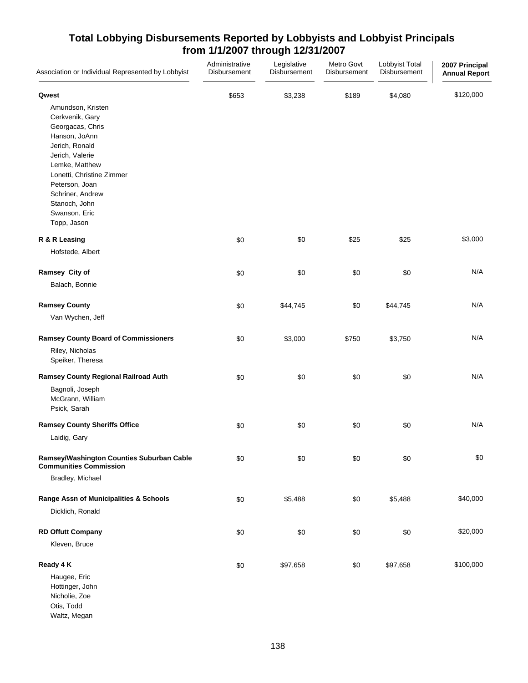| Association or Individual Represented by Lobbyist                                                                                                                                                                                                    | Administrative<br>Disbursement | Legislative<br>Disbursement | Metro Govt<br>Disbursement | Lobbyist Total<br>Disbursement | 2007 Principal<br><b>Annual Report</b> |
|------------------------------------------------------------------------------------------------------------------------------------------------------------------------------------------------------------------------------------------------------|--------------------------------|-----------------------------|----------------------------|--------------------------------|----------------------------------------|
| Qwest                                                                                                                                                                                                                                                | \$653                          | \$3,238                     | \$189                      | \$4,080                        | \$120,000                              |
| Amundson, Kristen<br>Cerkvenik, Gary<br>Georgacas, Chris<br>Hanson, JoAnn<br>Jerich, Ronald<br>Jerich, Valerie<br>Lemke, Matthew<br>Lonetti, Christine Zimmer<br>Peterson, Joan<br>Schriner, Andrew<br>Stanoch, John<br>Swanson, Eric<br>Topp, Jason |                                |                             |                            |                                |                                        |
| R & R Leasing                                                                                                                                                                                                                                        | \$0                            | \$0                         | \$25                       | \$25                           | \$3,000                                |
| Hofstede, Albert                                                                                                                                                                                                                                     |                                |                             |                            |                                |                                        |
| Ramsey City of                                                                                                                                                                                                                                       | \$0                            | \$0                         | \$0                        | \$0                            | N/A                                    |
| Balach, Bonnie                                                                                                                                                                                                                                       |                                |                             |                            |                                |                                        |
| <b>Ramsey County</b>                                                                                                                                                                                                                                 | \$0                            | \$44,745                    | \$0                        | \$44,745                       | N/A                                    |
| Van Wychen, Jeff                                                                                                                                                                                                                                     |                                |                             |                            |                                |                                        |
| <b>Ramsey County Board of Commissioners</b>                                                                                                                                                                                                          | \$0                            | \$3,000                     | \$750                      | \$3,750                        | N/A                                    |
| Riley, Nicholas<br>Speiker, Theresa                                                                                                                                                                                                                  |                                |                             |                            |                                |                                        |
| Ramsey County Regional Railroad Auth<br>Bagnoli, Joseph<br>McGrann, William<br>Psick, Sarah                                                                                                                                                          | \$0                            | \$0                         | \$0                        | \$0                            | N/A                                    |
| <b>Ramsey County Sheriffs Office</b>                                                                                                                                                                                                                 | \$0                            | \$0                         | \$0                        | \$0                            | N/A                                    |
| Laidig, Gary                                                                                                                                                                                                                                         |                                |                             |                            |                                |                                        |
| Ramsey/Washington Counties Suburban Cable<br><b>Communities Commission</b>                                                                                                                                                                           | \$0                            | \$0                         | \$0                        | \$0                            | \$0                                    |
| Bradley, Michael                                                                                                                                                                                                                                     |                                |                             |                            |                                |                                        |
| Range Assn of Municipalities & Schools                                                                                                                                                                                                               | \$0                            | \$5,488                     | \$0                        | \$5,488                        | \$40,000                               |
| Dicklich, Ronald                                                                                                                                                                                                                                     |                                |                             |                            |                                |                                        |
| <b>RD Offutt Company</b><br>Kleven, Bruce                                                                                                                                                                                                            | \$0                            | \$0                         | \$0                        | \$0                            | \$20,000                               |
| Ready 4 K                                                                                                                                                                                                                                            | \$0                            | \$97,658                    | \$0                        | \$97,658                       | \$100,000                              |
| Haugee, Eric<br>Hottinger, John<br>Nicholie, Zoe<br>Otis, Todd                                                                                                                                                                                       |                                |                             |                            |                                |                                        |

Waltz, Megan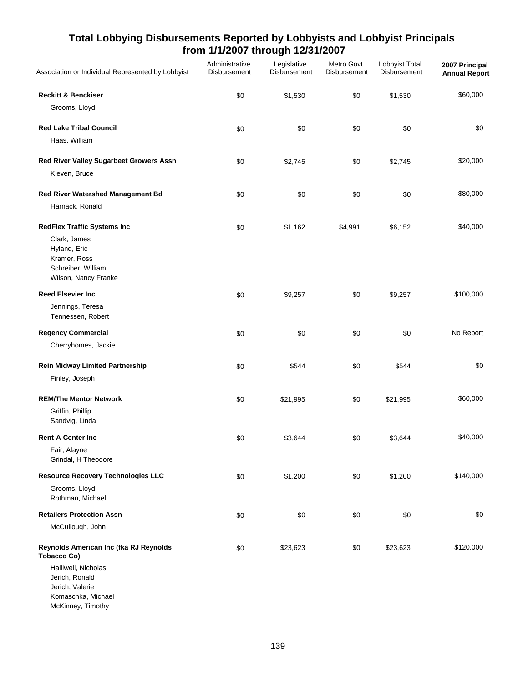| Association or Individual Represented by Lobbyist                                                                                | Administrative<br>Disbursement | Legislative<br>Disbursement | Metro Govt<br>Disbursement | Lobbyist Total<br><b>Disbursement</b> | 2007 Principal<br><b>Annual Report</b> |
|----------------------------------------------------------------------------------------------------------------------------------|--------------------------------|-----------------------------|----------------------------|---------------------------------------|----------------------------------------|
| <b>Reckitt &amp; Benckiser</b><br>Grooms, Lloyd                                                                                  | \$0                            | \$1,530                     | \$0                        | \$1,530                               | \$60,000                               |
| <b>Red Lake Tribal Council</b><br>Haas, William                                                                                  | \$0                            | \$0                         | \$0                        | \$0                                   | \$0                                    |
| Red River Valley Sugarbeet Growers Assn                                                                                          | \$0                            | \$2,745                     | $$0$$                      | \$2,745                               | \$20,000                               |
| Kleven, Bruce                                                                                                                    |                                |                             |                            |                                       |                                        |
| Red River Watershed Management Bd<br>Harnack, Ronald                                                                             | \$0                            | \$0                         | \$0                        | \$0                                   | \$80,000                               |
| <b>RedFlex Traffic Systems Inc</b><br>Clark, James<br>Hyland, Eric<br>Kramer, Ross<br>Schreiber, William<br>Wilson, Nancy Franke | \$0                            | \$1,162                     | \$4,991                    | \$6,152                               | \$40,000                               |
| <b>Reed Elsevier Inc</b>                                                                                                         | \$0                            | \$9,257                     | \$0                        | \$9,257                               | \$100,000                              |
| Jennings, Teresa<br>Tennessen, Robert                                                                                            |                                |                             |                            |                                       |                                        |
| <b>Regency Commercial</b>                                                                                                        | \$0                            | \$0                         | \$0                        | \$0                                   | No Report                              |
| Cherryhomes, Jackie                                                                                                              |                                |                             |                            |                                       |                                        |
| <b>Rein Midway Limited Partnership</b><br>Finley, Joseph                                                                         | \$0                            | \$544                       | \$0                        | \$544                                 | \$0                                    |
| <b>REM/The Mentor Network</b><br>Griffin, Phillip<br>Sandvig, Linda                                                              | \$0                            | \$21,995                    | \$0                        | \$21,995                              | \$60,000                               |
| <b>Rent-A-Center Inc</b>                                                                                                         | \$0                            | \$3,644                     | \$0                        | \$3,644                               | \$40,000                               |
| Fair, Alayne<br>Grindal, H Theodore                                                                                              |                                |                             |                            |                                       |                                        |
| <b>Resource Recovery Technologies LLC</b><br>Grooms, Lloyd<br>Rothman, Michael                                                   | \$0                            | \$1,200                     | \$0                        | \$1,200                               | \$140,000                              |
| <b>Retailers Protection Assn</b>                                                                                                 | \$0                            | \$0                         | \$0                        | \$0                                   | \$0                                    |
| McCullough, John                                                                                                                 |                                |                             |                            |                                       |                                        |
| Reynolds American Inc (fka RJ Reynolds<br><b>Tobacco Co)</b><br>Halliwell, Nicholas                                              | \$0                            | \$23,623                    | \$0                        | \$23,623                              | \$120,000                              |
| Jerich, Ronald<br>Jerich, Valerie                                                                                                |                                |                             |                            |                                       |                                        |
| Komaschka, Michael<br>McKinney, Timothy                                                                                          |                                |                             |                            |                                       |                                        |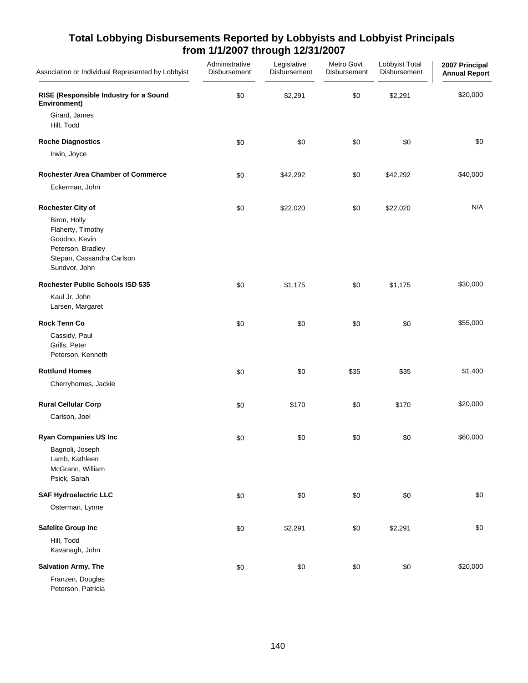| Association or Individual Represented by Lobbyist                                                                     | Administrative<br>Disbursement | Legislative<br>Disbursement | Metro Govt<br>Disbursement | Lobbyist Total<br>Disbursement | 2007 Principal<br><b>Annual Report</b> |
|-----------------------------------------------------------------------------------------------------------------------|--------------------------------|-----------------------------|----------------------------|--------------------------------|----------------------------------------|
| RISE (Responsible Industry for a Sound<br>Environment)                                                                | \$0                            | \$2,291                     | \$0                        | \$2,291                        | \$20,000                               |
| Girard, James<br>Hill, Todd                                                                                           |                                |                             |                            |                                |                                        |
| <b>Roche Diagnostics</b>                                                                                              | \$0                            | \$0                         | \$0                        | \$0                            | \$0                                    |
| Irwin, Joyce                                                                                                          |                                |                             |                            |                                |                                        |
| Rochester Area Chamber of Commerce                                                                                    | \$0                            | \$42,292                    | \$0                        | \$42,292                       | \$40,000                               |
| Eckerman, John                                                                                                        |                                |                             |                            |                                |                                        |
| <b>Rochester City of</b>                                                                                              | \$0                            | \$22,020                    | \$0                        | \$22,020                       | N/A                                    |
| Biron, Holly<br>Flaherty, Timothy<br>Goodno, Kevin<br>Peterson, Bradley<br>Stepan, Cassandra Carlson<br>Sundvor, John |                                |                             |                            |                                |                                        |
| <b>Rochester Public Schools ISD 535</b>                                                                               | \$0                            | \$1,175                     | \$0                        | \$1,175                        | \$30,000                               |
| Kaul Jr, John<br>Larsen, Margaret                                                                                     |                                |                             |                            |                                |                                        |
| <b>Rock Tenn Co</b>                                                                                                   | \$0                            | \$0                         | \$0                        | \$0                            | \$55,000                               |
| Cassidy, Paul<br>Grills, Peter<br>Peterson, Kenneth                                                                   |                                |                             |                            |                                |                                        |
| <b>Rottlund Homes</b>                                                                                                 | \$0                            | \$0                         | \$35                       | \$35                           | \$1,400                                |
| Cherryhomes, Jackie                                                                                                   |                                |                             |                            |                                |                                        |
| <b>Rural Cellular Corp</b>                                                                                            | \$0                            | \$170                       | \$0                        | \$170                          | \$20,000                               |
| Carlson, Joel                                                                                                         |                                |                             |                            |                                |                                        |
| <b>Ryan Companies US Inc</b>                                                                                          | \$0                            | \$0                         | \$0                        | \$0                            | \$60,000                               |
| Bagnoli, Joseph<br>Lamb, Kathleen<br>McGrann, William<br>Psick, Sarah                                                 |                                |                             |                            |                                |                                        |
| <b>SAF Hydroelectric LLC</b>                                                                                          | \$0                            | \$0                         | \$0                        | \$0                            | \$0                                    |
| Osterman, Lynne                                                                                                       |                                |                             |                            |                                |                                        |
| Safelite Group Inc                                                                                                    | \$0                            | \$2,291                     | \$0                        | \$2,291                        | \$0                                    |
| Hill, Todd<br>Kavanagh, John                                                                                          |                                |                             |                            |                                |                                        |
| Salvation Army, The                                                                                                   | \$0                            | \$0                         | \$0                        | \$0                            | \$20,000                               |
| Franzen, Douglas<br>Peterson, Patricia                                                                                |                                |                             |                            |                                |                                        |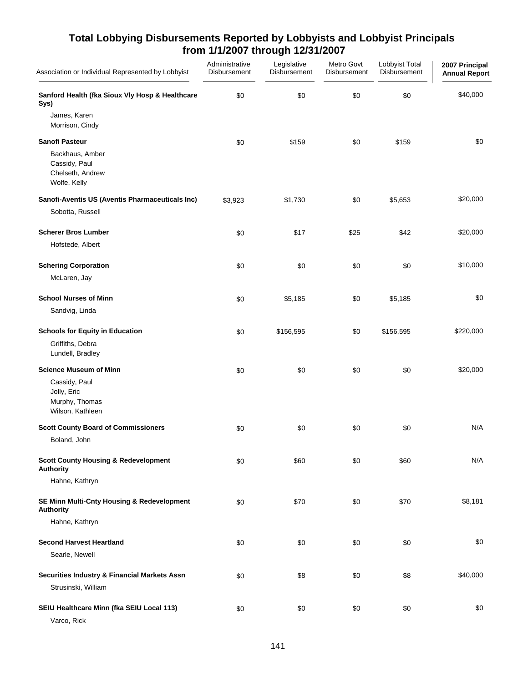| Association or Individual Represented by Lobbyist                    | Administrative<br>Disbursement | Legislative<br>Disbursement | Metro Govt<br>Disbursement | Lobbyist Total<br>Disbursement | 2007 Principal<br><b>Annual Report</b> |
|----------------------------------------------------------------------|--------------------------------|-----------------------------|----------------------------|--------------------------------|----------------------------------------|
| Sanford Health (fka Sioux VIy Hosp & Healthcare<br>Sys)              | \$0                            | \$0                         | \$0                        | \$0                            | \$40,000                               |
| James, Karen<br>Morrison, Cindy                                      |                                |                             |                            |                                |                                        |
| Sanofi Pasteur                                                       | \$0                            | \$159                       | \$0                        | \$159                          | \$0                                    |
| Backhaus, Amber<br>Cassidy, Paul<br>Chelseth, Andrew<br>Wolfe, Kelly |                                |                             |                            |                                |                                        |
| Sanofi-Aventis US (Aventis Pharmaceuticals Inc)                      | \$3,923                        | \$1,730                     | \$0                        | \$5,653                        | \$20,000                               |
| Sobotta, Russell                                                     |                                |                             |                            |                                |                                        |
| <b>Scherer Bros Lumber</b>                                           | \$0                            | \$17                        | \$25                       | \$42                           | \$20,000                               |
| Hofstede, Albert                                                     |                                |                             |                            |                                |                                        |
| <b>Schering Corporation</b>                                          | \$0                            | \$0                         | \$0                        | \$0                            | \$10,000                               |
| McLaren, Jay                                                         |                                |                             |                            |                                |                                        |
| <b>School Nurses of Minn</b>                                         | \$0                            | \$5,185                     | \$0                        | \$5,185                        | \$0                                    |
| Sandvig, Linda                                                       |                                |                             |                            |                                |                                        |
| <b>Schools for Equity in Education</b>                               | \$0                            | \$156,595                   | \$0                        | \$156,595                      | \$220,000                              |
| Griffiths, Debra<br>Lundell, Bradley                                 |                                |                             |                            |                                |                                        |
| <b>Science Museum of Minn</b>                                        | \$0                            | \$0                         | \$0                        | \$0                            | \$20,000                               |
| Cassidy, Paul<br>Jolly, Eric<br>Murphy, Thomas<br>Wilson, Kathleen   |                                |                             |                            |                                |                                        |
| <b>Scott County Board of Commissioners</b>                           | \$0                            | \$0                         | \$0                        | \$0                            | N/A                                    |
| Boland, John                                                         |                                |                             |                            |                                |                                        |
| <b>Scott County Housing &amp; Redevelopment</b><br><b>Authority</b>  | \$0                            | \$60                        | \$0                        | \$60                           | N/A                                    |
| Hahne, Kathryn                                                       |                                |                             |                            |                                |                                        |
| SE Minn Multi-Cnty Housing & Redevelopment<br><b>Authority</b>       | \$0                            | \$70                        | \$0                        | \$70                           | \$8,181                                |
| Hahne, Kathryn                                                       |                                |                             |                            |                                |                                        |
| <b>Second Harvest Heartland</b>                                      | \$0                            | \$0                         | \$0                        | \$0                            | \$0                                    |
| Searle, Newell                                                       |                                |                             |                            |                                |                                        |
| <b>Securities Industry &amp; Financial Markets Assn</b>              | \$0                            | \$8                         | \$0                        | \$8                            | \$40,000                               |
| Strusinski, William                                                  |                                |                             |                            |                                |                                        |
| SEIU Healthcare Minn (fka SEIU Local 113)<br>Varco, Rick             | \$0                            | \$0                         | \$0                        | \$0                            | \$0                                    |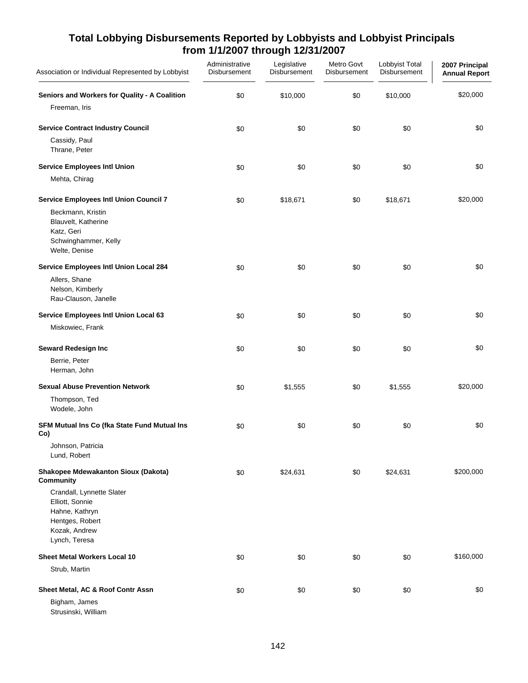| Association or Individual Represented by Lobbyist                                                                   | Administrative<br>Disbursement | Legislative<br>Disbursement | Metro Govt<br>Disbursement | Lobbyist Total<br>Disbursement | 2007 Principal<br><b>Annual Report</b> |
|---------------------------------------------------------------------------------------------------------------------|--------------------------------|-----------------------------|----------------------------|--------------------------------|----------------------------------------|
| Seniors and Workers for Quality - A Coalition<br>Freeman, Iris                                                      | \$0                            | \$10,000                    | \$0                        | \$10,000                       | \$20,000                               |
| <b>Service Contract Industry Council</b>                                                                            | \$0                            | \$0                         | \$0                        | \$0                            | \$0                                    |
| Cassidy, Paul<br>Thrane, Peter                                                                                      |                                |                             |                            |                                |                                        |
| <b>Service Employees Intl Union</b>                                                                                 | \$0                            | \$0                         | \$0                        | \$0                            | \$0                                    |
| Mehta, Chirag                                                                                                       |                                |                             |                            |                                |                                        |
| <b>Service Employees Intl Union Council 7</b>                                                                       | \$0                            | \$18,671                    | \$0                        | \$18,671                       | \$20,000                               |
| Beckmann, Kristin<br>Blauvelt, Katherine<br>Katz, Geri<br>Schwinghammer, Kelly<br>Welte, Denise                     |                                |                             |                            |                                |                                        |
| Service Employees Intl Union Local 284                                                                              | \$0                            | $$0$$                       | \$0                        | \$0                            | \$0                                    |
| Allers, Shane<br>Nelson, Kimberly<br>Rau-Clauson, Janelle                                                           |                                |                             |                            |                                |                                        |
| Service Employees Intl Union Local 63                                                                               | \$0                            | \$0                         | \$0                        | \$0                            | \$0                                    |
| Miskowiec, Frank                                                                                                    |                                |                             |                            |                                |                                        |
| Seward Redesign Inc                                                                                                 | \$0                            | \$0                         | \$0                        | \$0                            | \$0                                    |
| Berrie, Peter<br>Herman, John                                                                                       |                                |                             |                            |                                |                                        |
| <b>Sexual Abuse Prevention Network</b>                                                                              | \$0                            | \$1,555                     | \$0                        | \$1,555                        | \$20,000                               |
| Thompson, Ted<br>Wodele, John                                                                                       |                                |                             |                            |                                |                                        |
| SFM Mutual Ins Co (fka State Fund Mutual Ins<br>Co)                                                                 | \$0                            | \$0                         | \$0                        | \$0                            | \$0                                    |
| Johnson, Patricia<br>Lund, Robert                                                                                   |                                |                             |                            |                                |                                        |
| Shakopee Mdewakanton Sioux (Dakota)<br>Community                                                                    | \$0                            | \$24,631                    | \$0                        | \$24,631                       | \$200,000                              |
| Crandall, Lynnette Slater<br>Elliott, Sonnie<br>Hahne, Kathryn<br>Hentges, Robert<br>Kozak, Andrew<br>Lynch, Teresa |                                |                             |                            |                                |                                        |
| <b>Sheet Metal Workers Local 10</b>                                                                                 | \$0                            | \$0                         | \$0                        | \$0                            | \$160,000                              |
| Strub, Martin                                                                                                       |                                |                             |                            |                                |                                        |
| Sheet Metal, AC & Roof Contr Assn<br>Bigham, James                                                                  | \$0                            | \$0                         | \$0                        | \$0                            | \$0                                    |

Strusinski, William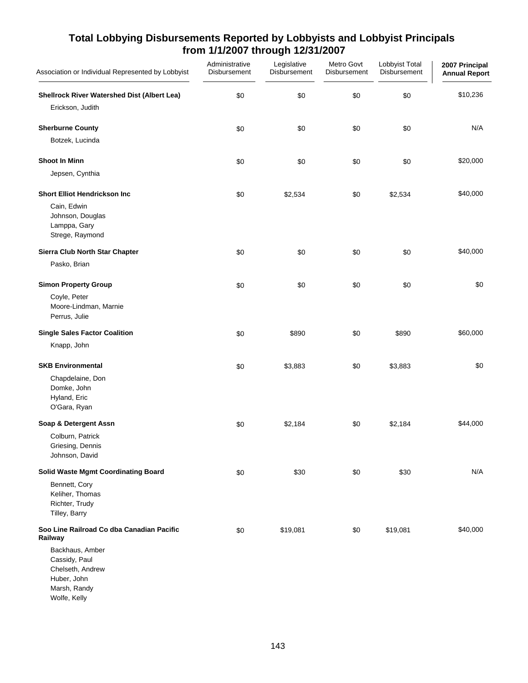| Association or Individual Represented by Lobbyist                                                                                                           | Administrative<br>Disbursement | Legislative<br>Disbursement | Metro Govt<br>Disbursement | Lobbyist Total<br>Disbursement | 2007 Principal<br><b>Annual Report</b> |
|-------------------------------------------------------------------------------------------------------------------------------------------------------------|--------------------------------|-----------------------------|----------------------------|--------------------------------|----------------------------------------|
| Shellrock River Watershed Dist (Albert Lea)<br>Erickson, Judith                                                                                             | \$0                            | \$0                         | \$0                        | \$0                            | \$10,236                               |
| <b>Sherburne County</b><br>Botzek, Lucinda                                                                                                                  | \$0                            | \$0                         | \$0                        | \$0                            | N/A                                    |
| <b>Shoot In Minn</b><br>Jepsen, Cynthia                                                                                                                     | \$0                            | \$0                         | \$0                        | \$0                            | \$20,000                               |
| <b>Short Elliot Hendrickson Inc</b><br>Cain, Edwin<br>Johnson, Douglas<br>Lamppa, Gary<br>Strege, Raymond                                                   | \$0                            | \$2,534                     | \$0                        | \$2,534                        | \$40,000                               |
| Sierra Club North Star Chapter<br>Pasko, Brian                                                                                                              | \$0                            | \$0                         | \$0                        | \$0                            | \$40,000                               |
| <b>Simon Property Group</b><br>Coyle, Peter<br>Moore-Lindman, Marnie<br>Perrus, Julie                                                                       | \$0                            | \$0                         | \$0                        | \$0                            | \$0                                    |
| <b>Single Sales Factor Coalition</b>                                                                                                                        | \$0                            | \$890                       | \$0                        | \$890                          | \$60,000                               |
| Knapp, John                                                                                                                                                 |                                |                             |                            |                                |                                        |
| <b>SKB Environmental</b><br>Chapdelaine, Don<br>Domke, John<br>Hyland, Eric<br>O'Gara, Ryan                                                                 | \$0                            | \$3,883                     | \$0                        | \$3,883                        | \$0                                    |
| Soap & Detergent Assn<br>Colburn, Patrick<br>Griesing, Dennis<br>Johnson, David                                                                             | \$0                            | \$2,184                     | \$0                        | \$2,184                        | \$44,000                               |
| <b>Solid Waste Mgmt Coordinating Board</b><br>Bennett, Cory<br>Keliher, Thomas<br>Richter, Trudy<br>Tilley, Barry                                           | \$0                            | \$30                        | \$0                        | \$30                           | N/A                                    |
| Soo Line Railroad Co dba Canadian Pacific<br>Railway<br>Backhaus, Amber<br>Cassidy, Paul<br>Chelseth, Andrew<br>Huber, John<br>Marsh, Randy<br>Wolfe, Kelly | \$0                            | \$19,081                    | \$0                        | \$19,081                       | \$40,000                               |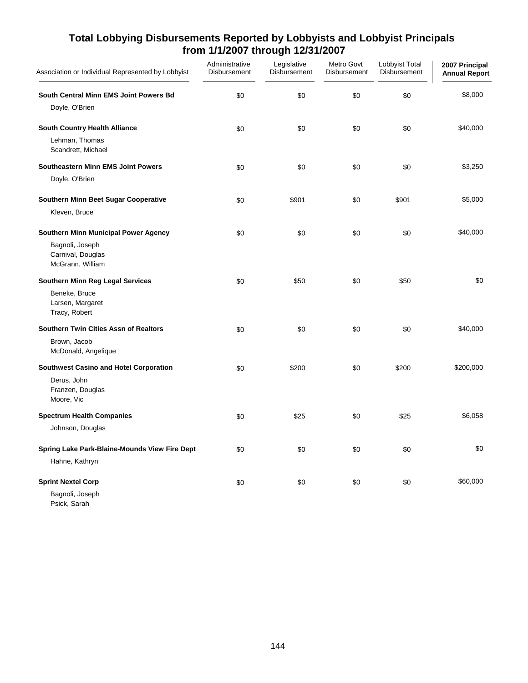| Association or Individual Represented by Lobbyist        | Administrative<br>Disbursement | Legislative<br>Disbursement | Metro Govt<br>Disbursement | Lobbyist Total<br>Disbursement | 2007 Principal<br><b>Annual Report</b> |
|----------------------------------------------------------|--------------------------------|-----------------------------|----------------------------|--------------------------------|----------------------------------------|
| South Central Minn EMS Joint Powers Bd                   | \$0                            | \$0                         | \$0                        | \$0                            | \$8,000                                |
| Doyle, O'Brien                                           |                                |                             |                            |                                |                                        |
| <b>South Country Health Alliance</b>                     | \$0                            | \$0                         | \$0                        | \$0                            | \$40,000                               |
| Lehman, Thomas<br>Scandrett, Michael                     |                                |                             |                            |                                |                                        |
| <b>Southeastern Minn EMS Joint Powers</b>                | \$0                            | \$0                         | \$0                        | \$0                            | \$3,250                                |
| Doyle, O'Brien                                           |                                |                             |                            |                                |                                        |
| Southern Minn Beet Sugar Cooperative                     | \$0                            | \$901                       | \$0                        | \$901                          | \$5,000                                |
| Kleven, Bruce                                            |                                |                             |                            |                                |                                        |
| <b>Southern Minn Municipal Power Agency</b>              | \$0                            | \$0                         | \$0                        | \$0                            | \$40,000                               |
| Bagnoli, Joseph<br>Carnival, Douglas<br>McGrann, William |                                |                             |                            |                                |                                        |
| <b>Southern Minn Reg Legal Services</b>                  | \$0                            | \$50                        | \$0                        | \$50                           | \$0                                    |
| Beneke, Bruce<br>Larsen, Margaret<br>Tracy, Robert       |                                |                             |                            |                                |                                        |
| <b>Southern Twin Cities Assn of Realtors</b>             | \$0                            | \$0                         | \$0                        | \$0                            | \$40,000                               |
| Brown, Jacob<br>McDonald, Angelique                      |                                |                             |                            |                                |                                        |
| <b>Southwest Casino and Hotel Corporation</b>            | \$0                            | \$200                       | \$0                        | \$200                          | \$200,000                              |
| Derus, John<br>Franzen, Douglas<br>Moore, Vic            |                                |                             |                            |                                |                                        |
| <b>Spectrum Health Companies</b>                         | \$0                            | \$25                        | \$0                        | \$25                           | \$6,058                                |
| Johnson, Douglas                                         |                                |                             |                            |                                |                                        |
| Spring Lake Park-Blaine-Mounds View Fire Dept            | \$0                            | \$0                         | \$0                        | \$0                            | \$0                                    |
| Hahne, Kathryn                                           |                                |                             |                            |                                |                                        |
| <b>Sprint Nextel Corp</b>                                | \$0                            | \$0                         | \$0                        | \$0                            | \$60,000                               |
| Bagnoli, Joseph                                          |                                |                             |                            |                                |                                        |

Psick, Sarah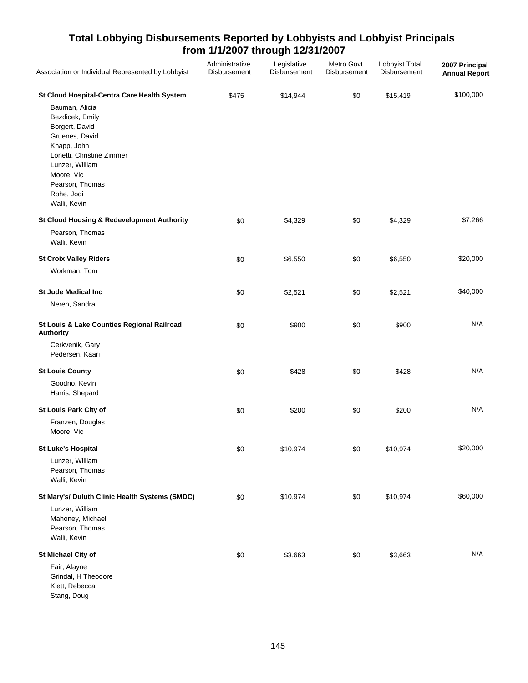| Association or Individual Represented by Lobbyist                                                                                                                                                                                                  | Administrative<br>Disbursement | Legislative<br>Disbursement | Metro Govt<br>Disbursement | Lobbyist Total<br>Disbursement | 2007 Principal<br><b>Annual Report</b> |
|----------------------------------------------------------------------------------------------------------------------------------------------------------------------------------------------------------------------------------------------------|--------------------------------|-----------------------------|----------------------------|--------------------------------|----------------------------------------|
| St Cloud Hospital-Centra Care Health System<br>Bauman, Alicia<br>Bezdicek, Emily<br>Borgert, David<br>Gruenes, David<br>Knapp, John<br>Lonetti, Christine Zimmer<br>Lunzer, William<br>Moore, Vic<br>Pearson, Thomas<br>Rohe, Jodi<br>Walli, Kevin | \$475                          | \$14,944                    | \$0                        | \$15,419                       | \$100,000                              |
| <b>St Cloud Housing &amp; Redevelopment Authority</b><br>Pearson, Thomas<br>Walli, Kevin                                                                                                                                                           | \$0                            | \$4,329                     | \$0                        | \$4,329                        | \$7,266                                |
| <b>St Croix Valley Riders</b><br>Workman, Tom                                                                                                                                                                                                      | \$0                            | \$6,550                     | \$0                        | \$6,550                        | \$20,000                               |
| <b>St Jude Medical Inc</b><br>Neren, Sandra                                                                                                                                                                                                        | \$0                            | \$2,521                     | \$0                        | \$2,521                        | \$40,000                               |
| St Louis & Lake Counties Regional Railroad<br><b>Authority</b><br>Cerkvenik, Gary<br>Pedersen, Kaari                                                                                                                                               | \$0                            | \$900                       | \$0                        | \$900                          | N/A                                    |
| <b>St Louis County</b><br>Goodno, Kevin<br>Harris, Shepard                                                                                                                                                                                         | \$0                            | \$428                       | \$0                        | \$428                          | N/A                                    |
| St Louis Park City of<br>Franzen, Douglas<br>Moore, Vic                                                                                                                                                                                            | \$0                            | \$200                       | \$0                        | \$200                          | N/A                                    |
| <b>St Luke's Hospital</b><br>Lunzer, William<br>Pearson, Thomas<br>Walli, Kevin                                                                                                                                                                    | \$0                            | \$10,974                    | \$0                        | \$10,974                       | \$20,000                               |
| St Mary's/ Duluth Clinic Health Systems (SMDC)<br>Lunzer, William<br>Mahoney, Michael<br>Pearson, Thomas<br>Walli, Kevin                                                                                                                           | \$0                            | \$10,974                    | \$0                        | \$10,974                       | \$60,000                               |
| St Michael City of<br>Fair, Alayne<br>Grindal, H Theodore<br>Klett, Rebecca<br>Stang, Doug                                                                                                                                                         | \$0                            | \$3,663                     | \$0                        | \$3,663                        | N/A                                    |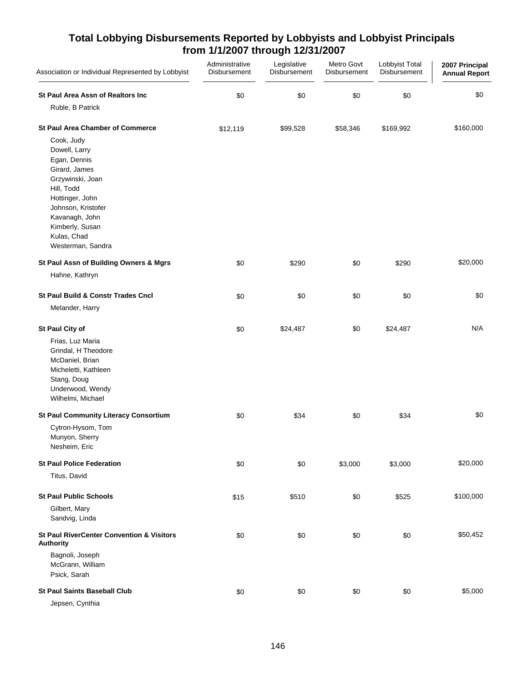| Association or Individual Represented by Lobbyist                                                                                                                                                                | Administrative<br>Disbursement | Legislative<br>Disbursement | Metro Govt<br>Disbursement | Lobbyist Total<br>Disbursement | 2007 Principal<br><b>Annual Report</b> |
|------------------------------------------------------------------------------------------------------------------------------------------------------------------------------------------------------------------|--------------------------------|-----------------------------|----------------------------|--------------------------------|----------------------------------------|
| St Paul Area Assn of Realtors Inc                                                                                                                                                                                | \$0                            | \$0                         | \$0                        | \$0                            | \$0                                    |
| Ruble, B Patrick                                                                                                                                                                                                 |                                |                             |                            |                                |                                        |
| <b>St Paul Area Chamber of Commerce</b>                                                                                                                                                                          | \$12,119                       | \$99,528                    | \$58,346                   | \$169,992                      | \$160,000                              |
| Cook, Judy<br>Dowell, Larry<br>Egan, Dennis<br>Girard, James<br>Grzywinski, Joan<br>Hill, Todd<br>Hottinger, John<br>Johnson, Kristofer<br>Kavanagh, John<br>Kimberly, Susan<br>Kulas, Chad<br>Westerman, Sandra |                                |                             |                            |                                |                                        |
| St Paul Assn of Building Owners & Mgrs                                                                                                                                                                           | \$0                            | \$290                       | \$0                        | \$290                          | \$20,000                               |
| Hahne, Kathryn                                                                                                                                                                                                   |                                |                             |                            |                                |                                        |
| St Paul Build & Constr Trades Cncl                                                                                                                                                                               | \$0                            | \$0                         | \$0                        | \$0                            | \$0                                    |
| Melander, Harry                                                                                                                                                                                                  |                                |                             |                            |                                |                                        |
| St Paul City of<br>Frias, Luz Maria<br>Grindal, H Theodore<br>McDaniel, Brian<br>Micheletti, Kathleen<br>Stang, Doug<br>Underwood, Wendy<br>Wilhelmi, Michael                                                    | \$0                            | \$24,487                    | \$0                        | \$24,487                       | N/A                                    |
| <b>St Paul Community Literacy Consortium</b>                                                                                                                                                                     | \$0                            | \$34                        | \$0                        | \$34                           | \$0                                    |
| Cytron-Hysom, Tom<br>Munyon, Sherry<br>Nesheim, Eric                                                                                                                                                             |                                |                             |                            |                                |                                        |
| <b>St Paul Police Federation</b>                                                                                                                                                                                 | \$0                            | \$0                         | \$3,000                    | \$3,000                        | \$20,000                               |
| Titus, David                                                                                                                                                                                                     |                                |                             |                            |                                |                                        |
| <b>St Paul Public Schools</b>                                                                                                                                                                                    | \$15                           | \$510                       | \$0                        | \$525                          | \$100,000                              |
| Gilbert, Mary<br>Sandvig, Linda                                                                                                                                                                                  |                                |                             |                            |                                |                                        |
| <b>St Paul RiverCenter Convention &amp; Visitors</b><br>Authority                                                                                                                                                | \$0                            | \$0                         | \$0                        | \$0                            | \$50,452                               |
| Bagnoli, Joseph<br>McGrann, William<br>Psick, Sarah                                                                                                                                                              |                                |                             |                            |                                |                                        |
| <b>St Paul Saints Baseball Club</b>                                                                                                                                                                              | \$0                            | \$0                         | \$0                        | \$0                            | \$5,000                                |
| Jepsen, Cynthia                                                                                                                                                                                                  |                                |                             |                            |                                |                                        |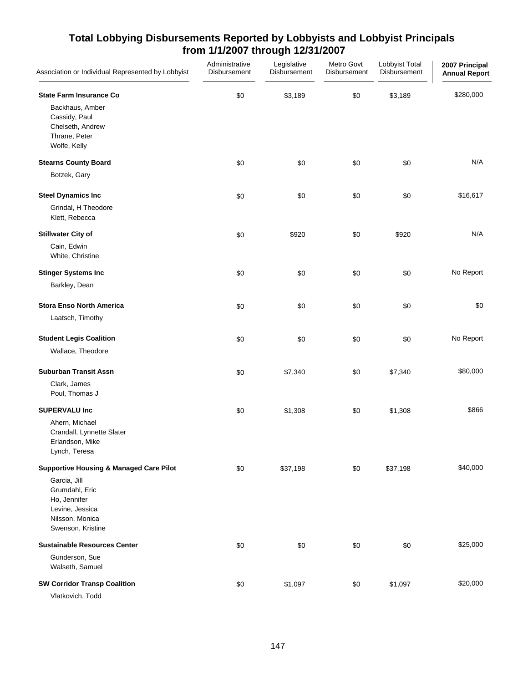| Association or Individual Represented by Lobbyist                                                                                                               | Administrative<br>Disbursement | Legislative<br>Disbursement | Metro Govt<br>Disbursement | Lobbyist Total<br>Disbursement | 2007 Principal<br><b>Annual Report</b> |
|-----------------------------------------------------------------------------------------------------------------------------------------------------------------|--------------------------------|-----------------------------|----------------------------|--------------------------------|----------------------------------------|
| <b>State Farm Insurance Co</b><br>Backhaus, Amber<br>Cassidy, Paul<br>Chelseth, Andrew<br>Thrane, Peter<br>Wolfe, Kelly                                         | \$0                            | \$3,189                     | \$0                        | \$3,189                        | \$280,000                              |
| <b>Stearns County Board</b><br>Botzek, Gary                                                                                                                     | \$0                            | \$0                         | \$0                        | \$0                            | N/A                                    |
| <b>Steel Dynamics Inc</b><br>Grindal, H Theodore<br>Klett, Rebecca                                                                                              | \$0                            | \$0                         | \$0                        | \$0                            | \$16,617                               |
| <b>Stillwater City of</b><br>Cain, Edwin<br>White, Christine                                                                                                    | \$0                            | \$920                       | \$0                        | \$920                          | N/A                                    |
| <b>Stinger Systems Inc</b><br>Barkley, Dean                                                                                                                     | \$0                            | \$0                         | \$0                        | \$0                            | No Report                              |
| <b>Stora Enso North America</b><br>Laatsch, Timothy                                                                                                             | \$0                            | \$0                         | \$0                        | \$0                            | \$0                                    |
| <b>Student Legis Coalition</b><br>Wallace, Theodore                                                                                                             | \$0                            | \$0                         | \$0                        | \$0                            | No Report                              |
| <b>Suburban Transit Assn</b><br>Clark, James<br>Poul, Thomas J                                                                                                  | \$0                            | \$7,340                     | \$0                        | \$7,340                        | \$80,000                               |
| <b>SUPERVALU Inc</b><br>Ahern, Michael<br>Crandall, Lynnette Slater<br>Erlandson, Mike<br>Lynch, Teresa                                                         | \$0                            | \$1,308                     | \$0                        | \$1,308                        | \$866                                  |
| <b>Supportive Housing &amp; Managed Care Pilot</b><br>Garcia, Jill<br>Grumdahl, Eric<br>Ho, Jennifer<br>Levine, Jessica<br>Nilsson, Monica<br>Swenson, Kristine | \$0                            | \$37,198                    | \$0                        | \$37,198                       | \$40,000                               |
| <b>Sustainable Resources Center</b><br>Gunderson, Sue<br>Walseth, Samuel                                                                                        | \$0                            | \$0                         | \$0                        | \$0                            | \$25,000                               |
| <b>SW Corridor Transp Coalition</b><br>Vlatkovich, Todd                                                                                                         | \$0                            | \$1,097                     | \$0                        | \$1,097                        | \$20,000                               |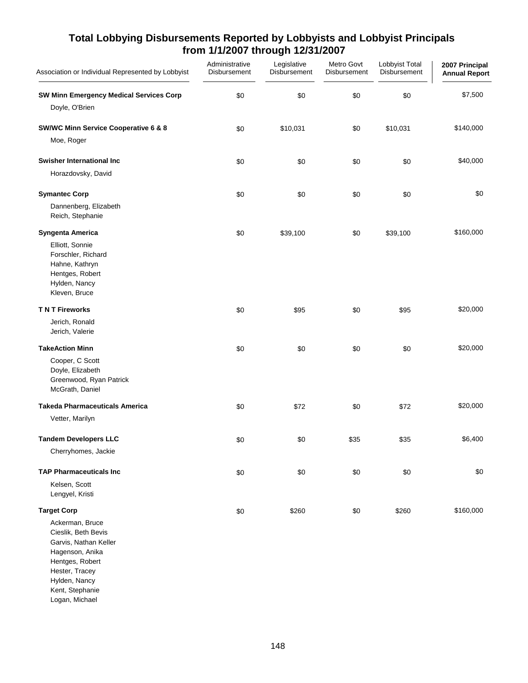| Association or Individual Represented by Lobbyist                                                                                                                                                   | Administrative<br>Disbursement | Legislative<br>Disbursement | Metro Govt<br>Disbursement | Lobbyist Total<br>Disbursement | 2007 Principal<br><b>Annual Report</b> |
|-----------------------------------------------------------------------------------------------------------------------------------------------------------------------------------------------------|--------------------------------|-----------------------------|----------------------------|--------------------------------|----------------------------------------|
| <b>SW Minn Emergency Medical Services Corp</b><br>Doyle, O'Brien                                                                                                                                    | \$0                            | \$0                         | \$0                        | \$0                            | \$7,500                                |
| <b>SW/WC Minn Service Cooperative 6 &amp; 8</b><br>Moe, Roger                                                                                                                                       | \$0                            | \$10,031                    | \$0                        | \$10,031                       | \$140,000                              |
| Swisher International Inc<br>Horazdovsky, David                                                                                                                                                     | \$0                            | \$0                         | \$0                        | \$0                            | \$40,000                               |
| <b>Symantec Corp</b><br>Dannenberg, Elizabeth<br>Reich, Stephanie                                                                                                                                   | \$0                            | \$0                         | \$0                        | \$0                            | \$0                                    |
| Syngenta America<br>Elliott, Sonnie<br>Forschler, Richard<br>Hahne, Kathryn<br>Hentges, Robert<br>Hylden, Nancy<br>Kleven, Bruce                                                                    | \$0                            | \$39,100                    | \$0                        | \$39,100                       | \$160,000                              |
| <b>TNT Fireworks</b><br>Jerich, Ronald<br>Jerich, Valerie                                                                                                                                           | \$0                            | \$95                        | \$0                        | \$95                           | \$20,000                               |
| <b>TakeAction Minn</b><br>Cooper, C Scott<br>Doyle, Elizabeth<br>Greenwood, Ryan Patrick<br>McGrath, Daniel                                                                                         | \$0                            | \$0                         | \$0                        | \$0                            | \$20,000                               |
| <b>Takeda Pharmaceuticals America</b><br>Vetter, Marilyn                                                                                                                                            | \$0                            | \$72                        | \$0                        | \$72                           | \$20,000                               |
| <b>Tandem Developers LLC</b><br>Cherryhomes, Jackie                                                                                                                                                 | \$0                            | \$0                         | \$35                       | \$35                           | \$6,400                                |
| <b>TAP Pharmaceuticals Inc.</b><br>Kelsen, Scott<br>Lengyel, Kristi                                                                                                                                 | \$0                            | \$0                         | \$0                        | \$0                            | \$0                                    |
| <b>Target Corp</b><br>Ackerman, Bruce<br>Cieslik, Beth Bevis<br>Garvis, Nathan Keller<br>Hagenson, Anika<br>Hentges, Robert<br>Hester, Tracey<br>Hylden, Nancy<br>Kent, Stephanie<br>Logan, Michael | \$0                            | \$260                       | \$0                        | \$260                          | \$160,000                              |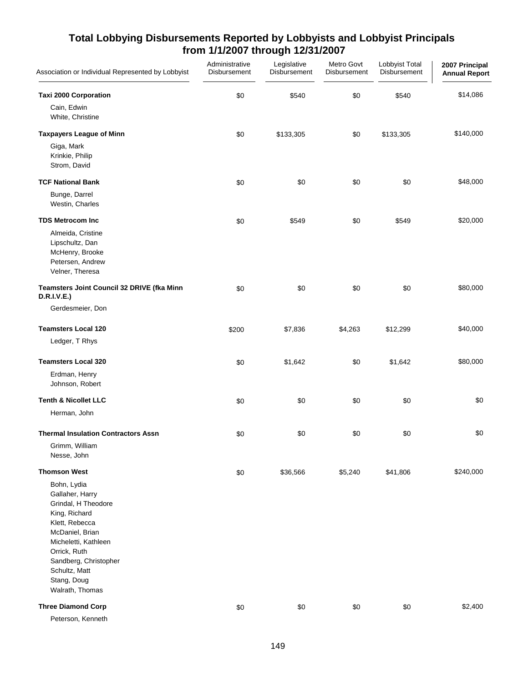| Association or Individual Represented by Lobbyist                                                                                                                                                                               | Administrative<br>Disbursement | Legislative<br>Disbursement | Metro Govt<br>Disbursement | Lobbyist Total<br>Disbursement | 2007 Principal<br><b>Annual Report</b> |
|---------------------------------------------------------------------------------------------------------------------------------------------------------------------------------------------------------------------------------|--------------------------------|-----------------------------|----------------------------|--------------------------------|----------------------------------------|
| <b>Taxi 2000 Corporation</b><br>Cain, Edwin                                                                                                                                                                                     | \$0                            | \$540                       | \$0                        | \$540                          | \$14,086                               |
| White, Christine                                                                                                                                                                                                                |                                |                             |                            |                                |                                        |
| <b>Taxpayers League of Minn</b><br>Giga, Mark<br>Krinkie, Philip                                                                                                                                                                | \$0                            | \$133,305                   | \$0                        | \$133,305                      | \$140,000                              |
| Strom, David                                                                                                                                                                                                                    |                                |                             |                            |                                |                                        |
| <b>TCF National Bank</b>                                                                                                                                                                                                        | \$0                            | \$0                         | \$0                        | \$0                            | \$48,000                               |
| Bunge, Darrel<br>Westin, Charles                                                                                                                                                                                                |                                |                             |                            |                                |                                        |
| <b>TDS Metrocom Inc</b>                                                                                                                                                                                                         | \$0                            | \$549                       | \$0                        | \$549                          | \$20,000                               |
| Almeida, Cristine<br>Lipschultz, Dan<br>McHenry, Brooke<br>Petersen, Andrew<br>Velner, Theresa                                                                                                                                  |                                |                             |                            |                                |                                        |
| Teamsters Joint Council 32 DRIVE (fka Minn<br><b>D.R.I.V.E.)</b>                                                                                                                                                                | \$0                            | \$0                         | \$0                        | \$0                            | \$80,000                               |
| Gerdesmeier, Don                                                                                                                                                                                                                |                                |                             |                            |                                |                                        |
| <b>Teamsters Local 120</b>                                                                                                                                                                                                      | \$200                          | \$7,836                     | \$4,263                    | \$12,299                       | \$40,000                               |
| Ledger, T Rhys                                                                                                                                                                                                                  |                                |                             |                            |                                |                                        |
| <b>Teamsters Local 320</b>                                                                                                                                                                                                      | \$0                            | \$1,642                     | \$0                        | \$1,642                        | \$80,000                               |
| Erdman, Henry<br>Johnson, Robert                                                                                                                                                                                                |                                |                             |                            |                                |                                        |
| <b>Tenth &amp; Nicollet LLC</b>                                                                                                                                                                                                 | \$0                            | \$0                         | \$0                        | \$0                            | \$0                                    |
| Herman, John                                                                                                                                                                                                                    |                                |                             |                            |                                |                                        |
| <b>Thermal Insulation Contractors Assn</b>                                                                                                                                                                                      | \$0                            | \$0                         | \$0                        | \$0                            | \$0                                    |
| Grimm, William<br>Nesse, John                                                                                                                                                                                                   |                                |                             |                            |                                |                                        |
| <b>Thomson West</b>                                                                                                                                                                                                             | \$0                            | \$36,566                    | \$5,240                    | \$41,806                       | \$240,000                              |
| Bohn, Lydia<br>Gallaher, Harry<br>Grindal, H Theodore<br>King, Richard<br>Klett, Rebecca<br>McDaniel, Brian<br>Micheletti, Kathleen<br>Orrick, Ruth<br>Sandberg, Christopher<br>Schultz, Matt<br>Stang, Doug<br>Walrath, Thomas |                                |                             |                            |                                |                                        |
| <b>Three Diamond Corp</b><br>Peterson, Kenneth                                                                                                                                                                                  | \$0                            | \$0                         | \$0                        | \$0                            | \$2,400                                |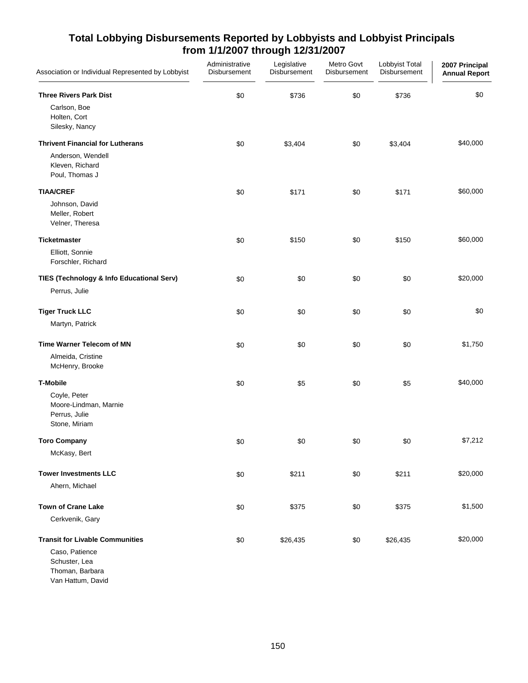| Association or Individual Represented by Lobbyist                       | Administrative<br>Disbursement | Legislative<br>Disbursement | Metro Govt<br><b>Disbursement</b> | Lobbyist Total<br>Disbursement | 2007 Principal<br><b>Annual Report</b> |
|-------------------------------------------------------------------------|--------------------------------|-----------------------------|-----------------------------------|--------------------------------|----------------------------------------|
| <b>Three Rivers Park Dist</b>                                           | \$0                            | \$736                       | \$0                               | \$736                          | \$0                                    |
| Carlson, Boe<br>Holten, Cort<br>Silesky, Nancy                          |                                |                             |                                   |                                |                                        |
| <b>Thrivent Financial for Lutherans</b>                                 | \$0                            | \$3,404                     | \$0                               | \$3,404                        | \$40,000                               |
| Anderson, Wendell<br>Kleven, Richard<br>Poul, Thomas J                  |                                |                             |                                   |                                |                                        |
| <b>TIAA/CREF</b>                                                        | \$0                            | \$171                       | \$0                               | \$171                          | \$60,000                               |
| Johnson, David<br>Meller, Robert<br>Velner, Theresa                     |                                |                             |                                   |                                |                                        |
| <b>Ticketmaster</b>                                                     | \$0                            | \$150                       | \$0                               | \$150                          | \$60,000                               |
| Elliott, Sonnie<br>Forschler, Richard                                   |                                |                             |                                   |                                |                                        |
| TIES (Technology & Info Educational Serv)                               | \$0                            | \$0                         | \$0                               | \$0                            | \$20,000                               |
| Perrus, Julie                                                           |                                |                             |                                   |                                |                                        |
| <b>Tiger Truck LLC</b>                                                  | \$0                            | \$0                         | \$0                               | \$0                            | \$0                                    |
| Martyn, Patrick                                                         |                                |                             |                                   |                                |                                        |
| <b>Time Warner Telecom of MN</b>                                        | \$0                            | \$0                         | \$0                               | \$0                            | \$1,750                                |
| Almeida, Cristine<br>McHenry, Brooke                                    |                                |                             |                                   |                                |                                        |
| <b>T-Mobile</b>                                                         | \$0                            | \$5                         | \$0                               | \$5                            | \$40,000                               |
| Coyle, Peter<br>Moore-Lindman, Marnie<br>Perrus, Julie<br>Stone, Miriam |                                |                             |                                   |                                |                                        |
| <b>Toro Company</b>                                                     | \$0                            | \$0                         | \$0                               | \$0                            | \$7,212                                |
| McKasy, Bert                                                            |                                |                             |                                   |                                |                                        |
| <b>Tower Investments LLC</b>                                            | \$0                            | \$211                       | \$0                               | \$211                          | \$20,000                               |
| Ahern, Michael                                                          |                                |                             |                                   |                                |                                        |
| <b>Town of Crane Lake</b>                                               | \$0                            | \$375                       | \$0                               | \$375                          | \$1,500                                |
| Cerkvenik, Gary                                                         |                                |                             |                                   |                                |                                        |
| <b>Transit for Livable Communities</b>                                  | \$0                            | \$26,435                    | \$0                               | \$26,435                       | \$20,000                               |
| Caso, Patience                                                          |                                |                             |                                   |                                |                                        |
| Schuster, Lea<br>Thoman, Barbara                                        |                                |                             |                                   |                                |                                        |
| Van Hattum, David                                                       |                                |                             |                                   |                                |                                        |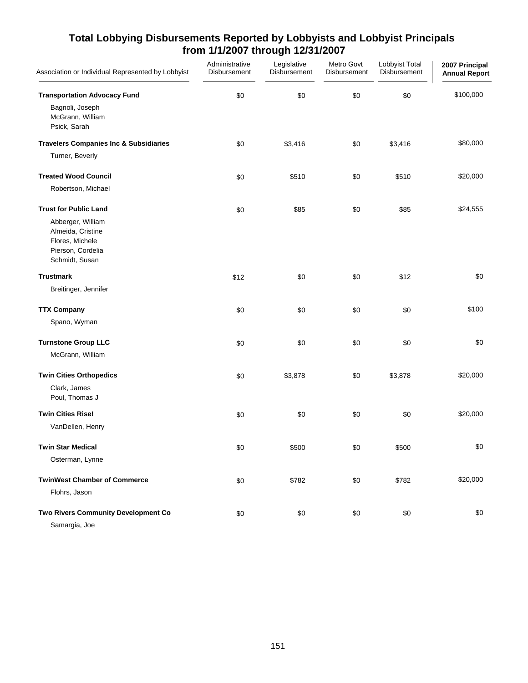| Association or Individual Represented by Lobbyist                                                | Administrative<br>Disbursement | Legislative<br>Disbursement | Metro Govt<br>Disbursement | Lobbyist Total<br>Disbursement | 2007 Principal<br><b>Annual Report</b> |
|--------------------------------------------------------------------------------------------------|--------------------------------|-----------------------------|----------------------------|--------------------------------|----------------------------------------|
| <b>Transportation Advocacy Fund</b>                                                              | \$0                            | \$0                         | \$0                        | \$0                            | \$100,000                              |
| Bagnoli, Joseph<br>McGrann, William<br>Psick, Sarah                                              |                                |                             |                            |                                |                                        |
| <b>Travelers Companies Inc &amp; Subsidiaries</b>                                                | \$0                            | \$3,416                     | \$0                        | \$3,416                        | \$80,000                               |
| Turner, Beverly                                                                                  |                                |                             |                            |                                |                                        |
| <b>Treated Wood Council</b>                                                                      | \$0                            | \$510                       | \$0                        | \$510                          | \$20,000                               |
| Robertson, Michael                                                                               |                                |                             |                            |                                |                                        |
| <b>Trust for Public Land</b>                                                                     | \$0                            | \$85                        | \$0                        | \$85                           | \$24,555                               |
| Abberger, William<br>Almeida, Cristine<br>Flores, Michele<br>Pierson, Cordelia<br>Schmidt, Susan |                                |                             |                            |                                |                                        |
| <b>Trustmark</b>                                                                                 | \$12                           | \$0                         | \$0                        | \$12                           | \$0                                    |
| Breitinger, Jennifer                                                                             |                                |                             |                            |                                |                                        |
| <b>TTX Company</b>                                                                               | \$0                            | \$0                         | \$0                        | \$0                            | \$100                                  |
| Spano, Wyman                                                                                     |                                |                             |                            |                                |                                        |
| <b>Turnstone Group LLC</b>                                                                       | \$0                            | \$0                         | \$0                        | \$0                            | \$0                                    |
| McGrann, William                                                                                 |                                |                             |                            |                                |                                        |
| <b>Twin Cities Orthopedics</b>                                                                   | \$0                            | \$3,878                     | \$0                        | \$3,878                        | \$20,000                               |
| Clark, James<br>Poul, Thomas J                                                                   |                                |                             |                            |                                |                                        |
| <b>Twin Cities Rise!</b>                                                                         | \$0                            | \$0                         | \$0                        | \$0                            | \$20,000                               |
| VanDellen, Henry                                                                                 |                                |                             |                            |                                |                                        |
| <b>Twin Star Medical</b>                                                                         | \$0                            | \$500                       | \$0                        | \$500                          | \$0                                    |
| Osterman, Lynne                                                                                  |                                |                             |                            |                                |                                        |
| <b>TwinWest Chamber of Commerce</b>                                                              | \$0                            | \$782                       | \$0                        | \$782                          | \$20,000                               |
| Flohrs, Jason                                                                                    |                                |                             |                            |                                |                                        |
| Two Rivers Community Development Co                                                              | \$0                            | \$0                         | $\$0$                      | \$0                            | \$0                                    |
| Samargia, Joe                                                                                    |                                |                             |                            |                                |                                        |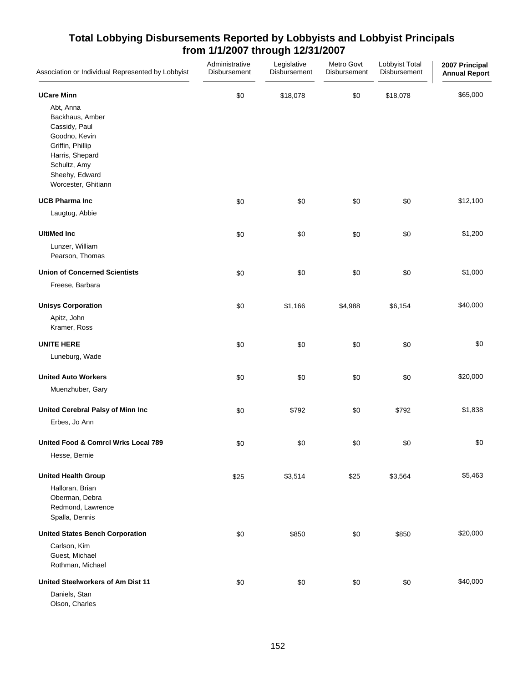| Association or Individual Represented by Lobbyist                                                                                                              | Administrative<br>Disbursement | Legislative<br>Disbursement | Metro Govt<br>Disbursement | Lobbyist Total<br>Disbursement | 2007 Principal<br><b>Annual Report</b> |
|----------------------------------------------------------------------------------------------------------------------------------------------------------------|--------------------------------|-----------------------------|----------------------------|--------------------------------|----------------------------------------|
| <b>UCare Minn</b>                                                                                                                                              | \$0                            | \$18,078                    | \$0                        | \$18,078                       | \$65,000                               |
| Abt, Anna<br>Backhaus, Amber<br>Cassidy, Paul<br>Goodno, Kevin<br>Griffin, Phillip<br>Harris, Shepard<br>Schultz, Amy<br>Sheehy, Edward<br>Worcester, Ghitiann |                                |                             |                            |                                |                                        |
| <b>UCB Pharma Inc</b>                                                                                                                                          | \$0                            | \$0                         | \$0                        | \$0                            | \$12,100                               |
| Laugtug, Abbie                                                                                                                                                 |                                |                             |                            |                                |                                        |
| <b>UltiMed Inc</b><br>Lunzer, William<br>Pearson, Thomas                                                                                                       | \$0                            | \$0                         | \$0                        | \$0                            | \$1,200                                |
| <b>Union of Concerned Scientists</b><br>Freese, Barbara                                                                                                        | \$0                            | \$0                         | \$0                        | \$0                            | \$1,000                                |
| <b>Unisys Corporation</b><br>Apitz, John<br>Kramer, Ross                                                                                                       | \$0                            | \$1,166                     | \$4,988                    | \$6,154                        | \$40,000                               |
| <b>UNITE HERE</b><br>Luneburg, Wade                                                                                                                            | \$0                            | \$0                         | \$0                        | \$0                            | \$0                                    |
| <b>United Auto Workers</b><br>Muenzhuber, Gary                                                                                                                 | \$0                            | \$0                         | \$0                        | \$0                            | \$20,000                               |
| United Cerebral Palsy of Minn Inc<br>Erbes, Jo Ann                                                                                                             | \$0                            | \$792                       | \$0                        | \$792                          | \$1,838                                |
| United Food & Comrcl Wrks Local 789<br>Hesse, Bernie                                                                                                           | $\$0$                          | \$0                         | \$0                        | \$0                            | \$0                                    |
| <b>United Health Group</b><br>Halloran, Brian<br>Oberman, Debra<br>Redmond, Lawrence<br>Spalla, Dennis                                                         | \$25                           | \$3,514                     | \$25                       | \$3,564                        | \$5,463                                |
| <b>United States Bench Corporation</b><br>Carlson, Kim<br>Guest, Michael<br>Rothman, Michael                                                                   | \$0                            | \$850                       | \$0                        | \$850                          | \$20,000                               |
| United Steelworkers of Am Dist 11<br>Daniels, Stan                                                                                                             | \$0                            | \$0                         | \$0                        | \$0                            | \$40,000                               |

Olson, Charles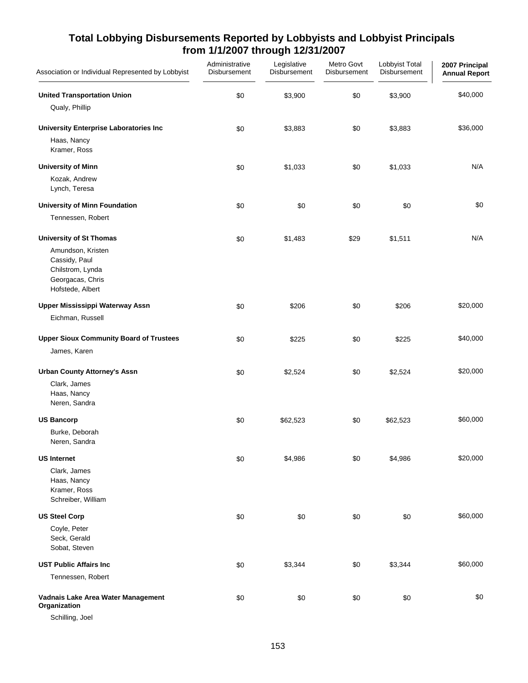| Association or Individual Represented by Lobbyist                                                                                | Administrative<br>Disbursement | Legislative<br>Disbursement | Metro Govt<br>Disbursement | Lobbyist Total<br>Disbursement | 2007 Principal<br><b>Annual Report</b> |
|----------------------------------------------------------------------------------------------------------------------------------|--------------------------------|-----------------------------|----------------------------|--------------------------------|----------------------------------------|
| <b>United Transportation Union</b><br>Qualy, Phillip                                                                             | \$0                            | \$3,900                     | \$0                        | \$3,900                        | \$40,000                               |
| <b>University Enterprise Laboratories Inc</b><br>Haas, Nancy<br>Kramer, Ross                                                     | \$0                            | \$3,883                     | \$0                        | \$3,883                        | \$36,000                               |
| <b>University of Minn</b><br>Kozak, Andrew<br>Lynch, Teresa                                                                      | \$0                            | \$1,033                     | \$0                        | \$1,033                        | N/A                                    |
| University of Minn Foundation<br>Tennessen, Robert                                                                               | \$0                            | \$0                         | \$0                        | \$0                            | \$0                                    |
| <b>University of St Thomas</b><br>Amundson, Kristen<br>Cassidy, Paul<br>Chilstrom, Lynda<br>Georgacas, Chris<br>Hofstede, Albert | \$0                            | \$1,483                     | \$29                       | \$1,511                        | N/A                                    |
| <b>Upper Mississippi Waterway Assn</b><br>Eichman, Russell                                                                       | \$0                            | \$206                       | \$0                        | \$206                          | \$20,000                               |
| <b>Upper Sioux Community Board of Trustees</b><br>James, Karen                                                                   | \$0                            | \$225                       | \$0                        | \$225                          | \$40,000                               |
| <b>Urban County Attorney's Assn</b><br>Clark, James<br>Haas, Nancy<br>Neren, Sandra                                              | \$0                            | \$2,524                     | \$0                        | \$2,524                        | \$20,000                               |
| <b>US Bancorp</b><br>Burke, Deborah<br>Neren, Sandra                                                                             | \$0                            | \$62,523                    | \$0                        | \$62,523                       | \$60,000                               |
| <b>US Internet</b><br>Clark, James<br>Haas, Nancy<br>Kramer, Ross<br>Schreiber, William                                          | \$0                            | \$4,986                     | \$0                        | \$4,986                        | \$20,000                               |
| <b>US Steel Corp</b><br>Coyle, Peter<br>Seck, Gerald<br>Sobat, Steven                                                            | \$0                            | \$0                         | \$0                        | \$0                            | \$60,000                               |
| <b>UST Public Affairs Inc</b><br>Tennessen, Robert                                                                               | \$0                            | \$3,344                     | \$0                        | \$3,344                        | \$60,000                               |
| Vadnais Lake Area Water Management<br>Organization                                                                               | \$0                            | \$0                         | \$0                        | \$0                            | \$0                                    |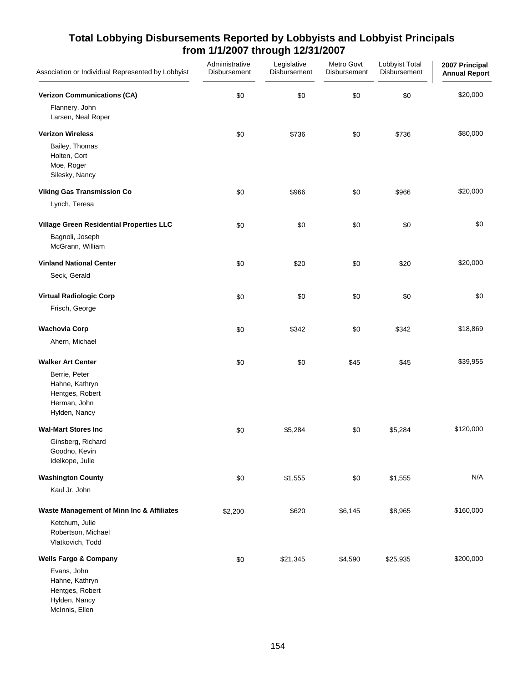| Association or Individual Represented by Lobbyist                                   | Administrative<br>Disbursement | Legislative<br>Disbursement | Metro Govt<br>Disbursement | Lobbyist Total<br>Disbursement | 2007 Principal<br><b>Annual Report</b> |
|-------------------------------------------------------------------------------------|--------------------------------|-----------------------------|----------------------------|--------------------------------|----------------------------------------|
| <b>Verizon Communications (CA)</b><br>Flannery, John<br>Larsen, Neal Roper          | \$0                            | \$0                         | \$0                        | \$0                            | \$20,000                               |
| <b>Verizon Wireless</b>                                                             | \$0                            | \$736                       | \$0                        | \$736                          | \$80,000                               |
| Bailey, Thomas<br>Holten, Cort<br>Moe, Roger<br>Silesky, Nancy                      |                                |                             |                            |                                |                                        |
| <b>Viking Gas Transmission Co</b>                                                   | \$0                            | \$966                       | \$0                        | \$966                          | \$20,000                               |
| Lynch, Teresa                                                                       |                                |                             |                            |                                |                                        |
| Village Green Residential Properties LLC                                            | \$0                            | \$0                         | \$0                        | \$0                            | \$0                                    |
| Bagnoli, Joseph<br>McGrann, William                                                 |                                |                             |                            |                                |                                        |
| <b>Vinland National Center</b>                                                      | \$0                            | \$20                        | \$0                        | \$20                           | \$20,000                               |
| Seck, Gerald                                                                        |                                |                             |                            |                                |                                        |
| <b>Virtual Radiologic Corp</b>                                                      | \$0                            | \$0                         | $$0$$                      | \$0                            | \$0                                    |
| Frisch, George                                                                      |                                |                             |                            |                                |                                        |
| <b>Wachovia Corp</b>                                                                | \$0                            | \$342                       | \$0                        | \$342                          | \$18,869                               |
| Ahern, Michael                                                                      |                                |                             |                            |                                |                                        |
| <b>Walker Art Center</b>                                                            | \$0                            | \$0                         | \$45                       | \$45                           | \$39,955                               |
| Berrie, Peter<br>Hahne, Kathryn<br>Hentges, Robert<br>Herman, John<br>Hylden, Nancy |                                |                             |                            |                                |                                        |
| <b>Wal-Mart Stores Inc</b>                                                          | \$0                            | \$5,284                     | \$0                        | \$5,284                        | \$120,000                              |
| Ginsberg, Richard<br>Goodno, Kevin<br>Idelkope, Julie                               |                                |                             |                            |                                |                                        |
| <b>Washington County</b>                                                            | \$0                            | \$1,555                     | \$0                        | \$1,555                        | N/A                                    |
| Kaul Jr, John                                                                       |                                |                             |                            |                                |                                        |
| Waste Management of Minn Inc & Affiliates                                           | \$2,200                        | \$620                       | \$6,145                    | \$8,965                        | \$160,000                              |
| Ketchum, Julie<br>Robertson, Michael<br>Vlatkovich, Todd                            |                                |                             |                            |                                |                                        |
| <b>Wells Fargo &amp; Company</b>                                                    | \$0                            | \$21,345                    | \$4,590                    | \$25,935                       | \$200,000                              |
| Evans, John<br>Hahne, Kathryn<br>Hentges, Robert<br>Hylden, Nancy<br>McInnis, Ellen |                                |                             |                            |                                |                                        |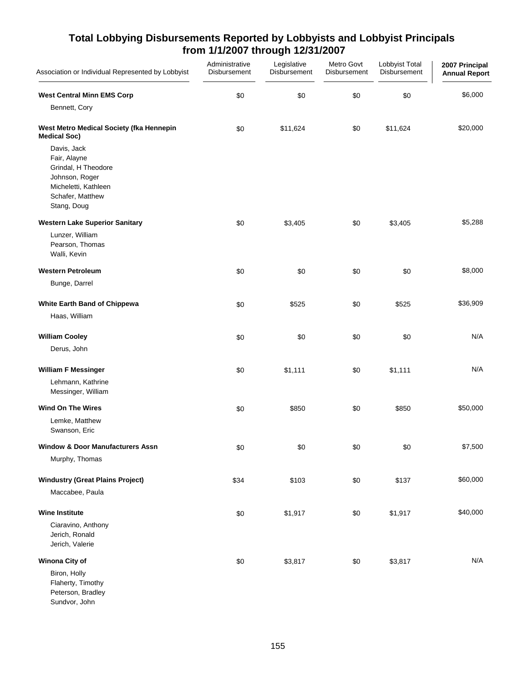| Association or Individual Represented by Lobbyist                                                                               | Administrative<br>Disbursement | Legislative<br>Disbursement | Metro Govt<br>Disbursement | Lobbyist Total<br>Disbursement | 2007 Principal<br><b>Annual Report</b> |
|---------------------------------------------------------------------------------------------------------------------------------|--------------------------------|-----------------------------|----------------------------|--------------------------------|----------------------------------------|
| <b>West Central Minn EMS Corp</b>                                                                                               | \$0                            | \$0                         | \$0                        | \$0                            | \$6,000                                |
| Bennett, Cory                                                                                                                   |                                |                             |                            |                                |                                        |
| West Metro Medical Society (fka Hennepin<br><b>Medical Soc)</b>                                                                 | \$0                            | \$11,624                    | \$0                        | \$11,624                       | \$20,000                               |
| Davis, Jack<br>Fair, Alayne<br>Grindal, H Theodore<br>Johnson, Roger<br>Micheletti, Kathleen<br>Schafer, Matthew<br>Stang, Doug |                                |                             |                            |                                |                                        |
| <b>Western Lake Superior Sanitary</b>                                                                                           | \$0                            | \$3,405                     | \$0                        | \$3,405                        | \$5,288                                |
| Lunzer, William<br>Pearson, Thomas<br>Walli, Kevin                                                                              |                                |                             |                            |                                |                                        |
| <b>Western Petroleum</b>                                                                                                        | \$0                            | \$0                         | \$0                        | \$0                            | \$8,000                                |
| Bunge, Darrel                                                                                                                   |                                |                             |                            |                                |                                        |
| White Earth Band of Chippewa                                                                                                    | \$0                            | \$525                       | \$0                        | \$525                          | \$36,909                               |
| Haas, William                                                                                                                   |                                |                             |                            |                                |                                        |
| <b>William Cooley</b>                                                                                                           | \$0                            | \$0                         | \$0                        | \$0                            | N/A                                    |
| Derus, John                                                                                                                     |                                |                             |                            |                                |                                        |
| <b>William F Messinger</b>                                                                                                      | \$0                            | \$1,111                     | \$0                        | \$1,111                        | N/A                                    |
| Lehmann, Kathrine<br>Messinger, William                                                                                         |                                |                             |                            |                                |                                        |
| <b>Wind On The Wires</b>                                                                                                        | \$0                            | \$850                       | \$0                        | \$850                          | \$50,000                               |
| Lemke, Matthew<br>Swanson, Eric                                                                                                 |                                |                             |                            |                                |                                        |
| <b>Window &amp; Door Manufacturers Assn</b>                                                                                     | \$0                            | \$0                         | \$0                        | $\$0$                          | \$7,500                                |
| Murphy, Thomas                                                                                                                  |                                |                             |                            |                                |                                        |
| <b>Windustry (Great Plains Project)</b>                                                                                         | \$34                           | \$103                       | \$0                        | \$137                          | \$60,000                               |
| Maccabee, Paula                                                                                                                 |                                |                             |                            |                                |                                        |
| <b>Wine Institute</b>                                                                                                           | \$0                            | \$1,917                     | \$0                        | \$1,917                        | \$40,000                               |
| Ciaravino, Anthony<br>Jerich, Ronald<br>Jerich, Valerie                                                                         |                                |                             |                            |                                |                                        |
| Winona City of                                                                                                                  | \$0                            | \$3,817                     | \$0                        | \$3,817                        | N/A                                    |
| Biron, Holly<br>Flaherty, Timothy<br>Peterson, Bradley<br>Sundvor, John                                                         |                                |                             |                            |                                |                                        |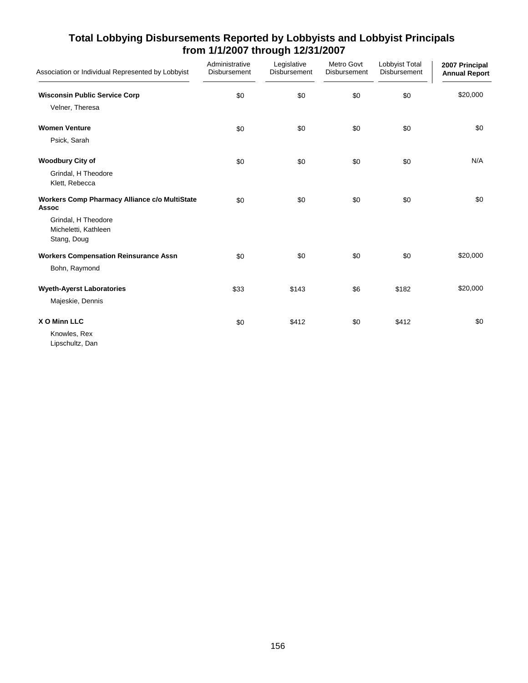| Association or Individual Represented by Lobbyist                    | Administrative<br>Disbursement | Legislative<br>Disbursement | Metro Govt<br>Disbursement | Lobbyist Total<br>Disbursement | 2007 Principal<br><b>Annual Report</b> |
|----------------------------------------------------------------------|--------------------------------|-----------------------------|----------------------------|--------------------------------|----------------------------------------|
| <b>Wisconsin Public Service Corp</b>                                 | \$0                            | \$0                         | \$0                        | \$0                            | \$20,000                               |
| Velner, Theresa                                                      |                                |                             |                            |                                |                                        |
| <b>Women Venture</b>                                                 | \$0                            | \$0                         | \$0                        | \$0                            | \$0                                    |
| Psick, Sarah                                                         |                                |                             |                            |                                |                                        |
| <b>Woodbury City of</b>                                              | \$0                            | \$0                         | \$0                        | \$0                            | N/A                                    |
| Grindal, H Theodore<br>Klett, Rebecca                                |                                |                             |                            |                                |                                        |
| <b>Workers Comp Pharmacy Alliance c/o MultiState</b><br><b>Assoc</b> | \$0                            | \$0                         | \$0                        | \$0                            | \$0                                    |
| Grindal, H Theodore<br>Micheletti, Kathleen                          |                                |                             |                            |                                |                                        |
| Stang, Doug<br><b>Workers Compensation Reinsurance Assn</b>          |                                | \$0                         | \$0                        | \$0                            | \$20,000                               |
| Bohn, Raymond                                                        | \$0                            |                             |                            |                                |                                        |
| <b>Wyeth-Ayerst Laboratories</b>                                     | \$33                           | \$143                       | \$6                        | \$182                          | \$20,000                               |
| Majeskie, Dennis                                                     |                                |                             |                            |                                |                                        |
| X O Minn LLC                                                         | \$0                            | \$412                       | \$0                        | \$412                          | \$0                                    |
| Knowles, Rex<br>Lipschultz, Dan                                      |                                |                             |                            |                                |                                        |